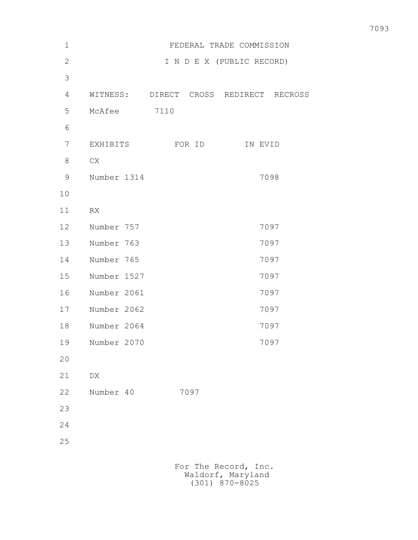| $\mathbf 1$    |             | FEDERAL TRADE COMMISSION               |
|----------------|-------------|----------------------------------------|
| $\mathbf{2}$   |             | I N D E X (PUBLIC RECORD)              |
| 3              |             |                                        |
| $\overline{4}$ |             | WITNESS: DIRECT CROSS REDIRECT RECROSS |
| 5              | McAfee 7110 |                                        |
| 6              |             |                                        |
| 7              |             | EXHIBITS FOR ID<br>IN EVID             |
| 8              | CX          |                                        |
| 9              | Number 1314 | 7098                                   |
| 10             |             |                                        |
| 11             | RX          |                                        |
| 12             | Number 757  | 7097                                   |
| 13             | Number 763  | 7097                                   |
| 14             | Number 765  | 7097                                   |
| 15             | Number 1527 | 7097                                   |
| 16             | Number 2061 | 7097                                   |
| 17             | Number 2062 | 7097                                   |
| 18             | Number 2064 | 7097                                   |
| 19             | Number 2070 | 7097                                   |
| 20             |             |                                        |
| 21             | DX          |                                        |
| 22             | Number 40   | 7097                                   |
| 23             |             |                                        |
| 24             |             |                                        |
| 25             |             |                                        |
|                |             |                                        |
|                |             | For The Record, Inc.                   |

Waldorf, Maryland (301) 870-8025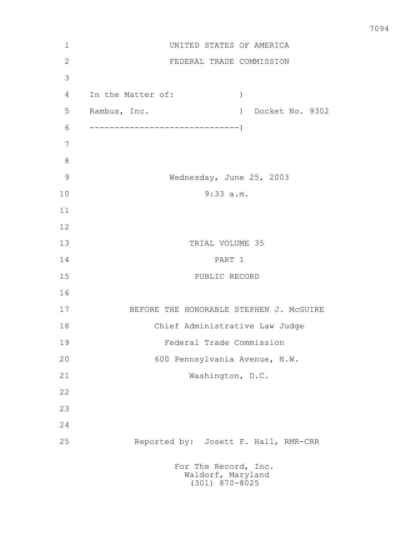| $1\,$         | UNITED STATES OF AMERICA                                      |
|---------------|---------------------------------------------------------------|
| $\mathbf{2}$  | FEDERAL TRADE COMMISSION                                      |
| 3             |                                                               |
| 4             | In the Matter of:<br>$\mathcal{C}$                            |
| 5             | Rambus, Inc.<br>Docket No. 9302<br>$\lambda$                  |
| 6             |                                                               |
| 7             |                                                               |
| 8             |                                                               |
| $\mathcal{G}$ | Wednesday, June 25, 2003                                      |
| 10            | $9:33$ a.m.                                                   |
| 11            |                                                               |
| 12            |                                                               |
| 13            | TRIAL VOLUME 35                                               |
| 14            | PART 1                                                        |
| 15            | PUBLIC RECORD                                                 |
| 16            |                                                               |
| 17            | BEFORE THE HONORABLE STEPHEN J. MCGUIRE                       |
| 18            | Chief Administrative Law Judge                                |
| 19            | Federal Trade Commission                                      |
| 20            | 600 Pennsylvania Avenue, N.W.                                 |
| 21            | Washington, D.C.                                              |
| 22            |                                                               |
| 23            |                                                               |
| 24            |                                                               |
| 25            | Reported by: Josett F. Hall, RMR-CRR                          |
|               | For The Record, Inc.<br>Waldorf, Maryland<br>$(301)$ 870-8025 |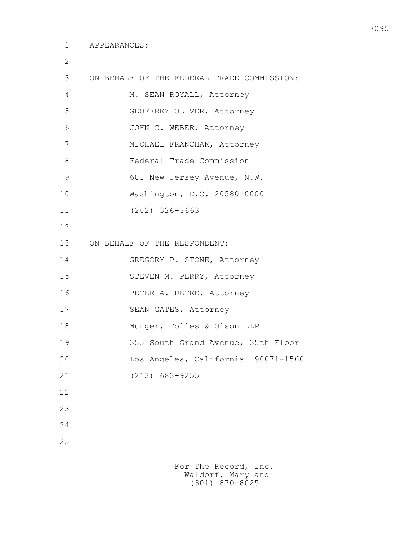2

| 3             | ON BEHALF OF THE FEDERAL TRADE COMMISSION: |
|---------------|--------------------------------------------|
| 4             | M. SEAN ROYALL, Attorney                   |
| 5             | GEOFFREY OLIVER, Attorney                  |
| 6             | JOHN C. WEBER, Attorney                    |
| 7             | MICHAEL FRANCHAK, Attorney                 |
| 8             | Federal Trade Commission                   |
| $\mathcal{G}$ | 601 New Jersey Avenue, N.W.                |
| 10            | Washington, D.C. 20580-0000                |
| 11            | $(202)$ 326-3663                           |
| 12            |                                            |
| 13            | ON BEHALF OF THE RESPONDENT:               |
| 14            | GREGORY P. STONE, Attorney                 |
| 15            | STEVEN M. PERRY, Attorney                  |
| 16            | PETER A. DETRE, Attorney                   |
| 17            | SEAN GATES, Attorney                       |
| 18            | Munger, Tolles & Olson LLP                 |
| 19            | 355 South Grand Avenue, 35th Floor         |
| 20            | Los Angeles, California 90071-1560         |
| 21            | $(213) 683 - 9255$                         |
| 22            |                                            |
| 23            |                                            |
| 24            |                                            |
| 25            |                                            |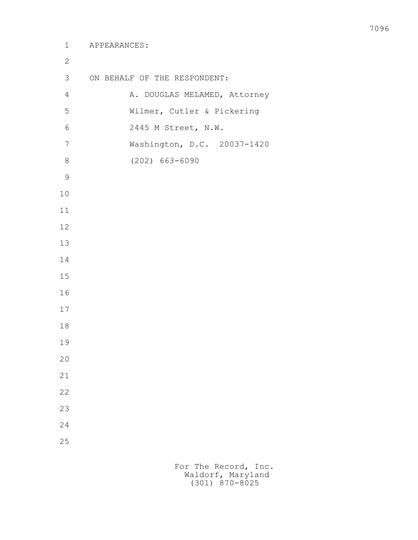| $\mathbf{2}$   |                              |
|----------------|------------------------------|
| 3              | ON BEHALF OF THE RESPONDENT: |
| $\overline{4}$ | A. DOUGLAS MELAMED, Attorney |
| 5              | Wilmer, Cutler & Pickering   |
| 6              | 2445 M Street, N.W.          |
| $\overline{7}$ | Washington, D.C. 20037-1420  |
| 8              | $(202) 663 - 6090$           |
| $\mathcal{G}$  |                              |
| 10             |                              |
| 11             |                              |
| 12             |                              |
| 13             |                              |
| 14             |                              |
| 15             |                              |
| 16             |                              |
| 17             |                              |
| 18             |                              |
| 19             |                              |
| 20             |                              |
| 21             |                              |
| 22             |                              |
| 23             |                              |
| 24             |                              |
| 25             |                              |
|                |                              |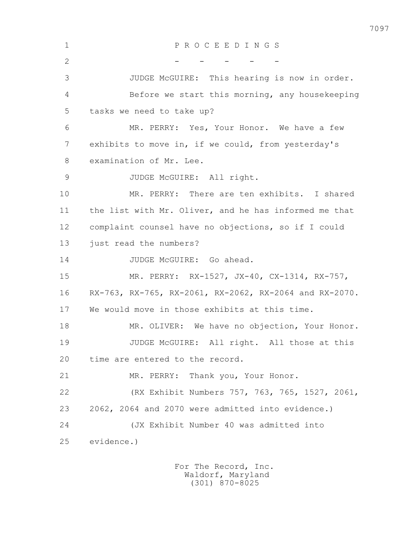1 P R O C E E D I N G S  $2$  - - - - - 3 JUDGE McGUIRE: This hearing is now in order. 4 Before we start this morning, any housekeeping 5 tasks we need to take up? 6 MR. PERRY: Yes, Your Honor. We have a few 7 exhibits to move in, if we could, from yesterday's 8 examination of Mr. Lee. 9 JUDGE McGUIRE: All right. 10 MR. PERRY: There are ten exhibits. I shared 11 the list with Mr. Oliver, and he has informed me that 12 complaint counsel have no objections, so if I could 13 just read the numbers? 14 JUDGE McGUIRE: Go ahead. 15 MR. PERRY: RX-1527, JX-40, CX-1314, RX-757, 16 RX-763, RX-765, RX-2061, RX-2062, RX-2064 and RX-2070. 17 We would move in those exhibits at this time. 18 MR. OLIVER: We have no objection, Your Honor. 19 JUDGE McGUIRE: All right. All those at this 20 time are entered to the record. 21 MR. PERRY: Thank you, Your Honor. 22 (RX Exhibit Numbers 757, 763, 765, 1527, 2061, 23 2062, 2064 and 2070 were admitted into evidence.) 24 (JX Exhibit Number 40 was admitted into 25 evidence.)

> For The Record, Inc. Waldorf, Maryland (301) 870-8025

7097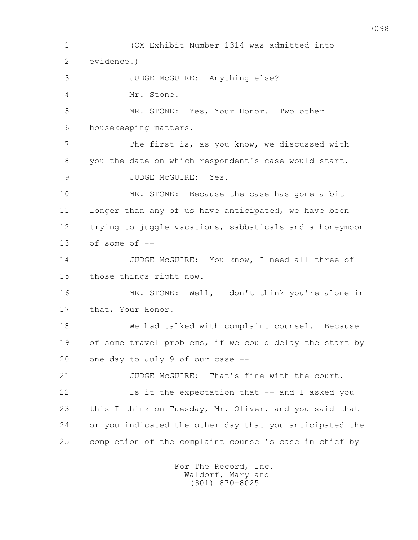1 (CX Exhibit Number 1314 was admitted into 2 evidence.) 3 JUDGE McGUIRE: Anything else? 4 Mr. Stone. 5 MR. STONE: Yes, Your Honor. Two other 6 housekeeping matters. 7 The first is, as you know, we discussed with 8 you the date on which respondent's case would start. 9 JUDGE McGUIRE: Yes. 10 MR. STONE: Because the case has gone a bit 11 longer than any of us have anticipated, we have been 12 trying to juggle vacations, sabbaticals and a honeymoon 13 of some of -- 14 JUDGE McGUIRE: You know, I need all three of 15 those things right now. 16 MR. STONE: Well, I don't think you're alone in 17 that, Your Honor. 18 We had talked with complaint counsel. Because 19 of some travel problems, if we could delay the start by 20 one day to July 9 of our case -- 21 JUDGE McGUIRE: That's fine with the court. 22 Is it the expectation that -- and I asked you 23 this I think on Tuesday, Mr. Oliver, and you said that 24 or you indicated the other day that you anticipated the 25 completion of the complaint counsel's case in chief by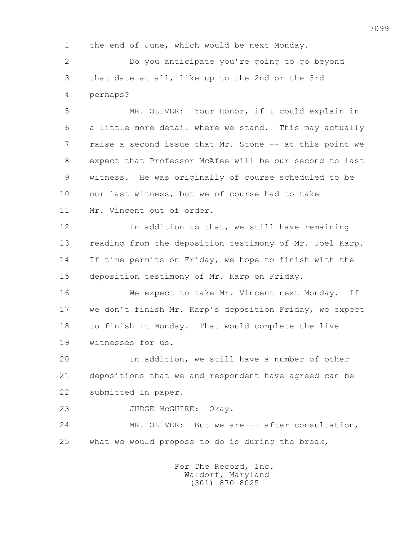1 the end of June, which would be next Monday.

 2 Do you anticipate you're going to go beyond 3 that date at all, like up to the 2nd or the 3rd 4 perhaps?

 5 MR. OLIVER: Your Honor, if I could explain in 6 a little more detail where we stand. This may actually 7 raise a second issue that Mr. Stone -- at this point we 8 expect that Professor McAfee will be our second to last 9 witness. He was originally of course scheduled to be 10 our last witness, but we of course had to take 11 Mr. Vincent out of order.

 12 In addition to that, we still have remaining 13 reading from the deposition testimony of Mr. Joel Karp. 14 If time permits on Friday, we hope to finish with the 15 deposition testimony of Mr. Karp on Friday.

 16 We expect to take Mr. Vincent next Monday. If 17 we don't finish Mr. Karp's deposition Friday, we expect 18 to finish it Monday. That would complete the live 19 witnesses for us.

 20 In addition, we still have a number of other 21 depositions that we and respondent have agreed can be 22 submitted in paper.

23 JUDGE McGUIRE: Okay.

24 MR. OLIVER: But we are -- after consultation, 25 what we would propose to do is during the break,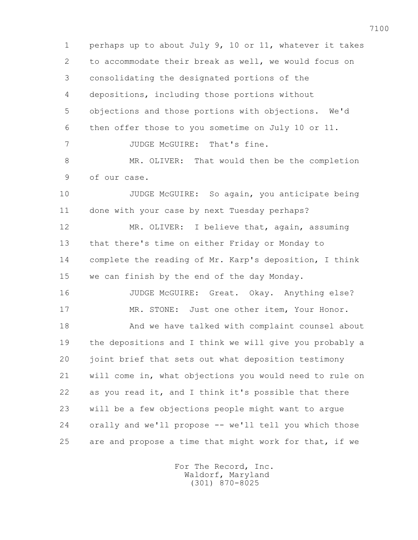1 perhaps up to about July 9, 10 or 11, whatever it takes 2 to accommodate their break as well, we would focus on 3 consolidating the designated portions of the 4 depositions, including those portions without 5 objections and those portions with objections. We'd 6 then offer those to you sometime on July 10 or 11. 7 JUDGE McGUIRE: That's fine. 8 MR. OLIVER: That would then be the completion 9 of our case. 10 JUDGE McGUIRE: So again, you anticipate being 11 done with your case by next Tuesday perhaps? 12 MR. OLIVER: I believe that, again, assuming 13 that there's time on either Friday or Monday to 14 complete the reading of Mr. Karp's deposition, I think 15 we can finish by the end of the day Monday. 16 JUDGE McGUIRE: Great. Okay. Anything else? 17 MR. STONE: Just one other item, Your Honor. 18 And we have talked with complaint counsel about 19 the depositions and I think we will give you probably a 20 joint brief that sets out what deposition testimony 21 will come in, what objections you would need to rule on 22 as you read it, and I think it's possible that there 23 will be a few objections people might want to argue 24 orally and we'll propose -- we'll tell you which those 25 are and propose a time that might work for that, if we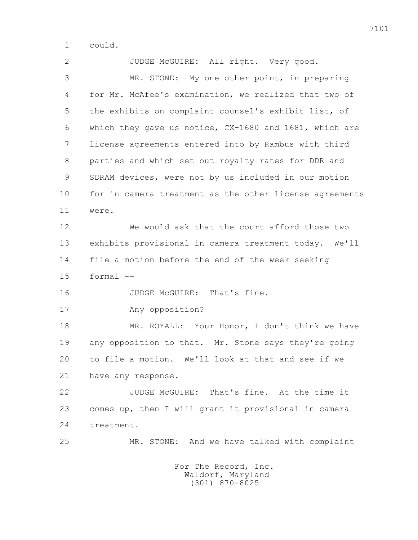1 could.

2 JUDGE McGUIRE: All right. Very good. 3 MR. STONE: My one other point, in preparing 4 for Mr. McAfee's examination, we realized that two of 5 the exhibits on complaint counsel's exhibit list, of 6 which they gave us notice, CX-1680 and 1681, which are 7 license agreements entered into by Rambus with third 8 parties and which set out royalty rates for DDR and 9 SDRAM devices, were not by us included in our motion 10 for in camera treatment as the other license agreements 11 were. 12 We would ask that the court afford those two 13 exhibits provisional in camera treatment today. We'll 14 file a motion before the end of the week seeking  $15$  formal  $-$ 16 JUDGE McGUIRE: That's fine. 17 Any opposition? 18 MR. ROYALL: Your Honor, I don't think we have 19 any opposition to that. Mr. Stone says they're going 20 to file a motion. We'll look at that and see if we 21 have any response. 22 JUDGE McGUIRE: That's fine. At the time it 23 comes up, then I will grant it provisional in camera 24 treatment. 25 MR. STONE: And we have talked with complaint For The Record, Inc.

 Waldorf, Maryland (301) 870-8025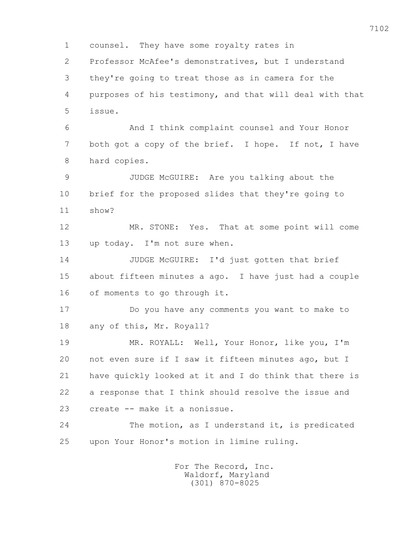1 counsel. They have some royalty rates in 2 Professor McAfee's demonstratives, but I understand 3 they're going to treat those as in camera for the 4 purposes of his testimony, and that will deal with that 5 issue. 6 And I think complaint counsel and Your Honor 7 both got a copy of the brief. I hope. If not, I have 8 hard copies. 9 JUDGE McGUIRE: Are you talking about the 10 brief for the proposed slides that they're going to 11 show? 12 MR. STONE: Yes. That at some point will come 13 up today. I'm not sure when. 14 JUDGE McGUIRE: I'd just gotten that brief 15 about fifteen minutes a ago. I have just had a couple 16 of moments to go through it. 17 Do you have any comments you want to make to 18 any of this, Mr. Royall? 19 MR. ROYALL: Well, Your Honor, like you, I'm 20 not even sure if I saw it fifteen minutes ago, but I 21 have quickly looked at it and I do think that there is 22 a response that I think should resolve the issue and 23 create -- make it a nonissue. 24 The motion, as I understand it, is predicated 25 upon Your Honor's motion in limine ruling.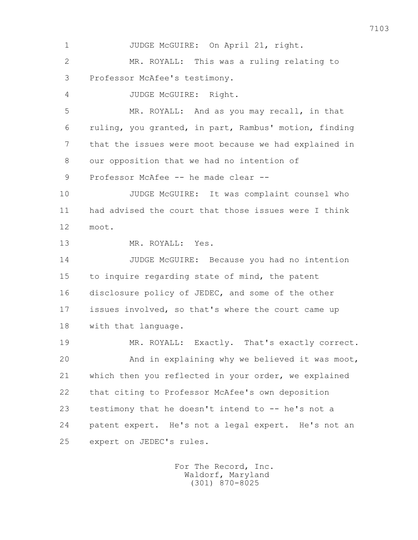1 JUDGE McGUIRE: On April 21, right. 2 MR. ROYALL: This was a ruling relating to 3 Professor McAfee's testimony. 4 JUDGE McGUIRE: Right. 5 MR. ROYALL: And as you may recall, in that 6 ruling, you granted, in part, Rambus' motion, finding 7 that the issues were moot because we had explained in 8 our opposition that we had no intention of 9 Professor McAfee -- he made clear -- 10 JUDGE McGUIRE: It was complaint counsel who 11 had advised the court that those issues were I think 12 moot. 13 MR. ROYALL: Yes. 14 JUDGE McGUIRE: Because you had no intention 15 to inquire regarding state of mind, the patent 16 disclosure policy of JEDEC, and some of the other 17 issues involved, so that's where the court came up 18 with that language. 19 MR. ROYALL: Exactly. That's exactly correct. 20 And in explaining why we believed it was moot, 21 which then you reflected in your order, we explained 22 that citing to Professor McAfee's own deposition 23 testimony that he doesn't intend to -- he's not a 24 patent expert. He's not a legal expert. He's not an 25 expert on JEDEC's rules.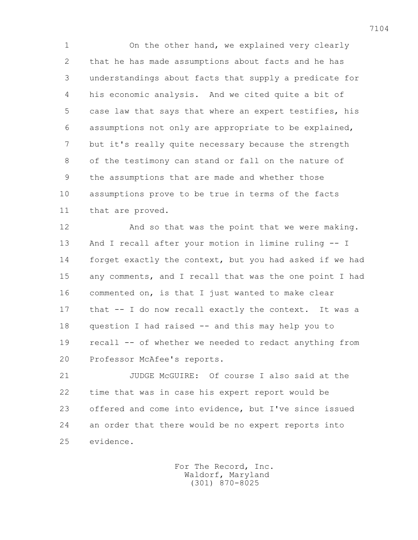1 On the other hand, we explained very clearly 2 that he has made assumptions about facts and he has 3 understandings about facts that supply a predicate for 4 his economic analysis. And we cited quite a bit of 5 case law that says that where an expert testifies, his 6 assumptions not only are appropriate to be explained, 7 but it's really quite necessary because the strength 8 of the testimony can stand or fall on the nature of 9 the assumptions that are made and whether those 10 assumptions prove to be true in terms of the facts 11 that are proved.

12 And so that was the point that we were making. 13 And I recall after your motion in limine ruling -- I 14 forget exactly the context, but you had asked if we had 15 any comments, and I recall that was the one point I had 16 commented on, is that I just wanted to make clear 17 that -- I do now recall exactly the context. It was a 18 question I had raised -- and this may help you to 19 recall -- of whether we needed to redact anything from 20 Professor McAfee's reports.

 21 JUDGE McGUIRE: Of course I also said at the 22 time that was in case his expert report would be 23 offered and come into evidence, but I've since issued 24 an order that there would be no expert reports into 25 evidence.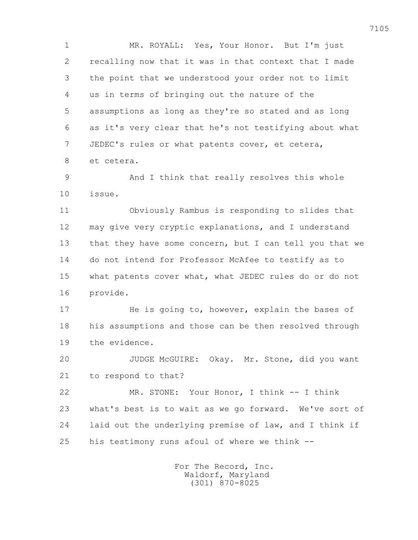1 MR. ROYALL: Yes, Your Honor. But I'm just 2 recalling now that it was in that context that I made 3 the point that we understood your order not to limit 4 us in terms of bringing out the nature of the 5 assumptions as long as they're so stated and as long 6 as it's very clear that he's not testifying about what 7 JEDEC's rules or what patents cover, et cetera, 8 et cetera.

 9 And I think that really resolves this whole 10 issue.

 11 Obviously Rambus is responding to slides that 12 may give very cryptic explanations, and I understand 13 that they have some concern, but I can tell you that we 14 do not intend for Professor McAfee to testify as to 15 what patents cover what, what JEDEC rules do or do not 16 provide.

17 He is going to, however, explain the bases of 18 his assumptions and those can be then resolved through 19 the evidence.

 20 JUDGE McGUIRE: Okay. Mr. Stone, did you want 21 to respond to that?

 22 MR. STONE: Your Honor, I think -- I think 23 what's best is to wait as we go forward. We've sort of 24 laid out the underlying premise of law, and I think if 25 his testimony runs afoul of where we think --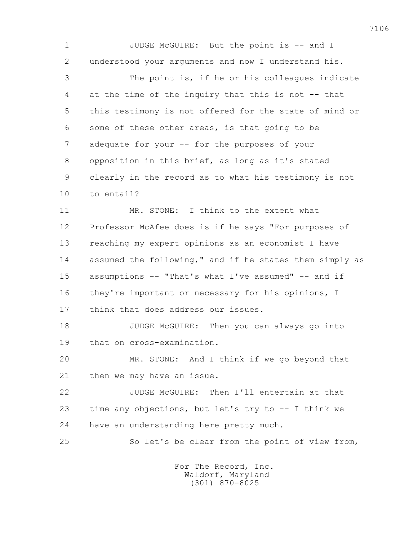1 JUDGE McGUIRE: But the point is -- and I 2 understood your arguments and now I understand his.

 3 The point is, if he or his colleagues indicate 4 at the time of the inquiry that this is not -- that 5 this testimony is not offered for the state of mind or 6 some of these other areas, is that going to be 7 adequate for your -- for the purposes of your 8 opposition in this brief, as long as it's stated 9 clearly in the record as to what his testimony is not 10 to entail?

 11 MR. STONE: I think to the extent what 12 Professor McAfee does is if he says "For purposes of 13 reaching my expert opinions as an economist I have 14 assumed the following," and if he states them simply as 15 assumptions -- "That's what I've assumed" -- and if 16 they're important or necessary for his opinions, I 17 think that does address our issues.

 18 JUDGE McGUIRE: Then you can always go into 19 that on cross-examination.

 20 MR. STONE: And I think if we go beyond that 21 then we may have an issue.

 22 JUDGE McGUIRE: Then I'll entertain at that 23 time any objections, but let's try to -- I think we 24 have an understanding here pretty much.

25 So let's be clear from the point of view from,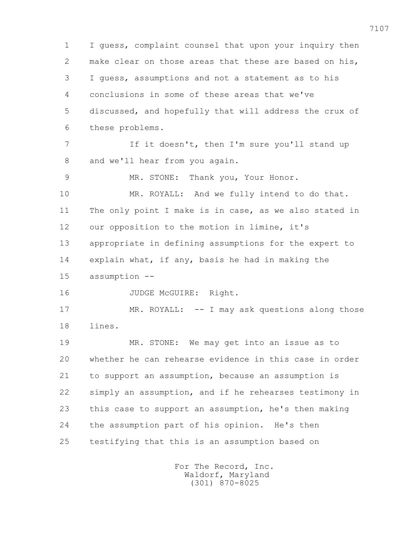1 I guess, complaint counsel that upon your inquiry then 2 make clear on those areas that these are based on his, 3 I guess, assumptions and not a statement as to his 4 conclusions in some of these areas that we've 5 discussed, and hopefully that will address the crux of 6 these problems. 7 If it doesn't, then I'm sure you'll stand up 8 and we'll hear from you again. 9 MR. STONE: Thank you, Your Honor. 10 MR. ROYALL: And we fully intend to do that. 11 The only point I make is in case, as we also stated in 12 our opposition to the motion in limine, it's 13 appropriate in defining assumptions for the expert to 14 explain what, if any, basis he had in making the 15 assumption -- 16 JUDGE McGUIRE: Right. 17 MR. ROYALL: -- I may ask questions along those 18 lines. 19 MR. STONE: We may get into an issue as to 20 whether he can rehearse evidence in this case in order 21 to support an assumption, because an assumption is 22 simply an assumption, and if he rehearses testimony in 23 this case to support an assumption, he's then making 24 the assumption part of his opinion. He's then 25 testifying that this is an assumption based on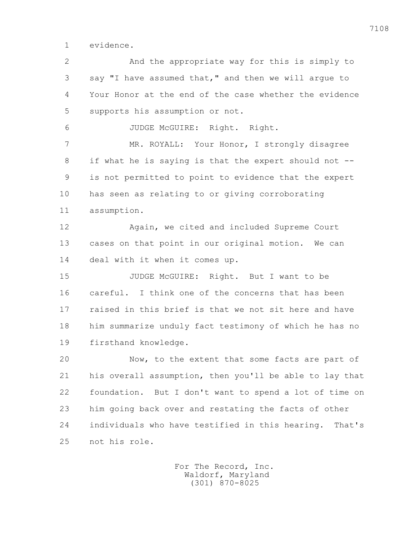1 evidence.

 2 And the appropriate way for this is simply to 3 say "I have assumed that," and then we will argue to 4 Your Honor at the end of the case whether the evidence 5 supports his assumption or not.

6 JUDGE McGUIRE: Right. Right.

 7 MR. ROYALL: Your Honor, I strongly disagree 8 if what he is saying is that the expert should not -- 9 is not permitted to point to evidence that the expert 10 has seen as relating to or giving corroborating 11 assumption.

 12 Again, we cited and included Supreme Court 13 cases on that point in our original motion. We can 14 deal with it when it comes up.

 15 JUDGE McGUIRE: Right. But I want to be 16 careful. I think one of the concerns that has been 17 raised in this brief is that we not sit here and have 18 him summarize unduly fact testimony of which he has no 19 firsthand knowledge.

 20 Now, to the extent that some facts are part of 21 his overall assumption, then you'll be able to lay that 22 foundation. But I don't want to spend a lot of time on 23 him going back over and restating the facts of other 24 individuals who have testified in this hearing. That's 25 not his role.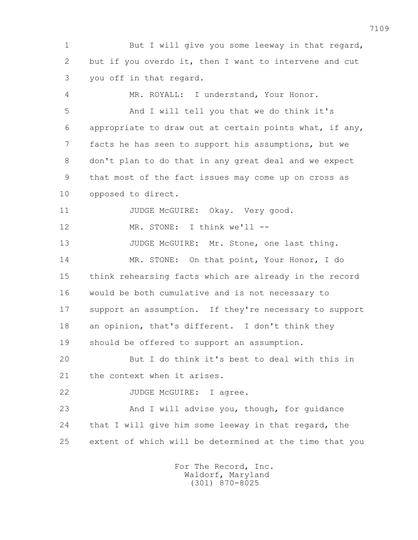1 But I will give you some leeway in that regard, 2 but if you overdo it, then I want to intervene and cut 3 you off in that regard.

 4 MR. ROYALL: I understand, Your Honor. 5 And I will tell you that we do think it's 6 appropriate to draw out at certain points what, if any, 7 facts he has seen to support his assumptions, but we 8 don't plan to do that in any great deal and we expect 9 that most of the fact issues may come up on cross as 10 opposed to direct.

11 JUDGE McGUIRE: Okay. Very good.

12 MR. STONE: I think we'll --

13 JUDGE McGUIRE: Mr. Stone, one last thing. 14 MR. STONE: On that point, Your Honor, I do

 15 think rehearsing facts which are already in the record 16 would be both cumulative and is not necessary to 17 support an assumption. If they're necessary to support 18 an opinion, that's different. I don't think they 19 should be offered to support an assumption.

 20 But I do think it's best to deal with this in 21 the context when it arises.

22 JUDGE McGUIRE: I agree.

 23 And I will advise you, though, for guidance 24 that I will give him some leeway in that regard, the 25 extent of which will be determined at the time that you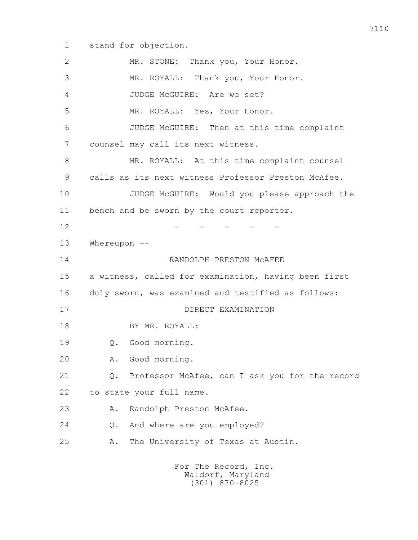1 stand for objection.

 2 MR. STONE: Thank you, Your Honor. 3 MR. ROYALL: Thank you, Your Honor. 4 JUDGE McGUIRE: Are we set? 5 MR. ROYALL: Yes, Your Honor. 6 JUDGE McGUIRE: Then at this time complaint 7 counsel may call its next witness. 8 MR. ROYALL: At this time complaint counsel 9 calls as its next witness Professor Preston McAfee. 10 JUDGE McGUIRE: Would you please approach the 11 bench and be sworn by the court reporter.  $12$  - - - - - 13 Whereupon -- 14 RANDOLPH PRESTON McAFEE 15 a witness, called for examination, having been first 16 duly sworn, was examined and testified as follows: 17 DIRECT EXAMINATION 18 BY MR. ROYALL: 19 Q. Good morning. 20 A. Good morning. 21 Q. Professor McAfee, can I ask you for the record 22 to state your full name. 23 A. Randolph Preston McAfee. 24 Q. And where are you employed? 25 A. The University of Texas at Austin. For The Record, Inc.

 Waldorf, Maryland (301) 870-8025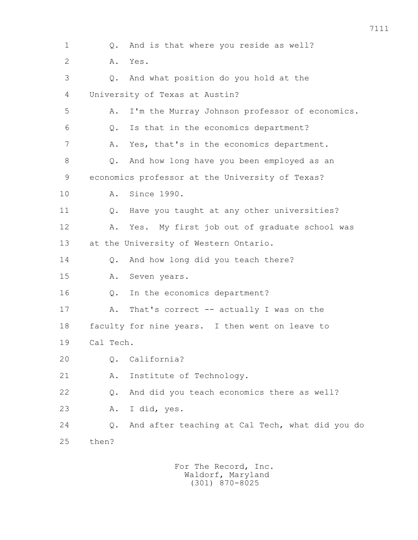1 Q. And is that where you reside as well? 2 A. Yes. 3 Q. And what position do you hold at the 4 University of Texas at Austin? 5 A. I'm the Murray Johnson professor of economics. 6 Q. Is that in the economics department? 7 A. Yes, that's in the economics department. 8 Q. And how long have you been employed as an 9 economics professor at the University of Texas? 10 A. Since 1990. 11 Q. Have you taught at any other universities? 12 A. Yes. My first job out of graduate school was 13 at the University of Western Ontario. 14 Q. And how long did you teach there? 15 A. Seven years. 16 Q. In the economics department? 17 A. That's correct -- actually I was on the 18 faculty for nine years. I then went on leave to 19 Cal Tech. 20 Q. California? 21 A. Institute of Technology. 22 Q. And did you teach economics there as well? 23 A. I did, yes. 24 Q. And after teaching at Cal Tech, what did you do 25 then?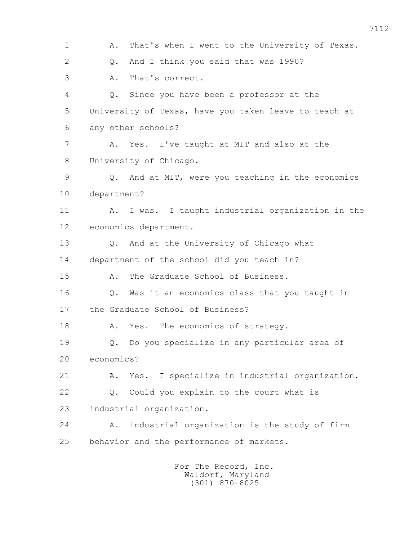1 A. That's when I went to the University of Texas. 2 Q. And I think you said that was 1990? 3 A. That's correct. 4 Q. Since you have been a professor at the 5 University of Texas, have you taken leave to teach at 6 any other schools? 7 A. Yes. I've taught at MIT and also at the 8 University of Chicago. 9 Q. And at MIT, were you teaching in the economics 10 department? 11 A. I was. I taught industrial organization in the 12 economics department. 13 Q. And at the University of Chicago what 14 department of the school did you teach in? 15 A. The Graduate School of Business. 16 Q. Was it an economics class that you taught in 17 the Graduate School of Business? 18 A. Yes. The economics of strategy. 19 Q. Do you specialize in any particular area of 20 economics? 21 A. Yes. I specialize in industrial organization. 22 Q. Could you explain to the court what is 23 industrial organization. 24 A. Industrial organization is the study of firm 25 behavior and the performance of markets.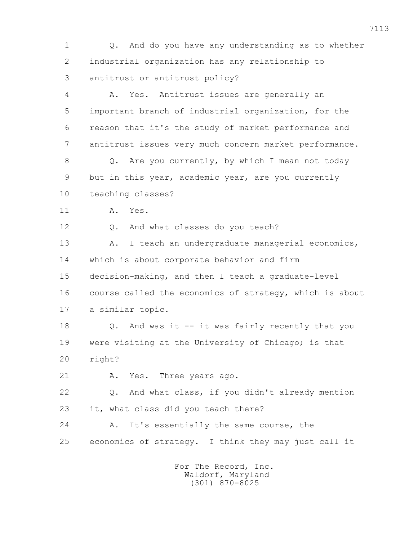1 Q. And do you have any understanding as to whether 2 industrial organization has any relationship to 3 antitrust or antitrust policy? 4 A. Yes. Antitrust issues are generally an 5 important branch of industrial organization, for the 6 reason that it's the study of market performance and 7 antitrust issues very much concern market performance. 8 Q. Are you currently, by which I mean not today 9 but in this year, academic year, are you currently 10 teaching classes? 11 A. Yes. 12 O. And what classes do you teach? 13 A. I teach an undergraduate managerial economics, 14 which is about corporate behavior and firm 15 decision-making, and then I teach a graduate-level 16 course called the economics of strategy, which is about 17 a similar topic. 18 Q. And was it -- it was fairly recently that you 19 were visiting at the University of Chicago; is that 20 right? 21 A. Yes. Three years ago. 22 Q. And what class, if you didn't already mention 23 it, what class did you teach there? 24 A. It's essentially the same course, the 25 economics of strategy. I think they may just call it For The Record, Inc. Waldorf, Maryland

(301) 870-8025

7113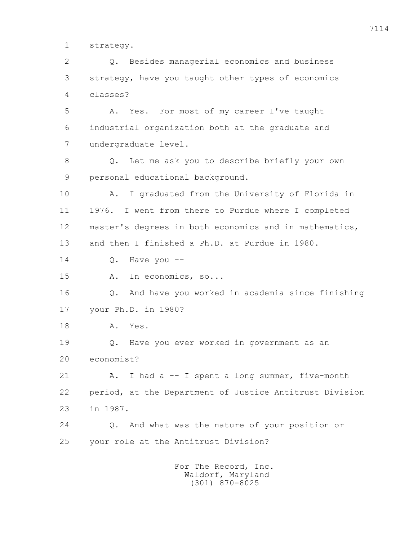1 strategy.

 2 Q. Besides managerial economics and business 3 strategy, have you taught other types of economics 4 classes? 5 A. Yes. For most of my career I've taught 6 industrial organization both at the graduate and 7 undergraduate level. 8 Q. Let me ask you to describe briefly your own 9 personal educational background. 10 A. I graduated from the University of Florida in 11 1976. I went from there to Purdue where I completed 12 master's degrees in both economics and in mathematics, 13 and then I finished a Ph.D. at Purdue in 1980. 14 Q. Have you -- 15 A. In economics, so... 16 Q. And have you worked in academia since finishing 17 your Ph.D. in 1980? 18 A. Yes. 19 Q. Have you ever worked in government as an 20 economist? 21 A. I had a -- I spent a long summer, five-month 22 period, at the Department of Justice Antitrust Division 23 in 1987. 24 Q. And what was the nature of your position or 25 your role at the Antitrust Division? For The Record, Inc.

 Waldorf, Maryland (301) 870-8025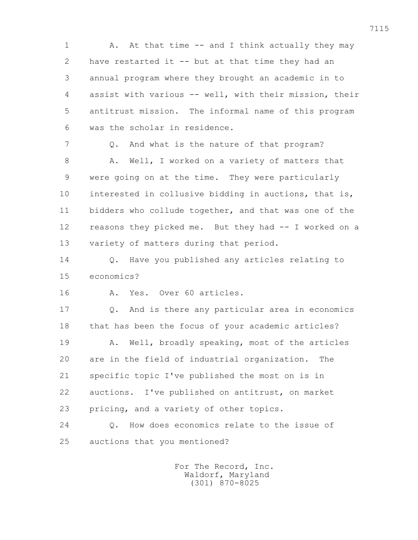1 A. At that time -- and I think actually they may 2 have restarted it -- but at that time they had an 3 annual program where they brought an academic in to 4 assist with various -- well, with their mission, their 5 antitrust mission. The informal name of this program 6 was the scholar in residence.

 7 Q. And what is the nature of that program? 8 A. Well, I worked on a variety of matters that 9 were going on at the time. They were particularly 10 interested in collusive bidding in auctions, that is, 11 bidders who collude together, and that was one of the 12 reasons they picked me. But they had -- I worked on a 13 variety of matters during that period.

 14 Q. Have you published any articles relating to 15 economics?

16 A. Yes. Over 60 articles.

 17 Q. And is there any particular area in economics 18 that has been the focus of your academic articles? 19 A. Well, broadly speaking, most of the articles 20 are in the field of industrial organization. The 21 specific topic I've published the most on is in 22 auctions. I've published on antitrust, on market 23 pricing, and a variety of other topics.

 24 Q. How does economics relate to the issue of 25 auctions that you mentioned?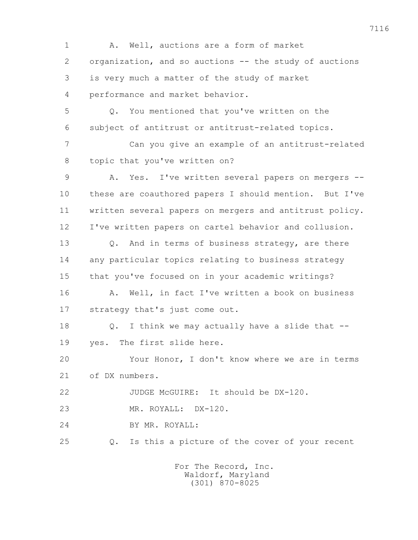1 A. Well, auctions are a form of market 2 organization, and so auctions -- the study of auctions 3 is very much a matter of the study of market 4 performance and market behavior. 5 Q. You mentioned that you've written on the 6 subject of antitrust or antitrust-related topics. 7 Can you give an example of an antitrust-related 8 topic that you've written on? 9 A. Yes. I've written several papers on mergers -- 10 these are coauthored papers I should mention. But I've 11 written several papers on mergers and antitrust policy. 12 I've written papers on cartel behavior and collusion. 13 Q. And in terms of business strategy, are there 14 any particular topics relating to business strategy 15 that you've focused on in your academic writings? 16 A. Well, in fact I've written a book on business 17 strategy that's just come out. 18 Q. I think we may actually have a slide that -- 19 yes. The first slide here. 20 Your Honor, I don't know where we are in terms 21 of DX numbers. 22 JUDGE McGUIRE: It should be DX-120. 23 MR. ROYALL: DX-120. 24 BY MR. ROYALL: 25 Q. Is this a picture of the cover of your recent For The Record, Inc. Waldorf, Maryland

(301) 870-8025

7116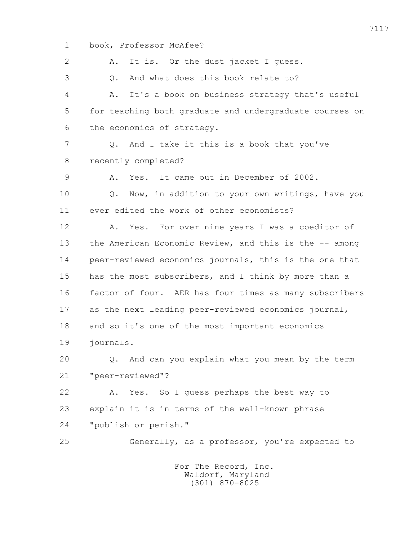1 book, Professor McAfee? 2 A. It is. Or the dust jacket I guess. 3 Q. And what does this book relate to? 4 A. It's a book on business strategy that's useful 5 for teaching both graduate and undergraduate courses on 6 the economics of strategy. 7 Q. And I take it this is a book that you've 8 recently completed? 9 A. Yes. It came out in December of 2002. 10 Q. Now, in addition to your own writings, have you 11 ever edited the work of other economists? 12 A. Yes. For over nine years I was a coeditor of 13 the American Economic Review, and this is the -- among 14 peer-reviewed economics journals, this is the one that 15 has the most subscribers, and I think by more than a 16 factor of four. AER has four times as many subscribers 17 as the next leading peer-reviewed economics journal, 18 and so it's one of the most important economics 19 journals. 20 Q. And can you explain what you mean by the term 21 "peer-reviewed"? 22 A. Yes. So I guess perhaps the best way to 23 explain it is in terms of the well-known phrase 24 "publish or perish." 25 Generally, as a professor, you're expected to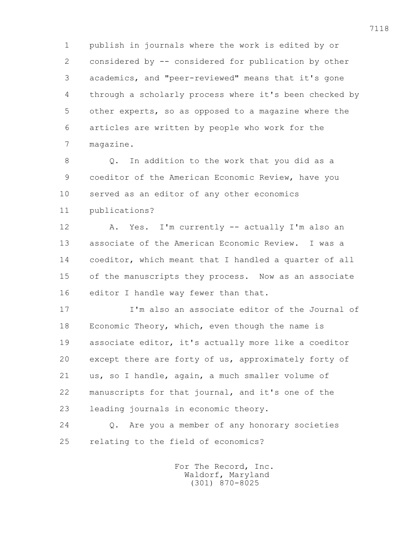1 publish in journals where the work is edited by or 2 considered by -- considered for publication by other 3 academics, and "peer-reviewed" means that it's gone 4 through a scholarly process where it's been checked by 5 other experts, so as opposed to a magazine where the 6 articles are written by people who work for the 7 magazine.

 8 Q. In addition to the work that you did as a 9 coeditor of the American Economic Review, have you 10 served as an editor of any other economics

11 publications?

 12 A. Yes. I'm currently -- actually I'm also an 13 associate of the American Economic Review. I was a 14 coeditor, which meant that I handled a quarter of all 15 of the manuscripts they process. Now as an associate 16 editor I handle way fewer than that.

 17 I'm also an associate editor of the Journal of 18 Economic Theory, which, even though the name is 19 associate editor, it's actually more like a coeditor 20 except there are forty of us, approximately forty of 21 us, so I handle, again, a much smaller volume of 22 manuscripts for that journal, and it's one of the 23 leading journals in economic theory.

 24 Q. Are you a member of any honorary societies 25 relating to the field of economics?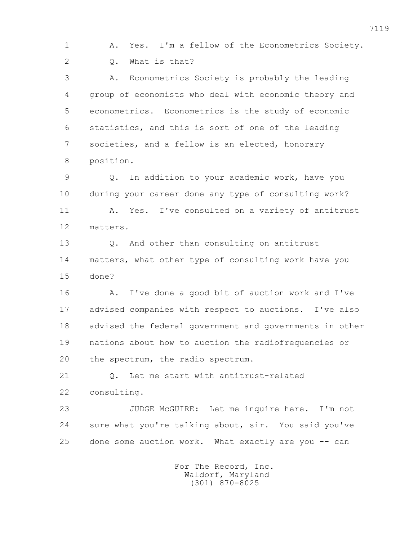1 A. Yes. I'm a fellow of the Econometrics Society. 2 Q. What is that?

 3 A. Econometrics Society is probably the leading 4 group of economists who deal with economic theory and 5 econometrics. Econometrics is the study of economic 6 statistics, and this is sort of one of the leading 7 societies, and a fellow is an elected, honorary 8 position.

 9 Q. In addition to your academic work, have you 10 during your career done any type of consulting work? 11 A. Yes. I've consulted on a variety of antitrust 12 matters.

 13 Q. And other than consulting on antitrust 14 matters, what other type of consulting work have you 15 done?

 16 A. I've done a good bit of auction work and I've 17 advised companies with respect to auctions. I've also 18 advised the federal government and governments in other 19 nations about how to auction the radiofrequencies or 20 the spectrum, the radio spectrum.

21 0. Let me start with antitrust-related

22 consulting.

 23 JUDGE McGUIRE: Let me inquire here. I'm not 24 sure what you're talking about, sir. You said you've 25 done some auction work. What exactly are you -- can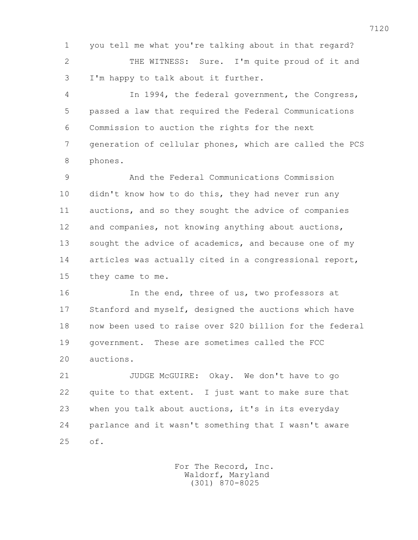1 you tell me what you're talking about in that regard? 2 THE WITNESS: Sure. I'm quite proud of it and 3 I'm happy to talk about it further.

 4 In 1994, the federal government, the Congress, 5 passed a law that required the Federal Communications 6 Commission to auction the rights for the next 7 generation of cellular phones, which are called the PCS 8 phones.

 9 And the Federal Communications Commission 10 didn't know how to do this, they had never run any 11 auctions, and so they sought the advice of companies 12 and companies, not knowing anything about auctions, 13 sought the advice of academics, and because one of my 14 articles was actually cited in a congressional report, 15 they came to me.

 16 In the end, three of us, two professors at 17 Stanford and myself, designed the auctions which have 18 now been used to raise over \$20 billion for the federal 19 government. These are sometimes called the FCC 20 auctions.

 21 JUDGE McGUIRE: Okay. We don't have to go 22 quite to that extent. I just want to make sure that 23 when you talk about auctions, it's in its everyday 24 parlance and it wasn't something that I wasn't aware 25 of.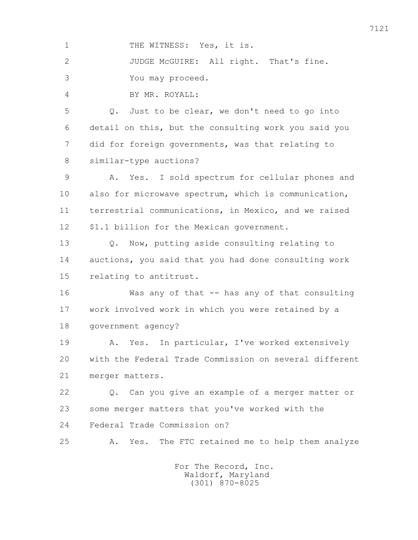1 THE WITNESS: Yes, it is. 2 JUDGE McGUIRE: All right. That's fine. 3 You may proceed. 4 BY MR. ROYALL: 5 Q. Just to be clear, we don't need to go into 6 detail on this, but the consulting work you said you 7 did for foreign governments, was that relating to 8 similar-type auctions? 9 A. Yes. I sold spectrum for cellular phones and 10 also for microwave spectrum, which is communication, 11 terrestrial communications, in Mexico, and we raised 12 \$1.1 billion for the Mexican government. 13 Q. Now, putting aside consulting relating to 14 auctions, you said that you had done consulting work 15 relating to antitrust. 16 Was any of that -- has any of that consulting 17 work involved work in which you were retained by a 18 government agency? 19 A. Yes. In particular, I've worked extensively 20 with the Federal Trade Commission on several different 21 merger matters. 22 Q. Can you give an example of a merger matter or 23 some merger matters that you've worked with the 24 Federal Trade Commission on? 25 A. Yes. The FTC retained me to help them analyze For The Record, Inc. Waldorf, Maryland (301) 870-8025

7121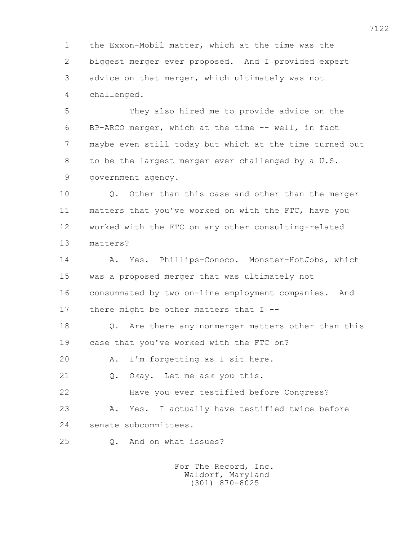1 the Exxon-Mobil matter, which at the time was the 2 biggest merger ever proposed. And I provided expert 3 advice on that merger, which ultimately was not 4 challenged.

 5 They also hired me to provide advice on the 6 BP-ARCO merger, which at the time -- well, in fact 7 maybe even still today but which at the time turned out 8 to be the largest merger ever challenged by a U.S. 9 government agency.

 10 Q. Other than this case and other than the merger 11 matters that you've worked on with the FTC, have you 12 worked with the FTC on any other consulting-related 13 matters?

 14 A. Yes. Phillips-Conoco. Monster-HotJobs, which 15 was a proposed merger that was ultimately not 16 consummated by two on-line employment companies. And 17 there might be other matters that I --

 18 Q. Are there any nonmerger matters other than this 19 case that you've worked with the FTC on?

20 A. I'm forgetting as I sit here.

21 0. Okay. Let me ask you this.

22 Have you ever testified before Congress?

 23 A. Yes. I actually have testified twice before 24 senate subcommittees.

25 Q. And on what issues?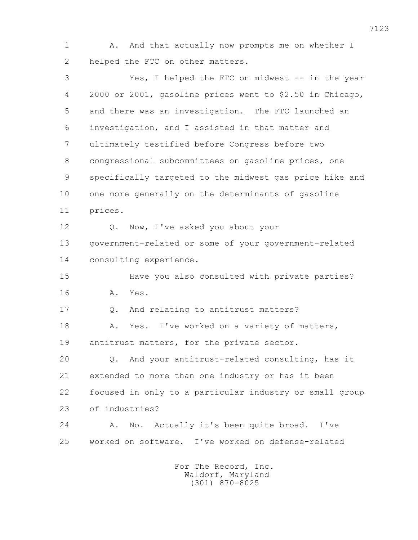1 A. And that actually now prompts me on whether I 2 helped the FTC on other matters.

 3 Yes, I helped the FTC on midwest -- in the year 4 2000 or 2001, gasoline prices went to \$2.50 in Chicago, 5 and there was an investigation. The FTC launched an 6 investigation, and I assisted in that matter and 7 ultimately testified before Congress before two 8 congressional subcommittees on gasoline prices, one 9 specifically targeted to the midwest gas price hike and 10 one more generally on the determinants of gasoline 11 prices. 12 O. Now, I've asked you about your 13 government-related or some of your government-related 14 consulting experience. 15 Have you also consulted with private parties? 16 A. Yes. 17 Q. And relating to antitrust matters? 18 A. Yes. I've worked on a variety of matters, 19 antitrust matters, for the private sector. 20 Q. And your antitrust-related consulting, has it 21 extended to more than one industry or has it been 22 focused in only to a particular industry or small group 23 of industries? 24 A. No. Actually it's been quite broad. I've 25 worked on software. I've worked on defense-related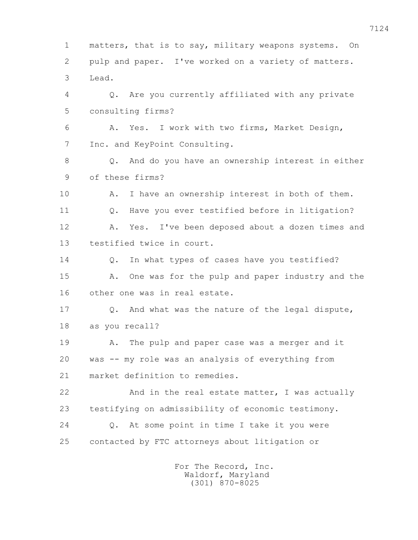1 matters, that is to say, military weapons systems. On 2 pulp and paper. I've worked on a variety of matters. 3 Lead. 4 Q. Are you currently affiliated with any private 5 consulting firms? 6 A. Yes. I work with two firms, Market Design, 7 Inc. and KeyPoint Consulting. 8 Q. And do you have an ownership interest in either 9 of these firms? 10 A. I have an ownership interest in both of them. 11 Q. Have you ever testified before in litigation? 12 A. Yes. I've been deposed about a dozen times and 13 testified twice in court. 14 0. In what types of cases have you testified? 15 A. One was for the pulp and paper industry and the 16 other one was in real estate. 17 Q. And what was the nature of the legal dispute, 18 as you recall? 19 A. The pulp and paper case was a merger and it 20 was -- my role was an analysis of everything from 21 market definition to remedies. 22 And in the real estate matter, I was actually 23 testifying on admissibility of economic testimony. 24 Q. At some point in time I take it you were 25 contacted by FTC attorneys about litigation or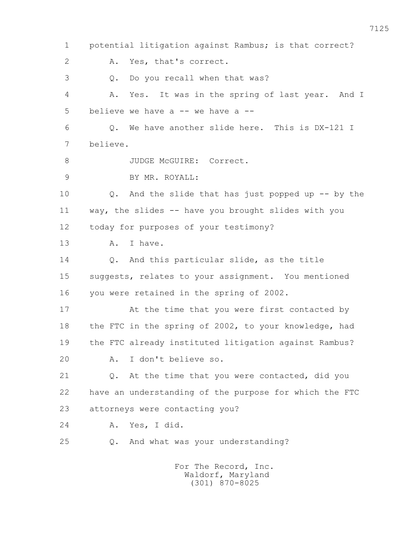1 potential litigation against Rambus; is that correct? 2 A. Yes, that's correct. 3 Q. Do you recall when that was? 4 A. Yes. It was in the spring of last year. And I 5 believe we have a -- we have a -- 6 Q. We have another slide here. This is DX-121 I 7 believe. 8 JUDGE McGUIRE: Correct. 9 BY MR. ROYALL: 10 Q. And the slide that has just popped up -- by the 11 way, the slides -- have you brought slides with you 12 today for purposes of your testimony? 13 A. I have. 14 Q. And this particular slide, as the title 15 suggests, relates to your assignment. You mentioned 16 you were retained in the spring of 2002. 17 At the time that you were first contacted by 18 the FTC in the spring of 2002, to your knowledge, had 19 the FTC already instituted litigation against Rambus? 20 A. I don't believe so. 21 Q. At the time that you were contacted, did you 22 have an understanding of the purpose for which the FTC 23 attorneys were contacting you? 24 A. Yes, I did. 25 Q. And what was your understanding? For The Record, Inc.

 Waldorf, Maryland (301) 870-8025

7125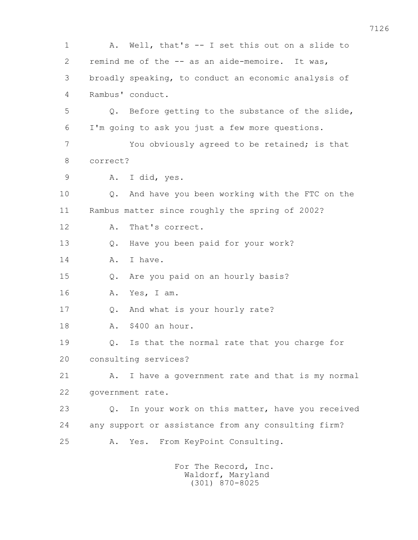1 A. Well, that's -- I set this out on a slide to 2 remind me of the -- as an aide-memoire. It was, 3 broadly speaking, to conduct an economic analysis of 4 Rambus' conduct. 5 Q. Before getting to the substance of the slide, 6 I'm going to ask you just a few more questions. 7 You obviously agreed to be retained; is that 8 correct? 9 A. I did, yes. 10 Q. And have you been working with the FTC on the 11 Rambus matter since roughly the spring of 2002? 12 A. That's correct. 13 Q. Have you been paid for your work? 14 A. I have. 15 Q. Are you paid on an hourly basis? 16 A. Yes, I am. 17 Q. And what is your hourly rate? 18 A. \$400 an hour. 19 Q. Is that the normal rate that you charge for 20 consulting services? 21 A. I have a government rate and that is my normal 22 government rate. 23 Q. In your work on this matter, have you received 24 any support or assistance from any consulting firm? 25 A. Yes. From KeyPoint Consulting. For The Record, Inc.

 Waldorf, Maryland (301) 870-8025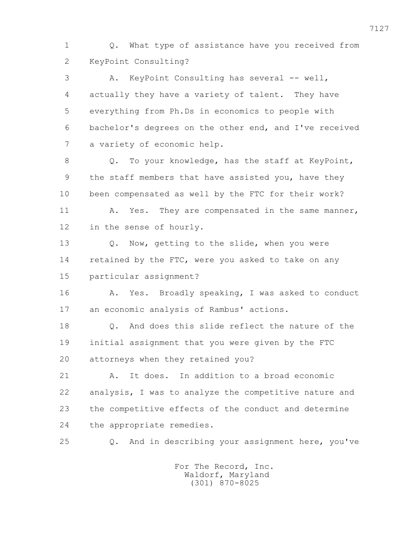1 Q. What type of assistance have you received from 2 KeyPoint Consulting?

 3 A. KeyPoint Consulting has several -- well, 4 actually they have a variety of talent. They have 5 everything from Ph.Ds in economics to people with 6 bachelor's degrees on the other end, and I've received 7 a variety of economic help.

8 Q. To your knowledge, has the staff at KeyPoint, 9 the staff members that have assisted you, have they 10 been compensated as well by the FTC for their work?

11 A. Yes. They are compensated in the same manner, 12 in the sense of hourly.

 13 Q. Now, getting to the slide, when you were 14 retained by the FTC, were you asked to take on any 15 particular assignment?

 16 A. Yes. Broadly speaking, I was asked to conduct 17 an economic analysis of Rambus' actions.

18 0. And does this slide reflect the nature of the 19 initial assignment that you were given by the FTC 20 attorneys when they retained you?

 21 A. It does. In addition to a broad economic 22 analysis, I was to analyze the competitive nature and 23 the competitive effects of the conduct and determine 24 the appropriate remedies.

25 Q. And in describing your assignment here, you've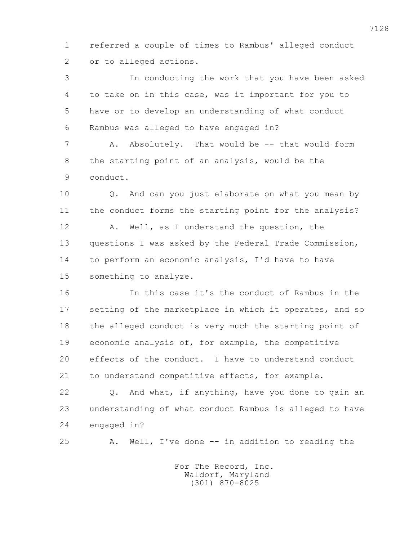1 referred a couple of times to Rambus' alleged conduct 2 or to alleged actions.

 3 In conducting the work that you have been asked 4 to take on in this case, was it important for you to 5 have or to develop an understanding of what conduct 6 Rambus was alleged to have engaged in?

 7 A. Absolutely. That would be -- that would form 8 the starting point of an analysis, would be the 9 conduct.

 10 Q. And can you just elaborate on what you mean by 11 the conduct forms the starting point for the analysis? 12 A. Well, as I understand the question, the 13 questions I was asked by the Federal Trade Commission, 14 to perform an economic analysis, I'd have to have 15 something to analyze.

 16 In this case it's the conduct of Rambus in the 17 setting of the marketplace in which it operates, and so 18 the alleged conduct is very much the starting point of 19 economic analysis of, for example, the competitive 20 effects of the conduct. I have to understand conduct 21 to understand competitive effects, for example.

 22 Q. And what, if anything, have you done to gain an 23 understanding of what conduct Rambus is alleged to have 24 engaged in?

25 A. Well, I've done -- in addition to reading the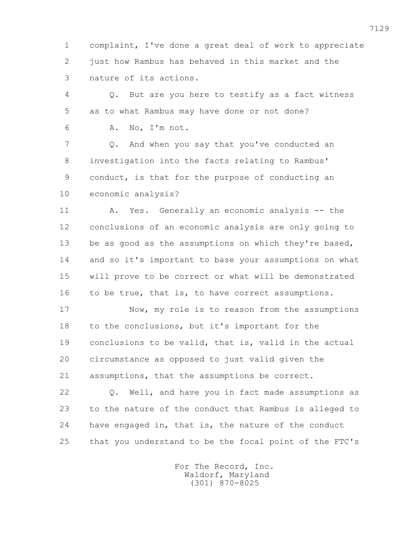1 complaint, I've done a great deal of work to appreciate 2 just how Rambus has behaved in this market and the 3 nature of its actions.

 4 Q. But are you here to testify as a fact witness 5 as to what Rambus may have done or not done?

6 A. No, I'm not.

 7 Q. And when you say that you've conducted an 8 investigation into the facts relating to Rambus' 9 conduct, is that for the purpose of conducting an 10 economic analysis?

 11 A. Yes. Generally an economic analysis -- the 12 conclusions of an economic analysis are only going to 13 be as good as the assumptions on which they're based, 14 and so it's important to base your assumptions on what 15 will prove to be correct or what will be demonstrated 16 to be true, that is, to have correct assumptions.

 17 Now, my role is to reason from the assumptions 18 to the conclusions, but it's important for the 19 conclusions to be valid, that is, valid in the actual 20 circumstance as opposed to just valid given the 21 assumptions, that the assumptions be correct.

 22 Q. Well, and have you in fact made assumptions as 23 to the nature of the conduct that Rambus is alleged to 24 have engaged in, that is, the nature of the conduct 25 that you understand to be the focal point of the FTC's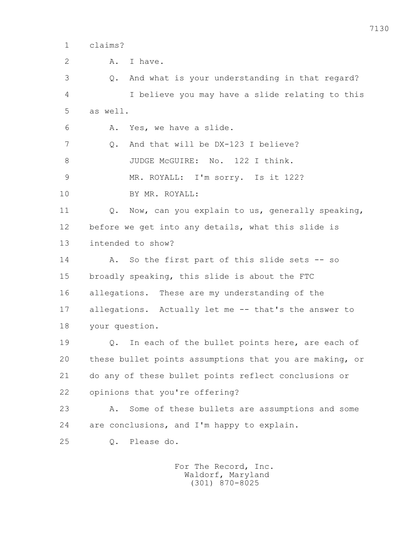1 claims?

2 A. Thave. 3 Q. And what is your understanding in that regard? 4 I believe you may have a slide relating to this 5 as well. 6 A. Yes, we have a slide. 7 Q. And that will be DX-123 I believe? 8 JUDGE McGUIRE: No. 122 I think. 9 MR. ROYALL: I'm sorry. Is it 122? 10 BY MR. ROYALL: 11 Q. Now, can you explain to us, generally speaking, 12 before we get into any details, what this slide is 13 intended to show? 14 A. So the first part of this slide sets -- so 15 broadly speaking, this slide is about the FTC 16 allegations. These are my understanding of the 17 allegations. Actually let me -- that's the answer to 18 your question. 19 Q. In each of the bullet points here, are each of 20 these bullet points assumptions that you are making, or 21 do any of these bullet points reflect conclusions or 22 opinions that you're offering? 23 A. Some of these bullets are assumptions and some 24 are conclusions, and I'm happy to explain. 25 Q. Please do.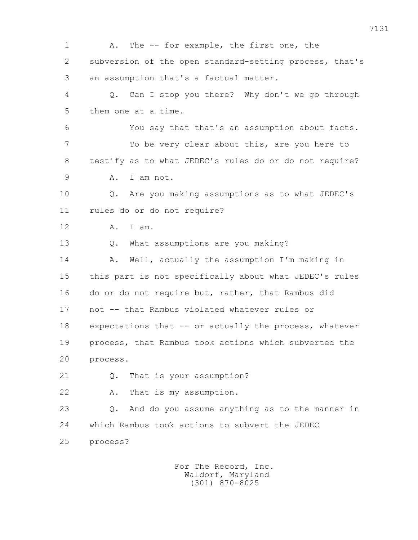1 A. The -- for example, the first one, the 2 subversion of the open standard-setting process, that's 3 an assumption that's a factual matter. 4 Q. Can I stop you there? Why don't we go through 5 them one at a time. 6 You say that that's an assumption about facts. 7 To be very clear about this, are you here to 8 testify as to what JEDEC's rules do or do not require? 9 A. I am not. 10 Q. Are you making assumptions as to what JEDEC's 11 rules do or do not require? 12 A. I am. 13 Q. What assumptions are you making? 14 A. Well, actually the assumption I'm making in 15 this part is not specifically about what JEDEC's rules 16 do or do not require but, rather, that Rambus did 17 not -- that Rambus violated whatever rules or 18 expectations that -- or actually the process, whatever 19 process, that Rambus took actions which subverted the 20 process. 21 0. That is your assumption? 22 A. That is my assumption. 23 Q. And do you assume anything as to the manner in 24 which Rambus took actions to subvert the JEDEC 25 process?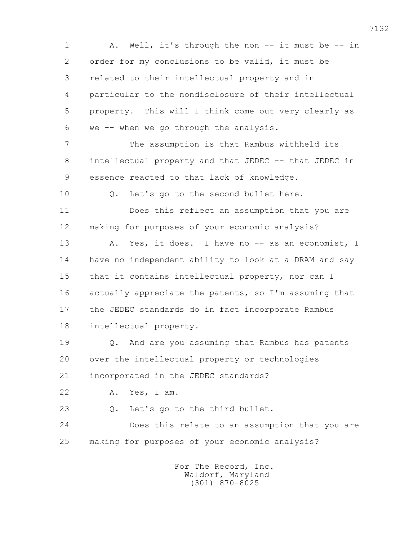1 A. Well, it's through the non -- it must be -- in 2 order for my conclusions to be valid, it must be 3 related to their intellectual property and in 4 particular to the nondisclosure of their intellectual 5 property. This will I think come out very clearly as 6 we -- when we go through the analysis. 7 The assumption is that Rambus withheld its 8 intellectual property and that JEDEC -- that JEDEC in 9 essence reacted to that lack of knowledge. 10 Q. Let's go to the second bullet here. 11 Does this reflect an assumption that you are 12 making for purposes of your economic analysis? 13 A. Yes, it does. I have no -- as an economist, I 14 have no independent ability to look at a DRAM and say 15 that it contains intellectual property, nor can I 16 actually appreciate the patents, so I'm assuming that 17 the JEDEC standards do in fact incorporate Rambus 18 intellectual property. 19 Q. And are you assuming that Rambus has patents 20 over the intellectual property or technologies 21 incorporated in the JEDEC standards? 22 A. Yes, I am. 23 Q. Let's go to the third bullet. 24 Does this relate to an assumption that you are 25 making for purposes of your economic analysis? For The Record, Inc.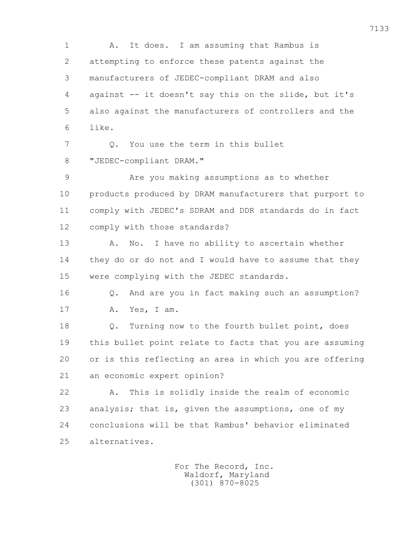1 A. It does. I am assuming that Rambus is 2 attempting to enforce these patents against the 3 manufacturers of JEDEC-compliant DRAM and also 4 against -- it doesn't say this on the slide, but it's 5 also against the manufacturers of controllers and the 6 like. 7 0. You use the term in this bullet 8 "JEDEC-compliant DRAM." 9 Are you making assumptions as to whether 10 products produced by DRAM manufacturers that purport to 11 comply with JEDEC's SDRAM and DDR standards do in fact 12 comply with those standards? 13 A. No. I have no ability to ascertain whether 14 they do or do not and I would have to assume that they 15 were complying with the JEDEC standards. 16 Q. And are you in fact making such an assumption? 17 A. Yes, I am. 18 Q. Turning now to the fourth bullet point, does 19 this bullet point relate to facts that you are assuming 20 or is this reflecting an area in which you are offering 21 an economic expert opinion? 22 A. This is solidly inside the realm of economic 23 analysis; that is, given the assumptions, one of my 24 conclusions will be that Rambus' behavior eliminated 25 alternatives.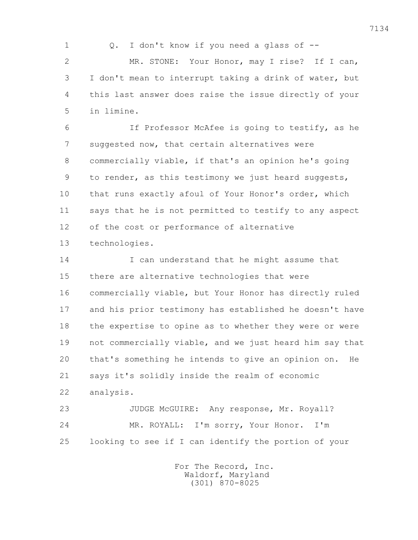1 Q. I don't know if you need a glass of -- 2 MR. STONE: Your Honor, may I rise? If I can, 3 I don't mean to interrupt taking a drink of water, but 4 this last answer does raise the issue directly of your 5 in limine.

 6 If Professor McAfee is going to testify, as he 7 suggested now, that certain alternatives were 8 commercially viable, if that's an opinion he's going 9 to render, as this testimony we just heard suggests, 10 that runs exactly afoul of Your Honor's order, which 11 says that he is not permitted to testify to any aspect 12 of the cost or performance of alternative

13 technologies.

 14 I can understand that he might assume that 15 there are alternative technologies that were 16 commercially viable, but Your Honor has directly ruled 17 and his prior testimony has established he doesn't have 18 the expertise to opine as to whether they were or were 19 not commercially viable, and we just heard him say that 20 that's something he intends to give an opinion on. He 21 says it's solidly inside the realm of economic 22 analysis.

 23 JUDGE McGUIRE: Any response, Mr. Royall? 24 MR. ROYALL: I'm sorry, Your Honor. I'm 25 looking to see if I can identify the portion of your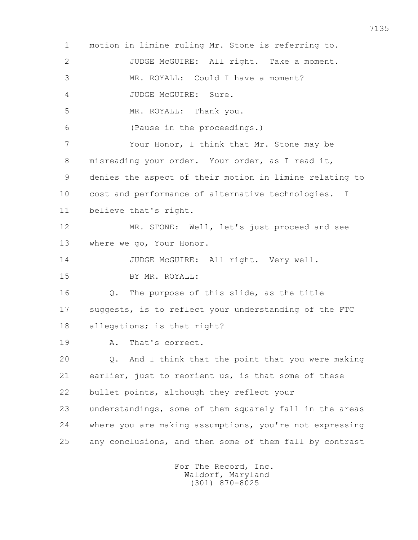1 motion in limine ruling Mr. Stone is referring to. 2 JUDGE McGUIRE: All right. Take a moment. 3 MR. ROYALL: Could I have a moment? 4 JUDGE McGUIRE: Sure. 5 MR. ROYALL: Thank you. 6 (Pause in the proceedings.) 7 Your Honor, I think that Mr. Stone may be 8 misreading your order. Your order, as I read it, 9 denies the aspect of their motion in limine relating to 10 cost and performance of alternative technologies. I 11 believe that's right. 12 MR. STONE: Well, let's just proceed and see 13 where we go, Your Honor. 14 JUDGE McGUIRE: All right. Very well. 15 BY MR. ROYALL: 16 Q. The purpose of this slide, as the title 17 suggests, is to reflect your understanding of the FTC 18 allegations; is that right? 19 A. That's correct. 20 Q. And I think that the point that you were making 21 earlier, just to reorient us, is that some of these 22 bullet points, although they reflect your 23 understandings, some of them squarely fall in the areas 24 where you are making assumptions, you're not expressing 25 any conclusions, and then some of them fall by contrast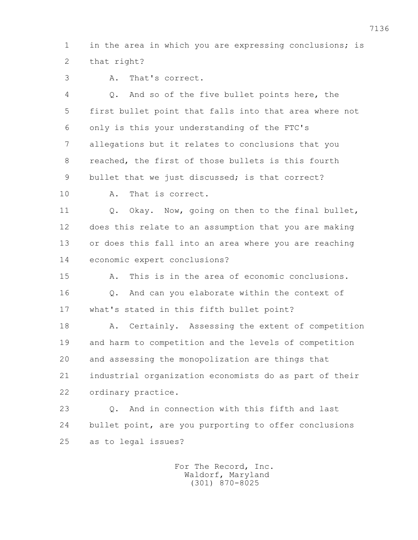1 in the area in which you are expressing conclusions; is 2 that right?

3 A. That's correct.

 4 Q. And so of the five bullet points here, the 5 first bullet point that falls into that area where not 6 only is this your understanding of the FTC's 7 allegations but it relates to conclusions that you 8 reached, the first of those bullets is this fourth 9 bullet that we just discussed; is that correct? 10 A. That is correct. 11 Q. Okay. Now, going on then to the final bullet, 12 does this relate to an assumption that you are making 13 or does this fall into an area where you are reaching 14 economic expert conclusions? 15 A. This is in the area of economic conclusions. 16 Q. And can you elaborate within the context of 17 what's stated in this fifth bullet point? 18 A. Certainly. Assessing the extent of competition 19 and harm to competition and the levels of competition 20 and assessing the monopolization are things that 21 industrial organization economists do as part of their 22 ordinary practice. 23 Q. And in connection with this fifth and last 24 bullet point, are you purporting to offer conclusions 25 as to legal issues?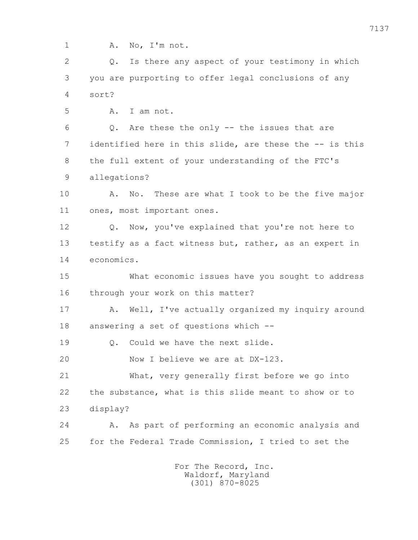1 A. No, I'm not. 2 Q. Is there any aspect of your testimony in which 3 you are purporting to offer legal conclusions of any 4 sort? 5 A. I am not. 6 Q. Are these the only -- the issues that are 7 identified here in this slide, are these the -- is this 8 the full extent of your understanding of the FTC's 9 allegations? 10 A. No. These are what I took to be the five major 11 ones, most important ones. 12 0. Now, you've explained that you're not here to 13 testify as a fact witness but, rather, as an expert in 14 economics. 15 What economic issues have you sought to address 16 through your work on this matter? 17 A. Well, I've actually organized my inquiry around 18 answering a set of questions which -- 19 0. Could we have the next slide. 20 Now I believe we are at DX-123. 21 What, very generally first before we go into 22 the substance, what is this slide meant to show or to 23 display? 24 A. As part of performing an economic analysis and 25 for the Federal Trade Commission, I tried to set the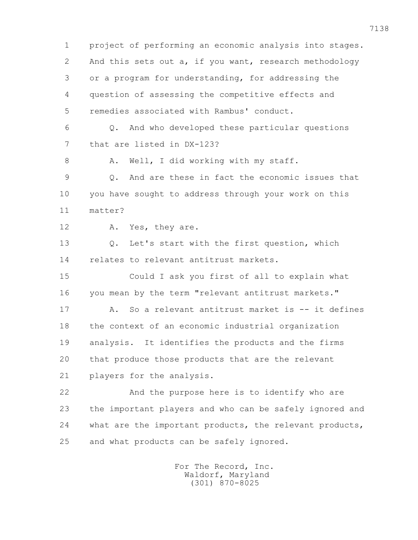1 project of performing an economic analysis into stages. 2 And this sets out a, if you want, research methodology 3 or a program for understanding, for addressing the 4 question of assessing the competitive effects and 5 remedies associated with Rambus' conduct. 6 Q. And who developed these particular questions 7 that are listed in DX-123? 8 A. Well, I did working with my staff. 9 Q. And are these in fact the economic issues that 10 you have sought to address through your work on this 11 matter? 12 A. Yes, they are. 13 Q. Let's start with the first question, which 14 relates to relevant antitrust markets. 15 Could I ask you first of all to explain what 16 you mean by the term "relevant antitrust markets." 17 A. So a relevant antitrust market is -- it defines 18 the context of an economic industrial organization 19 analysis. It identifies the products and the firms 20 that produce those products that are the relevant 21 players for the analysis. 22 And the purpose here is to identify who are 23 the important players and who can be safely ignored and 24 what are the important products, the relevant products, 25 and what products can be safely ignored.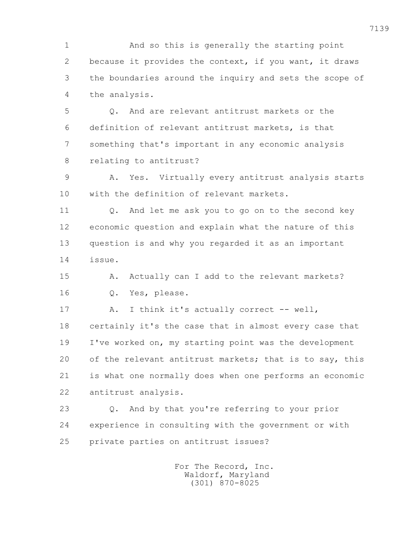1 And so this is generally the starting point 2 because it provides the context, if you want, it draws 3 the boundaries around the inquiry and sets the scope of 4 the analysis.

 5 Q. And are relevant antitrust markets or the 6 definition of relevant antitrust markets, is that 7 something that's important in any economic analysis 8 relating to antitrust?

 9 A. Yes. Virtually every antitrust analysis starts 10 with the definition of relevant markets.

 11 Q. And let me ask you to go on to the second key 12 economic question and explain what the nature of this 13 question is and why you regarded it as an important 14 issue.

15 A. Actually can I add to the relevant markets? 16 Q. Yes, please.

17 A. I think it's actually correct -- well, 18 certainly it's the case that in almost every case that 19 I've worked on, my starting point was the development 20 of the relevant antitrust markets; that is to say, this 21 is what one normally does when one performs an economic 22 antitrust analysis.

 23 Q. And by that you're referring to your prior 24 experience in consulting with the government or with 25 private parties on antitrust issues?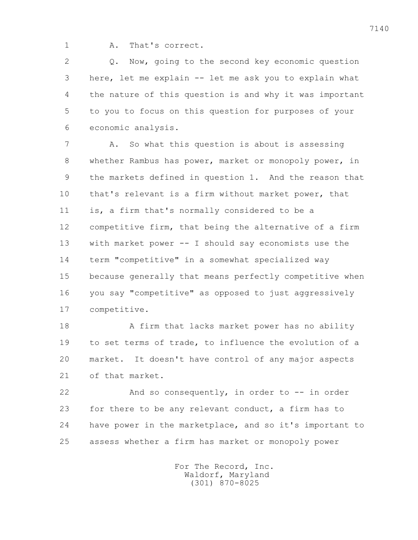1 A. That's correct.

2 0. Now, going to the second key economic question 3 here, let me explain -- let me ask you to explain what 4 the nature of this question is and why it was important 5 to you to focus on this question for purposes of your 6 economic analysis.

 7 A. So what this question is about is assessing 8 whether Rambus has power, market or monopoly power, in 9 the markets defined in question 1. And the reason that 10 that's relevant is a firm without market power, that 11 is, a firm that's normally considered to be a 12 competitive firm, that being the alternative of a firm 13 with market power -- I should say economists use the 14 term "competitive" in a somewhat specialized way 15 because generally that means perfectly competitive when 16 you say "competitive" as opposed to just aggressively 17 competitive.

 18 A firm that lacks market power has no ability 19 to set terms of trade, to influence the evolution of a 20 market. It doesn't have control of any major aspects 21 of that market.

 22 And so consequently, in order to -- in order 23 for there to be any relevant conduct, a firm has to 24 have power in the marketplace, and so it's important to 25 assess whether a firm has market or monopoly power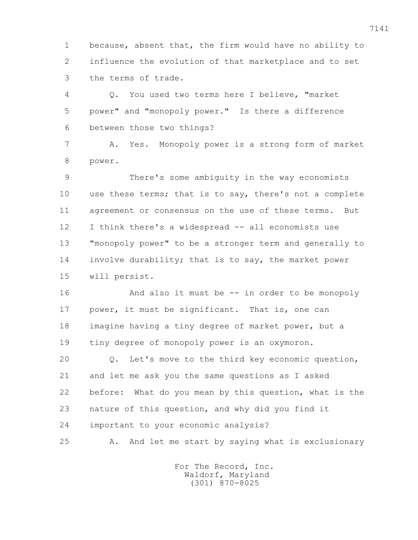1 because, absent that, the firm would have no ability to 2 influence the evolution of that marketplace and to set 3 the terms of trade.

 4 Q. You used two terms here I believe, "market 5 power" and "monopoly power." Is there a difference 6 between those two things?

 7 A. Yes. Monopoly power is a strong form of market 8 power.

 9 There's some ambiguity in the way economists 10 use these terms; that is to say, there's not a complete 11 agreement or consensus on the use of these terms. But 12 I think there's a widespread -- all economists use 13 "monopoly power" to be a stronger term and generally to 14 involve durability; that is to say, the market power 15 will persist.

16 And also it must be -- in order to be monopoly 17 power, it must be significant. That is, one can 18 imagine having a tiny degree of market power, but a 19 tiny degree of monopoly power is an oxymoron.

 20 Q. Let's move to the third key economic question, 21 and let me ask you the same questions as I asked 22 before: What do you mean by this question, what is the 23 nature of this question, and why did you find it 24 important to your economic analysis?

25 A. And let me start by saying what is exclusionary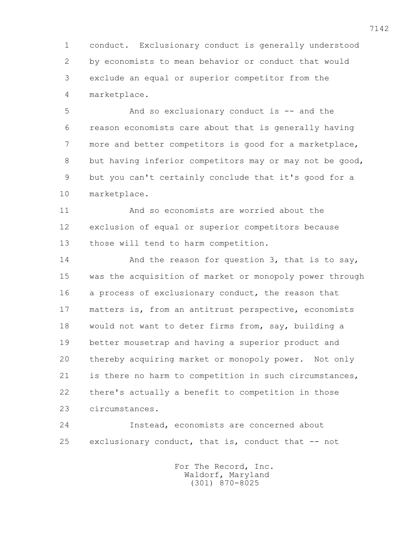1 conduct. Exclusionary conduct is generally understood 2 by economists to mean behavior or conduct that would 3 exclude an equal or superior competitor from the 4 marketplace.

 5 And so exclusionary conduct is -- and the 6 reason economists care about that is generally having 7 more and better competitors is good for a marketplace, 8 but having inferior competitors may or may not be good, 9 but you can't certainly conclude that it's good for a 10 marketplace.

 11 And so economists are worried about the 12 exclusion of equal or superior competitors because 13 those will tend to harm competition.

14 And the reason for question 3, that is to say, 15 was the acquisition of market or monopoly power through 16 a process of exclusionary conduct, the reason that 17 matters is, from an antitrust perspective, economists 18 would not want to deter firms from, say, building a 19 better mousetrap and having a superior product and 20 thereby acquiring market or monopoly power. Not only 21 is there no harm to competition in such circumstances, 22 there's actually a benefit to competition in those 23 circumstances.

 24 Instead, economists are concerned about 25 exclusionary conduct, that is, conduct that -- not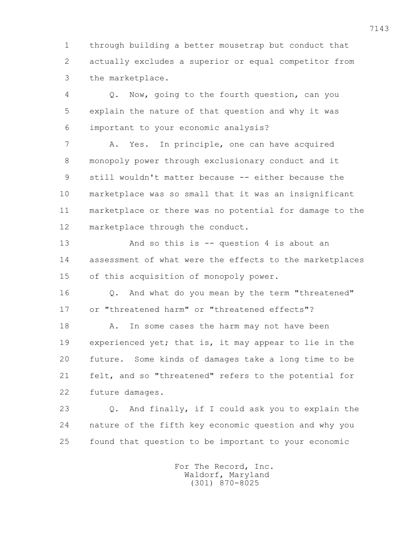1 through building a better mousetrap but conduct that 2 actually excludes a superior or equal competitor from 3 the marketplace.

 4 Q. Now, going to the fourth question, can you 5 explain the nature of that question and why it was 6 important to your economic analysis?

 7 A. Yes. In principle, one can have acquired 8 monopoly power through exclusionary conduct and it 9 still wouldn't matter because -- either because the 10 marketplace was so small that it was an insignificant 11 marketplace or there was no potential for damage to the 12 marketplace through the conduct.

 13 And so this is -- question 4 is about an 14 assessment of what were the effects to the marketplaces 15 of this acquisition of monopoly power.

 16 Q. And what do you mean by the term "threatened" 17 or "threatened harm" or "threatened effects"?

18 A. In some cases the harm may not have been 19 experienced yet; that is, it may appear to lie in the 20 future. Some kinds of damages take a long time to be 21 felt, and so "threatened" refers to the potential for 22 future damages.

 23 Q. And finally, if I could ask you to explain the 24 nature of the fifth key economic question and why you 25 found that question to be important to your economic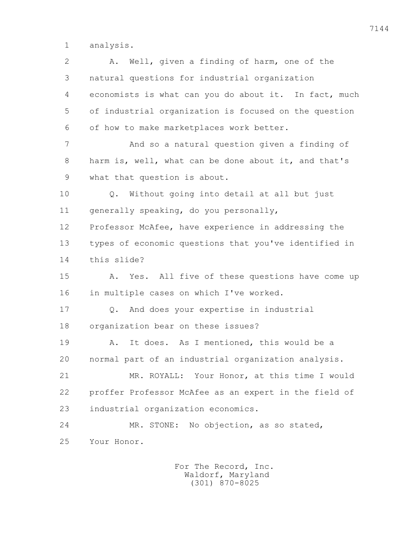1 analysis.

| $\mathbf{2}$ | Well, given a finding of harm, one of the<br>Α.       |
|--------------|-------------------------------------------------------|
| 3            | natural questions for industrial organization         |
| 4            | economists is what can you do about it. In fact, much |
| 5            | of industrial organization is focused on the question |
| 6            | of how to make marketplaces work better.              |
| 7            | And so a natural question given a finding of          |
| 8            | harm is, well, what can be done about it, and that's  |
| 9            | what that question is about.                          |
| 10           | Without going into detail at all but just<br>$Q$ .    |
| 11           | generally speaking, do you personally,                |
| 12           | Professor McAfee, have experience in addressing the   |
| 13           | types of economic questions that you've identified in |
| 14           | this slide?                                           |
| 15           | Yes. All five of these questions have come up<br>Α.   |
| 16           | in multiple cases on which I've worked.               |
| 17           | And does your expertise in industrial<br>Q.           |
| 18           | organization bear on these issues?                    |
| 19           | It does. As I mentioned, this would be a<br>Α.        |
| 20           | normal part of an industrial organization analysis.   |
| 21           | MR. ROYALL: Your Honor, at this time I would          |
| 22           | proffer Professor McAfee as an expert in the field of |
| 23           | industrial organization economics.                    |
| 24           | No objection, as so stated,<br>MR. STONE:             |
| 25           | Your Honor.                                           |
|              |                                                       |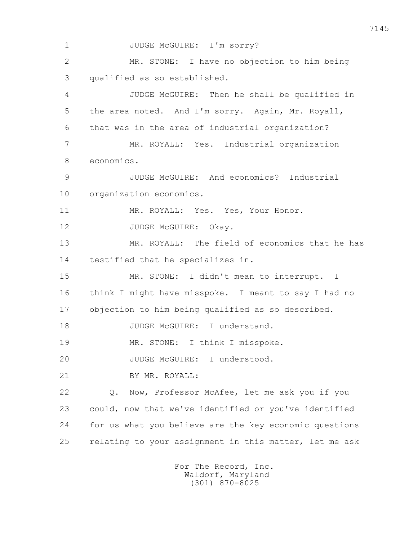1 JUDGE McGUIRE: I'm sorry? 2 MR. STONE: I have no objection to him being 3 qualified as so established. 4 JUDGE McGUIRE: Then he shall be qualified in 5 the area noted. And I'm sorry. Again, Mr. Royall, 6 that was in the area of industrial organization? 7 MR. ROYALL: Yes. Industrial organization 8 economics. 9 JUDGE McGUIRE: And economics? Industrial 10 organization economics. 11 MR. ROYALL: Yes. Yes, Your Honor. 12 JUDGE McGUIRE: Okay. 13 MR. ROYALL: The field of economics that he has 14 testified that he specializes in. 15 MR. STONE: I didn't mean to interrupt. I 16 think I might have misspoke. I meant to say I had no 17 objection to him being qualified as so described. 18 JUDGE McGUIRE: I understand. 19 MR. STONE: I think I misspoke. 20 JUDGE McGUIRE: I understood. 21 BY MR. ROYALL: 22 Q. Now, Professor McAfee, let me ask you if you 23 could, now that we've identified or you've identified 24 for us what you believe are the key economic questions 25 relating to your assignment in this matter, let me ask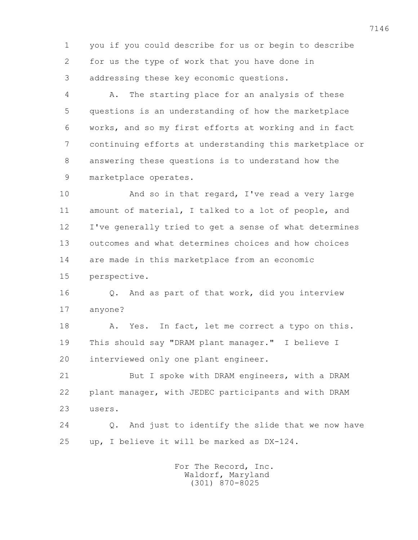1 you if you could describe for us or begin to describe 2 for us the type of work that you have done in 3 addressing these key economic questions.

 4 A. The starting place for an analysis of these 5 questions is an understanding of how the marketplace 6 works, and so my first efforts at working and in fact 7 continuing efforts at understanding this marketplace or 8 answering these questions is to understand how the 9 marketplace operates.

 10 And so in that regard, I've read a very large 11 amount of material, I talked to a lot of people, and 12 I've generally tried to get a sense of what determines 13 outcomes and what determines choices and how choices 14 are made in this marketplace from an economic 15 perspective.

 16 Q. And as part of that work, did you interview 17 anyone?

 18 A. Yes. In fact, let me correct a typo on this. 19 This should say "DRAM plant manager." I believe I 20 interviewed only one plant engineer.

 21 But I spoke with DRAM engineers, with a DRAM 22 plant manager, with JEDEC participants and with DRAM 23 users.

 24 Q. And just to identify the slide that we now have 25 up, I believe it will be marked as DX-124.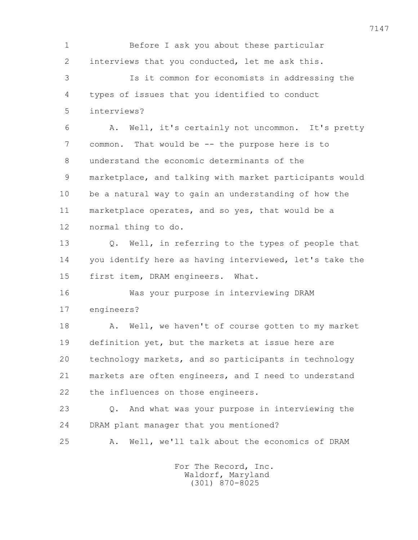1 Before I ask you about these particular 2 interviews that you conducted, let me ask this. 3 Is it common for economists in addressing the

 4 types of issues that you identified to conduct 5 interviews?

 6 A. Well, it's certainly not uncommon. It's pretty 7 common. That would be -- the purpose here is to 8 understand the economic determinants of the 9 marketplace, and talking with market participants would 10 be a natural way to gain an understanding of how the 11 marketplace operates, and so yes, that would be a 12 normal thing to do.

 13 Q. Well, in referring to the types of people that 14 you identify here as having interviewed, let's take the 15 first item, DRAM engineers. What.

 16 Was your purpose in interviewing DRAM 17 engineers?

18 A. Well, we haven't of course gotten to my market 19 definition yet, but the markets at issue here are 20 technology markets, and so participants in technology 21 markets are often engineers, and I need to understand 22 the influences on those engineers.

 23 Q. And what was your purpose in interviewing the 24 DRAM plant manager that you mentioned?

25 A. Well, we'll talk about the economics of DRAM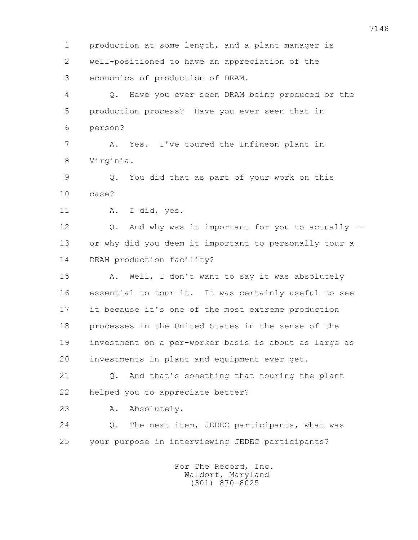1 production at some length, and a plant manager is 2 well-positioned to have an appreciation of the 3 economics of production of DRAM. 4 Q. Have you ever seen DRAM being produced or the 5 production process? Have you ever seen that in 6 person? 7 A. Yes. I've toured the Infineon plant in 8 Virginia. 9 Q. You did that as part of your work on this 10 case? 11 A. I did, yes. 12 Q. And why was it important for you to actually -- 13 or why did you deem it important to personally tour a 14 DRAM production facility? 15 A. Well, I don't want to say it was absolutely 16 essential to tour it. It was certainly useful to see 17 it because it's one of the most extreme production 18 processes in the United States in the sense of the 19 investment on a per-worker basis is about as large as 20 investments in plant and equipment ever get. 21 Q. And that's something that touring the plant 22 helped you to appreciate better? 23 A. Absolutely. 24 Q. The next item, JEDEC participants, what was 25 your purpose in interviewing JEDEC participants? For The Record, Inc.

 Waldorf, Maryland (301) 870-8025

7148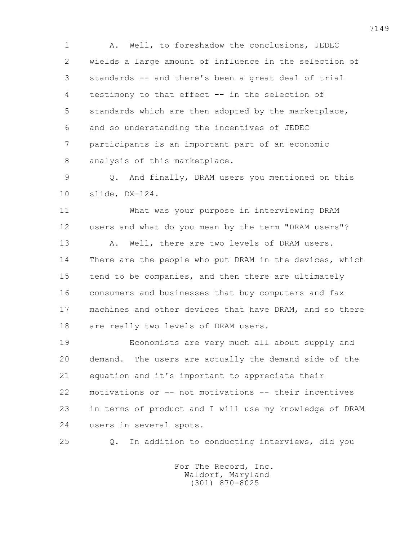1 A. Well, to foreshadow the conclusions, JEDEC 2 wields a large amount of influence in the selection of 3 standards -- and there's been a great deal of trial 4 testimony to that effect -- in the selection of 5 standards which are then adopted by the marketplace, 6 and so understanding the incentives of JEDEC 7 participants is an important part of an economic 8 analysis of this marketplace.

 9 Q. And finally, DRAM users you mentioned on this 10 slide, DX-124.

 11 What was your purpose in interviewing DRAM 12 users and what do you mean by the term "DRAM users"? 13 A. Well, there are two levels of DRAM users. 14 There are the people who put DRAM in the devices, which 15 tend to be companies, and then there are ultimately 16 consumers and businesses that buy computers and fax 17 machines and other devices that have DRAM, and so there

18 are really two levels of DRAM users.

 19 Economists are very much all about supply and 20 demand. The users are actually the demand side of the 21 equation and it's important to appreciate their 22 motivations or -- not motivations -- their incentives 23 in terms of product and I will use my knowledge of DRAM 24 users in several spots.

25 Q. In addition to conducting interviews, did you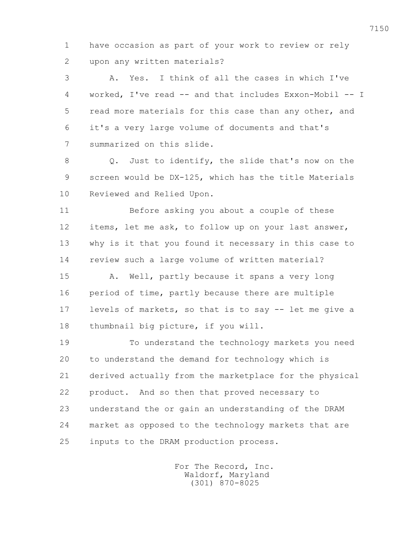1 have occasion as part of your work to review or rely 2 upon any written materials?

 3 A. Yes. I think of all the cases in which I've 4 worked, I've read -- and that includes Exxon-Mobil -- I 5 read more materials for this case than any other, and 6 it's a very large volume of documents and that's 7 summarized on this slide.

 8 Q. Just to identify, the slide that's now on the 9 screen would be DX-125, which has the title Materials 10 Reviewed and Relied Upon.

 11 Before asking you about a couple of these 12 items, let me ask, to follow up on your last answer, 13 why is it that you found it necessary in this case to 14 review such a large volume of written material?

 15 A. Well, partly because it spans a very long 16 period of time, partly because there are multiple 17 levels of markets, so that is to say -- let me give a 18 thumbnail big picture, if you will.

 19 To understand the technology markets you need 20 to understand the demand for technology which is 21 derived actually from the marketplace for the physical 22 product. And so then that proved necessary to 23 understand the or gain an understanding of the DRAM 24 market as opposed to the technology markets that are 25 inputs to the DRAM production process.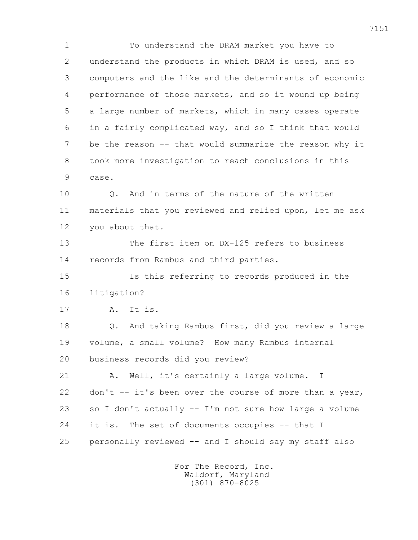1 To understand the DRAM market you have to 2 understand the products in which DRAM is used, and so 3 computers and the like and the determinants of economic 4 performance of those markets, and so it wound up being 5 a large number of markets, which in many cases operate 6 in a fairly complicated way, and so I think that would 7 be the reason -- that would summarize the reason why it 8 took more investigation to reach conclusions in this 9 case. 10 Q. And in terms of the nature of the written 11 materials that you reviewed and relied upon, let me ask 12 you about that. 13 The first item on DX-125 refers to business 14 records from Rambus and third parties.

 15 Is this referring to records produced in the 16 litigation?

17 A. It is.

 18 Q. And taking Rambus first, did you review a large 19 volume, a small volume? How many Rambus internal 20 business records did you review?

 21 A. Well, it's certainly a large volume. I 22 don't -- it's been over the course of more than a year, 23 so I don't actually -- I'm not sure how large a volume 24 it is. The set of documents occupies -- that I 25 personally reviewed -- and I should say my staff also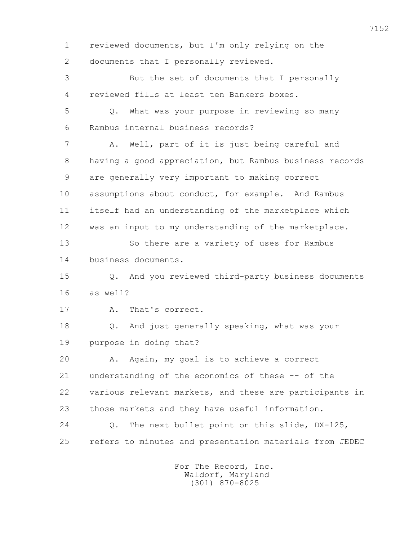1 reviewed documents, but I'm only relying on the 2 documents that I personally reviewed. 3 But the set of documents that I personally 4 reviewed fills at least ten Bankers boxes. 5 Q. What was your purpose in reviewing so many 6 Rambus internal business records? 7 A. Well, part of it is just being careful and 8 having a good appreciation, but Rambus business records 9 are generally very important to making correct 10 assumptions about conduct, for example. And Rambus 11 itself had an understanding of the marketplace which 12 was an input to my understanding of the marketplace. 13 So there are a variety of uses for Rambus 14 business documents. 15 Q. And you reviewed third-party business documents 16 as well? 17 A. That's correct. 18 Q. And just generally speaking, what was your 19 purpose in doing that? 20 A. Again, my goal is to achieve a correct 21 understanding of the economics of these -- of the 22 various relevant markets, and these are participants in 23 those markets and they have useful information. 24 Q. The next bullet point on this slide, DX-125, 25 refers to minutes and presentation materials from JEDEC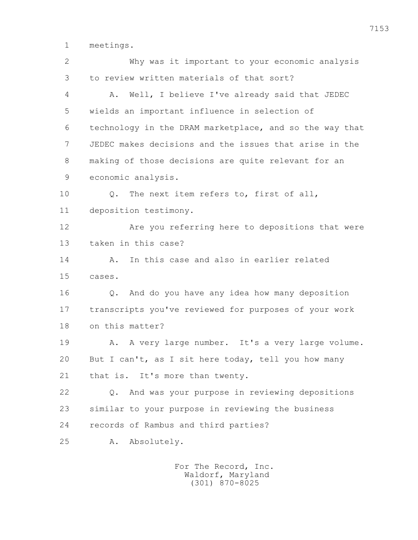1 meetings.

 2 Why was it important to your economic analysis 3 to review written materials of that sort? 4 A. Well, I believe I've already said that JEDEC 5 wields an important influence in selection of 6 technology in the DRAM marketplace, and so the way that 7 JEDEC makes decisions and the issues that arise in the 8 making of those decisions are quite relevant for an 9 economic analysis. 10 0. The next item refers to, first of all, 11 deposition testimony. 12 Are you referring here to depositions that were 13 taken in this case? 14 A. In this case and also in earlier related 15 cases. 16 Q. And do you have any idea how many deposition 17 transcripts you've reviewed for purposes of your work 18 on this matter? 19 A. A very large number. It's a very large volume. 20 But I can't, as I sit here today, tell you how many 21 that is. It's more than twenty. 22 Q. And was your purpose in reviewing depositions 23 similar to your purpose in reviewing the business 24 records of Rambus and third parties? 25 A. Absolutely.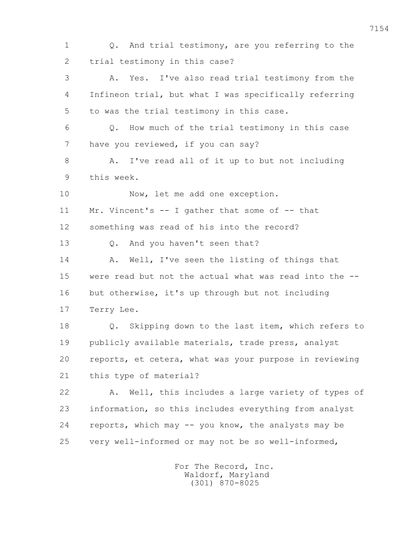1 Q. And trial testimony, are you referring to the 2 trial testimony in this case? 3 A. Yes. I've also read trial testimony from the 4 Infineon trial, but what I was specifically referring 5 to was the trial testimony in this case. 6 Q. How much of the trial testimony in this case 7 have you reviewed, if you can say? 8 A. I've read all of it up to but not including 9 this week. 10 Now, let me add one exception. 11 Mr. Vincent's -- I gather that some of -- that 12 something was read of his into the record? 13 Q. And you haven't seen that? 14 A. Well, I've seen the listing of things that 15 were read but not the actual what was read into the -- 16 but otherwise, it's up through but not including 17 Terry Lee. 18 Q. Skipping down to the last item, which refers to 19 publicly available materials, trade press, analyst 20 reports, et cetera, what was your purpose in reviewing 21 this type of material? 22 A. Well, this includes a large variety of types of 23 information, so this includes everything from analyst 24 reports, which may -- you know, the analysts may be 25 very well-informed or may not be so well-informed,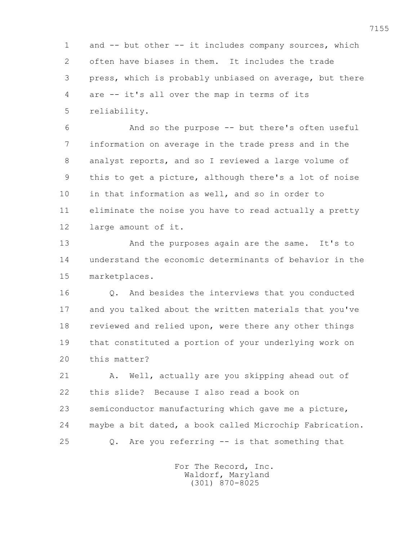1 and -- but other -- it includes company sources, which 2 often have biases in them. It includes the trade 3 press, which is probably unbiased on average, but there 4 are -- it's all over the map in terms of its 5 reliability.

 6 And so the purpose -- but there's often useful 7 information on average in the trade press and in the 8 analyst reports, and so I reviewed a large volume of 9 this to get a picture, although there's a lot of noise 10 in that information as well, and so in order to 11 eliminate the noise you have to read actually a pretty 12 large amount of it.

13 And the purposes again are the same. It's to 14 understand the economic determinants of behavior in the 15 marketplaces.

 16 Q. And besides the interviews that you conducted 17 and you talked about the written materials that you've 18 reviewed and relied upon, were there any other things 19 that constituted a portion of your underlying work on 20 this matter?

21 A. Well, actually are you skipping ahead out of 22 this slide? Because I also read a book on 23 semiconductor manufacturing which gave me a picture, 24 maybe a bit dated, a book called Microchip Fabrication. 25 Q. Are you referring -- is that something that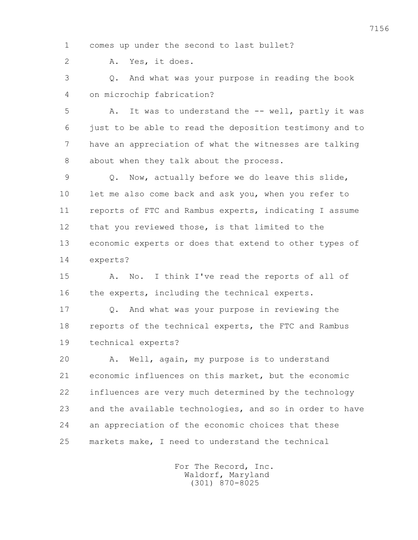1 comes up under the second to last bullet?

2 A. Yes, it does.

 3 Q. And what was your purpose in reading the book 4 on microchip fabrication?

 5 A. It was to understand the -- well, partly it was 6 just to be able to read the deposition testimony and to 7 have an appreciation of what the witnesses are talking 8 about when they talk about the process.

 9 Q. Now, actually before we do leave this slide, 10 let me also come back and ask you, when you refer to 11 reports of FTC and Rambus experts, indicating I assume 12 that you reviewed those, is that limited to the 13 economic experts or does that extend to other types of 14 experts?

 15 A. No. I think I've read the reports of all of 16 the experts, including the technical experts.

 17 Q. And what was your purpose in reviewing the 18 reports of the technical experts, the FTC and Rambus 19 technical experts?

 20 A. Well, again, my purpose is to understand 21 economic influences on this market, but the economic 22 influences are very much determined by the technology 23 and the available technologies, and so in order to have 24 an appreciation of the economic choices that these 25 markets make, I need to understand the technical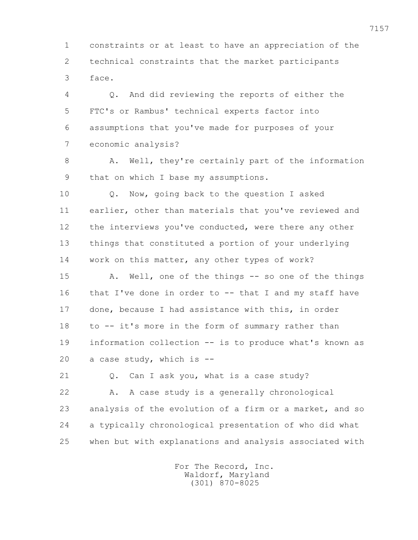1 constraints or at least to have an appreciation of the 2 technical constraints that the market participants 3 face.

 4 Q. And did reviewing the reports of either the 5 FTC's or Rambus' technical experts factor into 6 assumptions that you've made for purposes of your 7 economic analysis?

 8 A. Well, they're certainly part of the information 9 that on which I base my assumptions.

 10 Q. Now, going back to the question I asked 11 earlier, other than materials that you've reviewed and 12 the interviews you've conducted, were there any other 13 things that constituted a portion of your underlying 14 work on this matter, any other types of work?

15 A. Well, one of the things -- so one of the things 16 that I've done in order to -- that I and my staff have 17 done, because I had assistance with this, in order 18 to -- it's more in the form of summary rather than 19 information collection -- is to produce what's known as 20 a case study, which is --

21 0. Can I ask you, what is a case study? 22 A. A case study is a generally chronological 23 analysis of the evolution of a firm or a market, and so 24 a typically chronological presentation of who did what 25 when but with explanations and analysis associated with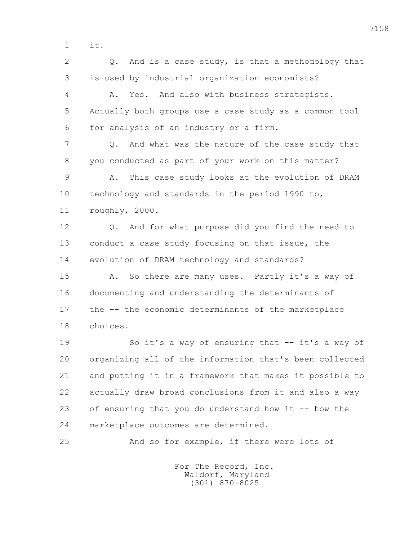1 it.

2 0. And is a case study, is that a methodology that 3 is used by industrial organization economists? 4 A. Yes. And also with business strategists. 5 Actually both groups use a case study as a common tool 6 for analysis of an industry or a firm. 7 Q. And what was the nature of the case study that 8 you conducted as part of your work on this matter? 9 A. This case study looks at the evolution of DRAM 10 technology and standards in the period 1990 to, 11 roughly, 2000. 12 0. And for what purpose did you find the need to 13 conduct a case study focusing on that issue, the 14 evolution of DRAM technology and standards? 15 A. So there are many uses. Partly it's a way of 16 documenting and understanding the determinants of 17 the -- the economic determinants of the marketplace 18 choices. 19 So it's a way of ensuring that -- it's a way of 20 organizing all of the information that's been collected 21 and putting it in a framework that makes it possible to 22 actually draw broad conclusions from it and also a way 23 of ensuring that you do understand how it -- how the 24 marketplace outcomes are determined. 25 And so for example, if there were lots of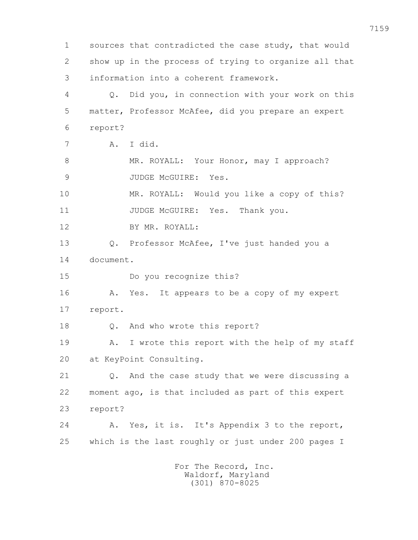1 sources that contradicted the case study, that would 2 show up in the process of trying to organize all that 3 information into a coherent framework. 4 Q. Did you, in connection with your work on this 5 matter, Professor McAfee, did you prepare an expert 6 report? 7 A. I did. 8 MR. ROYALL: Your Honor, may I approach? 9 JUDGE McGUIRE: Yes. 10 MR. ROYALL: Would you like a copy of this? 11 JUDGE McGUIRE: Yes. Thank you. 12 BY MR. ROYALL: 13 Q. Professor McAfee, I've just handed you a 14 document. 15 Do you recognize this? 16 A. Yes. It appears to be a copy of my expert 17 report. 18 Q. And who wrote this report? 19 A. I wrote this report with the help of my staff 20 at KeyPoint Consulting. 21 0. And the case study that we were discussing a 22 moment ago, is that included as part of this expert 23 report? 24 A. Yes, it is. It's Appendix 3 to the report, 25 which is the last roughly or just under 200 pages I For The Record, Inc.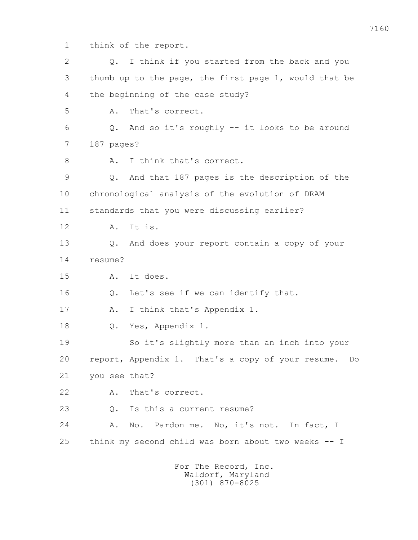1 think of the report.

| $\mathbf{2}$ | I think if you started from the back and you<br>Q.    |
|--------------|-------------------------------------------------------|
| 3            | thumb up to the page, the first page 1, would that be |
| 4            | the beginning of the case study?                      |
| 5            | That's correct.<br>Α.                                 |
| 6            | And so it's roughly -- it looks to be around<br>Q.    |
| 7            | 187 pages?                                            |
| 8            | I think that's correct.<br>Α.                         |
| $\mathsf 9$  | And that 187 pages is the description of the<br>Q.    |
| 10           | chronological analysis of the evolution of DRAM       |
| 11           | standards that you were discussing earlier?           |
| 12           | It is.<br>Α.                                          |
| 13           | And does your report contain a copy of your<br>Q.     |
| 14           | resume?                                               |
| 15           | It does.<br>Α.                                        |
| 16           | Let's see if we can identify that.<br>Q.              |
| 17           | I think that's Appendix 1.<br>Α.                      |
| 18           | Yes, Appendix 1.<br>Q.                                |
| 19           | So it's slightly more than an inch into your          |
| 20           | report, Appendix 1. That's a copy of your resume. Do  |
| 21           | you see that?                                         |
| 22           | That's correct.<br>Α.                                 |
| 23           | Is this a current resume?<br>Q.                       |
| 24           | No. Pardon me. No, it's not. In fact, I<br>Α.         |
| 25           | think my second child was born about two weeks -- I   |
|              | For The Record, Inc.                                  |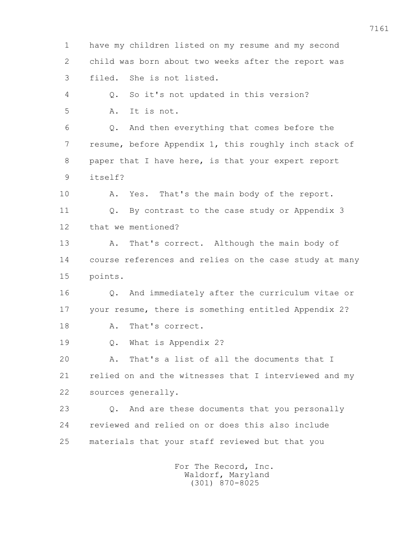1 have my children listed on my resume and my second 2 child was born about two weeks after the report was 3 filed. She is not listed. 4 Q. So it's not updated in this version? 5 A. It is not. 6 Q. And then everything that comes before the 7 resume, before Appendix 1, this roughly inch stack of 8 paper that I have here, is that your expert report 9 itself? 10 A. Yes. That's the main body of the report. 11 Q. By contrast to the case study or Appendix 3 12 that we mentioned? 13 A. That's correct. Although the main body of 14 course references and relies on the case study at many 15 points. 16 Q. And immediately after the curriculum vitae or 17 your resume, there is something entitled Appendix 2? 18 A. That's correct. 19 Q. What is Appendix 2? 20 A. That's a list of all the documents that I 21 relied on and the witnesses that I interviewed and my 22 sources generally. 23 Q. And are these documents that you personally 24 reviewed and relied on or does this also include 25 materials that your staff reviewed but that you For The Record, Inc.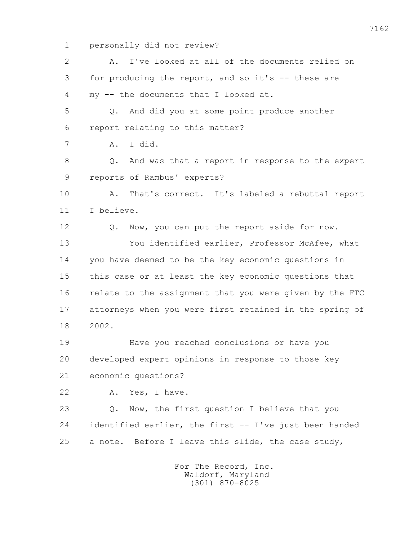1 personally did not review?

| $\overline{2}$ | I've looked at all of the documents relied on<br>Α.         |
|----------------|-------------------------------------------------------------|
| 3              | for producing the report, and so it's -- these are          |
| 4              | my -- the documents that I looked at.                       |
| 5              | And did you at some point produce another<br>$Q_{\bullet}$  |
| 6              | report relating to this matter?                             |
| 7              | I did.<br>Α.                                                |
| 8              | And was that a report in response to the expert<br>Q.       |
| $\overline{9}$ | reports of Rambus' experts?                                 |
| 10             | That's correct. It's labeled a rebuttal report<br>Α.        |
| 11             | I believe.                                                  |
| 12             | Now, you can put the report aside for now.<br>$Q_{\bullet}$ |
| 13             | You identified earlier, Professor McAfee, what              |
| 14             | you have deemed to be the key economic questions in         |
| 15             | this case or at least the key economic questions that       |
| 16             | relate to the assignment that you were given by the FTC     |
| 17             | attorneys when you were first retained in the spring of     |
| 18             | 2002.                                                       |
| 19             | Have you reached conclusions or have you                    |
| 20             | developed expert opinions in response to those key          |
| 21             | economic questions?                                         |
| 22             | Yes, I have.<br>Α.                                          |
| 23             | Now, the first question I believe that you<br>Q.            |
| 24             | identified earlier, the first -- I've just been handed      |
| 25             | a note. Before I leave this slide, the case study,          |
|                | For The Record, Inc.                                        |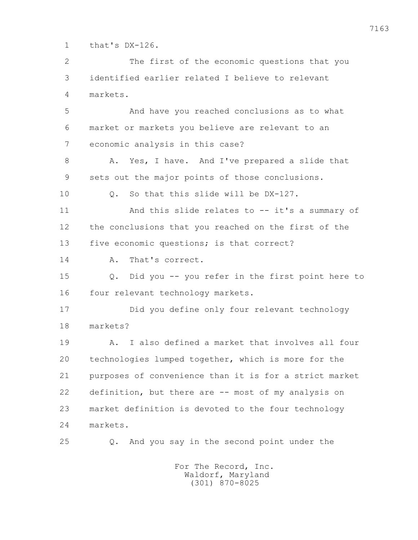1 that's DX-126.

 2 The first of the economic questions that you 3 identified earlier related I believe to relevant 4 markets.

 5 And have you reached conclusions as to what 6 market or markets you believe are relevant to an 7 economic analysis in this case?

8 A. Yes, I have. And I've prepared a slide that 9 sets out the major points of those conclusions.

10 0. So that this slide will be DX-127.

 11 And this slide relates to -- it's a summary of 12 the conclusions that you reached on the first of the 13 five economic questions; is that correct?

14 A. That's correct.

 15 Q. Did you -- you refer in the first point here to 16 four relevant technology markets.

 17 Did you define only four relevant technology 18 markets?

 19 A. I also defined a market that involves all four 20 technologies lumped together, which is more for the 21 purposes of convenience than it is for a strict market 22 definition, but there are -- most of my analysis on 23 market definition is devoted to the four technology 24 markets.

25 Q. And you say in the second point under the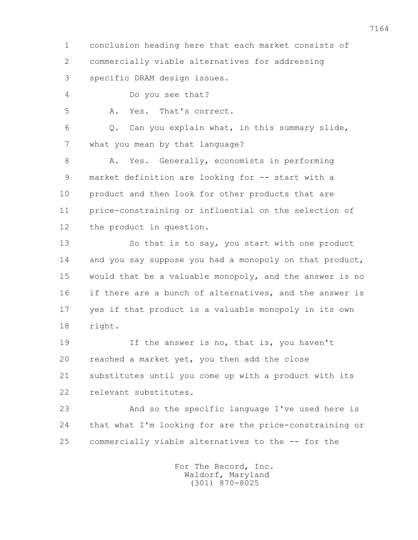1 conclusion heading here that each market consists of 2 commercially viable alternatives for addressing

3 specific DRAM design issues.

4 Do you see that?

5 A. Yes. That's correct.

 6 Q. Can you explain what, in this summary slide, 7 what you mean by that language?

8 A. Yes. Generally, economists in performing 9 market definition are looking for -- start with a 10 product and then look for other products that are 11 price-constraining or influential on the selection of 12 the product in question.

13 So that is to say, you start with one product 14 and you say suppose you had a monopoly on that product, 15 would that be a valuable monopoly, and the answer is no 16 if there are a bunch of alternatives, and the answer is 17 yes if that product is a valuable monopoly in its own 18 right.

19 19 If the answer is no, that is, you haven't 20 reached a market yet, you then add the close 21 substitutes until you come up with a product with its 22 relevant substitutes.

 23 And so the specific language I've used here is 24 that what I'm looking for are the price-constraining or 25 commercially viable alternatives to the -- for the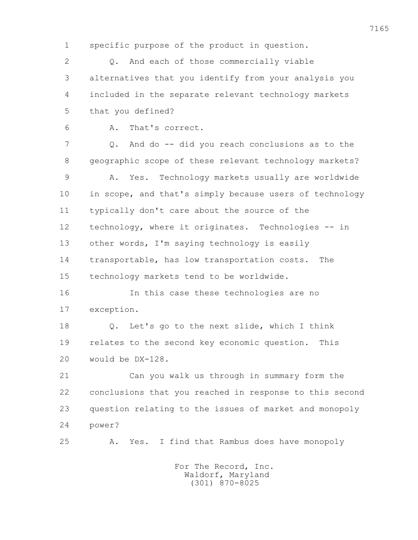1 specific purpose of the product in question.

 2 Q. And each of those commercially viable 3 alternatives that you identify from your analysis you 4 included in the separate relevant technology markets 5 that you defined?

6 A. That's correct.

 7 Q. And do -- did you reach conclusions as to the 8 geographic scope of these relevant technology markets? 9 A. Yes. Technology markets usually are worldwide 10 in scope, and that's simply because users of technology 11 typically don't care about the source of the 12 technology, where it originates. Technologies -- in 13 other words, I'm saying technology is easily

 14 transportable, has low transportation costs. The 15 technology markets tend to be worldwide.

 16 In this case these technologies are no 17 exception.

 18 Q. Let's go to the next slide, which I think 19 relates to the second key economic question. This 20 would be DX-128.

 21 Can you walk us through in summary form the 22 conclusions that you reached in response to this second 23 question relating to the issues of market and monopoly 24 power?

25 A. Yes. I find that Rambus does have monopoly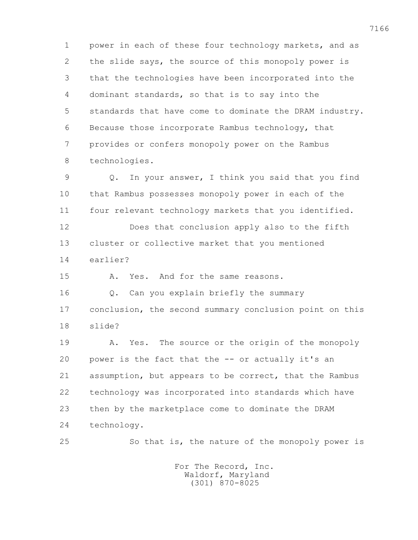1 power in each of these four technology markets, and as 2 the slide says, the source of this monopoly power is 3 that the technologies have been incorporated into the 4 dominant standards, so that is to say into the 5 standards that have come to dominate the DRAM industry. 6 Because those incorporate Rambus technology, that 7 provides or confers monopoly power on the Rambus 8 technologies.

 9 Q. In your answer, I think you said that you find 10 that Rambus possesses monopoly power in each of the 11 four relevant technology markets that you identified.

 13 cluster or collective market that you mentioned 14 earlier?

12 Does that conclusion apply also to the fifth

15 A. Yes. And for the same reasons.

 16 Q. Can you explain briefly the summary 17 conclusion, the second summary conclusion point on this 18 slide?

19 A. Yes. The source or the origin of the monopoly 20 power is the fact that the -- or actually it's an 21 assumption, but appears to be correct, that the Rambus 22 technology was incorporated into standards which have 23 then by the marketplace come to dominate the DRAM 24 technology.

25 So that is, the nature of the monopoly power is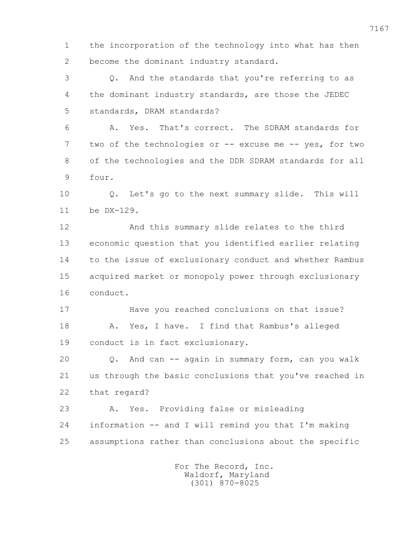1 the incorporation of the technology into what has then 2 become the dominant industry standard.

 3 Q. And the standards that you're referring to as 4 the dominant industry standards, are those the JEDEC 5 standards, DRAM standards?

 6 A. Yes. That's correct. The SDRAM standards for 7 two of the technologies or -- excuse me -- yes, for two 8 of the technologies and the DDR SDRAM standards for all 9 four.

 10 Q. Let's go to the next summary slide. This will 11 be DX-129.

 12 And this summary slide relates to the third 13 economic question that you identified earlier relating 14 to the issue of exclusionary conduct and whether Rambus 15 acquired market or monopoly power through exclusionary 16 conduct.

 17 Have you reached conclusions on that issue? 18 A. Yes, I have. I find that Rambus's alleged 19 conduct is in fact exclusionary.

 20 Q. And can -- again in summary form, can you walk 21 us through the basic conclusions that you've reached in 22 that regard?

 23 A. Yes. Providing false or misleading 24 information -- and I will remind you that I'm making 25 assumptions rather than conclusions about the specific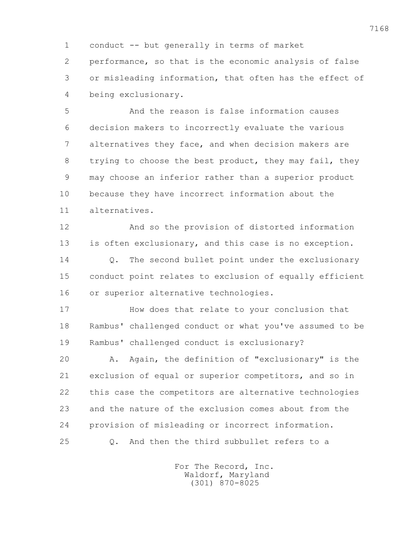1 conduct -- but generally in terms of market 2 performance, so that is the economic analysis of false 3 or misleading information, that often has the effect of 4 being exclusionary.

 5 And the reason is false information causes 6 decision makers to incorrectly evaluate the various 7 alternatives they face, and when decision makers are 8 trying to choose the best product, they may fail, they 9 may choose an inferior rather than a superior product 10 because they have incorrect information about the 11 alternatives.

 12 And so the provision of distorted information 13 is often exclusionary, and this case is no exception. 14 Q. The second bullet point under the exclusionary 15 conduct point relates to exclusion of equally efficient 16 or superior alternative technologies.

 17 How does that relate to your conclusion that 18 Rambus' challenged conduct or what you've assumed to be 19 Rambus' challenged conduct is exclusionary?

 20 A. Again, the definition of "exclusionary" is the 21 exclusion of equal or superior competitors, and so in 22 this case the competitors are alternative technologies 23 and the nature of the exclusion comes about from the 24 provision of misleading or incorrect information. 25 Q. And then the third subbullet refers to a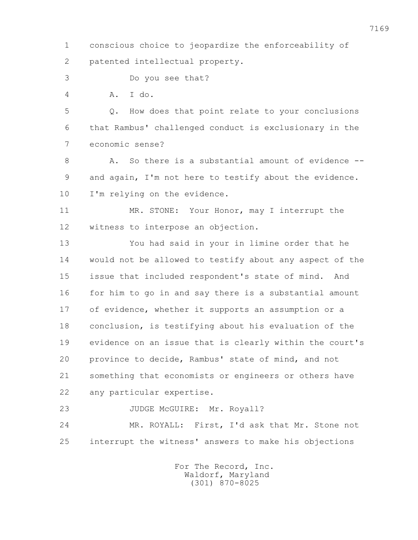1 conscious choice to jeopardize the enforceability of 2 patented intellectual property.

3 Do you see that?

4 A. I do.

 5 Q. How does that point relate to your conclusions 6 that Rambus' challenged conduct is exclusionary in the 7 economic sense?

 8 A. So there is a substantial amount of evidence -- 9 and again, I'm not here to testify about the evidence. 10 I'm relying on the evidence.

11 MR. STONE: Your Honor, may I interrupt the 12 witness to interpose an objection.

 13 You had said in your in limine order that he 14 would not be allowed to testify about any aspect of the 15 issue that included respondent's state of mind. And 16 for him to go in and say there is a substantial amount 17 of evidence, whether it supports an assumption or a 18 conclusion, is testifying about his evaluation of the 19 evidence on an issue that is clearly within the court's 20 province to decide, Rambus' state of mind, and not 21 something that economists or engineers or others have 22 any particular expertise.

23 JUDGE McGUIRE: Mr. Royall?

 24 MR. ROYALL: First, I'd ask that Mr. Stone not 25 interrupt the witness' answers to make his objections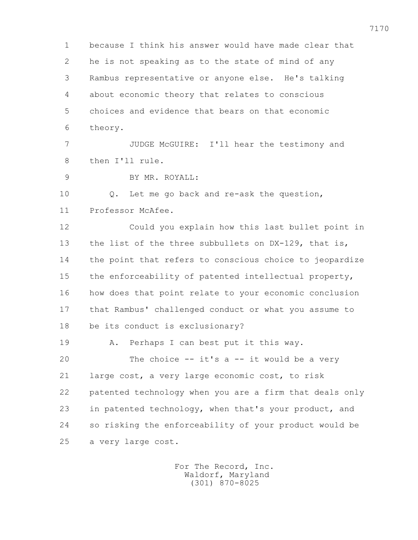1 because I think his answer would have made clear that 2 he is not speaking as to the state of mind of any 3 Rambus representative or anyone else. He's talking 4 about economic theory that relates to conscious 5 choices and evidence that bears on that economic 6 theory. 7 JUDGE McGUIRE: I'll hear the testimony and 8 then I'll rule.

9 BY MR. ROYALL:

 10 Q. Let me go back and re-ask the question, 11 Professor McAfee.

 12 Could you explain how this last bullet point in 13 the list of the three subbullets on DX-129, that is, 14 the point that refers to conscious choice to jeopardize 15 the enforceability of patented intellectual property, 16 how does that point relate to your economic conclusion 17 that Rambus' challenged conduct or what you assume to 18 be its conduct is exclusionary?

19 A. Perhaps I can best put it this way.

 20 The choice -- it's a -- it would be a very 21 large cost, a very large economic cost, to risk 22 patented technology when you are a firm that deals only 23 in patented technology, when that's your product, and 24 so risking the enforceability of your product would be 25 a very large cost.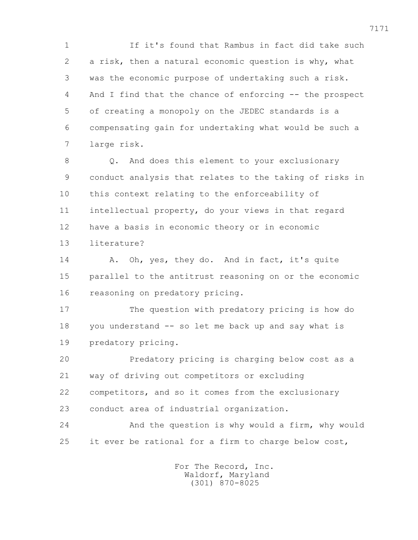1 If it's found that Rambus in fact did take such 2 a risk, then a natural economic question is why, what 3 was the economic purpose of undertaking such a risk. 4 And I find that the chance of enforcing -- the prospect 5 of creating a monopoly on the JEDEC standards is a 6 compensating gain for undertaking what would be such a 7 large risk.

 8 Q. And does this element to your exclusionary 9 conduct analysis that relates to the taking of risks in 10 this context relating to the enforceability of 11 intellectual property, do your views in that regard 12 have a basis in economic theory or in economic 13 literature?

14 A. Oh, yes, they do. And in fact, it's quite 15 parallel to the antitrust reasoning on or the economic 16 reasoning on predatory pricing.

 17 The question with predatory pricing is how do 18 you understand -- so let me back up and say what is 19 predatory pricing.

 20 Predatory pricing is charging below cost as a 21 way of driving out competitors or excluding 22 competitors, and so it comes from the exclusionary 23 conduct area of industrial organization.

 24 And the question is why would a firm, why would 25 it ever be rational for a firm to charge below cost,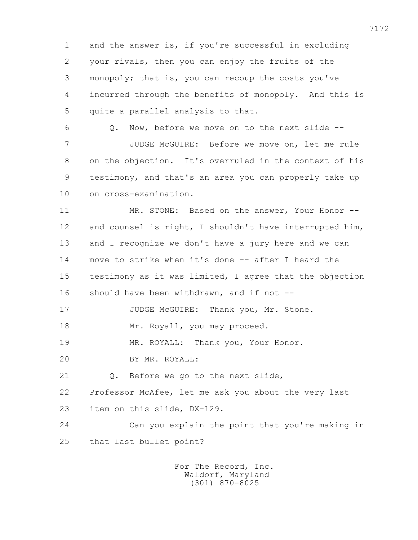1 and the answer is, if you're successful in excluding 2 your rivals, then you can enjoy the fruits of the 3 monopoly; that is, you can recoup the costs you've 4 incurred through the benefits of monopoly. And this is 5 quite a parallel analysis to that.

 6 Q. Now, before we move on to the next slide -- 7 JUDGE McGUIRE: Before we move on, let me rule 8 on the objection. It's overruled in the context of his 9 testimony, and that's an area you can properly take up 10 on cross-examination.

 11 MR. STONE: Based on the answer, Your Honor -- 12 and counsel is right, I shouldn't have interrupted him, 13 and I recognize we don't have a jury here and we can 14 move to strike when it's done -- after I heard the 15 testimony as it was limited, I agree that the objection 16 should have been withdrawn, and if not --

17 JUDGE McGUIRE: Thank you, Mr. Stone. 18 Mr. Royall, you may proceed.

19 MR. ROYALL: Thank you, Your Honor.

20 BY MR. ROYALL:

21 0. Before we go to the next slide,

22 Professor McAfee, let me ask you about the very last

23 item on this slide, DX-129.

 24 Can you explain the point that you're making in 25 that last bullet point?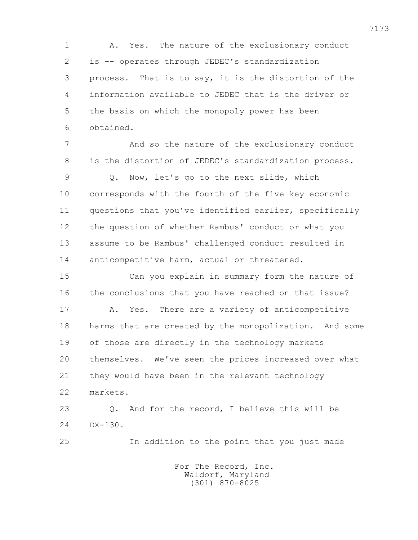1 A. Yes. The nature of the exclusionary conduct 2 is -- operates through JEDEC's standardization 3 process. That is to say, it is the distortion of the 4 information available to JEDEC that is the driver or 5 the basis on which the monopoly power has been 6 obtained.

 7 And so the nature of the exclusionary conduct 8 is the distortion of JEDEC's standardization process. 9 Q. Now, let's go to the next slide, which 10 corresponds with the fourth of the five key economic 11 questions that you've identified earlier, specifically 12 the question of whether Rambus' conduct or what you 13 assume to be Rambus' challenged conduct resulted in 14 anticompetitive harm, actual or threatened.

 15 Can you explain in summary form the nature of 16 the conclusions that you have reached on that issue? 17 A. Yes. There are a variety of anticompetitive 18 harms that are created by the monopolization. And some 19 of those are directly in the technology markets 20 themselves. We've seen the prices increased over what 21 they would have been in the relevant technology 22 markets.

 23 Q. And for the record, I believe this will be 24 DX-130.

25 In addition to the point that you just made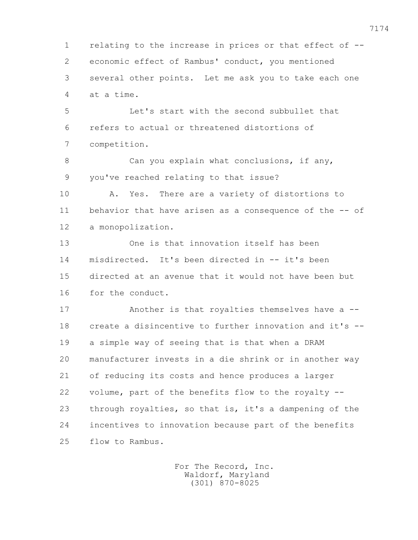1 relating to the increase in prices or that effect of -- 2 economic effect of Rambus' conduct, you mentioned 3 several other points. Let me ask you to take each one 4 at a time.

 5 Let's start with the second subbullet that 6 refers to actual or threatened distortions of 7 competition.

8 Can you explain what conclusions, if any, 9 you've reached relating to that issue?

 10 A. Yes. There are a variety of distortions to 11 behavior that have arisen as a consequence of the -- of 12 a monopolization.

 13 One is that innovation itself has been 14 misdirected. It's been directed in -- it's been 15 directed at an avenue that it would not have been but 16 for the conduct.

 17 Another is that royalties themselves have a -- 18 create a disincentive to further innovation and it's -- 19 a simple way of seeing that is that when a DRAM 20 manufacturer invests in a die shrink or in another way 21 of reducing its costs and hence produces a larger 22 volume, part of the benefits flow to the royalty -- 23 through royalties, so that is, it's a dampening of the 24 incentives to innovation because part of the benefits 25 flow to Rambus.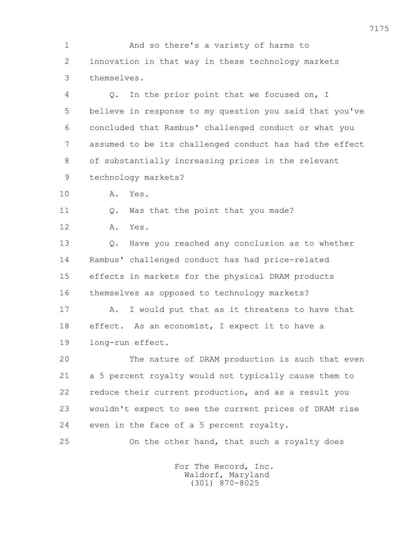1 And so there's a variety of harms to 2 innovation in that way in these technology markets 3 themselves.

 4 Q. In the prior point that we focused on, I 5 believe in response to my question you said that you've 6 concluded that Rambus' challenged conduct or what you 7 assumed to be its challenged conduct has had the effect 8 of substantially increasing prices in the relevant 9 technology markets?

10 A. Yes.

11 Q. Was that the point that you made?

12 A. Yes.

 13 Q. Have you reached any conclusion as to whether 14 Rambus' challenged conduct has had price-related 15 effects in markets for the physical DRAM products 16 themselves as opposed to technology markets?

 17 A. I would put that as it threatens to have that 18 effect. As an economist, I expect it to have a 19 long-run effect.

 20 The nature of DRAM production is such that even 21 a 5 percent royalty would not typically cause them to 22 reduce their current production, and as a result you 23 wouldn't expect to see the current prices of DRAM rise 24 even in the face of a 5 percent royalty.

25 On the other hand, that such a royalty does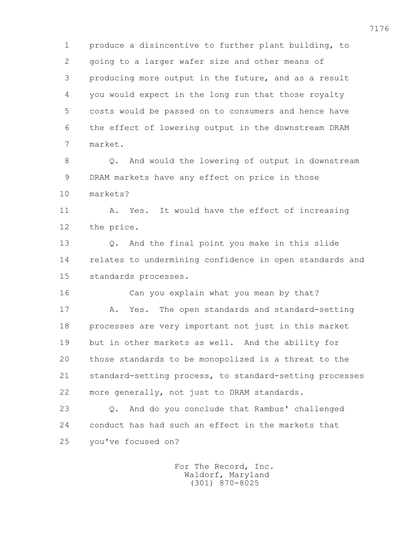1 produce a disincentive to further plant building, to 2 going to a larger wafer size and other means of 3 producing more output in the future, and as a result 4 you would expect in the long run that those royalty 5 costs would be passed on to consumers and hence have 6 the effect of lowering output in the downstream DRAM 7 market.

 8 Q. And would the lowering of output in downstream 9 DRAM markets have any effect on price in those 10 markets?

 11 A. Yes. It would have the effect of increasing 12 the price.

 13 Q. And the final point you make in this slide 14 relates to undermining confidence in open standards and 15 standards processes.

 16 Can you explain what you mean by that? 17 A. Yes. The open standards and standard-setting 18 processes are very important not just in this market 19 but in other markets as well. And the ability for 20 those standards to be monopolized is a threat to the 21 standard-setting process, to standard-setting processes 22 more generally, not just to DRAM standards.

 23 Q. And do you conclude that Rambus' challenged 24 conduct has had such an effect in the markets that 25 you've focused on?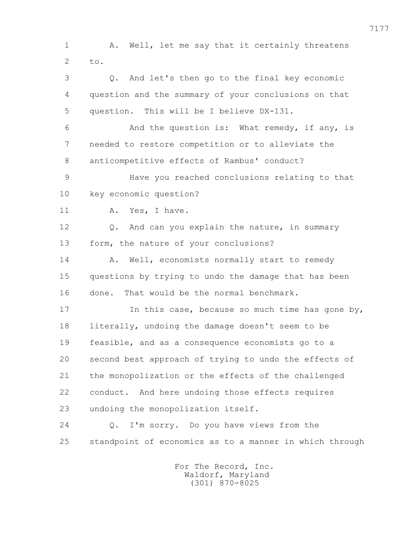1 A. Well, let me say that it certainly threatens 2  $t_{\Omega}$ . 3 Q. And let's then go to the final key economic 4 question and the summary of your conclusions on that 5 question. This will be I believe DX-131. 6 And the question is: What remedy, if any, is 7 needed to restore competition or to alleviate the 8 anticompetitive effects of Rambus' conduct? 9 Have you reached conclusions relating to that 10 key economic question? 11 A. Yes, I have. 12 0. And can you explain the nature, in summary 13 form, the nature of your conclusions? 14 A. Well, economists normally start to remedy 15 questions by trying to undo the damage that has been 16 done. That would be the normal benchmark. 17 17 In this case, because so much time has gone by, 18 literally, undoing the damage doesn't seem to be 19 feasible, and as a consequence economists go to a 20 second best approach of trying to undo the effects of 21 the monopolization or the effects of the challenged 22 conduct. And here undoing those effects requires 23 undoing the monopolization itself. 24 Q. I'm sorry. Do you have views from the 25 standpoint of economics as to a manner in which through

> For The Record, Inc. Waldorf, Maryland (301) 870-8025

7177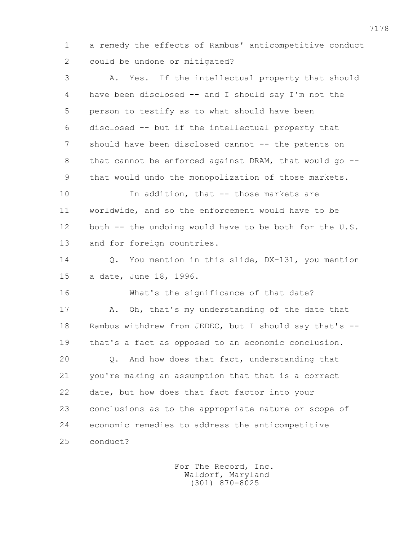1 a remedy the effects of Rambus' anticompetitive conduct 2 could be undone or mitigated?

 3 A. Yes. If the intellectual property that should 4 have been disclosed -- and I should say I'm not the 5 person to testify as to what should have been 6 disclosed -- but if the intellectual property that 7 should have been disclosed cannot -- the patents on 8 that cannot be enforced against DRAM, that would go --9 that would undo the monopolization of those markets.

10 10 In addition, that -- those markets are 11 worldwide, and so the enforcement would have to be 12 both -- the undoing would have to be both for the U.S. 13 and for foreign countries.

 14 Q. You mention in this slide, DX-131, you mention 15 a date, June 18, 1996.

 16 What's the significance of that date? 17 A. Oh, that's my understanding of the date that 18 Rambus withdrew from JEDEC, but I should say that's -- 19 that's a fact as opposed to an economic conclusion. 20 Q. And how does that fact, understanding that 21 you're making an assumption that that is a correct 22 date, but how does that fact factor into your 23 conclusions as to the appropriate nature or scope of 24 economic remedies to address the anticompetitive 25 conduct?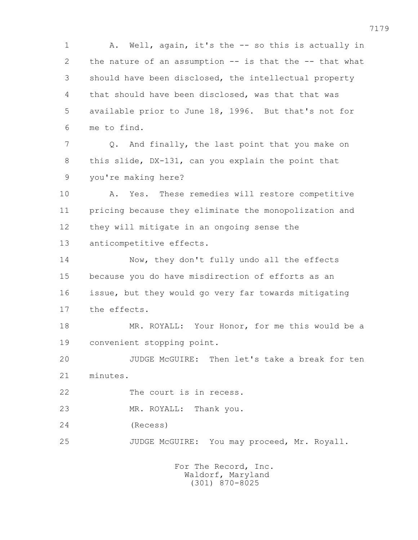1 A. Well, again, it's the -- so this is actually in 2 the nature of an assumption -- is that the -- that what 3 should have been disclosed, the intellectual property 4 that should have been disclosed, was that that was 5 available prior to June 18, 1996. But that's not for 6 me to find. 7 Q. And finally, the last point that you make on 8 this slide, DX-131, can you explain the point that 9 you're making here? 10 A. Yes. These remedies will restore competitive 11 pricing because they eliminate the monopolization and 12 they will mitigate in an ongoing sense the 13 anticompetitive effects. 14 Now, they don't fully undo all the effects 15 because you do have misdirection of efforts as an 16 issue, but they would go very far towards mitigating 17 the effects. 18 MR. ROYALL: Your Honor, for me this would be a 19 convenient stopping point. 20 JUDGE McGUIRE: Then let's take a break for ten 21 minutes. 22 The court is in recess. 23 MR. ROYALL: Thank you. 24 (Recess) 25 JUDGE McGUIRE: You may proceed, Mr. Royall. For The Record, Inc.

 Waldorf, Maryland (301) 870-8025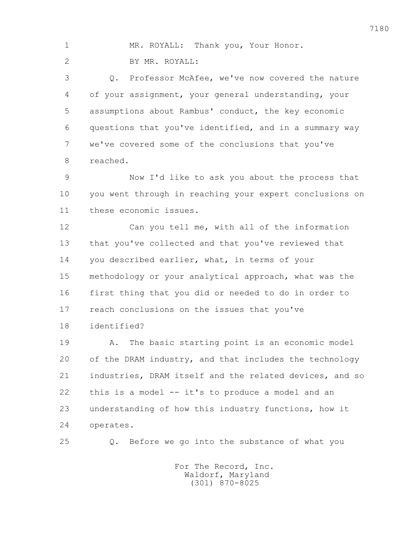|  | MR. ROYALL: Thank you, Your Honor. |  |  |
|--|------------------------------------|--|--|
|  | BY MR. ROYALL:                     |  |  |

 3 Q. Professor McAfee, we've now covered the nature 4 of your assignment, your general understanding, your 5 assumptions about Rambus' conduct, the key economic 6 questions that you've identified, and in a summary way 7 we've covered some of the conclusions that you've 8 reached.

 9 Now I'd like to ask you about the process that 10 you went through in reaching your expert conclusions on 11 these economic issues.

 12 Can you tell me, with all of the information 13 that you've collected and that you've reviewed that 14 you described earlier, what, in terms of your 15 methodology or your analytical approach, what was the 16 first thing that you did or needed to do in order to 17 reach conclusions on the issues that you've 18 identified?

 19 A. The basic starting point is an economic model 20 of the DRAM industry, and that includes the technology 21 industries, DRAM itself and the related devices, and so 22 this is a model -- it's to produce a model and an 23 understanding of how this industry functions, how it 24 operates.

25 Q. Before we go into the substance of what you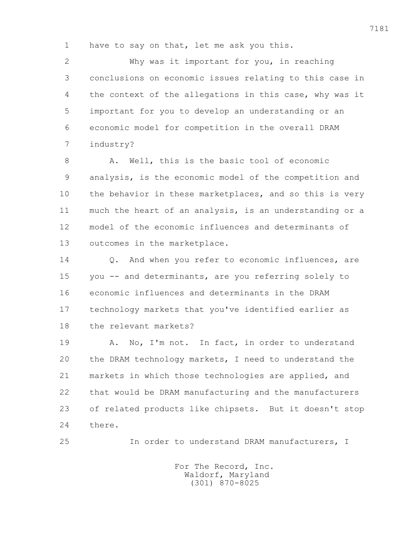1 have to say on that, let me ask you this.

 2 Why was it important for you, in reaching 3 conclusions on economic issues relating to this case in 4 the context of the allegations in this case, why was it 5 important for you to develop an understanding or an 6 economic model for competition in the overall DRAM 7 industry?

8 A. Well, this is the basic tool of economic 9 analysis, is the economic model of the competition and 10 the behavior in these marketplaces, and so this is very 11 much the heart of an analysis, is an understanding or a 12 model of the economic influences and determinants of 13 outcomes in the marketplace.

14 0. And when you refer to economic influences, are 15 you -- and determinants, are you referring solely to 16 economic influences and determinants in the DRAM 17 technology markets that you've identified earlier as 18 the relevant markets?

19 A. No, I'm not. In fact, in order to understand 20 the DRAM technology markets, I need to understand the 21 markets in which those technologies are applied, and 22 that would be DRAM manufacturing and the manufacturers 23 of related products like chipsets. But it doesn't stop 24 there.

25 In order to understand DRAM manufacturers, I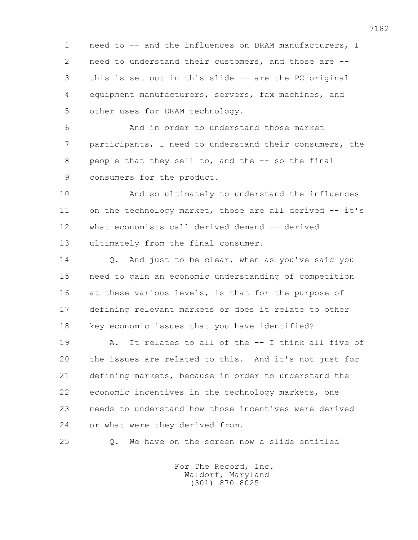1 need to -- and the influences on DRAM manufacturers, I 2 need to understand their customers, and those are -- 3 this is set out in this slide -- are the PC original 4 equipment manufacturers, servers, fax machines, and 5 other uses for DRAM technology.

 6 And in order to understand those market 7 participants, I need to understand their consumers, the 8 people that they sell to, and the -- so the final 9 consumers for the product.

 10 And so ultimately to understand the influences 11 on the technology market, those are all derived -- it's 12 what economists call derived demand -- derived 13 ultimately from the final consumer.

 14 Q. And just to be clear, when as you've said you 15 need to gain an economic understanding of competition 16 at these various levels, is that for the purpose of 17 defining relevant markets or does it relate to other 18 key economic issues that you have identified?

 19 A. It relates to all of the -- I think all five of 20 the issues are related to this. And it's not just for 21 defining markets, because in order to understand the 22 economic incentives in the technology markets, one 23 needs to understand how those incentives were derived 24 or what were they derived from.

25 Q. We have on the screen now a slide entitled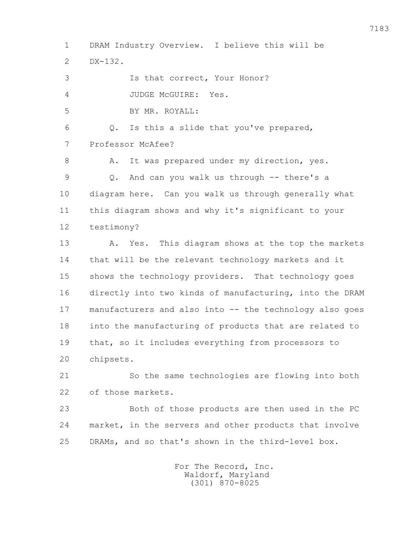1 DRAM Industry Overview. I believe this will be 2 DX-132. 3 Is that correct, Your Honor? 4 JUDGE McGUIRE: Yes. 5 BY MR. ROYALL: 6 Q. Is this a slide that you've prepared, 7 Professor McAfee? 8 A. It was prepared under my direction, yes. 9 Q. And can you walk us through -- there's a 10 diagram here. Can you walk us through generally what 11 this diagram shows and why it's significant to your 12 testimony? 13 A. Yes. This diagram shows at the top the markets 14 that will be the relevant technology markets and it 15 shows the technology providers. That technology goes 16 directly into two kinds of manufacturing, into the DRAM 17 manufacturers and also into -- the technology also goes 18 into the manufacturing of products that are related to 19 that, so it includes everything from processors to 20 chipsets. 21 So the same technologies are flowing into both 22 of those markets. 23 Both of those products are then used in the PC 24 market, in the servers and other products that involve 25 DRAMs, and so that's shown in the third-level box.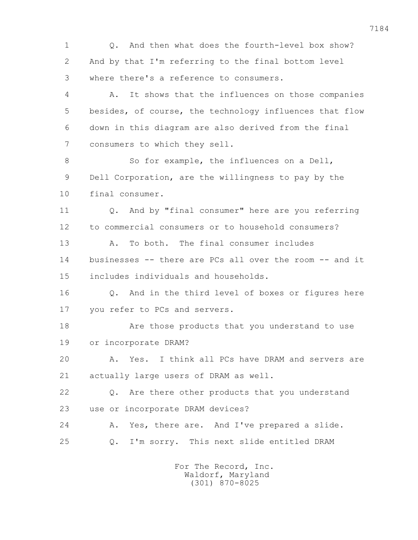1 0. And then what does the fourth-level box show? 2 And by that I'm referring to the final bottom level 3 where there's a reference to consumers. 4 A. It shows that the influences on those companies 5 besides, of course, the technology influences that flow 6 down in this diagram are also derived from the final 7 consumers to which they sell. 8 So for example, the influences on a Dell, 9 Dell Corporation, are the willingness to pay by the 10 final consumer. 11 Q. And by "final consumer" here are you referring 12 to commercial consumers or to household consumers? 13 A. To both. The final consumer includes 14 businesses -- there are PCs all over the room -- and it 15 includes individuals and households. 16 Q. And in the third level of boxes or figures here 17 you refer to PCs and servers. 18 Are those products that you understand to use 19 or incorporate DRAM? 20 A. Yes. I think all PCs have DRAM and servers are 21 actually large users of DRAM as well. 22 Q. Are there other products that you understand 23 use or incorporate DRAM devices? 24 A. Yes, there are. And I've prepared a slide. 25 Q. I'm sorry. This next slide entitled DRAM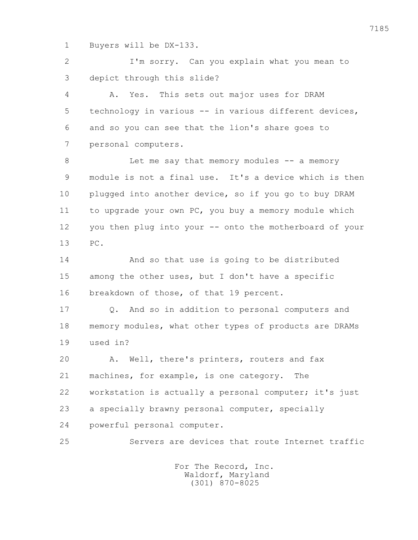1 Buyers will be DX-133.

 2 I'm sorry. Can you explain what you mean to 3 depict through this slide?

 4 A. Yes. This sets out major uses for DRAM 5 technology in various -- in various different devices, 6 and so you can see that the lion's share goes to 7 personal computers.

8 Let me say that memory modules -- a memory 9 module is not a final use. It's a device which is then 10 plugged into another device, so if you go to buy DRAM 11 to upgrade your own PC, you buy a memory module which 12 you then plug into your -- onto the motherboard of your 13 PC.

 14 And so that use is going to be distributed 15 among the other uses, but I don't have a specific 16 breakdown of those, of that 19 percent.

 17 Q. And so in addition to personal computers and 18 memory modules, what other types of products are DRAMs 19 used in?

 20 A. Well, there's printers, routers and fax 21 machines, for example, is one category. The 22 workstation is actually a personal computer; it's just 23 a specially brawny personal computer, specially 24 powerful personal computer.

25 Servers are devices that route Internet traffic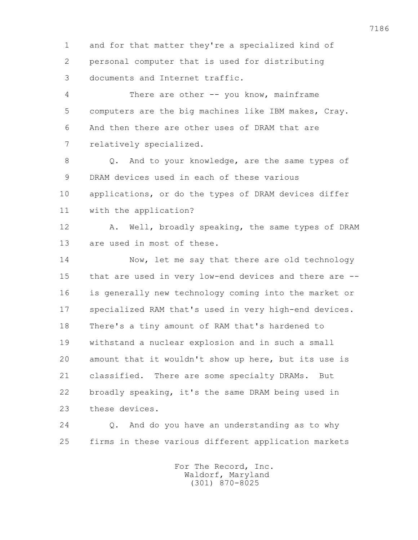1 and for that matter they're a specialized kind of 2 personal computer that is used for distributing 3 documents and Internet traffic.

 4 There are other -- you know, mainframe 5 computers are the big machines like IBM makes, Cray. 6 And then there are other uses of DRAM that are 7 relatively specialized.

 8 Q. And to your knowledge, are the same types of 9 DRAM devices used in each of these various 10 applications, or do the types of DRAM devices differ 11 with the application?

12 A. Well, broadly speaking, the same types of DRAM 13 are used in most of these.

 14 Now, let me say that there are old technology 15 that are used in very low-end devices and there are -- 16 is generally new technology coming into the market or 17 specialized RAM that's used in very high-end devices. 18 There's a tiny amount of RAM that's hardened to 19 withstand a nuclear explosion and in such a small 20 amount that it wouldn't show up here, but its use is 21 classified. There are some specialty DRAMs. But 22 broadly speaking, it's the same DRAM being used in 23 these devices.

 24 Q. And do you have an understanding as to why 25 firms in these various different application markets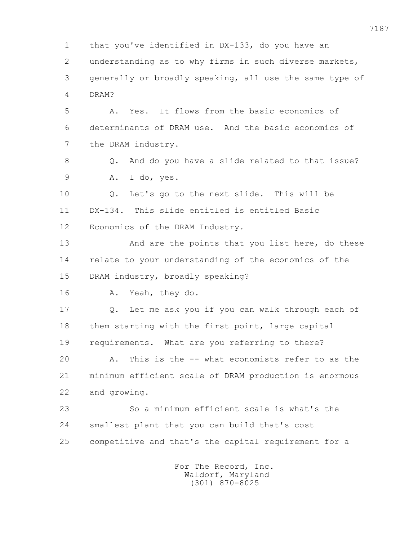1 that you've identified in DX-133, do you have an 2 understanding as to why firms in such diverse markets, 3 generally or broadly speaking, all use the same type of 4 DRAM? 5 A. Yes. It flows from the basic economics of 6 determinants of DRAM use. And the basic economics of 7 the DRAM industry. 8 Q. And do you have a slide related to that issue? 9 A. I do, yes. 10 Q. Let's go to the next slide. This will be 11 DX-134. This slide entitled is entitled Basic 12 Economics of the DRAM Industry. 13 And are the points that you list here, do these 14 relate to your understanding of the economics of the 15 DRAM industry, broadly speaking? 16 A. Yeah, they do. 17 Q. Let me ask you if you can walk through each of 18 them starting with the first point, large capital 19 requirements. What are you referring to there? 20 A. This is the -- what economists refer to as the 21 minimum efficient scale of DRAM production is enormous 22 and growing. 23 So a minimum efficient scale is what's the 24 smallest plant that you can build that's cost 25 competitive and that's the capital requirement for a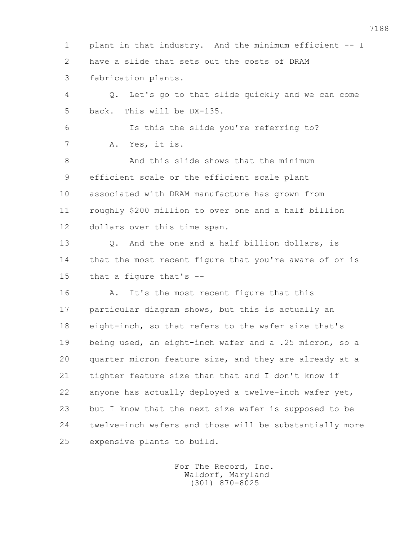1 plant in that industry. And the minimum efficient -- I 2 have a slide that sets out the costs of DRAM 3 fabrication plants. 4 Q. Let's go to that slide quickly and we can come 5 back. This will be DX-135. 6 Is this the slide you're referring to? 7 A. Yes, it is. 8 And this slide shows that the minimum 9 efficient scale or the efficient scale plant 10 associated with DRAM manufacture has grown from 11 roughly \$200 million to over one and a half billion 12 dollars over this time span. 13 Q. And the one and a half billion dollars, is 14 that the most recent figure that you're aware of or is 15 that a figure that's -- 16 A. It's the most recent figure that this 17 particular diagram shows, but this is actually an 18 eight-inch, so that refers to the wafer size that's 19 being used, an eight-inch wafer and a .25 micron, so a 20 quarter micron feature size, and they are already at a 21 tighter feature size than that and I don't know if 22 anyone has actually deployed a twelve-inch wafer yet, 23 but I know that the next size wafer is supposed to be 24 twelve-inch wafers and those will be substantially more 25 expensive plants to build.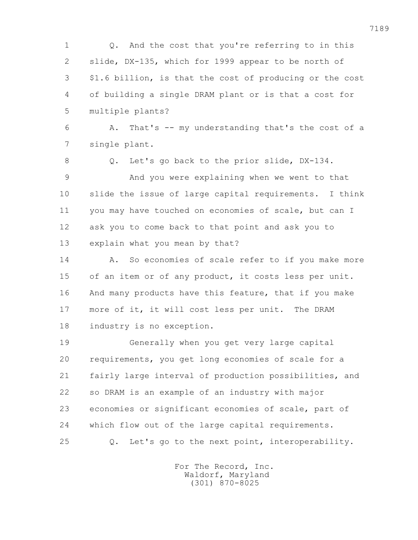1 Q. And the cost that you're referring to in this 2 slide, DX-135, which for 1999 appear to be north of 3 \$1.6 billion, is that the cost of producing or the cost 4 of building a single DRAM plant or is that a cost for 5 multiple plants?

 6 A. That's -- my understanding that's the cost of a 7 single plant.

8 Q. Let's go back to the prior slide, DX-134.

 9 And you were explaining when we went to that 10 slide the issue of large capital requirements. I think 11 you may have touched on economies of scale, but can I 12 ask you to come back to that point and ask you to 13 explain what you mean by that?

14 A. So economies of scale refer to if you make more 15 of an item or of any product, it costs less per unit. 16 And many products have this feature, that if you make 17 more of it, it will cost less per unit. The DRAM 18 industry is no exception.

 19 Generally when you get very large capital 20 requirements, you get long economies of scale for a 21 fairly large interval of production possibilities, and 22 so DRAM is an example of an industry with major 23 economies or significant economies of scale, part of 24 which flow out of the large capital requirements. 25 Q. Let's go to the next point, interoperability.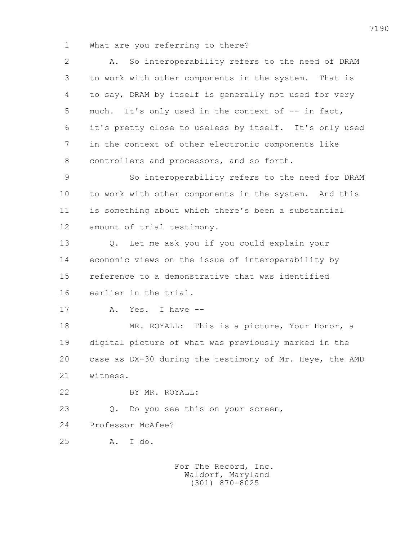1 What are you referring to there?

 2 A. So interoperability refers to the need of DRAM 3 to work with other components in the system. That is 4 to say, DRAM by itself is generally not used for very 5 much. It's only used in the context of -- in fact, 6 it's pretty close to useless by itself. It's only used 7 in the context of other electronic components like 8 controllers and processors, and so forth.

 9 So interoperability refers to the need for DRAM 10 to work with other components in the system. And this 11 is something about which there's been a substantial 12 amount of trial testimony.

 13 Q. Let me ask you if you could explain your 14 economic views on the issue of interoperability by 15 reference to a demonstrative that was identified 16 earlier in the trial.

17 A. Yes. I have --

18 MR. ROYALL: This is a picture, Your Honor, a 19 digital picture of what was previously marked in the 20 case as DX-30 during the testimony of Mr. Heye, the AMD 21 witness.

22 BY MR. ROYALL:

23 Q. Do you see this on your screen,

24 Professor McAfee?

25 A. I do.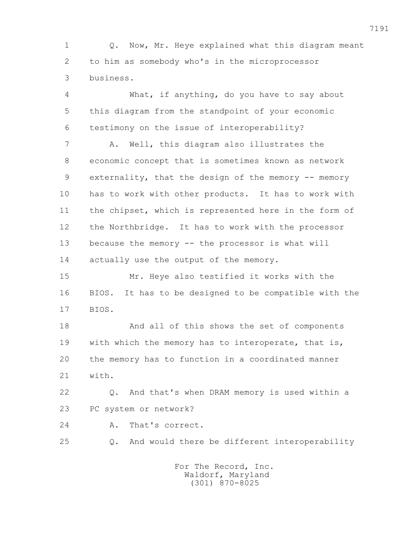1 Q. Now, Mr. Heye explained what this diagram meant 2 to him as somebody who's in the microprocessor 3 business.

 4 What, if anything, do you have to say about 5 this diagram from the standpoint of your economic 6 testimony on the issue of interoperability? 7 A. Well, this diagram also illustrates the 8 economic concept that is sometimes known as network 9 externality, that the design of the memory -- memory 10 has to work with other products. It has to work with 11 the chipset, which is represented here in the form of 12 the Northbridge. It has to work with the processor 13 because the memory -- the processor is what will 14 actually use the output of the memory. 15 Mr. Heye also testified it works with the 16 BIOS. It has to be designed to be compatible with the 17 BIOS. 18 And all of this shows the set of components 19 with which the memory has to interoperate, that is, 20 the memory has to function in a coordinated manner 21 with. 22 Q. And that's when DRAM memory is used within a 23 PC system or network? 24 A. That's correct. 25 Q. And would there be different interoperability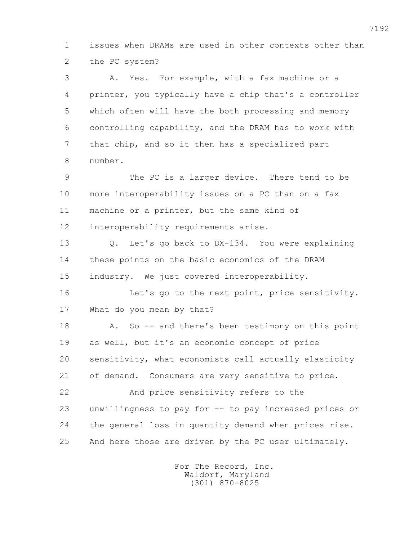1 issues when DRAMs are used in other contexts other than 2 the PC system?

 3 A. Yes. For example, with a fax machine or a 4 printer, you typically have a chip that's a controller 5 which often will have the both processing and memory 6 controlling capability, and the DRAM has to work with 7 that chip, and so it then has a specialized part 8 number.

 9 The PC is a larger device. There tend to be 10 more interoperability issues on a PC than on a fax 11 machine or a printer, but the same kind of 12 interoperability requirements arise.

 13 Q. Let's go back to DX-134. You were explaining 14 these points on the basic economics of the DRAM 15 industry. We just covered interoperability.

 16 Let's go to the next point, price sensitivity. 17 What do you mean by that?

18 A. So -- and there's been testimony on this point 19 as well, but it's an economic concept of price 20 sensitivity, what economists call actually elasticity 21 of demand. Consumers are very sensitive to price.

 22 And price sensitivity refers to the 23 unwillingness to pay for -- to pay increased prices or 24 the general loss in quantity demand when prices rise. 25 And here those are driven by the PC user ultimately.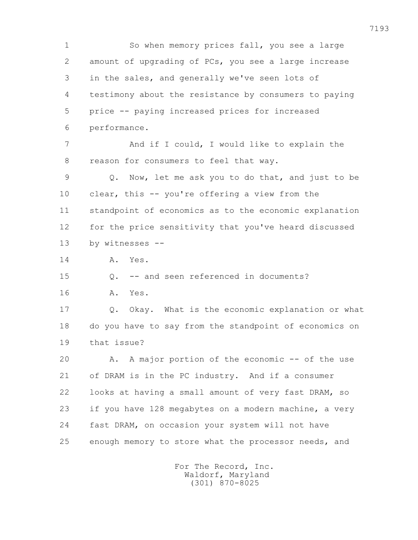1 So when memory prices fall, you see a large 2 amount of upgrading of PCs, you see a large increase 3 in the sales, and generally we've seen lots of 4 testimony about the resistance by consumers to paying 5 price -- paying increased prices for increased 6 performance. 7 And if I could, I would like to explain the 8 reason for consumers to feel that way. 9 Q. Now, let me ask you to do that, and just to be 10 clear, this -- you're offering a view from the 11 standpoint of economics as to the economic explanation 12 for the price sensitivity that you've heard discussed 13 by witnesses -- 14 A. Yes. 15 0. -- and seen referenced in documents? 16 A. Yes. 17 Q. Okay. What is the economic explanation or what 18 do you have to say from the standpoint of economics on 19 that issue? 20 A. A major portion of the economic -- of the use 21 of DRAM is in the PC industry. And if a consumer 22 looks at having a small amount of very fast DRAM, so 23 if you have 128 megabytes on a modern machine, a very 24 fast DRAM, on occasion your system will not have 25 enough memory to store what the processor needs, and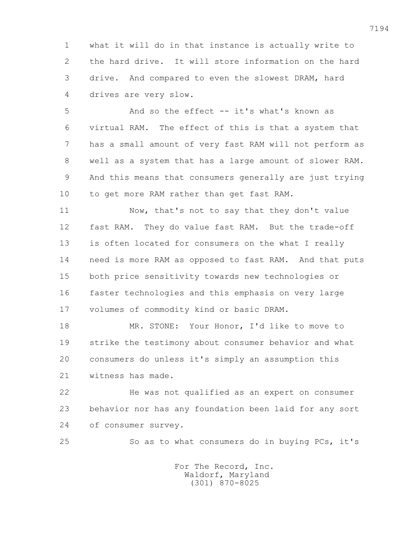1 what it will do in that instance is actually write to 2 the hard drive. It will store information on the hard 3 drive. And compared to even the slowest DRAM, hard 4 drives are very slow.

 5 And so the effect -- it's what's known as 6 virtual RAM. The effect of this is that a system that 7 has a small amount of very fast RAM will not perform as 8 well as a system that has a large amount of slower RAM. 9 And this means that consumers generally are just trying 10 to get more RAM rather than get fast RAM.

 11 Now, that's not to say that they don't value 12 fast RAM. They do value fast RAM. But the trade-off 13 is often located for consumers on the what I really 14 need is more RAM as opposed to fast RAM. And that puts 15 both price sensitivity towards new technologies or 16 faster technologies and this emphasis on very large 17 volumes of commodity kind or basic DRAM.

 18 MR. STONE: Your Honor, I'd like to move to 19 strike the testimony about consumer behavior and what 20 consumers do unless it's simply an assumption this 21 witness has made.

 22 He was not qualified as an expert on consumer 23 behavior nor has any foundation been laid for any sort 24 of consumer survey.

25 So as to what consumers do in buying PCs, it's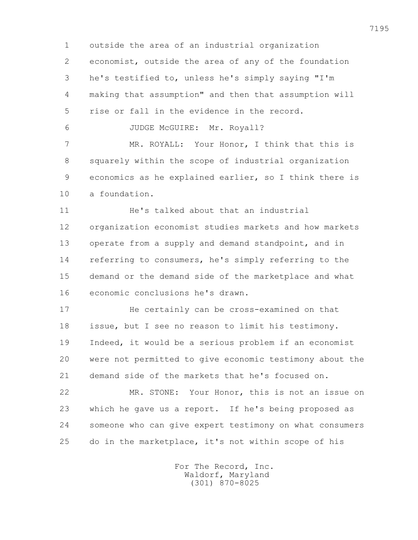1 outside the area of an industrial organization 2 economist, outside the area of any of the foundation 3 he's testified to, unless he's simply saying "I'm 4 making that assumption" and then that assumption will 5 rise or fall in the evidence in the record. 6 JUDGE McGUIRE: Mr. Royall? 7 MR. ROYALL: Your Honor, I think that this is 8 squarely within the scope of industrial organization

 9 economics as he explained earlier, so I think there is 10 a foundation.

 11 He's talked about that an industrial 12 organization economist studies markets and how markets 13 operate from a supply and demand standpoint, and in 14 referring to consumers, he's simply referring to the 15 demand or the demand side of the marketplace and what 16 economic conclusions he's drawn.

 17 He certainly can be cross-examined on that 18 issue, but I see no reason to limit his testimony. 19 Indeed, it would be a serious problem if an economist 20 were not permitted to give economic testimony about the 21 demand side of the markets that he's focused on.

 22 MR. STONE: Your Honor, this is not an issue on 23 which he gave us a report. If he's being proposed as 24 someone who can give expert testimony on what consumers 25 do in the marketplace, it's not within scope of his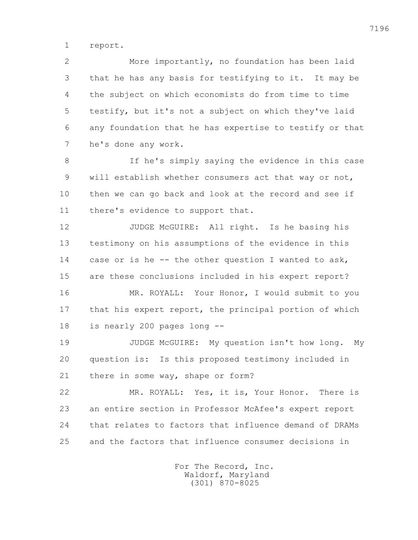1 report.

 2 More importantly, no foundation has been laid 3 that he has any basis for testifying to it. It may be 4 the subject on which economists do from time to time 5 testify, but it's not a subject on which they've laid 6 any foundation that he has expertise to testify or that 7 he's done any work.

 8 If he's simply saying the evidence in this case 9 will establish whether consumers act that way or not, 10 then we can go back and look at the record and see if 11 there's evidence to support that.

 12 JUDGE McGUIRE: All right. Is he basing his 13 testimony on his assumptions of the evidence in this 14 case or is he -- the other question I wanted to ask, 15 are these conclusions included in his expert report?

 16 MR. ROYALL: Your Honor, I would submit to you 17 that his expert report, the principal portion of which 18 is nearly 200 pages long --

 19 JUDGE McGUIRE: My question isn't how long. My 20 question is: Is this proposed testimony included in 21 there in some way, shape or form?

 22 MR. ROYALL: Yes, it is, Your Honor. There is 23 an entire section in Professor McAfee's expert report 24 that relates to factors that influence demand of DRAMs 25 and the factors that influence consumer decisions in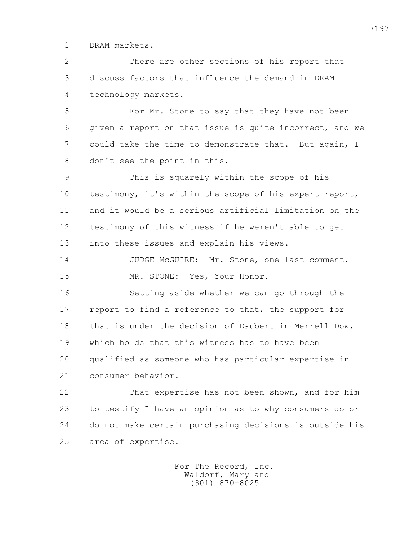1 DRAM markets.

 2 There are other sections of his report that 3 discuss factors that influence the demand in DRAM 4 technology markets.

 5 For Mr. Stone to say that they have not been 6 given a report on that issue is quite incorrect, and we 7 could take the time to demonstrate that. But again, I 8 don't see the point in this.

 9 This is squarely within the scope of his 10 testimony, it's within the scope of his expert report, 11 and it would be a serious artificial limitation on the 12 testimony of this witness if he weren't able to get 13 into these issues and explain his views.

14 JUDGE McGUIRE: Mr. Stone, one last comment. 15 MR. STONE: Yes, Your Honor.

 16 Setting aside whether we can go through the 17 report to find a reference to that, the support for 18 that is under the decision of Daubert in Merrell Dow, 19 which holds that this witness has to have been 20 qualified as someone who has particular expertise in 21 consumer behavior.

 22 That expertise has not been shown, and for him 23 to testify I have an opinion as to why consumers do or 24 do not make certain purchasing decisions is outside his 25 area of expertise.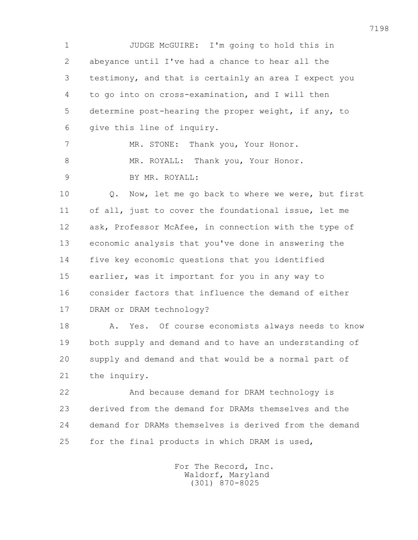1 JUDGE McGUIRE: I'm going to hold this in 2 abeyance until I've had a chance to hear all the 3 testimony, and that is certainly an area I expect you 4 to go into on cross-examination, and I will then 5 determine post-hearing the proper weight, if any, to 6 give this line of inquiry. 7 MR. STONE: Thank you, Your Honor. 8 MR. ROYALL: Thank you, Your Honor. 9 BY MR. ROYALL: 10 Q. Now, let me go back to where we were, but first 11 of all, just to cover the foundational issue, let me 12 ask, Professor McAfee, in connection with the type of 13 economic analysis that you've done in answering the 14 five key economic questions that you identified 15 earlier, was it important for you in any way to 16 consider factors that influence the demand of either 17 DRAM or DRAM technology? 18 A. Yes. Of course economists always needs to know 19 both supply and demand and to have an understanding of 20 supply and demand and that would be a normal part of 21 the inquiry. 22 And because demand for DRAM technology is 23 derived from the demand for DRAMs themselves and the 24 demand for DRAMs themselves is derived from the demand 25 for the final products in which DRAM is used,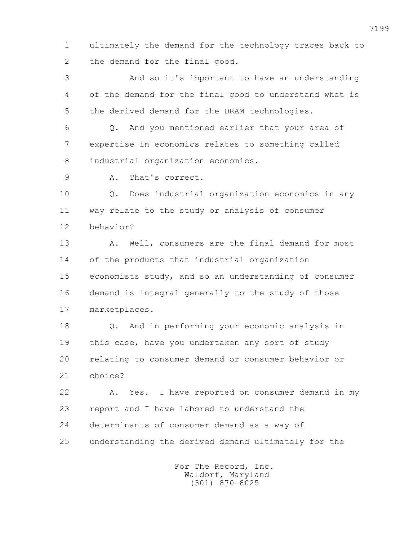1 ultimately the demand for the technology traces back to 2 the demand for the final good.

 3 And so it's important to have an understanding 4 of the demand for the final good to understand what is 5 the derived demand for the DRAM technologies.

 6 Q. And you mentioned earlier that your area of 7 expertise in economics relates to something called 8 industrial organization economics.

9 A. That's correct.

 10 Q. Does industrial organization economics in any 11 way relate to the study or analysis of consumer 12 behavior?

13 A. Well, consumers are the final demand for most 14 of the products that industrial organization 15 economists study, and so an understanding of consumer 16 demand is integral generally to the study of those 17 marketplaces.

 18 Q. And in performing your economic analysis in 19 this case, have you undertaken any sort of study 20 relating to consumer demand or consumer behavior or 21 choice?

 22 A. Yes. I have reported on consumer demand in my 23 report and I have labored to understand the 24 determinants of consumer demand as a way of 25 understanding the derived demand ultimately for the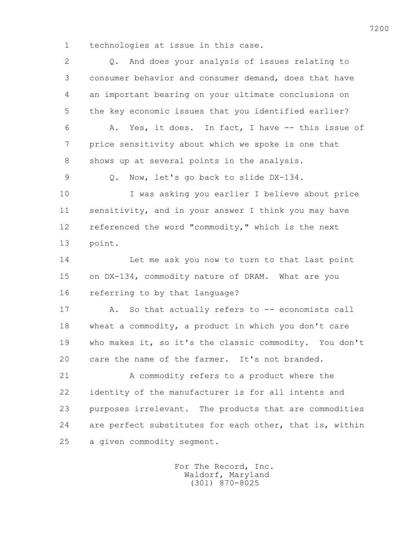1 technologies at issue in this case.

| $\overline{2}$ | And does your analysis of issues relating to<br>$Q_{\bullet}$ |
|----------------|---------------------------------------------------------------|
| 3              | consumer behavior and consumer demand, does that have         |
| 4              | an important bearing on your ultimate conclusions on          |
| 5              | the key economic issues that you identified earlier?          |
| 6              | Yes, it does. In fact, I have -- this issue of<br>Α.          |
| 7              | price sensitivity about which we spoke is one that            |
| 8              | shows up at several points in the analysis.                   |
| $\mathcal{G}$  | Now, let's go back to slide DX-134.<br>$Q$ .                  |
| 10             | I was asking you earlier I believe about price                |
| 11             | sensitivity, and in your answer I think you may have          |
| 12             | referenced the word "commodity," which is the next            |
| 13             | point.                                                        |
| 14             | Let me ask you now to turn to that last point                 |
| 15             | on DX-134, commodity nature of DRAM. What are you             |
| 16             | referring to by that language?                                |
| 17             | So that actually refers to -- economists call<br>Α.           |
| 18             | wheat a commodity, a product in which you don't care          |
| 19             | who makes it, so it's the classic commodity. You don't        |
| 20             | care the name of the farmer. It's not branded.                |
| 21             | A commodity refers to a product where the                     |
| 22             | identity of the manufacturer is for all intents and           |
| 23             | purposes irrelevant. The products that are commodities        |
| 24             | are perfect substitutes for each other, that is, within       |
| 25             | a given commodity segment.                                    |
|                |                                                               |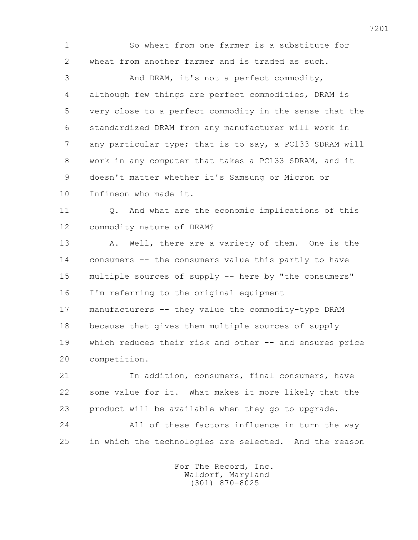1 So wheat from one farmer is a substitute for 2 wheat from another farmer and is traded as such.

 3 And DRAM, it's not a perfect commodity, 4 although few things are perfect commodities, DRAM is 5 very close to a perfect commodity in the sense that the 6 standardized DRAM from any manufacturer will work in 7 any particular type; that is to say, a PC133 SDRAM will 8 work in any computer that takes a PC133 SDRAM, and it 9 doesn't matter whether it's Samsung or Micron or 10 Infineon who made it.

 11 Q. And what are the economic implications of this 12 commodity nature of DRAM?

13 A. Well, there are a variety of them. One is the 14 consumers -- the consumers value this partly to have 15 multiple sources of supply -- here by "the consumers" 16 I'm referring to the original equipment

 17 manufacturers -- they value the commodity-type DRAM 18 because that gives them multiple sources of supply 19 which reduces their risk and other -- and ensures price 20 competition.

 21 In addition, consumers, final consumers, have 22 some value for it. What makes it more likely that the 23 product will be available when they go to upgrade.

 24 All of these factors influence in turn the way 25 in which the technologies are selected. And the reason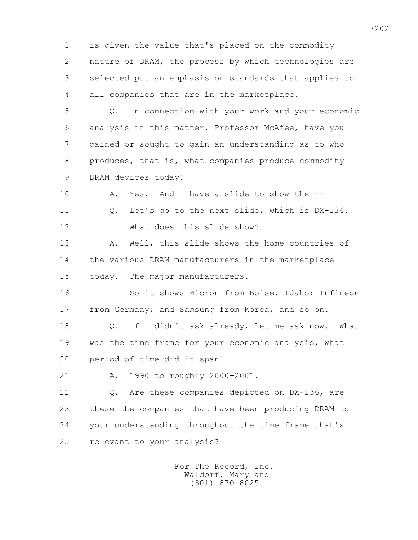1 is given the value that's placed on the commodity 2 nature of DRAM, the process by which technologies are 3 selected put an emphasis on standards that applies to 4 all companies that are in the marketplace.

 5 Q. In connection with your work and your economic 6 analysis in this matter, Professor McAfee, have you 7 gained or sought to gain an understanding as to who 8 produces, that is, what companies produce commodity 9 DRAM devices today?

 10 A. Yes. And I have a slide to show the -- 11 Q. Let's go to the next slide, which is DX-136. 12 What does this slide show?

13 A. Well, this slide shows the home countries of 14 the various DRAM manufacturers in the marketplace 15 today. The major manufacturers.

 16 So it shows Micron from Boise, Idaho; Infineon 17 from Germany; and Samsung from Korea, and so on.

 18 Q. If I didn't ask already, let me ask now. What 19 was the time frame for your economic analysis, what 20 period of time did it span?

21 A. 1990 to roughly 2000-2001.

 22 Q. Are these companies depicted on DX-136, are 23 these the companies that have been producing DRAM to 24 your understanding throughout the time frame that's 25 relevant to your analysis?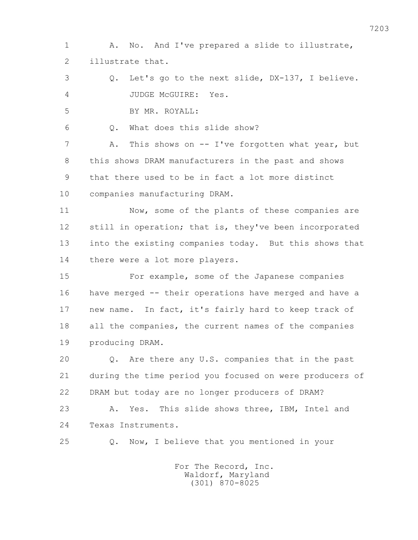1 A. No. And I've prepared a slide to illustrate, 2 illustrate that.

 3 Q. Let's go to the next slide, DX-137, I believe. 4 JUDGE McGUIRE: Yes.

5 BY MR. ROYALL:

6 Q. What does this slide show?

7 A. This shows on -- I've forgotten what year, but 8 this shows DRAM manufacturers in the past and shows 9 that there used to be in fact a lot more distinct 10 companies manufacturing DRAM.

11 Now, some of the plants of these companies are 12 still in operation; that is, they've been incorporated 13 into the existing companies today. But this shows that 14 there were a lot more players.

 15 For example, some of the Japanese companies 16 have merged -- their operations have merged and have a 17 new name. In fact, it's fairly hard to keep track of 18 all the companies, the current names of the companies 19 producing DRAM.

 20 Q. Are there any U.S. companies that in the past 21 during the time period you focused on were producers of 22 DRAM but today are no longer producers of DRAM?

 23 A. Yes. This slide shows three, IBM, Intel and 24 Texas Instruments.

25 Q. Now, I believe that you mentioned in your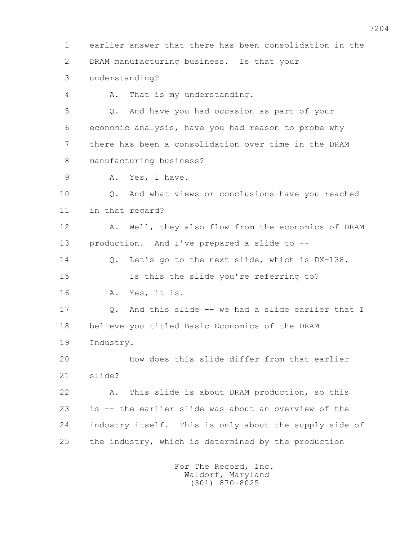1 earlier answer that there has been consolidation in the 2 DRAM manufacturing business. Is that your 3 understanding? 4 A. That is my understanding. 5 Q. And have you had occasion as part of your 6 economic analysis, have you had reason to probe why 7 there has been a consolidation over time in the DRAM 8 manufacturing business? 9 A. Yes, I have. 10 Q. And what views or conclusions have you reached 11 in that regard? 12 A. Well, they also flow from the economics of DRAM 13 production. And I've prepared a slide to -- 14 Q. Let's go to the next slide, which is DX-138. 15 Is this the slide you're referring to? 16 A. Yes, it is. 17 Q. And this slide -- we had a slide earlier that I 18 believe you titled Basic Economics of the DRAM 19 Industry. 20 How does this slide differ from that earlier 21 slide? 22 A. This slide is about DRAM production, so this 23 is -- the earlier slide was about an overview of the 24 industry itself. This is only about the supply side of 25 the industry, which is determined by the production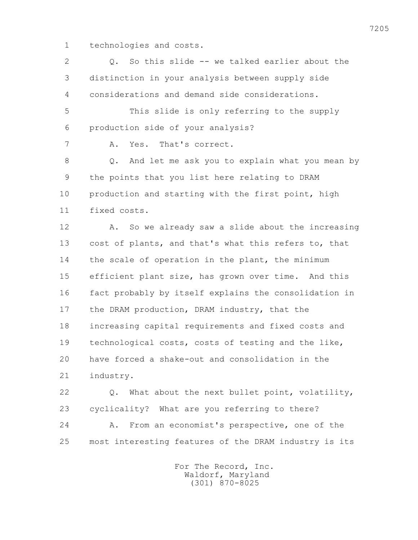1 technologies and costs.

 2 Q. So this slide -- we talked earlier about the 3 distinction in your analysis between supply side 4 considerations and demand side considerations. 5 This slide is only referring to the supply 6 production side of your analysis? 7 A. Yes. That's correct. 8 Q. And let me ask you to explain what you mean by 9 the points that you list here relating to DRAM 10 production and starting with the first point, high 11 fixed costs. 12 A. So we already saw a slide about the increasing 13 cost of plants, and that's what this refers to, that 14 the scale of operation in the plant, the minimum 15 efficient plant size, has grown over time. And this 16 fact probably by itself explains the consolidation in 17 the DRAM production, DRAM industry, that the 18 increasing capital requirements and fixed costs and 19 technological costs, costs of testing and the like, 20 have forced a shake-out and consolidation in the 21 industry. 22 Q. What about the next bullet point, volatility, 23 cyclicality? What are you referring to there?

 24 A. From an economist's perspective, one of the 25 most interesting features of the DRAM industry is its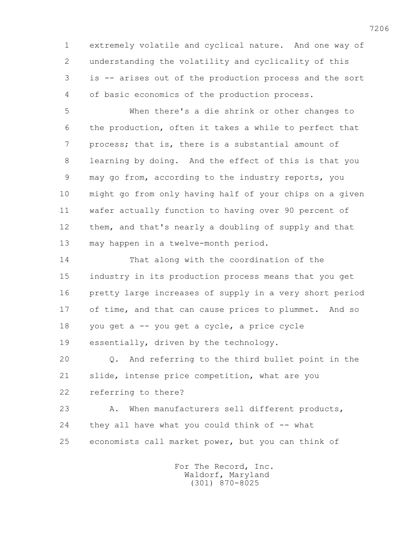1 extremely volatile and cyclical nature. And one way of 2 understanding the volatility and cyclicality of this 3 is -- arises out of the production process and the sort 4 of basic economics of the production process.

 5 When there's a die shrink or other changes to 6 the production, often it takes a while to perfect that 7 process; that is, there is a substantial amount of 8 learning by doing. And the effect of this is that you 9 may go from, according to the industry reports, you 10 might go from only having half of your chips on a given 11 wafer actually function to having over 90 percent of 12 them, and that's nearly a doubling of supply and that 13 may happen in a twelve-month period.

 14 That along with the coordination of the 15 industry in its production process means that you get 16 pretty large increases of supply in a very short period 17 of time, and that can cause prices to plummet. And so 18 you get a -- you get a cycle, a price cycle 19 essentially, driven by the technology.

 20 Q. And referring to the third bullet point in the 21 slide, intense price competition, what are you 22 referring to there?

 23 A. When manufacturers sell different products, 24 they all have what you could think of -- what 25 economists call market power, but you can think of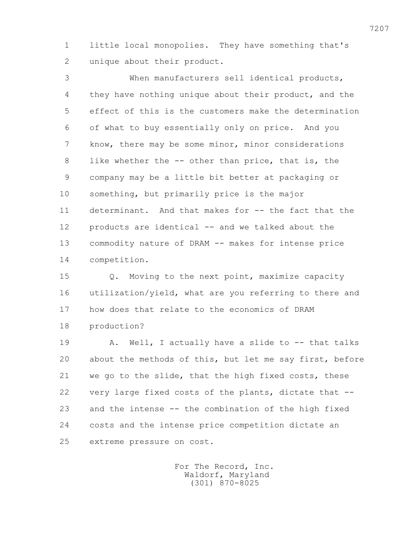1 little local monopolies. They have something that's 2 unique about their product.

 3 When manufacturers sell identical products, 4 they have nothing unique about their product, and the 5 effect of this is the customers make the determination 6 of what to buy essentially only on price. And you 7 know, there may be some minor, minor considerations 8 like whether the -- other than price, that is, the 9 company may be a little bit better at packaging or 10 something, but primarily price is the major 11 determinant. And that makes for -- the fact that the 12 products are identical -- and we talked about the 13 commodity nature of DRAM -- makes for intense price 14 competition.

 15 Q. Moving to the next point, maximize capacity 16 utilization/yield, what are you referring to there and 17 how does that relate to the economics of DRAM 18 production?

19 A. Well, I actually have a slide to -- that talks 20 about the methods of this, but let me say first, before 21 we go to the slide, that the high fixed costs, these 22 very large fixed costs of the plants, dictate that -- 23 and the intense -- the combination of the high fixed 24 costs and the intense price competition dictate an 25 extreme pressure on cost.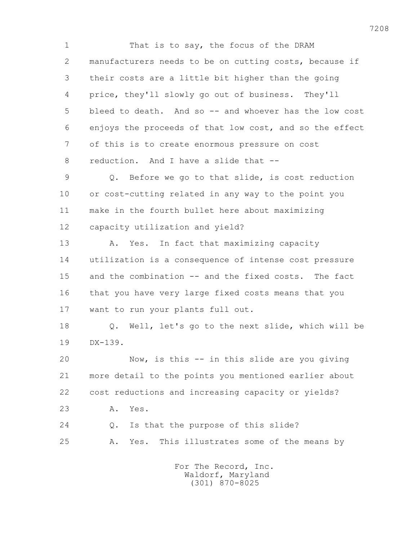1 That is to say, the focus of the DRAM 2 manufacturers needs to be on cutting costs, because if 3 their costs are a little bit higher than the going 4 price, they'll slowly go out of business. They'll 5 bleed to death. And so -- and whoever has the low cost 6 enjoys the proceeds of that low cost, and so the effect 7 of this is to create enormous pressure on cost 8 reduction. And I have a slide that -- 9 Q. Before we go to that slide, is cost reduction 10 or cost-cutting related in any way to the point you 11 make in the fourth bullet here about maximizing 12 capacity utilization and yield? 13 A. Yes. In fact that maximizing capacity 14 utilization is a consequence of intense cost pressure 15 and the combination -- and the fixed costs. The fact 16 that you have very large fixed costs means that you 17 want to run your plants full out. 18 Q. Well, let's go to the next slide, which will be 19 DX-139. 20 Now, is this -- in this slide are you giving 21 more detail to the points you mentioned earlier about 22 cost reductions and increasing capacity or yields? 23 A. Yes. 24 Q. Is that the purpose of this slide? 25 A. Yes. This illustrates some of the means by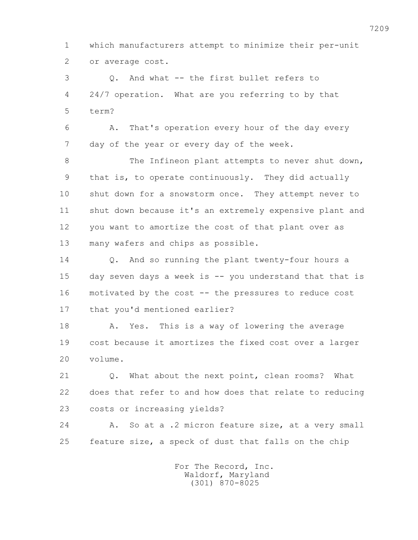1 which manufacturers attempt to minimize their per-unit 2 or average cost.

 3 Q. And what -- the first bullet refers to 4 24/7 operation. What are you referring to by that 5 term?

 6 A. That's operation every hour of the day every 7 day of the year or every day of the week.

8 The Infineon plant attempts to never shut down, 9 that is, to operate continuously. They did actually 10 shut down for a snowstorm once. They attempt never to 11 shut down because it's an extremely expensive plant and 12 you want to amortize the cost of that plant over as 13 many wafers and chips as possible.

 14 Q. And so running the plant twenty-four hours a 15 day seven days a week is -- you understand that that is 16 motivated by the cost -- the pressures to reduce cost 17 that you'd mentioned earlier?

18 A. Yes. This is a way of lowering the average 19 cost because it amortizes the fixed cost over a larger 20 volume.

21 0. What about the next point, clean rooms? What 22 does that refer to and how does that relate to reducing 23 costs or increasing yields?

 24 A. So at a .2 micron feature size, at a very small 25 feature size, a speck of dust that falls on the chip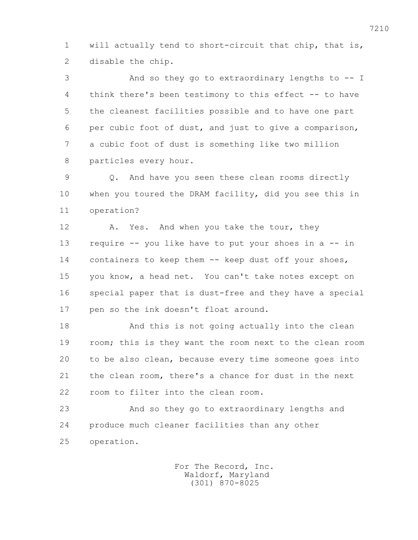1 will actually tend to short-circuit that chip, that is, 2 disable the chip.

 3 And so they go to extraordinary lengths to -- I 4 think there's been testimony to this effect -- to have 5 the cleanest facilities possible and to have one part 6 per cubic foot of dust, and just to give a comparison, 7 a cubic foot of dust is something like two million 8 particles every hour.

 9 Q. And have you seen these clean rooms directly 10 when you toured the DRAM facility, did you see this in 11 operation?

12 A. Yes. And when you take the tour, they 13 require -- you like have to put your shoes in a -- in 14 containers to keep them -- keep dust off your shoes, 15 you know, a head net. You can't take notes except on 16 special paper that is dust-free and they have a special 17 pen so the ink doesn't float around.

 18 And this is not going actually into the clean 19 room; this is they want the room next to the clean room 20 to be also clean, because every time someone goes into 21 the clean room, there's a chance for dust in the next 22 room to filter into the clean room.

 23 And so they go to extraordinary lengths and 24 produce much cleaner facilities than any other 25 operation.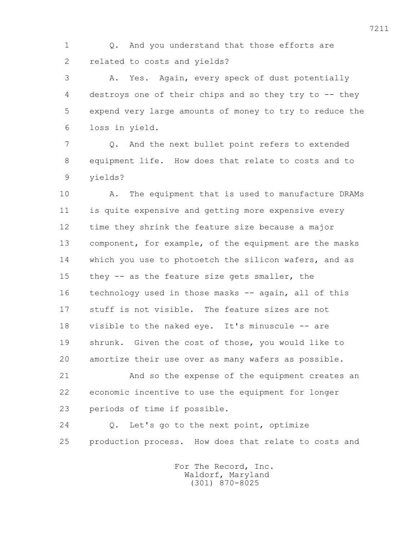1 Q. And you understand that those efforts are 2 related to costs and yields?

 3 A. Yes. Again, every speck of dust potentially 4 destroys one of their chips and so they try to -- they 5 expend very large amounts of money to try to reduce the 6 loss in yield.

 7 Q. And the next bullet point refers to extended 8 equipment life. How does that relate to costs and to 9 yields?

 10 A. The equipment that is used to manufacture DRAMs 11 is quite expensive and getting more expensive every 12 time they shrink the feature size because a major 13 component, for example, of the equipment are the masks 14 which you use to photoetch the silicon wafers, and as 15 they -- as the feature size gets smaller, the 16 technology used in those masks -- again, all of this 17 stuff is not visible. The feature sizes are not 18 visible to the naked eye. It's minuscule -- are 19 shrunk. Given the cost of those, you would like to 20 amortize their use over as many wafers as possible.

 21 And so the expense of the equipment creates an 22 economic incentive to use the equipment for longer 23 periods of time if possible.

 24 Q. Let's go to the next point, optimize 25 production process. How does that relate to costs and

> For The Record, Inc. Waldorf, Maryland (301) 870-8025

7211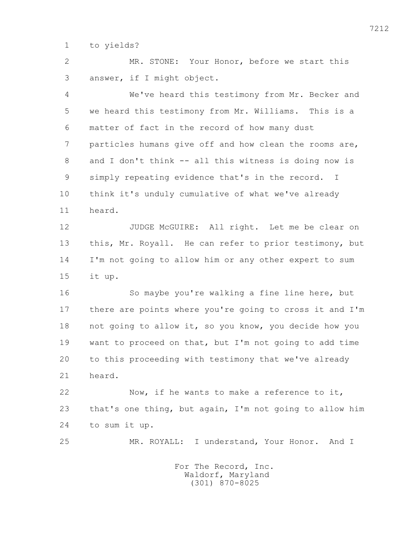1 to yields?

 2 MR. STONE: Your Honor, before we start this 3 answer, if I might object.

 4 We've heard this testimony from Mr. Becker and 5 we heard this testimony from Mr. Williams. This is a 6 matter of fact in the record of how many dust 7 particles humans give off and how clean the rooms are, 8 and I don't think -- all this witness is doing now is 9 simply repeating evidence that's in the record. I 10 think it's unduly cumulative of what we've already 11 heard.

 12 JUDGE McGUIRE: All right. Let me be clear on 13 this, Mr. Royall. He can refer to prior testimony, but 14 I'm not going to allow him or any other expert to sum 15 it up.

 16 So maybe you're walking a fine line here, but 17 there are points where you're going to cross it and I'm 18 not going to allow it, so you know, you decide how you 19 want to proceed on that, but I'm not going to add time 20 to this proceeding with testimony that we've already 21 heard.

 22 Now, if he wants to make a reference to it, 23 that's one thing, but again, I'm not going to allow him 24 to sum it up.

25 MR. ROYALL: I understand, Your Honor. And I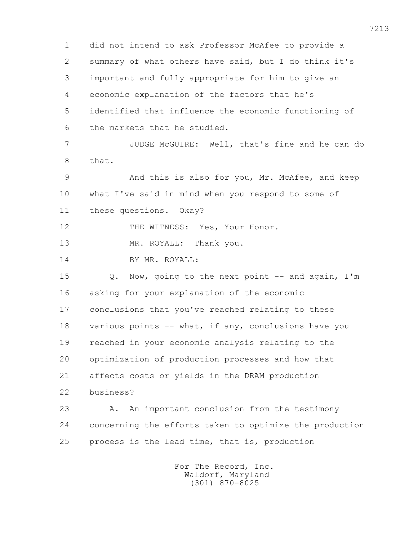1 did not intend to ask Professor McAfee to provide a 2 summary of what others have said, but I do think it's 3 important and fully appropriate for him to give an 4 economic explanation of the factors that he's 5 identified that influence the economic functioning of 6 the markets that he studied. 7 JUDGE McGUIRE: Well, that's fine and he can do 8 that. 9 And this is also for you, Mr. McAfee, and keep 10 what I've said in mind when you respond to some of 11 these questions. Okay? 12 THE WITNESS: Yes, Your Honor. 13 MR. ROYALL: Thank you. 14 BY MR. ROYALL: 15 Q. Now, going to the next point -- and again, I'm 16 asking for your explanation of the economic 17 conclusions that you've reached relating to these 18 various points -- what, if any, conclusions have you 19 reached in your economic analysis relating to the 20 optimization of production processes and how that 21 affects costs or yields in the DRAM production 22 business? 23 A. An important conclusion from the testimony 24 concerning the efforts taken to optimize the production 25 process is the lead time, that is, production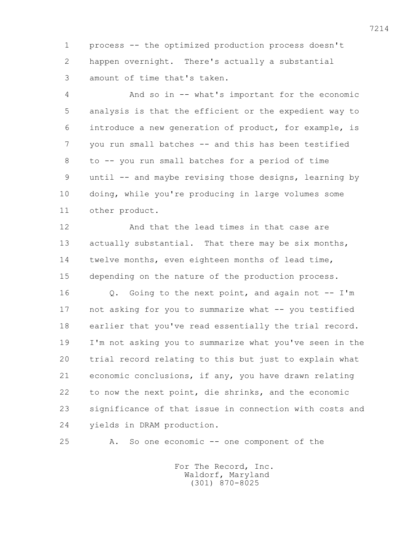1 process -- the optimized production process doesn't 2 happen overnight. There's actually a substantial 3 amount of time that's taken.

 4 And so in -- what's important for the economic 5 analysis is that the efficient or the expedient way to 6 introduce a new generation of product, for example, is 7 you run small batches -- and this has been testified 8 to -- you run small batches for a period of time 9 until -- and maybe revising those designs, learning by 10 doing, while you're producing in large volumes some 11 other product.

12 And that the lead times in that case are 13 actually substantial. That there may be six months, 14 twelve months, even eighteen months of lead time, 15 depending on the nature of the production process.

 16 Q. Going to the next point, and again not -- I'm 17 not asking for you to summarize what -- you testified 18 earlier that you've read essentially the trial record. 19 I'm not asking you to summarize what you've seen in the 20 trial record relating to this but just to explain what 21 economic conclusions, if any, you have drawn relating 22 to now the next point, die shrinks, and the economic 23 significance of that issue in connection with costs and 24 yields in DRAM production.

25 A. So one economic -- one component of the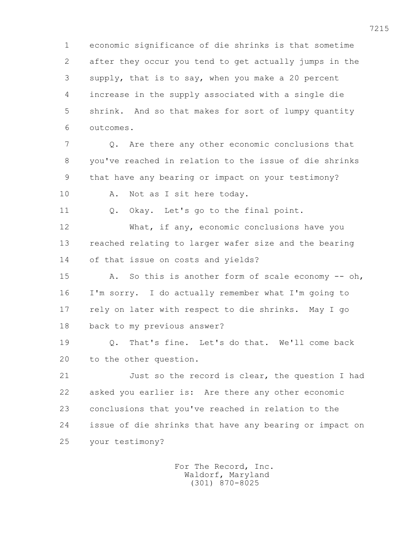1 economic significance of die shrinks is that sometime 2 after they occur you tend to get actually jumps in the 3 supply, that is to say, when you make a 20 percent 4 increase in the supply associated with a single die 5 shrink. And so that makes for sort of lumpy quantity 6 outcomes.

 7 Q. Are there any other economic conclusions that 8 you've reached in relation to the issue of die shrinks 9 that have any bearing or impact on your testimony? 10 A. Not as I sit here today.

11 Q. Okay. Let's go to the final point.

 12 What, if any, economic conclusions have you 13 reached relating to larger wafer size and the bearing 14 of that issue on costs and yields?

15 A. So this is another form of scale economy -- oh, 16 I'm sorry. I do actually remember what I'm going to 17 rely on later with respect to die shrinks. May I go 18 back to my previous answer?

 19 Q. That's fine. Let's do that. We'll come back 20 to the other question.

 21 Just so the record is clear, the question I had 22 asked you earlier is: Are there any other economic 23 conclusions that you've reached in relation to the 24 issue of die shrinks that have any bearing or impact on 25 your testimony?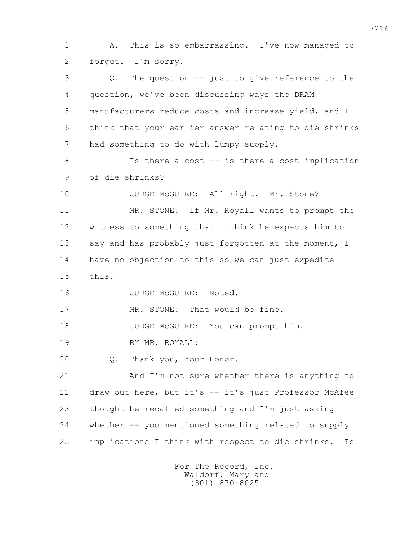1 A. This is so embarrassing. I've now managed to 2 forget. I'm sorry. 3 Q. The question -- just to give reference to the 4 question, we've been discussing ways the DRAM 5 manufacturers reduce costs and increase yield, and I 6 think that your earlier answer relating to die shrinks 7 had something to do with lumpy supply. 8 1s there a cost -- is there a cost implication 9 of die shrinks? 10 JUDGE McGUIRE: All right. Mr. Stone? 11 MR. STONE: If Mr. Royall wants to prompt the 12 witness to something that I think he expects him to 13 say and has probably just forgotten at the moment, I 14 have no objection to this so we can just expedite 15 this. 16 JUDGE McGUIRE: Noted. 17 MR. STONE: That would be fine. 18 JUDGE McGUIRE: You can prompt him. 19 BY MR. ROYALL: 20 Q. Thank you, Your Honor. 21 And I'm not sure whether there is anything to 22 draw out here, but it's -- it's just Professor McAfee 23 thought he recalled something and I'm just asking 24 whether -- you mentioned something related to supply 25 implications I think with respect to die shrinks. Is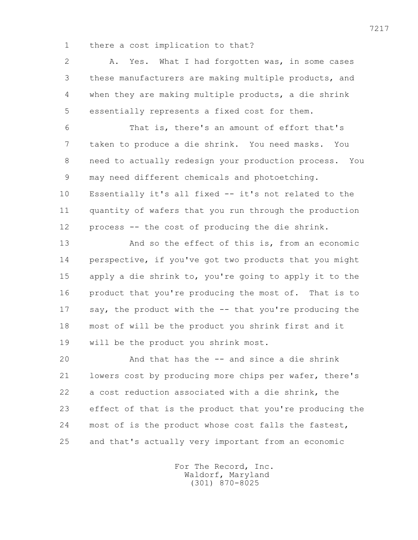1 there a cost implication to that?

 2 A. Yes. What I had forgotten was, in some cases 3 these manufacturers are making multiple products, and 4 when they are making multiple products, a die shrink 5 essentially represents a fixed cost for them.

 6 That is, there's an amount of effort that's 7 taken to produce a die shrink. You need masks. You 8 need to actually redesign your production process. You 9 may need different chemicals and photoetching. 10 Essentially it's all fixed -- it's not related to the 11 quantity of wafers that you run through the production 12 process -- the cost of producing the die shrink.

 13 And so the effect of this is, from an economic 14 perspective, if you've got two products that you might 15 apply a die shrink to, you're going to apply it to the 16 product that you're producing the most of. That is to 17 say, the product with the -- that you're producing the 18 most of will be the product you shrink first and it 19 will be the product you shrink most.

 20 And that has the -- and since a die shrink 21 lowers cost by producing more chips per wafer, there's 22 a cost reduction associated with a die shrink, the 23 effect of that is the product that you're producing the 24 most of is the product whose cost falls the fastest, 25 and that's actually very important from an economic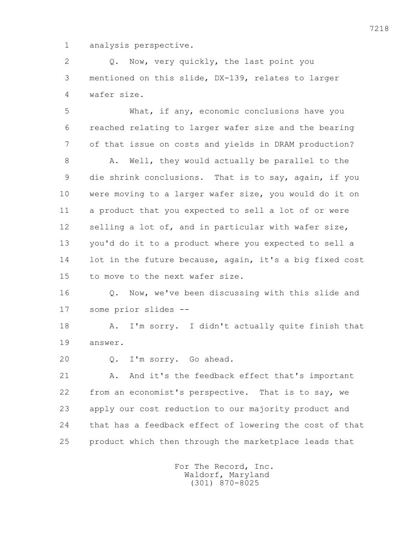1 analysis perspective.

 2 Q. Now, very quickly, the last point you 3 mentioned on this slide, DX-139, relates to larger 4 wafer size.

 5 What, if any, economic conclusions have you 6 reached relating to larger wafer size and the bearing 7 of that issue on costs and yields in DRAM production?

8 A. Well, they would actually be parallel to the 9 die shrink conclusions. That is to say, again, if you 10 were moving to a larger wafer size, you would do it on 11 a product that you expected to sell a lot of or were 12 selling a lot of, and in particular with wafer size, 13 you'd do it to a product where you expected to sell a 14 lot in the future because, again, it's a big fixed cost 15 to move to the next wafer size.

 16 Q. Now, we've been discussing with this slide and 17 some prior slides --

 18 A. I'm sorry. I didn't actually quite finish that 19 answer.

20 Q. I'm sorry. Go ahead.

21 A. And it's the feedback effect that's important 22 from an economist's perspective. That is to say, we 23 apply our cost reduction to our majority product and 24 that has a feedback effect of lowering the cost of that 25 product which then through the marketplace leads that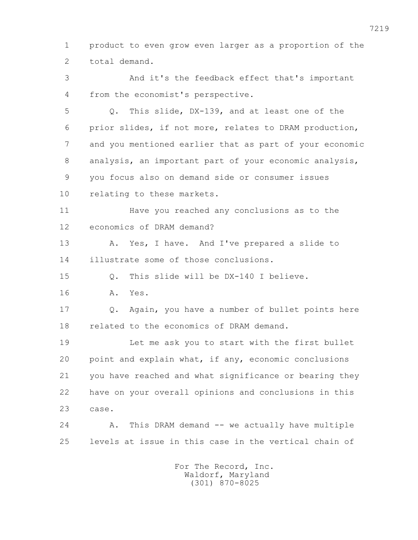1 product to even grow even larger as a proportion of the 2 total demand.

 3 And it's the feedback effect that's important 4 from the economist's perspective.

 5 Q. This slide, DX-139, and at least one of the 6 prior slides, if not more, relates to DRAM production, 7 and you mentioned earlier that as part of your economic 8 analysis, an important part of your economic analysis, 9 you focus also on demand side or consumer issues 10 relating to these markets.

 11 Have you reached any conclusions as to the 12 economics of DRAM demand?

 13 A. Yes, I have. And I've prepared a slide to 14 illustrate some of those conclusions.

15 Q. This slide will be DX-140 I believe.

16 A. Yes.

 17 Q. Again, you have a number of bullet points here 18 related to the economics of DRAM demand.

 19 Let me ask you to start with the first bullet 20 point and explain what, if any, economic conclusions 21 you have reached and what significance or bearing they 22 have on your overall opinions and conclusions in this 23 case.

24 A. This DRAM demand -- we actually have multiple 25 levels at issue in this case in the vertical chain of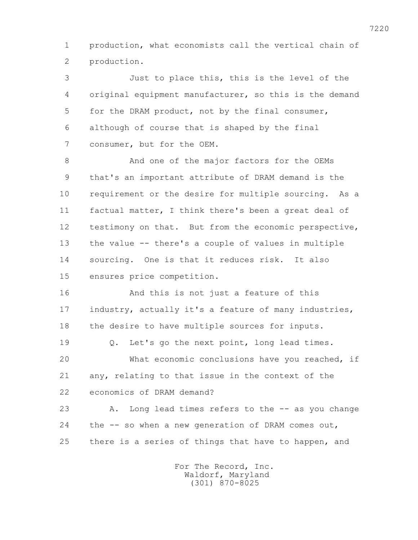1 production, what economists call the vertical chain of 2 production.

 3 Just to place this, this is the level of the 4 original equipment manufacturer, so this is the demand 5 for the DRAM product, not by the final consumer, 6 although of course that is shaped by the final 7 consumer, but for the OEM.

8 And one of the major factors for the OEMs 9 that's an important attribute of DRAM demand is the 10 requirement or the desire for multiple sourcing. As a 11 factual matter, I think there's been a great deal of 12 testimony on that. But from the economic perspective, 13 the value -- there's a couple of values in multiple 14 sourcing. One is that it reduces risk. It also 15 ensures price competition.

 16 And this is not just a feature of this 17 industry, actually it's a feature of many industries, 18 the desire to have multiple sources for inputs.

 19 Q. Let's go the next point, long lead times. 20 What economic conclusions have you reached, if 21 any, relating to that issue in the context of the 22 economics of DRAM demand?

 23 A. Long lead times refers to the -- as you change 24 the -- so when a new generation of DRAM comes out, 25 there is a series of things that have to happen, and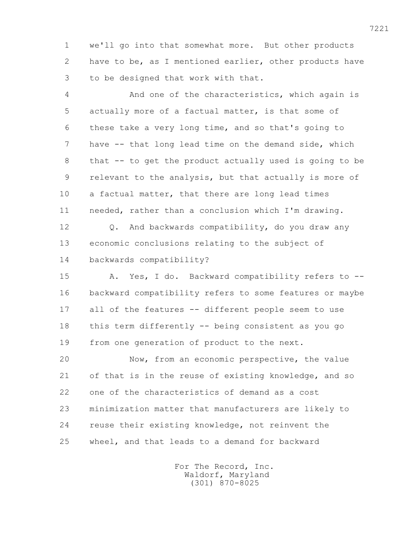1 we'll go into that somewhat more. But other products 2 have to be, as I mentioned earlier, other products have 3 to be designed that work with that.

 4 And one of the characteristics, which again is 5 actually more of a factual matter, is that some of 6 these take a very long time, and so that's going to 7 have -- that long lead time on the demand side, which 8 that -- to get the product actually used is going to be 9 relevant to the analysis, but that actually is more of 10 a factual matter, that there are long lead times 11 needed, rather than a conclusion which I'm drawing. 12 0. And backwards compatibility, do you draw any 13 economic conclusions relating to the subject of 14 backwards compatibility? 15 A. Yes, I do. Backward compatibility refers to -- 16 backward compatibility refers to some features or maybe 17 all of the features -- different people seem to use 18 this term differently -- being consistent as you go 19 from one generation of product to the next. 20 Now, from an economic perspective, the value

 21 of that is in the reuse of existing knowledge, and so 22 one of the characteristics of demand as a cost 23 minimization matter that manufacturers are likely to 24 reuse their existing knowledge, not reinvent the 25 wheel, and that leads to a demand for backward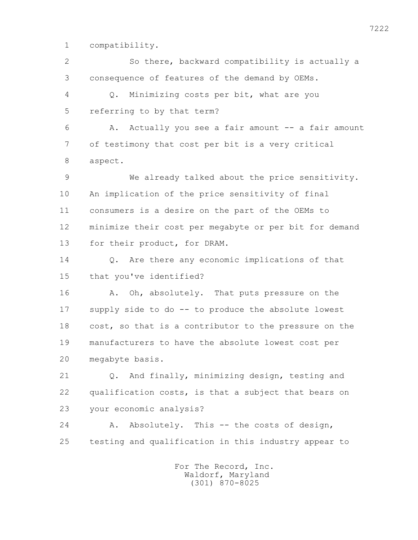1 compatibility.

 2 So there, backward compatibility is actually a 3 consequence of features of the demand by OEMs. 4 Q. Minimizing costs per bit, what are you 5 referring to by that term? 6 A. Actually you see a fair amount -- a fair amount 7 of testimony that cost per bit is a very critical 8 aspect. 9 We already talked about the price sensitivity. 10 An implication of the price sensitivity of final 11 consumers is a desire on the part of the OEMs to 12 minimize their cost per megabyte or per bit for demand 13 for their product, for DRAM. 14 Q. Are there any economic implications of that 15 that you've identified? 16 A. Oh, absolutely. That puts pressure on the 17 supply side to do -- to produce the absolute lowest 18 cost, so that is a contributor to the pressure on the 19 manufacturers to have the absolute lowest cost per 20 megabyte basis. 21 Q. And finally, minimizing design, testing and 22 qualification costs, is that a subject that bears on 23 your economic analysis? 24 A. Absolutely. This -- the costs of design, 25 testing and qualification in this industry appear to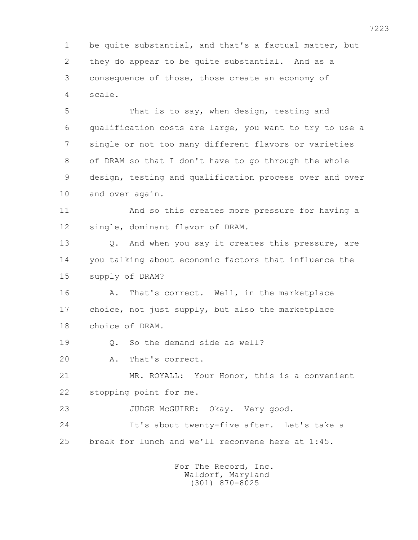1 be quite substantial, and that's a factual matter, but 2 they do appear to be quite substantial. And as a 3 consequence of those, those create an economy of 4 scale.

 5 That is to say, when design, testing and 6 qualification costs are large, you want to try to use a 7 single or not too many different flavors or varieties 8 of DRAM so that I don't have to go through the whole 9 design, testing and qualification process over and over 10 and over again.

 11 And so this creates more pressure for having a 12 single, dominant flavor of DRAM.

13 Q. And when you say it creates this pressure, are 14 you talking about economic factors that influence the 15 supply of DRAM?

 16 A. That's correct. Well, in the marketplace 17 choice, not just supply, but also the marketplace 18 choice of DRAM.

19 0. So the demand side as well?

20 A. That's correct.

 21 MR. ROYALL: Your Honor, this is a convenient 22 stopping point for me.

23 JUDGE McGUIRE: Okay. Very good.

 24 It's about twenty-five after. Let's take a 25 break for lunch and we'll reconvene here at 1:45.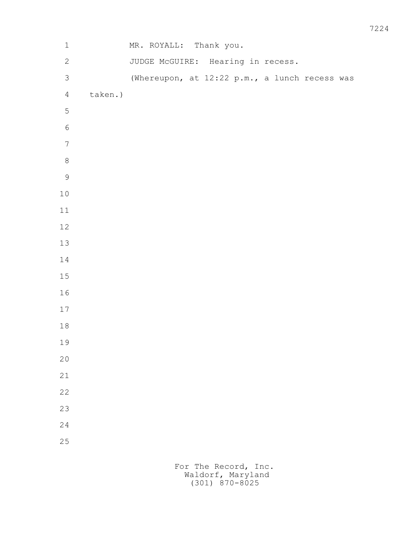| $\,1$            |         | MR. ROYALL: Thank you.            |  |  |                                               |  |
|------------------|---------|-----------------------------------|--|--|-----------------------------------------------|--|
| $\overline{c}$   |         | JUDGE McGUIRE: Hearing in recess. |  |  |                                               |  |
| $\mathcal{S}$    |         |                                   |  |  | (Whereupon, at 12:22 p.m., a lunch recess was |  |
| $\overline{4}$   | taken.) |                                   |  |  |                                               |  |
| $\mathsf S$      |         |                                   |  |  |                                               |  |
| $\sqrt{6}$       |         |                                   |  |  |                                               |  |
| $\boldsymbol{7}$ |         |                                   |  |  |                                               |  |
| $\,8\,$          |         |                                   |  |  |                                               |  |
| 9                |         |                                   |  |  |                                               |  |
| $1\,0$           |         |                                   |  |  |                                               |  |
| $11$             |         |                                   |  |  |                                               |  |
| $12\,$           |         |                                   |  |  |                                               |  |
| $13\,$           |         |                                   |  |  |                                               |  |
| 14               |         |                                   |  |  |                                               |  |
| $1\,5$           |         |                                   |  |  |                                               |  |
| $1\,6$           |         |                                   |  |  |                                               |  |
| $17\,$           |         |                                   |  |  |                                               |  |
| $1\,8$           |         |                                   |  |  |                                               |  |
| 19               |         |                                   |  |  |                                               |  |
| $20$             |         |                                   |  |  |                                               |  |
| 21               |         |                                   |  |  |                                               |  |
| 22               |         |                                   |  |  |                                               |  |
| 23               |         |                                   |  |  |                                               |  |
| 24               |         |                                   |  |  |                                               |  |
| 25               |         |                                   |  |  |                                               |  |
|                  |         |                                   |  |  |                                               |  |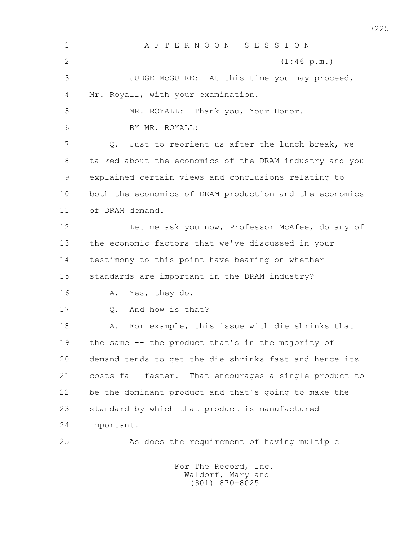1 A F T E R N O O N S E S S I O N 2 (1:46 p.m.) 3 JUDGE McGUIRE: At this time you may proceed, 4 Mr. Royall, with your examination. 5 MR. ROYALL: Thank you, Your Honor. 6 BY MR. ROYALL: 7 Q. Just to reorient us after the lunch break, we 8 talked about the economics of the DRAM industry and you 9 explained certain views and conclusions relating to 10 both the economics of DRAM production and the economics 11 of DRAM demand. 12 Let me ask you now, Professor McAfee, do any of 13 the economic factors that we've discussed in your 14 testimony to this point have bearing on whether 15 standards are important in the DRAM industry? 16 A. Yes, they do. 17 0. And how is that? 18 A. For example, this issue with die shrinks that 19 the same -- the product that's in the majority of 20 demand tends to get the die shrinks fast and hence its 21 costs fall faster. That encourages a single product to 22 be the dominant product and that's going to make the 23 standard by which that product is manufactured 24 important. 25 As does the requirement of having multiple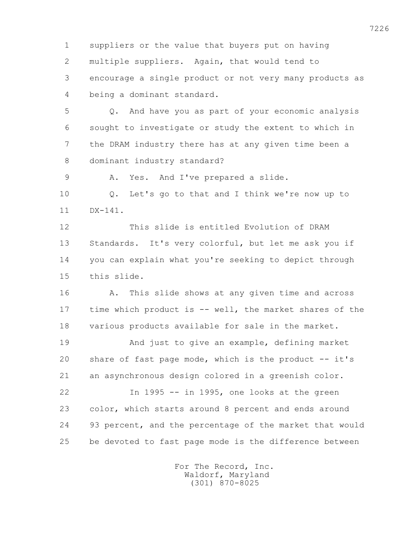1 suppliers or the value that buyers put on having 2 multiple suppliers. Again, that would tend to 3 encourage a single product or not very many products as 4 being a dominant standard.

 5 Q. And have you as part of your economic analysis 6 sought to investigate or study the extent to which in 7 the DRAM industry there has at any given time been a 8 dominant industry standard?

9 A. Yes. And I've prepared a slide.

 10 Q. Let's go to that and I think we're now up to 11 DX-141.

 12 This slide is entitled Evolution of DRAM 13 Standards. It's very colorful, but let me ask you if 14 you can explain what you're seeking to depict through 15 this slide.

 16 A. This slide shows at any given time and across 17 time which product is -- well, the market shares of the 18 various products available for sale in the market.

 19 And just to give an example, defining market 20 share of fast page mode, which is the product -- it's 21 an asynchronous design colored in a greenish color.

 22 In 1995 -- in 1995, one looks at the green 23 color, which starts around 8 percent and ends around 24 93 percent, and the percentage of the market that would 25 be devoted to fast page mode is the difference between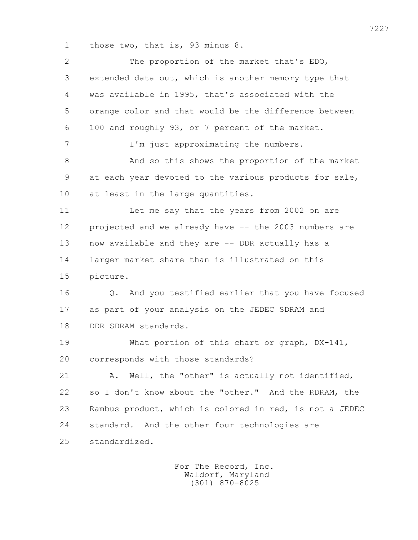1 those two, that is, 93 minus 8.

| $\mathbf{2}$ | The proportion of the market that's EDO,                |
|--------------|---------------------------------------------------------|
| 3            | extended data out, which is another memory type that    |
| 4            | was available in 1995, that's associated with the       |
| 5            | orange color and that would be the difference between   |
| 6            | 100 and roughly 93, or 7 percent of the market.         |
| 7            | I'm just approximating the numbers.                     |
| 8            | And so this shows the proportion of the market          |
| 9            | at each year devoted to the various products for sale,  |
| 10           | at least in the large quantities.                       |
| 11           | Let me say that the years from 2002 on are              |
| 12           | projected and we already have -- the 2003 numbers are   |
| 13           | now available and they are -- DDR actually has a        |
| 14           | larger market share than is illustrated on this         |
| 15           | picture.                                                |
| 16           | Q. And you testified earlier that you have focused      |
| 17           | as part of your analysis on the JEDEC SDRAM and         |
| 18           | DDR SDRAM standards.                                    |
| 19           | What portion of this chart or graph, DX-141,            |
| 20           | corresponds with those standards?                       |
| 21           | Well, the "other" is actually not identified,<br>Α.     |
| 22           | so I don't know about the "other." And the RDRAM, the   |
| 23           | Rambus product, which is colored in red, is not a JEDEC |
| 24           | standard. And the other four technologies are           |
| 25           | standardized.                                           |
|              |                                                         |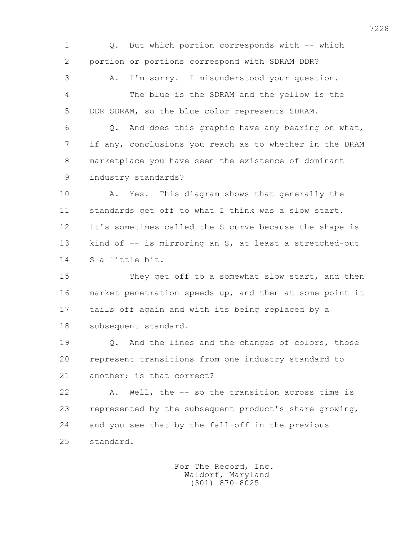1 Q. But which portion corresponds with -- which 2 portion or portions correspond with SDRAM DDR? 3 A. I'm sorry. I misunderstood your question. 4 The blue is the SDRAM and the yellow is the 5 DDR SDRAM, so the blue color represents SDRAM. 6 Q. And does this graphic have any bearing on what, 7 if any, conclusions you reach as to whether in the DRAM 8 marketplace you have seen the existence of dominant 9 industry standards? 10 A. Yes. This diagram shows that generally the 11 standards get off to what I think was a slow start. 12 It's sometimes called the S curve because the shape is 13 kind of -- is mirroring an S, at least a stretched-out 14 S a little bit. 15 They get off to a somewhat slow start, and then 16 market penetration speeds up, and then at some point it 17 tails off again and with its being replaced by a 18 subsequent standard. 19 Q. And the lines and the changes of colors, those 20 represent transitions from one industry standard to 21 another; is that correct? 22 A. Well, the -- so the transition across time is 23 represented by the subsequent product's share growing, 24 and you see that by the fall-off in the previous 25 standard.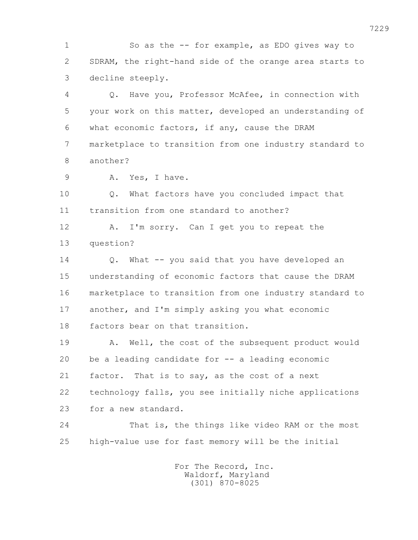1 So as the -- for example, as EDO gives way to 2 SDRAM, the right-hand side of the orange area starts to 3 decline steeply.

 4 Q. Have you, Professor McAfee, in connection with 5 your work on this matter, developed an understanding of 6 what economic factors, if any, cause the DRAM 7 marketplace to transition from one industry standard to 8 another?

9 A. Yes, I have.

 10 Q. What factors have you concluded impact that 11 transition from one standard to another?

 12 A. I'm sorry. Can I get you to repeat the 13 question?

 14 Q. What -- you said that you have developed an 15 understanding of economic factors that cause the DRAM 16 marketplace to transition from one industry standard to 17 another, and I'm simply asking you what economic 18 factors bear on that transition.

 19 A. Well, the cost of the subsequent product would 20 be a leading candidate for -- a leading economic 21 factor. That is to say, as the cost of a next 22 technology falls, you see initially niche applications 23 for a new standard.

 24 That is, the things like video RAM or the most 25 high-value use for fast memory will be the initial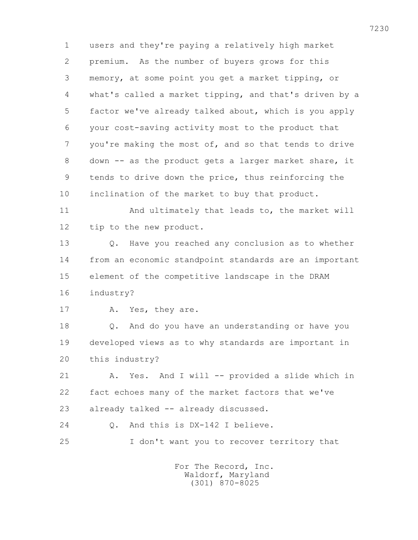1 users and they're paying a relatively high market 2 premium. As the number of buyers grows for this 3 memory, at some point you get a market tipping, or 4 what's called a market tipping, and that's driven by a 5 factor we've already talked about, which is you apply 6 your cost-saving activity most to the product that 7 you're making the most of, and so that tends to drive 8 down -- as the product gets a larger market share, it 9 tends to drive down the price, thus reinforcing the 10 inclination of the market to buy that product.

11 And ultimately that leads to, the market will 12 tip to the new product.

 13 Q. Have you reached any conclusion as to whether 14 from an economic standpoint standards are an important 15 element of the competitive landscape in the DRAM 16 industry?

17 A. Yes, they are.

 18 Q. And do you have an understanding or have you 19 developed views as to why standards are important in 20 this industry?

 21 A. Yes. And I will -- provided a slide which in 22 fact echoes many of the market factors that we've 23 already talked -- already discussed.

24 Q. And this is DX-142 I believe.

25 I don't want you to recover territory that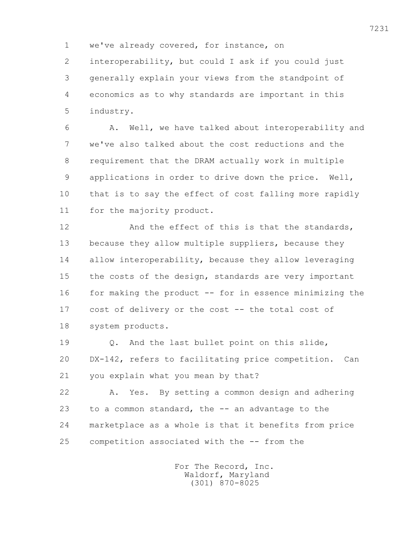1 we've already covered, for instance, on

 2 interoperability, but could I ask if you could just 3 generally explain your views from the standpoint of 4 economics as to why standards are important in this 5 industry.

 6 A. Well, we have talked about interoperability and 7 we've also talked about the cost reductions and the 8 requirement that the DRAM actually work in multiple 9 applications in order to drive down the price. Well, 10 that is to say the effect of cost falling more rapidly 11 for the majority product.

12 And the effect of this is that the standards, 13 because they allow multiple suppliers, because they 14 allow interoperability, because they allow leveraging 15 the costs of the design, standards are very important 16 for making the product -- for in essence minimizing the 17 cost of delivery or the cost -- the total cost of 18 system products.

 19 Q. And the last bullet point on this slide, 20 DX-142, refers to facilitating price competition. Can 21 you explain what you mean by that?

 22 A. Yes. By setting a common design and adhering 23 to a common standard, the -- an advantage to the 24 marketplace as a whole is that it benefits from price 25 competition associated with the -- from the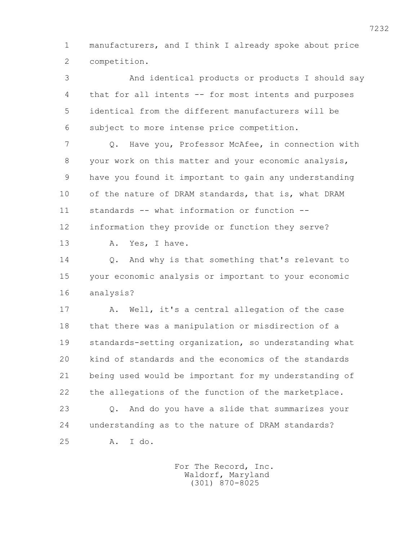1 manufacturers, and I think I already spoke about price 2 competition.

 3 And identical products or products I should say 4 that for all intents -- for most intents and purposes 5 identical from the different manufacturers will be 6 subject to more intense price competition.

 7 Q. Have you, Professor McAfee, in connection with 8 your work on this matter and your economic analysis, 9 have you found it important to gain any understanding 10 of the nature of DRAM standards, that is, what DRAM 11 standards -- what information or function -- 12 information they provide or function they serve?

13 A. Yes, I have.

 14 Q. And why is that something that's relevant to 15 your economic analysis or important to your economic 16 analysis?

17 A. Well, it's a central allegation of the case 18 that there was a manipulation or misdirection of a 19 standards-setting organization, so understanding what 20 kind of standards and the economics of the standards 21 being used would be important for my understanding of 22 the allegations of the function of the marketplace.

 23 Q. And do you have a slide that summarizes your 24 understanding as to the nature of DRAM standards? 25 A. I do.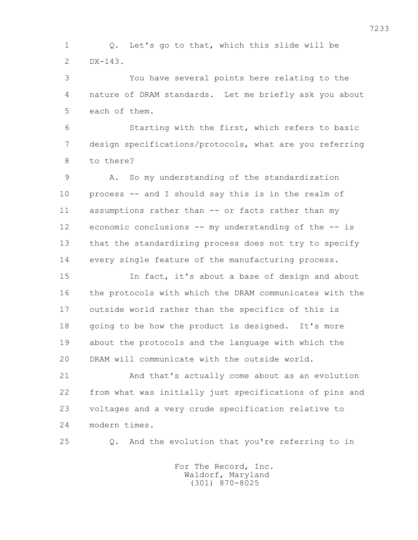1 Q. Let's go to that, which this slide will be 2 DX-143.

 3 You have several points here relating to the 4 nature of DRAM standards. Let me briefly ask you about 5 each of them.

 6 Starting with the first, which refers to basic 7 design specifications/protocols, what are you referring 8 to there?

 9 A. So my understanding of the standardization 10 process -- and I should say this is in the realm of 11 assumptions rather than -- or facts rather than my 12 economic conclusions -- my understanding of the -- is 13 that the standardizing process does not try to specify 14 every single feature of the manufacturing process.

 15 In fact, it's about a base of design and about 16 the protocols with which the DRAM communicates with the 17 outside world rather than the specifics of this is 18 going to be how the product is designed. It's more 19 about the protocols and the language with which the 20 DRAM will communicate with the outside world.

 21 And that's actually come about as an evolution 22 from what was initially just specifications of pins and 23 voltages and a very crude specification relative to 24 modern times.

25 Q. And the evolution that you're referring to in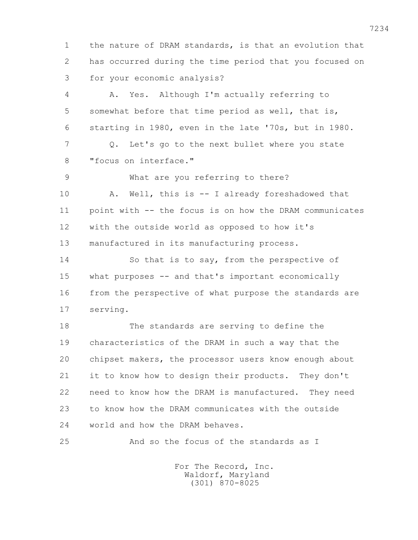1 the nature of DRAM standards, is that an evolution that 2 has occurred during the time period that you focused on 3 for your economic analysis?

 4 A. Yes. Although I'm actually referring to 5 somewhat before that time period as well, that is, 6 starting in 1980, even in the late '70s, but in 1980. 7 Q. Let's go to the next bullet where you state 8 "focus on interface." 9 What are you referring to there?

 10 A. Well, this is -- I already foreshadowed that 11 point with -- the focus is on how the DRAM communicates 12 with the outside world as opposed to how it's 13 manufactured in its manufacturing process.

 14 So that is to say, from the perspective of 15 what purposes -- and that's important economically 16 from the perspective of what purpose the standards are 17 serving.

 18 The standards are serving to define the 19 characteristics of the DRAM in such a way that the 20 chipset makers, the processor users know enough about 21 it to know how to design their products. They don't 22 need to know how the DRAM is manufactured. They need 23 to know how the DRAM communicates with the outside 24 world and how the DRAM behaves.

25 And so the focus of the standards as I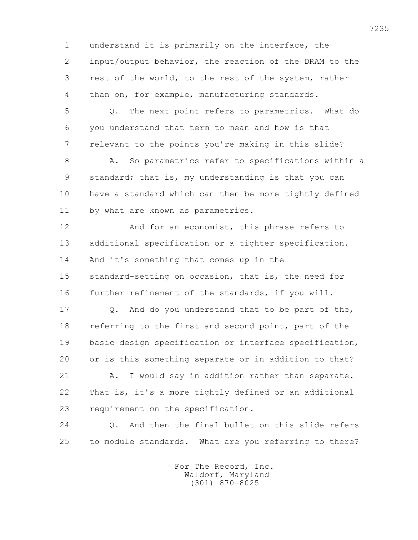1 understand it is primarily on the interface, the 2 input/output behavior, the reaction of the DRAM to the 3 rest of the world, to the rest of the system, rather 4 than on, for example, manufacturing standards.

 5 Q. The next point refers to parametrics. What do 6 you understand that term to mean and how is that 7 relevant to the points you're making in this slide?

 8 A. So parametrics refer to specifications within a 9 standard; that is, my understanding is that you can 10 have a standard which can then be more tightly defined 11 by what are known as parametrics.

 12 And for an economist, this phrase refers to 13 additional specification or a tighter specification. 14 And it's something that comes up in the 15 standard-setting on occasion, that is, the need for 16 further refinement of the standards, if you will.

17 0. And do you understand that to be part of the, 18 referring to the first and second point, part of the 19 basic design specification or interface specification, 20 or is this something separate or in addition to that?

 21 A. I would say in addition rather than separate. 22 That is, it's a more tightly defined or an additional 23 requirement on the specification.

 24 Q. And then the final bullet on this slide refers 25 to module standards. What are you referring to there?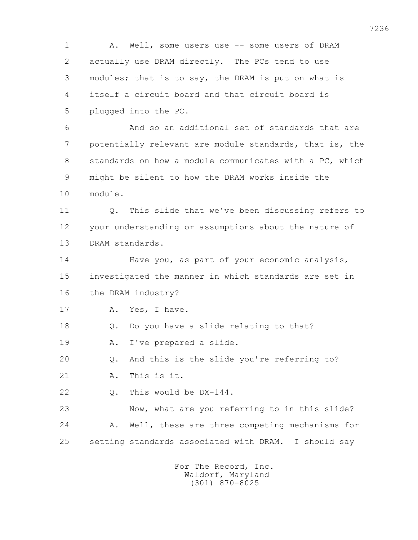1 A. Well, some users use -- some users of DRAM 2 actually use DRAM directly. The PCs tend to use 3 modules; that is to say, the DRAM is put on what is 4 itself a circuit board and that circuit board is 5 plugged into the PC. 6 And so an additional set of standards that are 7 potentially relevant are module standards, that is, the 8 standards on how a module communicates with a PC, which 9 might be silent to how the DRAM works inside the 10 module. 11 Q. This slide that we've been discussing refers to 12 your understanding or assumptions about the nature of 13 DRAM standards. 14 Have you, as part of your economic analysis, 15 investigated the manner in which standards are set in 16 the DRAM industry? 17 A. Yes, I have. 18 Q. Do you have a slide relating to that? 19 A. I've prepared a slide. 20 Q. And this is the slide you're referring to? 21 A. This is it. 22 Q. This would be DX-144. 23 Now, what are you referring to in this slide? 24 A. Well, these are three competing mechanisms for 25 setting standards associated with DRAM. I should say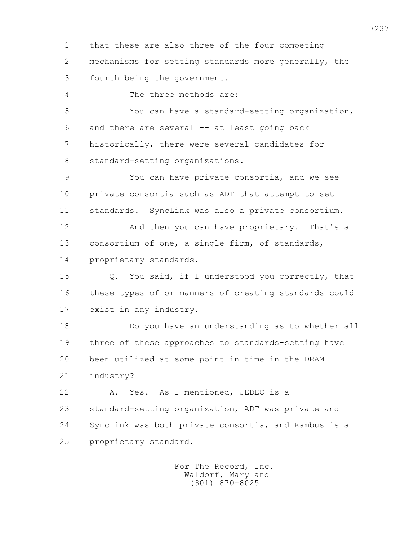1 that these are also three of the four competing 2 mechanisms for setting standards more generally, the 3 fourth being the government.

4 The three methods are:

 5 You can have a standard-setting organization, 6 and there are several -- at least going back 7 historically, there were several candidates for 8 standard-setting organizations.

 9 You can have private consortia, and we see 10 private consortia such as ADT that attempt to set 11 standards. SyncLink was also a private consortium.

12 And then you can have proprietary. That's a 13 consortium of one, a single firm, of standards, 14 proprietary standards.

 15 Q. You said, if I understood you correctly, that 16 these types of or manners of creating standards could 17 exist in any industry.

 18 Do you have an understanding as to whether all 19 three of these approaches to standards-setting have 20 been utilized at some point in time in the DRAM 21 industry?

 22 A. Yes. As I mentioned, JEDEC is a 23 standard-setting organization, ADT was private and 24 SyncLink was both private consortia, and Rambus is a 25 proprietary standard.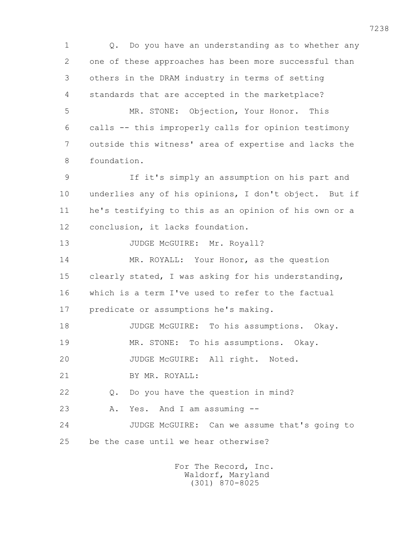1 Q. Do you have an understanding as to whether any 2 one of these approaches has been more successful than 3 others in the DRAM industry in terms of setting 4 standards that are accepted in the marketplace?

 5 MR. STONE: Objection, Your Honor. This 6 calls -- this improperly calls for opinion testimony 7 outside this witness' area of expertise and lacks the 8 foundation.

 9 If it's simply an assumption on his part and 10 underlies any of his opinions, I don't object. But if 11 he's testifying to this as an opinion of his own or a 12 conclusion, it lacks foundation.

13 JUDGE McGUIRE: Mr. Royall?

 14 MR. ROYALL: Your Honor, as the question 15 clearly stated, I was asking for his understanding, 16 which is a term I've used to refer to the factual 17 predicate or assumptions he's making.

18 JUDGE McGUIRE: To his assumptions. Okay. 19 MR. STONE: To his assumptions. Okay.

20 JUDGE McGUIRE: All right. Noted.

21 BY MR. ROYALL:

22 Q. Do you have the question in mind?

23 A. Yes. And I am assuming --

 24 JUDGE McGUIRE: Can we assume that's going to 25 be the case until we hear otherwise?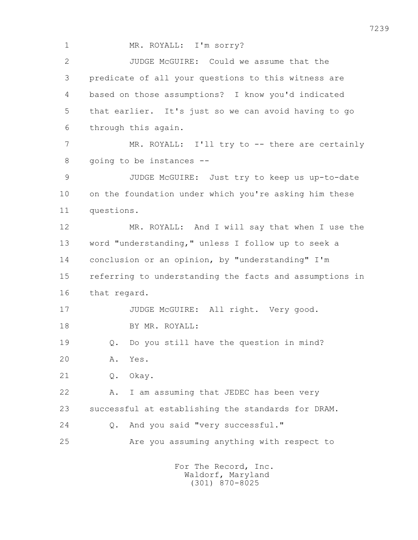1 MR. ROYALL: I'm sorry? 2 JUDGE McGUIRE: Could we assume that the 3 predicate of all your questions to this witness are 4 based on those assumptions? I know you'd indicated 5 that earlier. It's just so we can avoid having to go 6 through this again. 7 MR. ROYALL: I'll try to -- there are certainly 8 going to be instances -- 9 JUDGE McGUIRE: Just try to keep us up-to-date 10 on the foundation under which you're asking him these 11 questions. 12 MR. ROYALL: And I will say that when I use the 13 word "understanding," unless I follow up to seek a 14 conclusion or an opinion, by "understanding" I'm 15 referring to understanding the facts and assumptions in 16 that regard. 17 JUDGE McGUIRE: All right. Very good. 18 BY MR. ROYALL: 19 Q. Do you still have the question in mind? 20 A. Yes. 21 0. Okay. 22 A. I am assuming that JEDEC has been very 23 successful at establishing the standards for DRAM. 24 Q. And you said "very successful." 25 Are you assuming anything with respect to For The Record, Inc.

 Waldorf, Maryland (301) 870-8025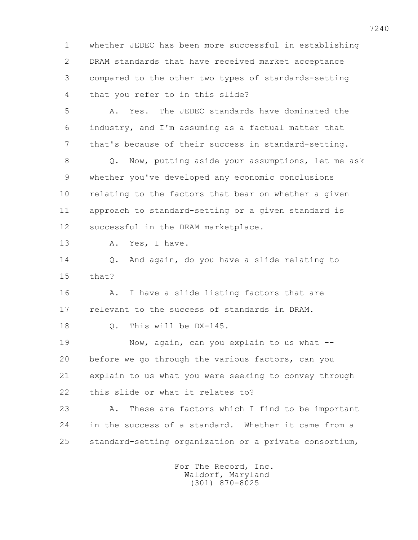1 whether JEDEC has been more successful in establishing 2 DRAM standards that have received market acceptance 3 compared to the other two types of standards-setting 4 that you refer to in this slide?

 5 A. Yes. The JEDEC standards have dominated the 6 industry, and I'm assuming as a factual matter that 7 that's because of their success in standard-setting.

 8 Q. Now, putting aside your assumptions, let me ask 9 whether you've developed any economic conclusions 10 relating to the factors that bear on whether a given 11 approach to standard-setting or a given standard is 12 successful in the DRAM marketplace.

13 A. Yes, I have.

 14 Q. And again, do you have a slide relating to 15 that?

 16 A. I have a slide listing factors that are 17 relevant to the success of standards in DRAM.

18 Q. This will be DX-145.

19 Now, again, can you explain to us what -- 20 before we go through the various factors, can you 21 explain to us what you were seeking to convey through 22 this slide or what it relates to?

 23 A. These are factors which I find to be important 24 in the success of a standard. Whether it came from a 25 standard-setting organization or a private consortium,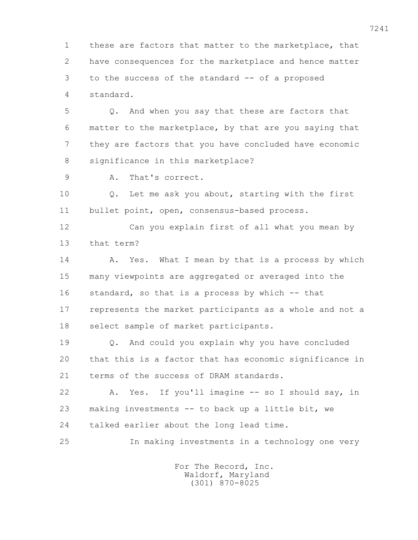1 these are factors that matter to the marketplace, that 2 have consequences for the marketplace and hence matter 3 to the success of the standard -- of a proposed 4 standard.

 5 Q. And when you say that these are factors that 6 matter to the marketplace, by that are you saying that 7 they are factors that you have concluded have economic 8 significance in this marketplace?

9 A. That's correct.

 10 Q. Let me ask you about, starting with the first 11 bullet point, open, consensus-based process.

 12 Can you explain first of all what you mean by 13 that term?

14 A. Yes. What I mean by that is a process by which 15 many viewpoints are aggregated or averaged into the 16 standard, so that is a process by which -- that 17 represents the market participants as a whole and not a 18 select sample of market participants.

 19 Q. And could you explain why you have concluded 20 that this is a factor that has economic significance in 21 terms of the success of DRAM standards.

22 A. Yes. If you'll imagine -- so I should say, in 23 making investments -- to back up a little bit, we 24 talked earlier about the long lead time.

25 In making investments in a technology one very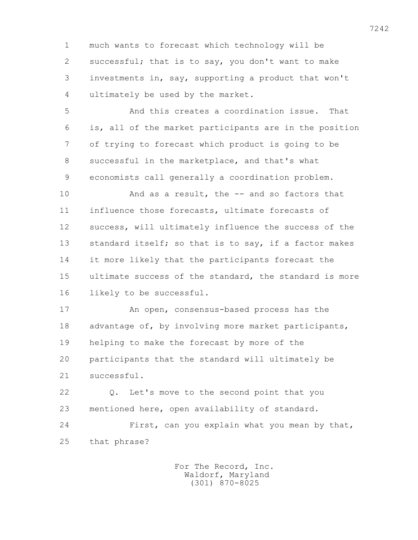1 much wants to forecast which technology will be 2 successful; that is to say, you don't want to make 3 investments in, say, supporting a product that won't 4 ultimately be used by the market.

 5 And this creates a coordination issue. That 6 is, all of the market participants are in the position 7 of trying to forecast which product is going to be 8 successful in the marketplace, and that's what 9 economists call generally a coordination problem.

 10 And as a result, the -- and so factors that 11 influence those forecasts, ultimate forecasts of 12 success, will ultimately influence the success of the 13 standard itself; so that is to say, if a factor makes 14 it more likely that the participants forecast the 15 ultimate success of the standard, the standard is more 16 likely to be successful.

 17 An open, consensus-based process has the 18 advantage of, by involving more market participants, 19 helping to make the forecast by more of the 20 participants that the standard will ultimately be 21 successful.

 22 Q. Let's move to the second point that you 23 mentioned here, open availability of standard.

 24 First, can you explain what you mean by that, 25 that phrase?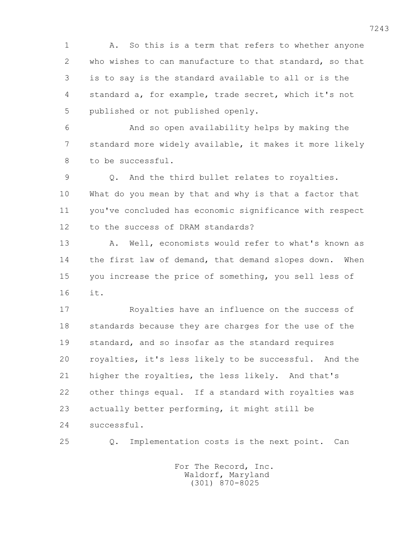1 A. So this is a term that refers to whether anyone 2 who wishes to can manufacture to that standard, so that 3 is to say is the standard available to all or is the 4 standard a, for example, trade secret, which it's not 5 published or not published openly.

 6 And so open availability helps by making the 7 standard more widely available, it makes it more likely 8 to be successful.

 9 Q. And the third bullet relates to royalties. 10 What do you mean by that and why is that a factor that 11 you've concluded has economic significance with respect 12 to the success of DRAM standards?

13 A. Well, economists would refer to what's known as 14 the first law of demand, that demand slopes down. When 15 you increase the price of something, you sell less of 16 it.

 17 Royalties have an influence on the success of 18 standards because they are charges for the use of the 19 standard, and so insofar as the standard requires 20 royalties, it's less likely to be successful. And the 21 higher the royalties, the less likely. And that's 22 other things equal. If a standard with royalties was 23 actually better performing, it might still be 24 successful.

25 Q. Implementation costs is the next point. Can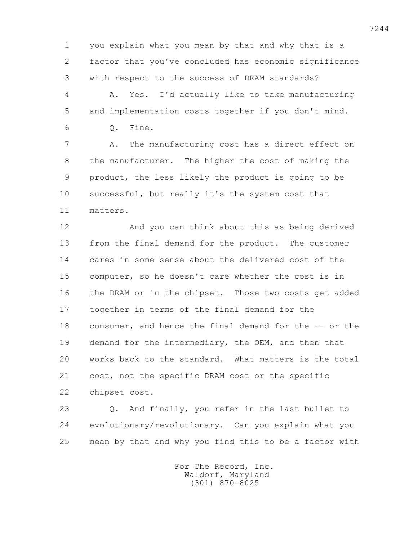1 you explain what you mean by that and why that is a 2 factor that you've concluded has economic significance 3 with respect to the success of DRAM standards?

 4 A. Yes. I'd actually like to take manufacturing 5 and implementation costs together if you don't mind. 6 Q. Fine.

 7 A. The manufacturing cost has a direct effect on 8 the manufacturer. The higher the cost of making the 9 product, the less likely the product is going to be 10 successful, but really it's the system cost that 11 matters.

 12 And you can think about this as being derived 13 from the final demand for the product. The customer 14 cares in some sense about the delivered cost of the 15 computer, so he doesn't care whether the cost is in 16 the DRAM or in the chipset. Those two costs get added 17 together in terms of the final demand for the 18 consumer, and hence the final demand for the -- or the 19 demand for the intermediary, the OEM, and then that 20 works back to the standard. What matters is the total 21 cost, not the specific DRAM cost or the specific 22 chipset cost.

 23 Q. And finally, you refer in the last bullet to 24 evolutionary/revolutionary. Can you explain what you 25 mean by that and why you find this to be a factor with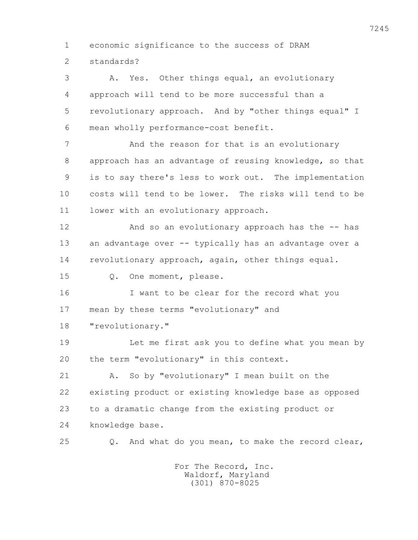1 economic significance to the success of DRAM 2 standards?

 3 A. Yes. Other things equal, an evolutionary 4 approach will tend to be more successful than a 5 revolutionary approach. And by "other things equal" I 6 mean wholly performance-cost benefit.

7 And the reason for that is an evolutionary 8 approach has an advantage of reusing knowledge, so that 9 is to say there's less to work out. The implementation 10 costs will tend to be lower. The risks will tend to be 11 lower with an evolutionary approach.

 12 And so an evolutionary approach has the -- has 13 an advantage over -- typically has an advantage over a 14 revolutionary approach, again, other things equal.

15 Q. One moment, please.

 16 I want to be clear for the record what you 17 mean by these terms "evolutionary" and 18 **"**revolutionary."

 19 Let me first ask you to define what you mean by 20 the term "evolutionary" in this context.

 21 A. So by "evolutionary" I mean built on the 22 existing product or existing knowledge base as opposed 23 to a dramatic change from the existing product or 24 knowledge base.

25 Q. And what do you mean, to make the record clear,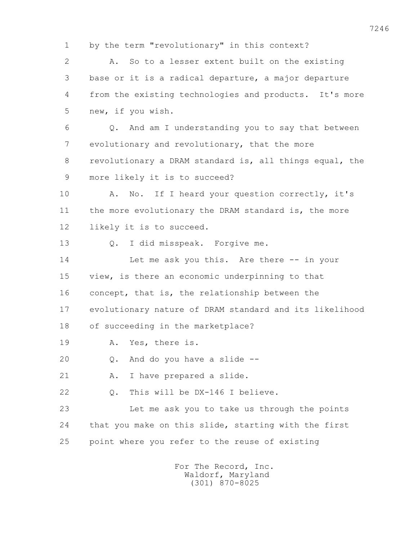1 by the term "revolutionary" in this context? 2 A. So to a lesser extent built on the existing 3 base or it is a radical departure, a major departure 4 from the existing technologies and products. It's more 5 new, if you wish. 6 Q. And am I understanding you to say that between 7 evolutionary and revolutionary, that the more 8 revolutionary a DRAM standard is, all things equal, the 9 more likely it is to succeed? 10 A. No. If I heard your question correctly, it's 11 the more evolutionary the DRAM standard is, the more 12 likely it is to succeed. 13 Q. I did misspeak. Forgive me. 14 Let me ask you this. Are there -- in your 15 view, is there an economic underpinning to that 16 concept, that is, the relationship between the 17 evolutionary nature of DRAM standard and its likelihood 18 of succeeding in the marketplace? 19 A. Yes, there is. 20 Q. And do you have a slide -- 21 A. I have prepared a slide. 22 Q. This will be DX-146 I believe. 23 Let me ask you to take us through the points 24 that you make on this slide, starting with the first 25 point where you refer to the reuse of existing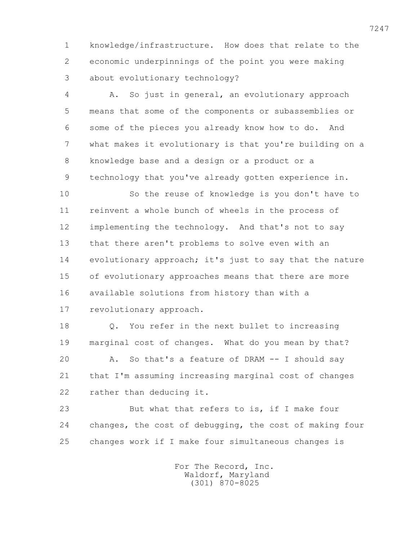1 knowledge/infrastructure. How does that relate to the 2 economic underpinnings of the point you were making 3 about evolutionary technology?

 4 A. So just in general, an evolutionary approach 5 means that some of the components or subassemblies or 6 some of the pieces you already know how to do. And 7 what makes it evolutionary is that you're building on a 8 knowledge base and a design or a product or a 9 technology that you've already gotten experience in.

 10 So the reuse of knowledge is you don't have to 11 reinvent a whole bunch of wheels in the process of 12 implementing the technology. And that's not to say 13 that there aren't problems to solve even with an 14 evolutionary approach; it's just to say that the nature 15 of evolutionary approaches means that there are more 16 available solutions from history than with a 17 revolutionary approach.

 18 Q. You refer in the next bullet to increasing 19 marginal cost of changes. What do you mean by that? 20 A. So that's a feature of DRAM -- I should say 21 that I'm assuming increasing marginal cost of changes 22 rather than deducing it.

 23 But what that refers to is, if I make four 24 changes, the cost of debugging, the cost of making four 25 changes work if I make four simultaneous changes is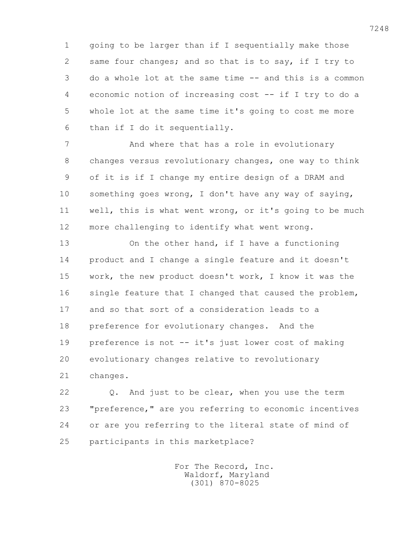1 going to be larger than if I sequentially make those 2 same four changes; and so that is to say, if I try to 3 do a whole lot at the same time -- and this is a common 4 economic notion of increasing cost -- if I try to do a 5 whole lot at the same time it's going to cost me more 6 than if I do it sequentially.

7 **And where that has a role in evolutionary**  8 changes versus revolutionary changes, one way to think 9 of it is if I change my entire design of a DRAM and 10 something goes wrong, I don't have any way of saying, 11 well, this is what went wrong, or it's going to be much 12 more challenging to identify what went wrong.

 13 On the other hand, if I have a functioning 14 product and I change a single feature and it doesn't 15 work, the new product doesn't work, I know it was the 16 single feature that I changed that caused the problem, 17 and so that sort of a consideration leads to a 18 preference for evolutionary changes. And the 19 preference is not -- it's just lower cost of making 20 evolutionary changes relative to revolutionary 21 changes.

 22 Q. And just to be clear, when you use the term 23 "preference," are you referring to economic incentives 24 or are you referring to the literal state of mind of 25 participants in this marketplace?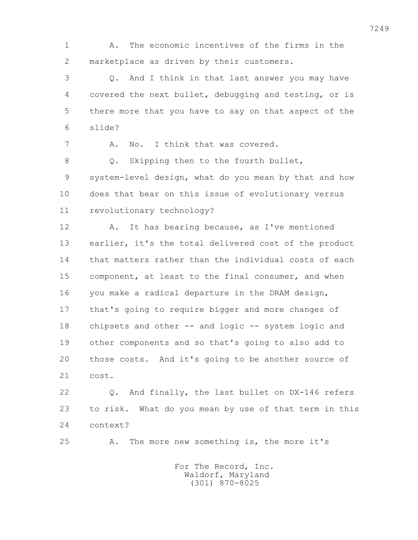1 A. The economic incentives of the firms in the 2 marketplace as driven by their customers.

 3 Q. And I think in that last answer you may have 4 covered the next bullet, debugging and testing, or is 5 there more that you have to say on that aspect of the 6 slide?

7 A. No. I think that was covered.

 8 Q. Skipping then to the fourth bullet, 9 system-level design, what do you mean by that and how 10 does that bear on this issue of evolutionary versus 11 revolutionary technology?

 12 A. It has bearing because, as I've mentioned 13 earlier, it's the total delivered cost of the product 14 that matters rather than the individual costs of each 15 component, at least to the final consumer, and when 16 you make a radical departure in the DRAM design, 17 that's going to require bigger and more changes of 18 chipsets and other -- and logic -- system logic and 19 other components and so that's going to also add to 20 those costs. And it's going to be another source of 21 cost.

 22 Q. And finally, the last bullet on DX-146 refers 23 to risk. What do you mean by use of that term in this 24 context?

25 A. The more new something is, the more it's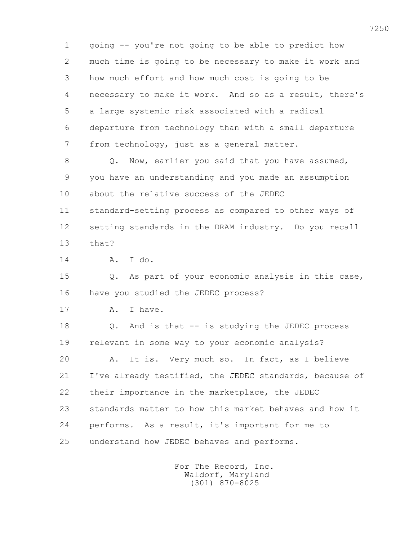1 going -- you're not going to be able to predict how 2 much time is going to be necessary to make it work and 3 how much effort and how much cost is going to be 4 necessary to make it work. And so as a result, there's 5 a large systemic risk associated with a radical 6 departure from technology than with a small departure 7 from technology, just as a general matter. 8 Q. Now, earlier you said that you have assumed, 9 you have an understanding and you made an assumption 10 about the relative success of the JEDEC 11 standard-setting process as compared to other ways of 12 setting standards in the DRAM industry. Do you recall 13 that? 14 A. I do. 15 Q. As part of your economic analysis in this case, 16 have you studied the JEDEC process? 17 A. I have. 18 Q. And is that -- is studying the JEDEC process 19 relevant in some way to your economic analysis? 20 A. It is. Very much so. In fact, as I believe 21 I've already testified, the JEDEC standards, because of 22 their importance in the marketplace, the JEDEC 23 standards matter to how this market behaves and how it 24 performs. As a result, it's important for me to 25 understand how JEDEC behaves and performs.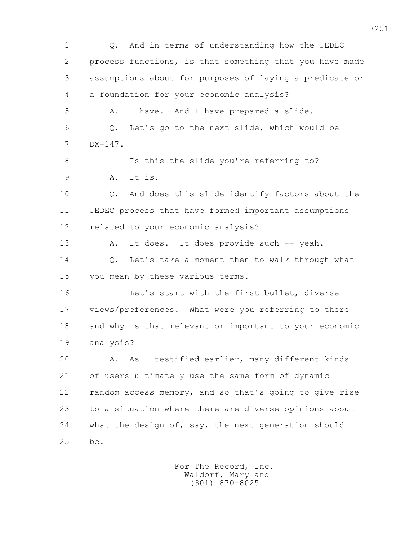1 Q. And in terms of understanding how the JEDEC 2 process functions, is that something that you have made 3 assumptions about for purposes of laying a predicate or 4 a foundation for your economic analysis? 5 A. I have. And I have prepared a slide. 6 Q. Let's go to the next slide, which would be 7 DX-147. 8 Is this the slide you're referring to? 9 A. It is. 10 Q. And does this slide identify factors about the 11 JEDEC process that have formed important assumptions 12 related to your economic analysis? 13 A. It does. It does provide such -- yeah. 14 Q. Let's take a moment then to walk through what 15 you mean by these various terms. 16 Let's start with the first bullet, diverse 17 views/preferences. What were you referring to there 18 and why is that relevant or important to your economic 19 analysis? 20 A. As I testified earlier, many different kinds 21 of users ultimately use the same form of dynamic 22 random access memory, and so that's going to give rise 23 to a situation where there are diverse opinions about 24 what the design of, say, the next generation should 25 be.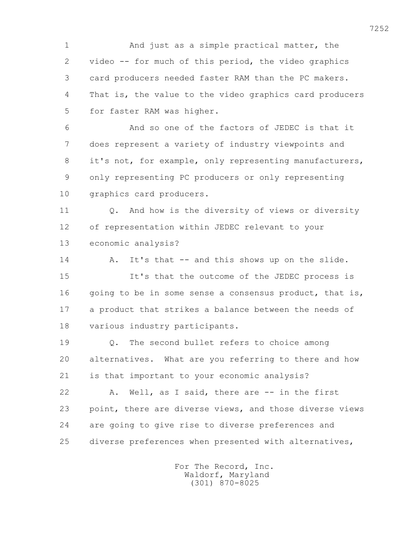1 And just as a simple practical matter, the 2 video -- for much of this period, the video graphics 3 card producers needed faster RAM than the PC makers. 4 That is, the value to the video graphics card producers 5 for faster RAM was higher.

 6 And so one of the factors of JEDEC is that it 7 does represent a variety of industry viewpoints and 8 it's not, for example, only representing manufacturers, 9 only representing PC producers or only representing 10 graphics card producers.

 11 Q. And how is the diversity of views or diversity 12 of representation within JEDEC relevant to your 13 economic analysis?

14 A. It's that -- and this shows up on the slide. 15 It's that the outcome of the JEDEC process is 16 going to be in some sense a consensus product, that is, 17 a product that strikes a balance between the needs of 18 various industry participants.

 19 Q. The second bullet refers to choice among 20 alternatives. What are you referring to there and how 21 is that important to your economic analysis?

 22 A. Well, as I said, there are -- in the first 23 point, there are diverse views, and those diverse views 24 are going to give rise to diverse preferences and 25 diverse preferences when presented with alternatives,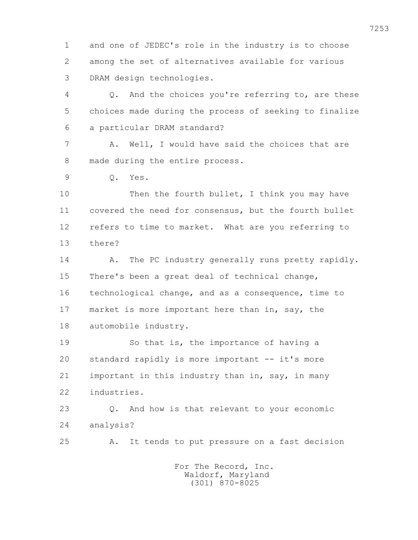1 and one of JEDEC's role in the industry is to choose 2 among the set of alternatives available for various 3 DRAM design technologies.

 4 Q. And the choices you're referring to, are these 5 choices made during the process of seeking to finalize 6 a particular DRAM standard?

 7 A. Well, I would have said the choices that are 8 made during the entire process.

9 Q. Yes.

10 Then the fourth bullet, I think you may have 11 covered the need for consensus, but the fourth bullet 12 refers to time to market. What are you referring to 13 there?

14 A. The PC industry generally runs pretty rapidly. 15 There's been a great deal of technical change, 16 technological change, and as a consequence, time to 17 market is more important here than in, say, the 18 automobile industry.

 19 So that is, the importance of having a 20 standard rapidly is more important -- it's more 21 important in this industry than in, say, in many 22 industries.

 23 Q. And how is that relevant to your economic 24 analysis?

25 A. It tends to put pressure on a fast decision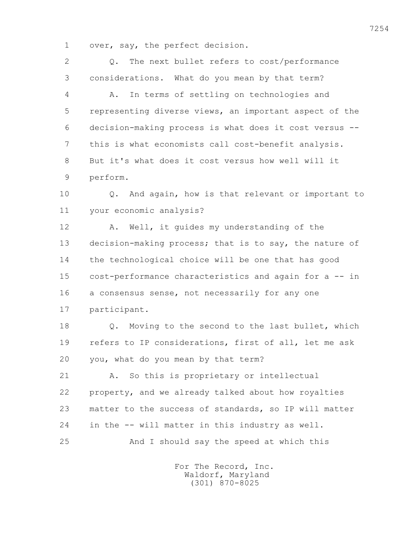1 over, say, the perfect decision.

 2 Q. The next bullet refers to cost/performance 3 considerations. What do you mean by that term? 4 A. In terms of settling on technologies and 5 representing diverse views, an important aspect of the 6 decision-making process is what does it cost versus -- 7 this is what economists call cost-benefit analysis. 8 But it's what does it cost versus how well will it 9 perform. 10 Q. And again, how is that relevant or important to 11 your economic analysis? 12 A. Well, it guides my understanding of the 13 decision-making process; that is to say, the nature of 14 the technological choice will be one that has good 15 cost-performance characteristics and again for a -- in 16 a consensus sense, not necessarily for any one 17 participant. 18 Q. Moving to the second to the last bullet, which 19 refers to IP considerations, first of all, let me ask 20 you, what do you mean by that term? 21 A. So this is proprietary or intellectual 22 property, and we already talked about how royalties 23 matter to the success of standards, so IP will matter 24 in the -- will matter in this industry as well. 25 And I should say the speed at which this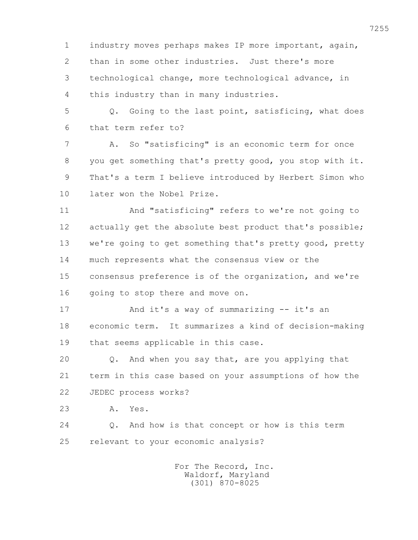1 industry moves perhaps makes IP more important, again, 2 than in some other industries. Just there's more 3 technological change, more technological advance, in 4 this industry than in many industries.

 5 Q. Going to the last point, satisficing, what does 6 that term refer to?

 7 A. So "satisficing" is an economic term for once 8 you get something that's pretty good, you stop with it. 9 That's a term I believe introduced by Herbert Simon who 10 later won the Nobel Prize.

 11 And "satisficing" refers to we're not going to 12 actually get the absolute best product that's possible; 13 we're going to get something that's pretty good, pretty 14 much represents what the consensus view or the 15 consensus preference is of the organization, and we're 16 going to stop there and move on.

 17 And it's a way of summarizing -- it's an 18 economic term. It summarizes a kind of decision-making 19 that seems applicable in this case.

 20 Q. And when you say that, are you applying that 21 term in this case based on your assumptions of how the 22 JEDEC process works?

23 A. Yes.

 24 Q. And how is that concept or how is this term 25 relevant to your economic analysis?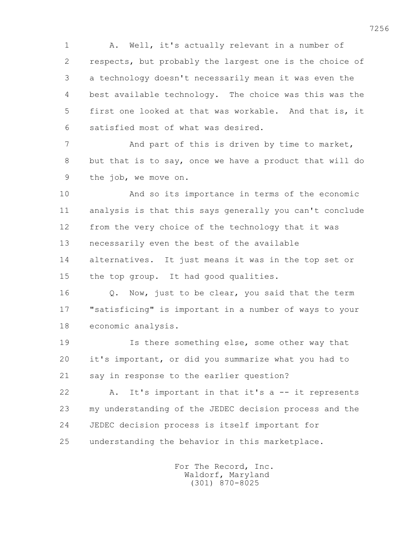1 A. Well, it's actually relevant in a number of 2 respects, but probably the largest one is the choice of 3 a technology doesn't necessarily mean it was even the 4 best available technology. The choice was this was the 5 first one looked at that was workable. And that is, it 6 satisfied most of what was desired.

7 And part of this is driven by time to market, 8 but that is to say, once we have a product that will do 9 the job, we move on.

 10 And so its importance in terms of the economic 11 analysis is that this says generally you can't conclude 12 from the very choice of the technology that it was 13 necessarily even the best of the available 14 alternatives. It just means it was in the top set or 15 the top group. It had good qualities.

 16 Q. Now, just to be clear, you said that the term 17 "satisficing" is important in a number of ways to your 18 economic analysis.

 19 Is there something else, some other way that 20 it's important, or did you summarize what you had to 21 say in response to the earlier question?

 22 A. It's important in that it's a -- it represents 23 my understanding of the JEDEC decision process and the 24 JEDEC decision process is itself important for 25 understanding the behavior in this marketplace.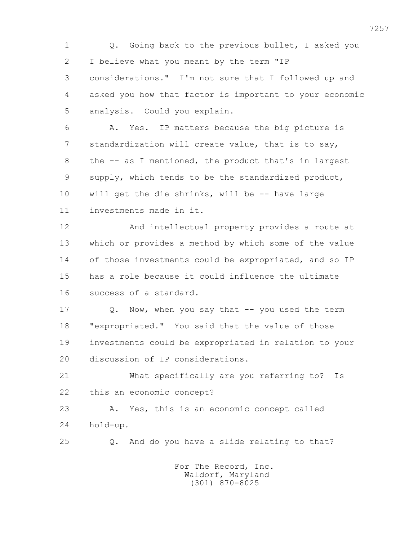1 Q. Going back to the previous bullet, I asked you 2 I believe what you meant by the term "IP 3 considerations." I'm not sure that I followed up and 4 asked you how that factor is important to your economic 5 analysis. Could you explain. 6 A. Yes. IP matters because the big picture is 7 standardization will create value, that is to say, 8 the -- as I mentioned, the product that's in largest 9 supply, which tends to be the standardized product, 10 will get the die shrinks, will be -- have large 11 investments made in it. 12 And intellectual property provides a route at 13 which or provides a method by which some of the value 14 of those investments could be expropriated, and so IP 15 has a role because it could influence the ultimate 16 success of a standard. 17 Q. Now, when you say that -- you used the term 18 "expropriated." You said that the value of those 19 investments could be expropriated in relation to your 20 discussion of IP considerations. 21 What specifically are you referring to? Is 22 this an economic concept? 23 A. Yes, this is an economic concept called 24 hold-up. 25 Q. And do you have a slide relating to that? For The Record, Inc. Waldorf, Maryland

(301) 870-8025

7257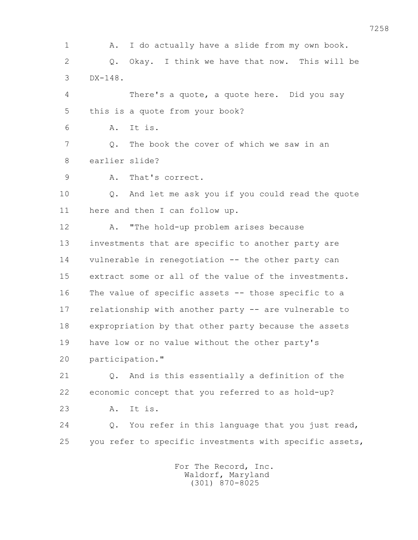1 A. I do actually have a slide from my own book. 2 Q. Okay. I think we have that now. This will be 3 DX-148.

 4 There's a quote, a quote here. Did you say 5 this is a quote from your book?

6 A. It is.

 7 Q. The book the cover of which we saw in an 8 earlier slide?

9 A. That's correct.

 10 Q. And let me ask you if you could read the quote 11 here and then I can follow up.

 12 A. "The hold-up problem arises because 13 investments that are specific to another party are 14 vulnerable in renegotiation -- the other party can 15 extract some or all of the value of the investments. 16 The value of specific assets -- those specific to a 17 relationship with another party -- are vulnerable to 18 expropriation by that other party because the assets 19 have low or no value without the other party's 20 participation."

 21 Q. And is this essentially a definition of the 22 economic concept that you referred to as hold-up?

23 A. It is.

 24 Q. You refer in this language that you just read, 25 you refer to specific investments with specific assets,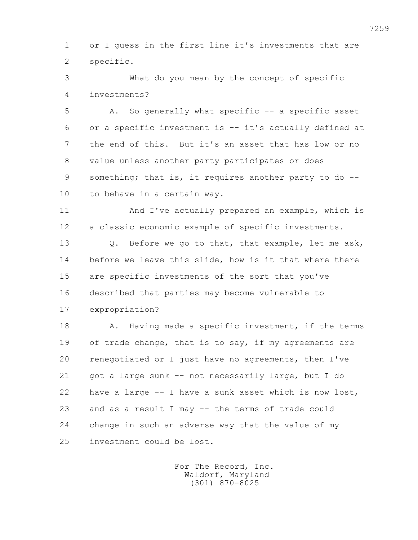1 or I guess in the first line it's investments that are 2 specific.

 3 What do you mean by the concept of specific 4 investments?

 5 A. So generally what specific -- a specific asset 6 or a specific investment is -- it's actually defined at 7 the end of this. But it's an asset that has low or no 8 value unless another party participates or does 9 something; that is, it requires another party to do -- 10 to behave in a certain way.

 11 And I've actually prepared an example, which is 12 a classic economic example of specific investments.

 13 Q. Before we go to that, that example, let me ask, 14 before we leave this slide, how is it that where there 15 are specific investments of the sort that you've 16 described that parties may become vulnerable to 17 expropriation?

18 A. Having made a specific investment, if the terms 19 of trade change, that is to say, if my agreements are 20 renegotiated or I just have no agreements, then I've 21 got a large sunk -- not necessarily large, but I do 22 have a large -- I have a sunk asset which is now lost, 23 and as a result I may -- the terms of trade could 24 change in such an adverse way that the value of my 25 investment could be lost.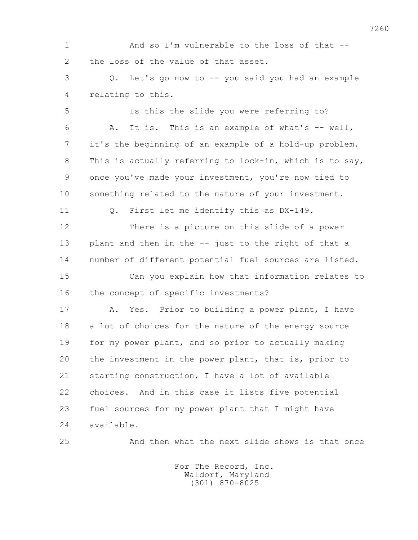1 And so I'm vulnerable to the loss of that -- 2 the loss of the value of that asset. 3 Q. Let's go now to -- you said you had an example 4 relating to this. 5 Is this the slide you were referring to? 6 A. It is. This is an example of what's -- well, 7 it's the beginning of an example of a hold-up problem. 8 This is actually referring to lock-in, which is to say, 9 once you've made your investment, you're now tied to

10 something related to the nature of your investment.

11 Q. First let me identify this as DX-149.

 12 There is a picture on this slide of a power 13 plant and then in the -- just to the right of that a 14 number of different potential fuel sources are listed.

 15 Can you explain how that information relates to 16 the concept of specific investments?

 17 A. Yes. Prior to building a power plant, I have 18 a lot of choices for the nature of the energy source 19 for my power plant, and so prior to actually making 20 the investment in the power plant, that is, prior to 21 starting construction, I have a lot of available 22 choices. And in this case it lists five potential 23 fuel sources for my power plant that I might have 24 available.

25 And then what the next slide shows is that once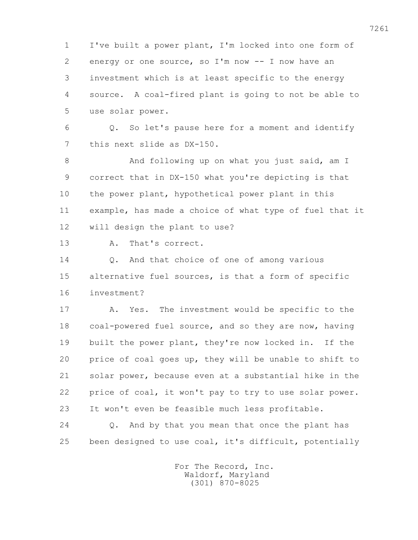1 I've built a power plant, I'm locked into one form of 2 energy or one source, so I'm now -- I now have an 3 investment which is at least specific to the energy 4 source. A coal-fired plant is going to not be able to 5 use solar power.

 6 Q. So let's pause here for a moment and identify 7 this next slide as DX-150.

8 And following up on what you just said, am I 9 correct that in DX-150 what you're depicting is that 10 the power plant, hypothetical power plant in this 11 example, has made a choice of what type of fuel that it 12 will design the plant to use?

13 A. That's correct.

 14 Q. And that choice of one of among various 15 alternative fuel sources, is that a form of specific 16 investment?

 17 A. Yes. The investment would be specific to the 18 coal-powered fuel source, and so they are now, having 19 built the power plant, they're now locked in. If the 20 price of coal goes up, they will be unable to shift to 21 solar power, because even at a substantial hike in the 22 price of coal, it won't pay to try to use solar power. 23 It won't even be feasible much less profitable.

 24 Q. And by that you mean that once the plant has 25 been designed to use coal, it's difficult, potentially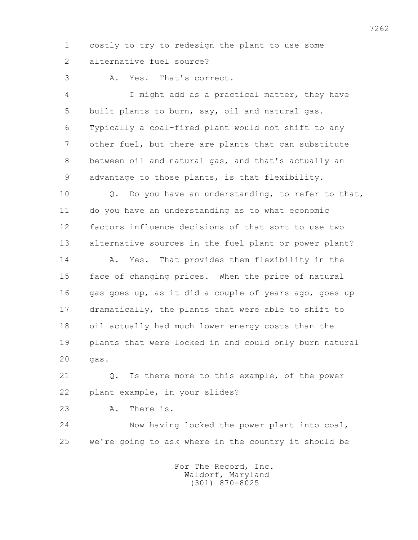1 costly to try to redesign the plant to use some 2 alternative fuel source?

3 A. Yes. That's correct.

 4 I might add as a practical matter, they have 5 built plants to burn, say, oil and natural gas. 6 Typically a coal-fired plant would not shift to any 7 other fuel, but there are plants that can substitute 8 between oil and natural gas, and that's actually an 9 advantage to those plants, is that flexibility.

 10 Q. Do you have an understanding, to refer to that, 11 do you have an understanding as to what economic 12 factors influence decisions of that sort to use two 13 alternative sources in the fuel plant or power plant?

 14 A. Yes. That provides them flexibility in the 15 face of changing prices. When the price of natural 16 gas goes up, as it did a couple of years ago, goes up 17 dramatically, the plants that were able to shift to 18 oil actually had much lower energy costs than the 19 plants that were locked in and could only burn natural 20 gas.

 21 Q. Is there more to this example, of the power 22 plant example, in your slides?

- 
- 23 A. There is.

 24 Now having locked the power plant into coal, 25 we're going to ask where in the country it should be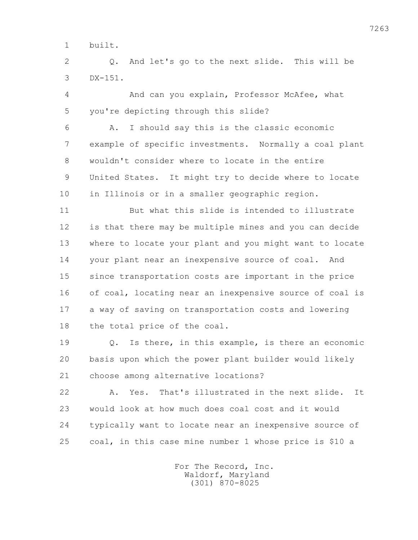1 built.

 2 Q. And let's go to the next slide. This will be 3 DX-151.

 4 And can you explain, Professor McAfee, what 5 you're depicting through this slide?

 6 A. I should say this is the classic economic 7 example of specific investments. Normally a coal plant 8 wouldn't consider where to locate in the entire 9 United States. It might try to decide where to locate 10 in Illinois or in a smaller geographic region.

 11 But what this slide is intended to illustrate 12 is that there may be multiple mines and you can decide 13 where to locate your plant and you might want to locate 14 your plant near an inexpensive source of coal. And 15 since transportation costs are important in the price 16 of coal, locating near an inexpensive source of coal is 17 a way of saving on transportation costs and lowering 18 the total price of the coal.

 19 Q. Is there, in this example, is there an economic 20 basis upon which the power plant builder would likely 21 choose among alternative locations?

 22 A. Yes. That's illustrated in the next slide. It 23 would look at how much does coal cost and it would 24 typically want to locate near an inexpensive source of 25 coal, in this case mine number 1 whose price is \$10 a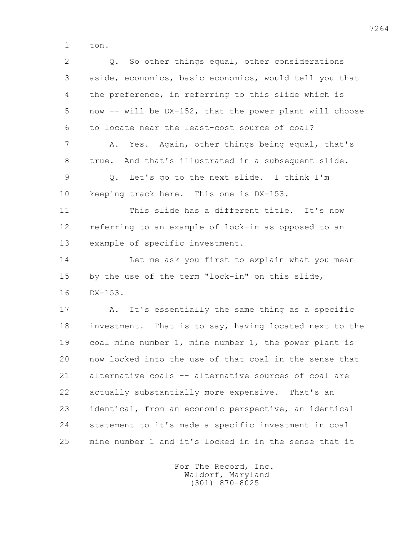1 ton.

| $\overline{2}$ | Q. So other things equal, other considerations          |
|----------------|---------------------------------------------------------|
| 3              | aside, economics, basic economics, would tell you that  |
| 4              | the preference, in referring to this slide which is     |
| 5              | now -- will be DX-152, that the power plant will choose |
| 6              | to locate near the least-cost source of coal?           |
| 7              | Yes. Again, other things being equal, that's<br>Α.      |
| 8              | And that's illustrated in a subsequent slide.<br>true.  |
| $\mathcal{G}$  | Let's go to the next slide. I think I'm<br>$Q$ .        |
| 10             | keeping track here. This one is DX-153.                 |
| 11             | This slide has a different title. It's now              |
| 12             | referring to an example of lock-in as opposed to an     |
| 13             | example of specific investment.                         |
| 14             | Let me ask you first to explain what you mean           |
| 15             | by the use of the term "lock-in" on this slide,         |
| 16             | $DX-153.$                                               |
| 17             | It's essentially the same thing as a specific<br>Α.     |
| 18             | investment. That is to say, having located next to the  |
| 19             | coal mine number 1, mine number 1, the power plant is   |
| 20             | now locked into the use of that coal in the sense that  |
| 21             | alternative coals -- alternative sources of coal are    |
| 22             | actually substantially more expensive. That's an        |
| 23             | identical, from an economic perspective, an identical   |
| 24             | statement to it's made a specific investment in coal    |
| 25             | mine number 1 and it's locked in in the sense that it   |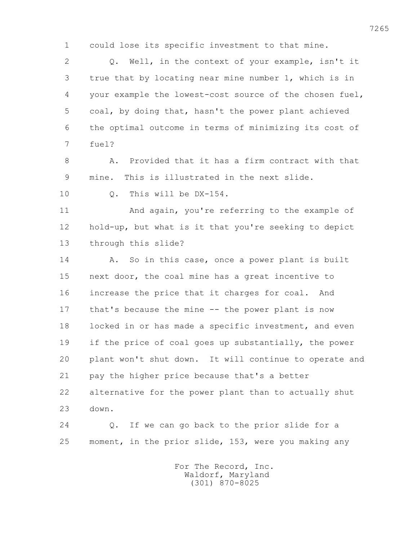1 could lose its specific investment to that mine.

 2 Q. Well, in the context of your example, isn't it 3 true that by locating near mine number 1, which is in 4 your example the lowest-cost source of the chosen fuel, 5 coal, by doing that, hasn't the power plant achieved 6 the optimal outcome in terms of minimizing its cost of 7 fuel?

 8 A. Provided that it has a firm contract with that 9 mine. This is illustrated in the next slide.

10 Q. This will be DX-154.

 11 And again, you're referring to the example of 12 hold-up, but what is it that you're seeking to depict 13 through this slide?

 14 A. So in this case, once a power plant is built 15 next door, the coal mine has a great incentive to 16 increase the price that it charges for coal. And 17 that's because the mine -- the power plant is now 18 locked in or has made a specific investment, and even 19 if the price of coal goes up substantially, the power 20 plant won't shut down. It will continue to operate and 21 pay the higher price because that's a better 22 alternative for the power plant than to actually shut 23 down.

 24 Q. If we can go back to the prior slide for a 25 moment, in the prior slide, 153, were you making any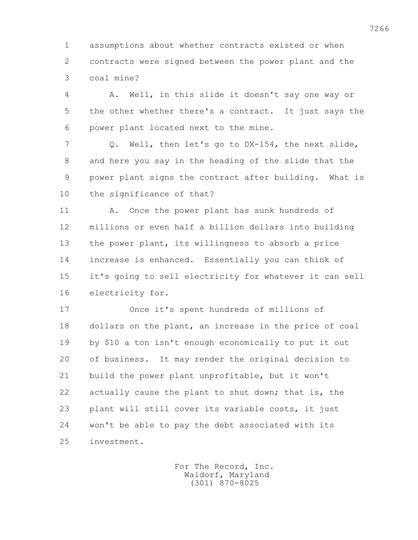1 assumptions about whether contracts existed or when 2 contracts were signed between the power plant and the 3 coal mine?

 4 A. Well, in this slide it doesn't say one way or 5 the other whether there's a contract. It just says the 6 power plant located next to the mine.

 7 Q. Well, then let's go to DX-154, the next slide, 8 and here you say in the heading of the slide that the 9 power plant signs the contract after building. What is 10 the significance of that?

 11 A. Once the power plant has sunk hundreds of 12 millions or even half a billion dollars into building 13 the power plant, its willingness to absorb a price 14 increase is enhanced. Essentially you can think of 15 it's going to sell electricity for whatever it can sell 16 electricity for.

 17 Once it's spent hundreds of millions of 18 dollars on the plant, an increase in the price of coal 19 by \$10 a ton isn't enough economically to put it out 20 of business. It may render the original decision to 21 build the power plant unprofitable, but it won't 22 actually cause the plant to shut down; that is, the 23 plant will still cover its variable costs, it just 24 won't be able to pay the debt associated with its 25 investment.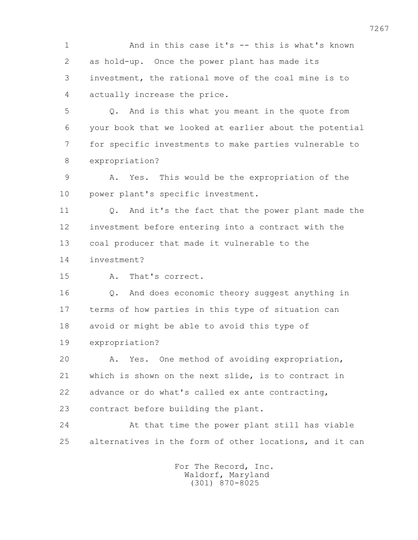1 And in this case it's -- this is what's known 2 as hold-up. Once the power plant has made its 3 investment, the rational move of the coal mine is to 4 actually increase the price.

 5 Q. And is this what you meant in the quote from 6 your book that we looked at earlier about the potential 7 for specific investments to make parties vulnerable to 8 expropriation?

 9 A. Yes. This would be the expropriation of the 10 power plant's specific investment.

 11 Q. And it's the fact that the power plant made the 12 investment before entering into a contract with the 13 coal producer that made it vulnerable to the

14 investment?

15 A. That's correct.

 16 Q. And does economic theory suggest anything in 17 terms of how parties in this type of situation can 18 avoid or might be able to avoid this type of 19 expropriation?

 20 A. Yes. One method of avoiding expropriation, 21 which is shown on the next slide, is to contract in 22 advance or do what's called ex ante contracting, 23 contract before building the plant.

 24 At that time the power plant still has viable 25 alternatives in the form of other locations, and it can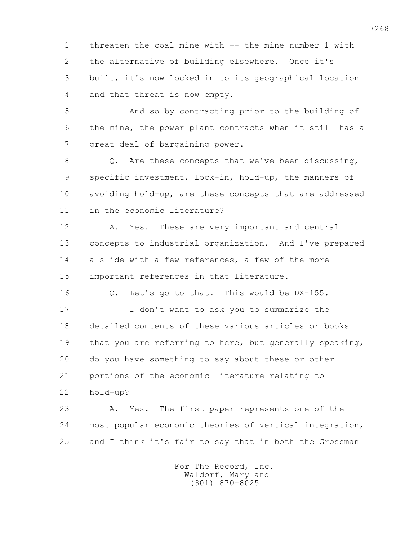1 threaten the coal mine with -- the mine number 1 with 2 the alternative of building elsewhere. Once it's 3 built, it's now locked in to its geographical location 4 and that threat is now empty.

 5 And so by contracting prior to the building of 6 the mine, the power plant contracts when it still has a 7 great deal of bargaining power.

 8 Q. Are these concepts that we've been discussing, 9 specific investment, lock-in, hold-up, the manners of 10 avoiding hold-up, are these concepts that are addressed 11 in the economic literature?

 12 A. Yes. These are very important and central 13 concepts to industrial organization. And I've prepared 14 a slide with a few references, a few of the more 15 important references in that literature.

16 Q. Let's go to that. This would be DX-155.

 17 I don't want to ask you to summarize the 18 detailed contents of these various articles or books 19 that you are referring to here, but generally speaking, 20 do you have something to say about these or other 21 portions of the economic literature relating to 22 hold-up?

 23 A. Yes. The first paper represents one of the 24 most popular economic theories of vertical integration, 25 and I think it's fair to say that in both the Grossman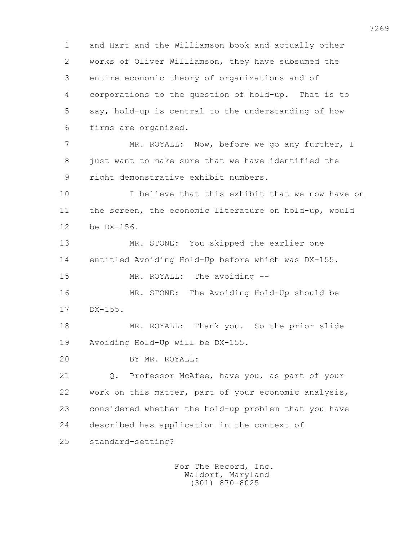1 and Hart and the Williamson book and actually other 2 works of Oliver Williamson, they have subsumed the 3 entire economic theory of organizations and of 4 corporations to the question of hold-up. That is to 5 say, hold-up is central to the understanding of how 6 firms are organized. 7 MR. ROYALL: Now, before we go any further, I 8 just want to make sure that we have identified the 9 right demonstrative exhibit numbers. 10 I believe that this exhibit that we now have on 11 the screen, the economic literature on hold-up, would 12 be DX-156. 13 MR. STONE: You skipped the earlier one 14 entitled Avoiding Hold-Up before which was DX-155.

15 MR. ROYALL: The avoiding --

 16 MR. STONE: The Avoiding Hold-Up should be 17 DX-155.

 18 MR. ROYALL: Thank you. So the prior slide 19 Avoiding Hold-Up will be DX-155.

20 BY MR. ROYALL:

 21 Q. Professor McAfee, have you, as part of your 22 work on this matter, part of your economic analysis, 23 considered whether the hold-up problem that you have 24 described has application in the context of 25 standard-setting?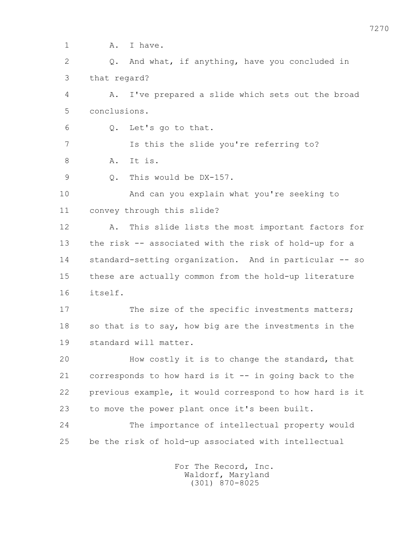1 A. I have. 2 Q. And what, if anything, have you concluded in 3 that regard? 4 A. I've prepared a slide which sets out the broad 5 conclusions. 6 Q. Let's go to that. 7 Is this the slide you're referring to? 8 A. It is. 9 0. This would be DX-157. 10 And can you explain what you're seeking to 11 convey through this slide? 12 A. This slide lists the most important factors for 13 the risk -- associated with the risk of hold-up for a 14 standard-setting organization. And in particular -- so 15 these are actually common from the hold-up literature 16 itself. 17 The size of the specific investments matters; 18 so that is to say, how big are the investments in the 19 standard will matter. 20 How costly it is to change the standard, that 21 corresponds to how hard is it -- in going back to the 22 previous example, it would correspond to how hard is it 23 to move the power plant once it's been built. 24 The importance of intellectual property would 25 be the risk of hold-up associated with intellectual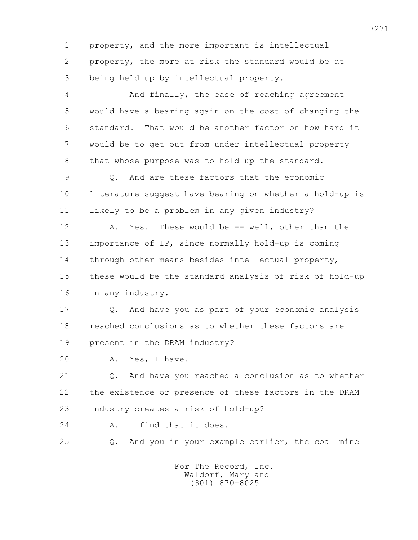1 property, and the more important is intellectual 2 property, the more at risk the standard would be at 3 being held up by intellectual property.

 4 And finally, the ease of reaching agreement 5 would have a bearing again on the cost of changing the 6 standard. That would be another factor on how hard it 7 would be to get out from under intellectual property 8 that whose purpose was to hold up the standard.

9 0. And are these factors that the economic 10 literature suggest have bearing on whether a hold-up is 11 likely to be a problem in any given industry?

12 A. Yes. These would be -- well, other than the 13 importance of IP, since normally hold-up is coming 14 through other means besides intellectual property, 15 these would be the standard analysis of risk of hold-up 16 in any industry.

 17 Q. And have you as part of your economic analysis 18 reached conclusions as to whether these factors are 19 present in the DRAM industry?

20 A. Yes, I have.

 21 Q. And have you reached a conclusion as to whether 22 the existence or presence of these factors in the DRAM 23 industry creates a risk of hold-up?

- 24 A. I find that it does.
- 

25 Q. And you in your example earlier, the coal mine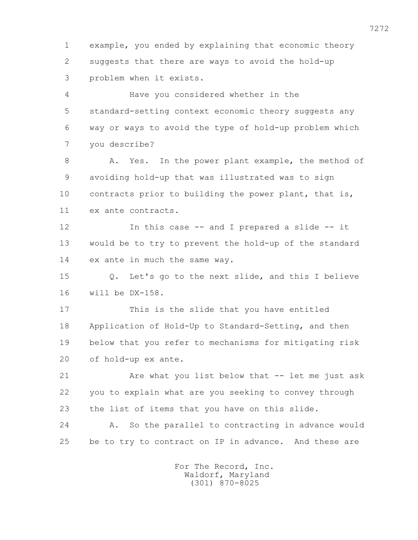1 example, you ended by explaining that economic theory 2 suggests that there are ways to avoid the hold-up 3 problem when it exists.

 4 Have you considered whether in the 5 standard-setting context economic theory suggests any 6 way or ways to avoid the type of hold-up problem which 7 you describe?

8 A. Yes. In the power plant example, the method of 9 avoiding hold-up that was illustrated was to sign 10 contracts prior to building the power plant, that is, 11 ex ante contracts.

 12 In this case -- and I prepared a slide -- it 13 would be to try to prevent the hold-up of the standard 14 ex ante in much the same way.

 15 Q. Let's go to the next slide, and this I believe 16 will be DX-158.

 17 This is the slide that you have entitled 18 Application of Hold-Up to Standard-Setting, and then 19 below that you refer to mechanisms for mitigating risk 20 of hold-up ex ante.

 21 Are what you list below that -- let me just ask 22 you to explain what are you seeking to convey through 23 the list of items that you have on this slide.

 24 A. So the parallel to contracting in advance would 25 be to try to contract on IP in advance. And these are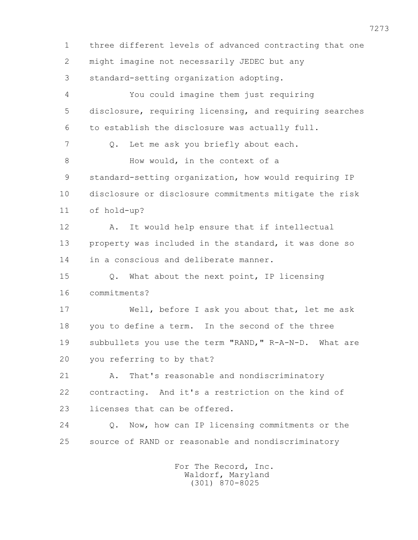1 three different levels of advanced contracting that one 2 might imagine not necessarily JEDEC but any 3 standard-setting organization adopting. 4 You could imagine them just requiring 5 disclosure, requiring licensing, and requiring searches 6 to establish the disclosure was actually full. 7 Q. Let me ask you briefly about each. 8 How would, in the context of a 9 standard-setting organization, how would requiring IP 10 disclosure or disclosure commitments mitigate the risk 11 of hold-up? 12 A. It would help ensure that if intellectual 13 property was included in the standard, it was done so 14 in a conscious and deliberate manner. 15 Q. What about the next point, IP licensing 16 commitments? 17 Well, before I ask you about that, let me ask 18 you to define a term. In the second of the three 19 subbullets you use the term "RAND," R-A-N-D. What are 20 you referring to by that? 21 A. That's reasonable and nondiscriminatory 22 contracting. And it's a restriction on the kind of 23 licenses that can be offered. 24 Q. Now, how can IP licensing commitments or the 25 source of RAND or reasonable and nondiscriminatory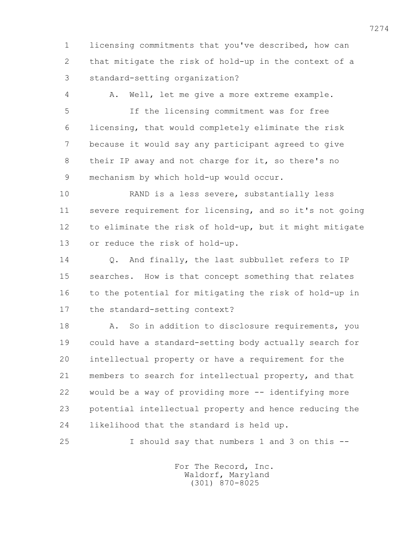1 licensing commitments that you've described, how can 2 that mitigate the risk of hold-up in the context of a 3 standard-setting organization?

4 A. Well, let me give a more extreme example.

 5 If the licensing commitment was for free 6 licensing, that would completely eliminate the risk 7 because it would say any participant agreed to give 8 their IP away and not charge for it, so there's no 9 mechanism by which hold-up would occur.

 10 RAND is a less severe, substantially less 11 severe requirement for licensing, and so it's not going 12 to eliminate the risk of hold-up, but it might mitigate 13 or reduce the risk of hold-up.

 14 Q. And finally, the last subbullet refers to IP 15 searches. How is that concept something that relates 16 to the potential for mitigating the risk of hold-up in 17 the standard-setting context?

18 A. So in addition to disclosure requirements, you 19 could have a standard-setting body actually search for 20 intellectual property or have a requirement for the 21 members to search for intellectual property, and that 22 would be a way of providing more -- identifying more 23 potential intellectual property and hence reducing the 24 likelihood that the standard is held up.

25 I should say that numbers 1 and 3 on this --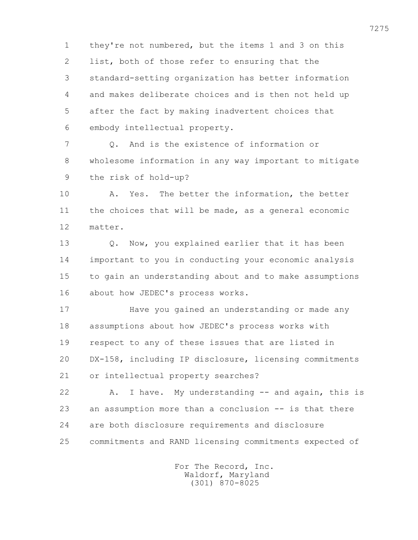1 they're not numbered, but the items 1 and 3 on this 2 list, both of those refer to ensuring that the 3 standard-setting organization has better information 4 and makes deliberate choices and is then not held up 5 after the fact by making inadvertent choices that 6 embody intellectual property.

 7 Q. And is the existence of information or 8 wholesome information in any way important to mitigate 9 the risk of hold-up?

 10 A. Yes. The better the information, the better 11 the choices that will be made, as a general economic 12 matter.

 13 Q. Now, you explained earlier that it has been 14 important to you in conducting your economic analysis 15 to gain an understanding about and to make assumptions 16 about how JEDEC's process works.

 17 Have you gained an understanding or made any 18 assumptions about how JEDEC's process works with 19 respect to any of these issues that are listed in 20 DX-158, including IP disclosure, licensing commitments 21 or intellectual property searches?

 22 A. I have. My understanding -- and again, this is 23 an assumption more than a conclusion -- is that there 24 are both disclosure requirements and disclosure 25 commitments and RAND licensing commitments expected of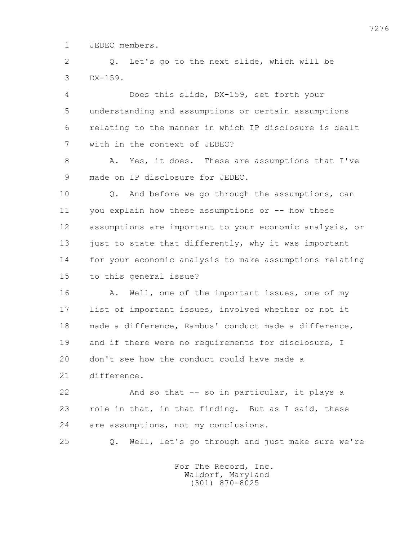1 JEDEC members.

 2 Q. Let's go to the next slide, which will be 3 DX-159.

 4 Does this slide, DX-159, set forth your 5 understanding and assumptions or certain assumptions 6 relating to the manner in which IP disclosure is dealt 7 with in the context of JEDEC?

8 A. Yes, it does. These are assumptions that I've 9 made on IP disclosure for JEDEC.

 10 Q. And before we go through the assumptions, can 11 you explain how these assumptions or -- how these 12 assumptions are important to your economic analysis, or 13 just to state that differently, why it was important 14 for your economic analysis to make assumptions relating 15 to this general issue?

16 A. Well, one of the important issues, one of my 17 list of important issues, involved whether or not it 18 made a difference, Rambus' conduct made a difference, 19 and if there were no requirements for disclosure, I 20 don't see how the conduct could have made a 21 difference.

 22 And so that -- so in particular, it plays a 23 role in that, in that finding. But as I said, these 24 are assumptions, not my conclusions.

25 Q. Well, let's go through and just make sure we're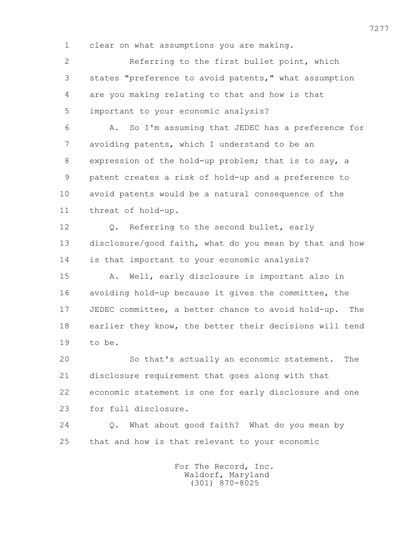1 clear on what assumptions you are making.

 2 Referring to the first bullet point, which 3 states "preference to avoid patents," what assumption 4 are you making relating to that and how is that 5 important to your economic analysis?

 6 A. So I'm assuming that JEDEC has a preference for 7 avoiding patents, which I understand to be an 8 expression of the hold-up problem; that is to say, a 9 patent creates a risk of hold-up and a preference to 10 avoid patents would be a natural consequence of the 11 threat of hold-up.

 12 Q. Referring to the second bullet, early 13 disclosure/good faith, what do you mean by that and how 14 is that important to your economic analysis?

 15 A. Well, early disclosure is important also in 16 avoiding hold-up because it gives the committee, the 17 JEDEC committee, a better chance to avoid hold-up. The 18 earlier they know, the better their decisions will tend 19 to be.

 20 So that's actually an economic statement. The 21 disclosure requirement that goes along with that 22 economic statement is one for early disclosure and one 23 for full disclosure.

 24 Q. What about good faith? What do you mean by 25 that and how is that relevant to your economic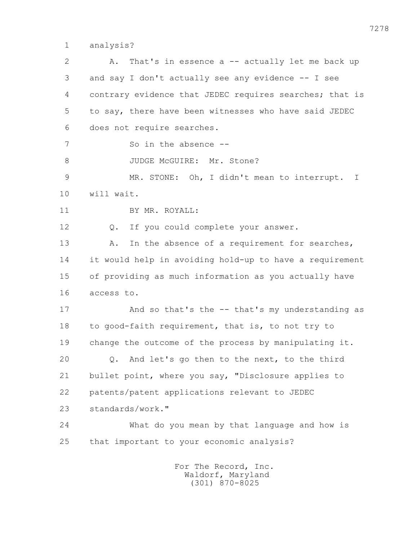1 analysis?

| $\overline{2}$ | That's in essence $a$ -- actually let me back up<br>Α.  |
|----------------|---------------------------------------------------------|
| 3              | and say I don't actually see any evidence -- I see      |
| 4              | contrary evidence that JEDEC requires searches; that is |
| 5              | to say, there have been witnesses who have said JEDEC   |
| 6              | does not require searches.                              |
| 7              | So in the absence --                                    |
| 8              | JUDGE McGUIRE: Mr. Stone?                               |
| $\mathcal{G}$  | MR. STONE: Oh, I didn't mean to interrupt.<br>$\perp$   |
| 10             | will wait.                                              |
| 11             | BY MR. ROYALL:                                          |
| 12             | If you could complete your answer.<br>Q.                |
| 13             | In the absence of a requirement for searches,<br>Α.     |
| 14             | it would help in avoiding hold-up to have a requirement |
| 15             | of providing as much information as you actually have   |
| 16             | access to.                                              |
| 17             | And so that's the -- that's my understanding as         |
| 18             | to good-faith requirement, that is, to not try to       |
| 19             | change the outcome of the process by manipulating it.   |
| 20             | And let's go then to the next, to the third<br>Q.       |
| 21             | bullet point, where you say, "Disclosure applies to     |
| 22             | patents/patent applications relevant to JEDEC           |
| 23             | standards/work."                                        |
| 24             | What do you mean by that language and how is            |
| 25             | that important to your economic analysis?               |
|                | For The Record, Inc.                                    |

Waldorf, Maryland (301) 870-8025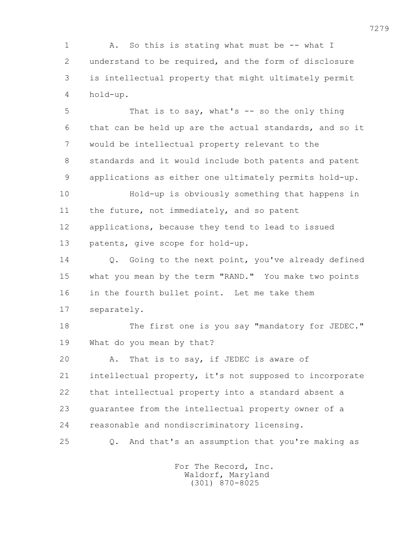1 A. So this is stating what must be -- what I 2 understand to be required, and the form of disclosure 3 is intellectual property that might ultimately permit 4 hold-up.

 5 That is to say, what's -- so the only thing 6 that can be held up are the actual standards, and so it 7 would be intellectual property relevant to the 8 standards and it would include both patents and patent 9 applications as either one ultimately permits hold-up.

 10 Hold-up is obviously something that happens in 11 the future, not immediately, and so patent 12 applications, because they tend to lead to issued 13 patents, give scope for hold-up.

 14 Q. Going to the next point, you've already defined 15 what you mean by the term "RAND." You make two points 16 in the fourth bullet point. Let me take them 17 separately.

18 The first one is you say "mandatory for JEDEC." 19 What do you mean by that?

20 A. That is to say, if JEDEC is aware of

 21 intellectual property, it's not supposed to incorporate 22 that intellectual property into a standard absent a 23 guarantee from the intellectual property owner of a 24 reasonable and nondiscriminatory licensing.

25 Q. And that's an assumption that you're making as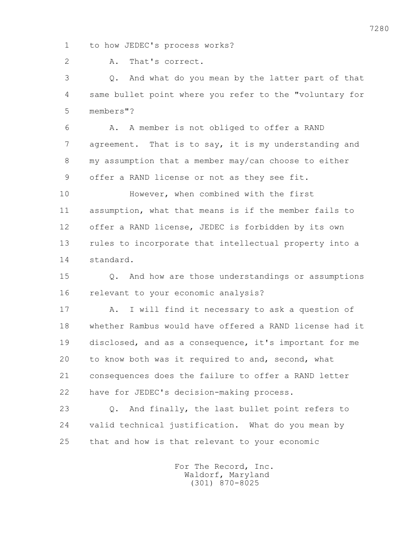1 to how JEDEC's process works?

2 A. That's correct.

 3 Q. And what do you mean by the latter part of that 4 same bullet point where you refer to the "voluntary for 5 members"?

 6 A. A member is not obliged to offer a RAND 7 agreement. That is to say, it is my understanding and 8 my assumption that a member may/can choose to either 9 offer a RAND license or not as they see fit.

 10 However, when combined with the first 11 assumption, what that means is if the member fails to 12 offer a RAND license, JEDEC is forbidden by its own 13 rules to incorporate that intellectual property into a 14 standard.

 15 Q. And how are those understandings or assumptions 16 relevant to your economic analysis?

 17 A. I will find it necessary to ask a question of 18 whether Rambus would have offered a RAND license had it 19 disclosed, and as a consequence, it's important for me 20 to know both was it required to and, second, what 21 consequences does the failure to offer a RAND letter 22 have for JEDEC's decision-making process.

 23 Q. And finally, the last bullet point refers to 24 valid technical justification. What do you mean by 25 that and how is that relevant to your economic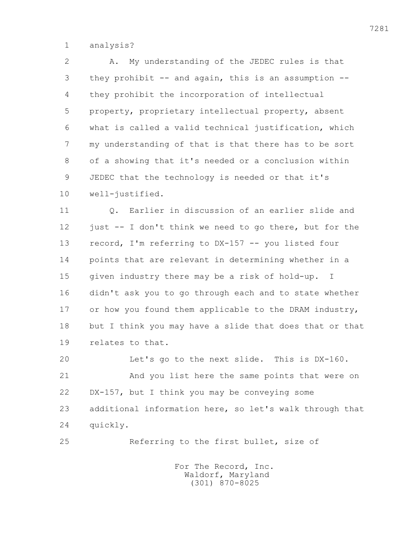1 analysis?

 2 A. My understanding of the JEDEC rules is that 3 they prohibit -- and again, this is an assumption -- 4 they prohibit the incorporation of intellectual 5 property, proprietary intellectual property, absent 6 what is called a valid technical justification, which 7 my understanding of that is that there has to be sort 8 of a showing that it's needed or a conclusion within 9 JEDEC that the technology is needed or that it's 10 well-justified.

 11 Q. Earlier in discussion of an earlier slide and 12 just -- I don't think we need to go there, but for the 13 record, I'm referring to DX-157 -- you listed four 14 points that are relevant in determining whether in a 15 given industry there may be a risk of hold-up. I 16 didn't ask you to go through each and to state whether 17 or how you found them applicable to the DRAM industry, 18 but I think you may have a slide that does that or that 19 relates to that.

 20 Let's go to the next slide. This is DX-160. 21 And you list here the same points that were on 22 DX-157, but I think you may be conveying some 23 additional information here, so let's walk through that 24 quickly.

25 Referring to the first bullet, size of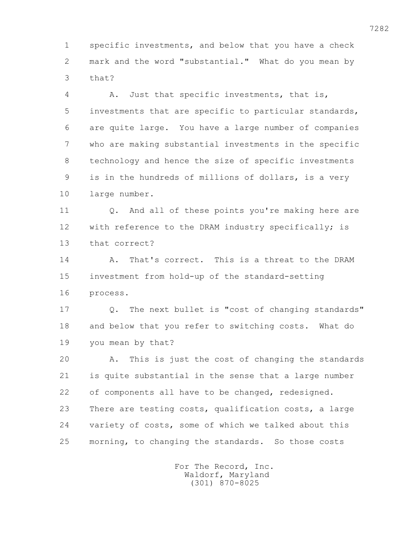1 specific investments, and below that you have a check 2 mark and the word "substantial." What do you mean by 3 that?

 4 A. Just that specific investments, that is, 5 investments that are specific to particular standards, 6 are quite large. You have a large number of companies 7 who are making substantial investments in the specific 8 technology and hence the size of specific investments 9 is in the hundreds of millions of dollars, is a very 10 large number.

 11 Q. And all of these points you're making here are 12 with reference to the DRAM industry specifically; is 13 that correct?

 14 A. That's correct. This is a threat to the DRAM 15 investment from hold-up of the standard-setting 16 process.

 17 Q. The next bullet is "cost of changing standards" 18 and below that you refer to switching costs. What do 19 you mean by that?

 20 A. This is just the cost of changing the standards 21 is quite substantial in the sense that a large number 22 of components all have to be changed, redesigned. 23 There are testing costs, qualification costs, a large 24 variety of costs, some of which we talked about this 25 morning, to changing the standards. So those costs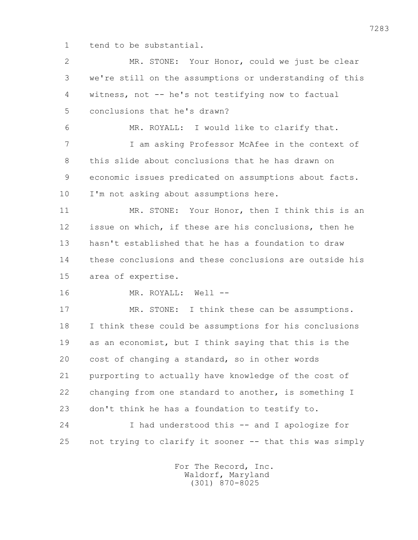1 tend to be substantial.

 2 MR. STONE: Your Honor, could we just be clear 3 we're still on the assumptions or understanding of this 4 witness, not -- he's not testifying now to factual 5 conclusions that he's drawn? 6 MR. ROYALL: I would like to clarify that. 7 I am asking Professor McAfee in the context of 8 this slide about conclusions that he has drawn on 9 economic issues predicated on assumptions about facts. 10 I'm not asking about assumptions here. 11 MR. STONE: Your Honor, then I think this is an 12 issue on which, if these are his conclusions, then he 13 hasn't established that he has a foundation to draw 14 these conclusions and these conclusions are outside his 15 area of expertise. 16 MR. ROYALL: Well -- 17 MR. STONE: I think these can be assumptions. 18 I think these could be assumptions for his conclusions 19 as an economist, but I think saying that this is the 20 cost of changing a standard, so in other words 21 purporting to actually have knowledge of the cost of 22 changing from one standard to another, is something I 23 don't think he has a foundation to testify to. 24 I had understood this -- and I apologize for 25 not trying to clarify it sooner -- that this was simply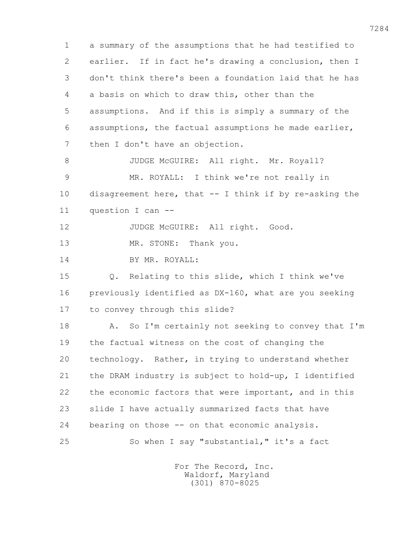1 a summary of the assumptions that he had testified to 2 earlier. If in fact he's drawing a conclusion, then I 3 don't think there's been a foundation laid that he has 4 a basis on which to draw this, other than the 5 assumptions. And if this is simply a summary of the 6 assumptions, the factual assumptions he made earlier, 7 then I don't have an objection. 8 JUDGE McGUIRE: All right. Mr. Royall? 9 MR. ROYALL: I think we're not really in 10 disagreement here, that -- I think if by re-asking the 11 question I can -- 12 JUDGE McGUIRE: All right. Good. 13 MR. STONE: Thank you. 14 BY MR. ROYALL: 15 Q. Relating to this slide, which I think we've 16 previously identified as DX-160, what are you seeking 17 to convey through this slide? 18 A. So I'm certainly not seeking to convey that I'm 19 the factual witness on the cost of changing the 20 technology. Rather, in trying to understand whether 21 the DRAM industry is subject to hold-up, I identified 22 the economic factors that were important, and in this 23 slide I have actually summarized facts that have 24 bearing on those -- on that economic analysis. 25 So when I say "substantial," it's a fact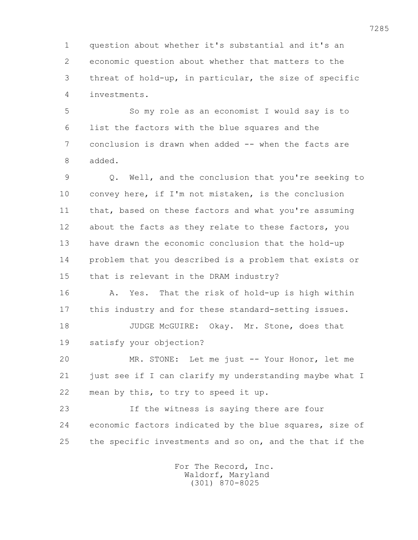1 question about whether it's substantial and it's an 2 economic question about whether that matters to the 3 threat of hold-up, in particular, the size of specific 4 investments.

 5 So my role as an economist I would say is to 6 list the factors with the blue squares and the 7 conclusion is drawn when added -- when the facts are 8 added.

 9 Q. Well, and the conclusion that you're seeking to 10 convey here, if I'm not mistaken, is the conclusion 11 that, based on these factors and what you're assuming 12 about the facts as they relate to these factors, you 13 have drawn the economic conclusion that the hold-up 14 problem that you described is a problem that exists or 15 that is relevant in the DRAM industry?

 16 A. Yes. That the risk of hold-up is high within 17 this industry and for these standard-setting issues.

18 JUDGE McGUIRE: Okay. Mr. Stone, does that 19 satisfy your objection?

 20 MR. STONE: Let me just -- Your Honor, let me 21 just see if I can clarify my understanding maybe what I 22 mean by this, to try to speed it up.

 23 If the witness is saying there are four 24 economic factors indicated by the blue squares, size of 25 the specific investments and so on, and the that if the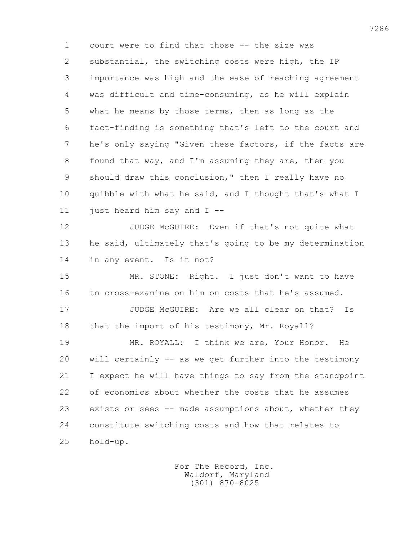1 court were to find that those -- the size was 2 substantial, the switching costs were high, the IP 3 importance was high and the ease of reaching agreement 4 was difficult and time-consuming, as he will explain 5 what he means by those terms, then as long as the 6 fact-finding is something that's left to the court and 7 he's only saying "Given these factors, if the facts are 8 found that way, and I'm assuming they are, then you 9 should draw this conclusion," then I really have no 10 quibble with what he said, and I thought that's what I 11 just heard him say and  $I$  --12 JUDGE McGUIRE: Even if that's not quite what 13 he said, ultimately that's going to be my determination 14 in any event. Is it not? 15 MR. STONE: Right. I just don't want to have 16 to cross-examine on him on costs that he's assumed. 17 JUDGE McGUIRE: Are we all clear on that? Is 18 that the import of his testimony, Mr. Royall? 19 MR. ROYALL: I think we are, Your Honor. He 20 will certainly -- as we get further into the testimony 21 I expect he will have things to say from the standpoint 22 of economics about whether the costs that he assumes 23 exists or sees -- made assumptions about, whether they

 24 constitute switching costs and how that relates to 25 hold-up.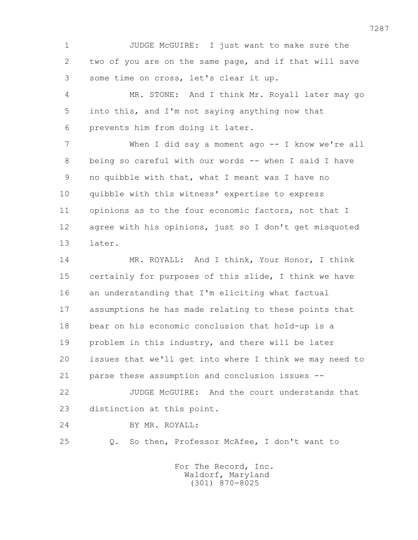1 JUDGE McGUIRE: I just want to make sure the 2 two of you are on the same page, and if that will save 3 some time on cross, let's clear it up.

 4 MR. STONE: And I think Mr. Royall later may go 5 into this, and I'm not saying anything now that 6 prevents him from doing it later.

7 When I did say a moment ago -- I know we're all 8 being so careful with our words -- when I said I have 9 no quibble with that, what I meant was I have no 10 quibble with this witness' expertise to express 11 opinions as to the four economic factors, not that I 12 agree with his opinions, just so I don't get misquoted 13 later.

 14 MR. ROYALL: And I think, Your Honor, I think 15 certainly for purposes of this slide, I think we have 16 an understanding that I'm eliciting what factual 17 assumptions he has made relating to these points that 18 bear on his economic conclusion that hold-up is a 19 problem in this industry, and there will be later 20 issues that we'll get into where I think we may need to 21 parse these assumption and conclusion issues --

 22 JUDGE McGUIRE: And the court understands that 23 distinction at this point.

24 BY MR. ROYALL:

25 Q. So then, Professor McAfee, I don't want to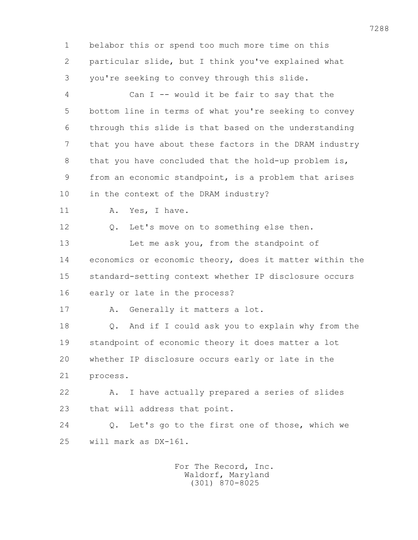1 belabor this or spend too much more time on this 2 particular slide, but I think you've explained what 3 you're seeking to convey through this slide.

 4 Can I -- would it be fair to say that the 5 bottom line in terms of what you're seeking to convey 6 through this slide is that based on the understanding 7 that you have about these factors in the DRAM industry 8 that you have concluded that the hold-up problem is, 9 from an economic standpoint, is a problem that arises 10 in the context of the DRAM industry? 11 A. Yes, I have. 12 O. Let's move on to something else then. 13 Let me ask you, from the standpoint of 14 economics or economic theory, does it matter within the 15 standard-setting context whether IP disclosure occurs 16 early or late in the process? 17 A. Generally it matters a lot. 18 Q. And if I could ask you to explain why from the 19 standpoint of economic theory it does matter a lot 20 whether IP disclosure occurs early or late in the 21 process. 22 A. I have actually prepared a series of slides 23 that will address that point. 24 Q. Let's go to the first one of those, which we 25 will mark as DX-161.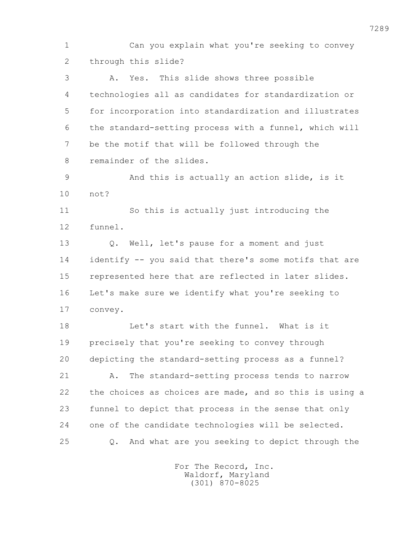1 Can you explain what you're seeking to convey 2 through this slide? 3 A. Yes. This slide shows three possible 4 technologies all as candidates for standardization or 5 for incorporation into standardization and illustrates 6 the standard-setting process with a funnel, which will 7 be the motif that will be followed through the 8 remainder of the slides. 9 And this is actually an action slide, is it 10 not? 11 So this is actually just introducing the 12 funnel. 13 Q. Well, let's pause for a moment and just 14 identify -- you said that there's some motifs that are 15 represented here that are reflected in later slides. 16 Let's make sure we identify what you're seeking to 17 convey. 18 Let's start with the funnel. What is it 19 precisely that you're seeking to convey through 20 depicting the standard-setting process as a funnel? 21 A. The standard-setting process tends to narrow 22 the choices as choices are made, and so this is using a 23 funnel to depict that process in the sense that only 24 one of the candidate technologies will be selected. 25 Q. And what are you seeking to depict through the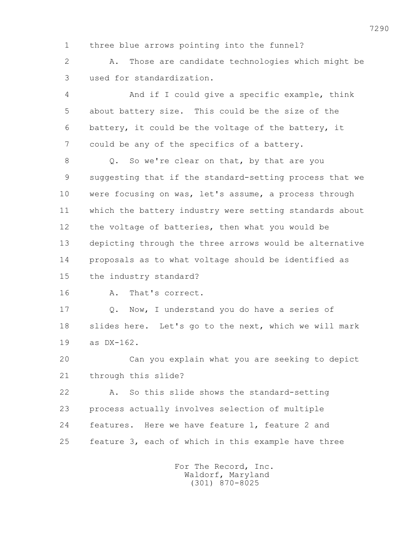1 three blue arrows pointing into the funnel?

 2 A. Those are candidate technologies which might be 3 used for standardization.

 4 And if I could give a specific example, think 5 about battery size. This could be the size of the 6 battery, it could be the voltage of the battery, it 7 could be any of the specifics of a battery.

8 Q. So we're clear on that, by that are you 9 suggesting that if the standard-setting process that we 10 were focusing on was, let's assume, a process through 11 which the battery industry were setting standards about 12 the voltage of batteries, then what you would be 13 depicting through the three arrows would be alternative 14 proposals as to what voltage should be identified as 15 the industry standard?

16 A. That's correct.

 17 Q. Now, I understand you do have a series of 18 slides here. Let's go to the next, which we will mark 19 as DX-162.

 20 Can you explain what you are seeking to depict 21 through this slide?

 22 A. So this slide shows the standard-setting 23 process actually involves selection of multiple 24 features. Here we have feature 1, feature 2 and 25 feature 3, each of which in this example have three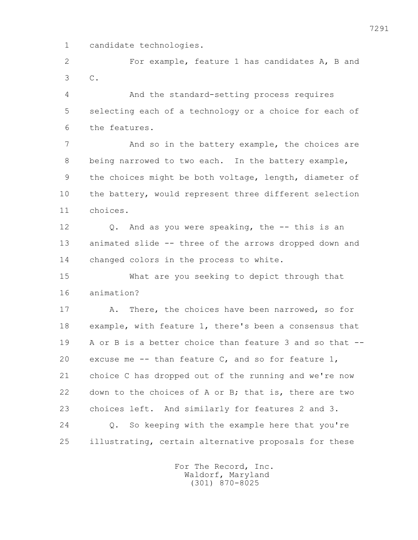1 candidate technologies.

 2 For example, feature 1 has candidates A, B and 3 C.

 4 And the standard-setting process requires 5 selecting each of a technology or a choice for each of 6 the features.

7 And so in the battery example, the choices are 8 being narrowed to two each. In the battery example, 9 the choices might be both voltage, length, diameter of 10 the battery, would represent three different selection 11 choices.

12 0. And as you were speaking, the -- this is an 13 animated slide -- three of the arrows dropped down and 14 changed colors in the process to white.

 15 What are you seeking to depict through that 16 animation?

 17 A. There, the choices have been narrowed, so for 18 example, with feature 1, there's been a consensus that 19 A or B is a better choice than feature 3 and so that -- 20 excuse me  $-$ - than feature  $C$ , and so for feature  $1$ , 21 choice C has dropped out of the running and we're now 22 down to the choices of A or B; that is, there are two 23 choices left. And similarly for features 2 and 3. 24 Q. So keeping with the example here that you're 25 illustrating, certain alternative proposals for these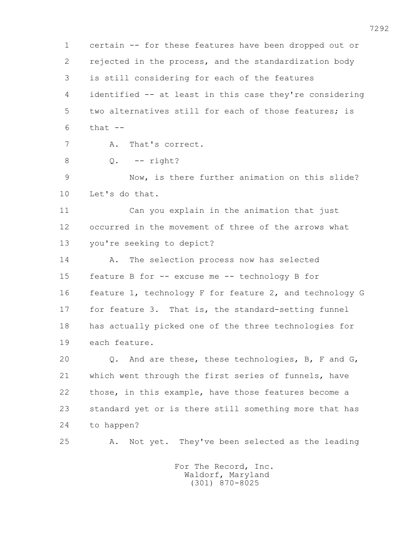1 certain -- for these features have been dropped out or 2 rejected in the process, and the standardization body 3 is still considering for each of the features 4 identified -- at least in this case they're considering 5 two alternatives still for each of those features; is  $6$  that  $-$  7 A. That's correct. 8 Q. -- right? 9 Now, is there further animation on this slide? 10 Let's do that. 11 Can you explain in the animation that just 12 occurred in the movement of three of the arrows what 13 you're seeking to depict? 14 A. The selection process now has selected 15 feature B for -- excuse me -- technology B for 16 feature 1, technology F for feature 2, and technology G 17 for feature 3. That is, the standard-setting funnel 18 has actually picked one of the three technologies for 19 each feature. 20 Q. And are these, these technologies, B, F and G, 21 which went through the first series of funnels, have 22 those, in this example, have those features become a 23 standard yet or is there still something more that has 24 to happen? 25 A. Not yet. They've been selected as the leading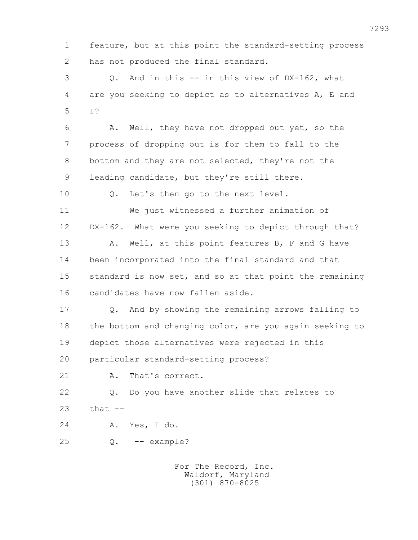1 feature, but at this point the standard-setting process 2 has not produced the final standard.

 3 Q. And in this -- in this view of DX-162, what 4 are you seeking to depict as to alternatives A, E and 5 I?

 6 A. Well, they have not dropped out yet, so the 7 process of dropping out is for them to fall to the 8 bottom and they are not selected, they're not the 9 leading candidate, but they're still there.

10 Q. Let's then go to the next level.

 11 We just witnessed a further animation of 12 DX-162. What were you seeking to depict through that? 13 A. Well, at this point features B, F and G have 14 been incorporated into the final standard and that 15 standard is now set, and so at that point the remaining 16 candidates have now fallen aside.

 17 Q. And by showing the remaining arrows falling to 18 the bottom and changing color, are you again seeking to 19 depict those alternatives were rejected in this

20 particular standard-setting process?

21 A. That's correct.

 22 Q. Do you have another slide that relates to 23 that --

- 24 A. Yes, I do.
- 25 Q. -- example?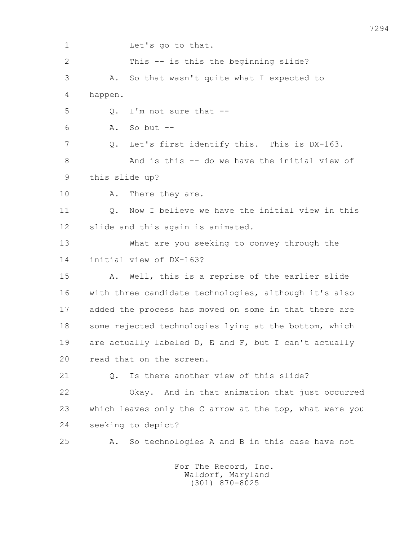1 Let's go to that. 2 This -- is this the beginning slide? 3 A. So that wasn't quite what I expected to 4 happen. 5 Q. I'm not sure that -- 6 A. So but -- 7 Q. Let's first identify this. This is DX-163. 8 And is this -- do we have the initial view of 9 this slide up? 10 A. There they are. 11 Q. Now I believe we have the initial view in this 12 slide and this again is animated. 13 What are you seeking to convey through the 14 initial view of DX-163? 15 A. Well, this is a reprise of the earlier slide 16 with three candidate technologies, although it's also 17 added the process has moved on some in that there are 18 some rejected technologies lying at the bottom, which 19 are actually labeled D, E and F, but I can't actually 20 read that on the screen. 21 0. Is there another view of this slide? 22 Okay. And in that animation that just occurred 23 which leaves only the C arrow at the top, what were you 24 seeking to depict? 25 A. So technologies A and B in this case have not For The Record, Inc. Waldorf, Maryland

(301) 870-8025

7294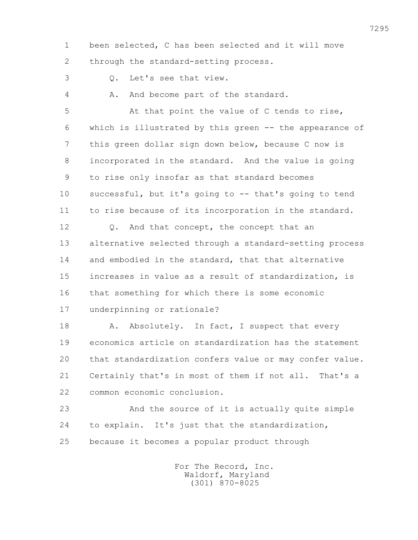1 been selected, C has been selected and it will move 2 through the standard-setting process.

3 Q. Let's see that view.

4 A. And become part of the standard.

 5 At that point the value of C tends to rise, 6 which is illustrated by this green -- the appearance of 7 this green dollar sign down below, because C now is 8 incorporated in the standard. And the value is going 9 to rise only insofar as that standard becomes 10 successful, but it's going to -- that's going to tend 11 to rise because of its incorporation in the standard. 12 Q. And that concept, the concept that an 13 alternative selected through a standard-setting process 14 and embodied in the standard, that that alternative 15 increases in value as a result of standardization, is 16 that something for which there is some economic 17 underpinning or rationale?

18 A. Absolutely. In fact, I suspect that every 19 economics article on standardization has the statement 20 that standardization confers value or may confer value. 21 Certainly that's in most of them if not all. That's a 22 common economic conclusion.

 23 And the source of it is actually quite simple 24 to explain. It's just that the standardization, 25 because it becomes a popular product through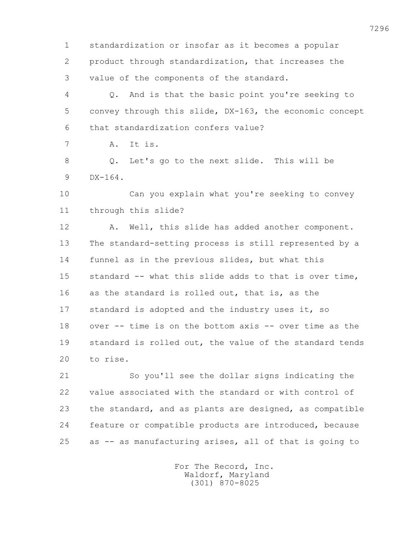1 standardization or insofar as it becomes a popular 2 product through standardization, that increases the 3 value of the components of the standard.

 4 Q. And is that the basic point you're seeking to 5 convey through this slide, DX-163, the economic concept 6 that standardization confers value?

7 A. It is.

 8 Q. Let's go to the next slide. This will be 9 DX-164.

 10 Can you explain what you're seeking to convey 11 through this slide?

12 A. Well, this slide has added another component. 13 The standard-setting process is still represented by a 14 funnel as in the previous slides, but what this 15 standard -- what this slide adds to that is over time, 16 as the standard is rolled out, that is, as the 17 standard is adopted and the industry uses it, so 18 over -- time is on the bottom axis -- over time as the 19 standard is rolled out, the value of the standard tends 20 to rise.

 21 So you'll see the dollar signs indicating the 22 value associated with the standard or with control of 23 the standard, and as plants are designed, as compatible 24 feature or compatible products are introduced, because 25 as -- as manufacturing arises, all of that is going to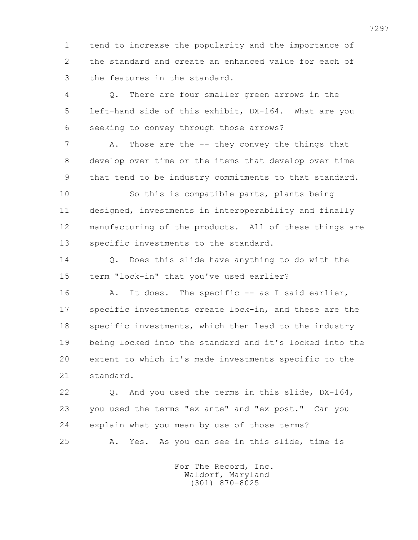1 tend to increase the popularity and the importance of 2 the standard and create an enhanced value for each of 3 the features in the standard.

 4 Q. There are four smaller green arrows in the 5 left-hand side of this exhibit, DX-164. What are you 6 seeking to convey through those arrows?

7 A. Those are the -- they convey the things that 8 develop over time or the items that develop over time 9 that tend to be industry commitments to that standard.

 10 So this is compatible parts, plants being 11 designed, investments in interoperability and finally 12 manufacturing of the products. All of these things are 13 specific investments to the standard.

 14 Q. Does this slide have anything to do with the 15 term "lock-in" that you've used earlier?

 16 A. It does. The specific -- as I said earlier, 17 specific investments create lock-in, and these are the 18 specific investments, which then lead to the industry 19 being locked into the standard and it's locked into the 20 extent to which it's made investments specific to the 21 standard.

 22 Q. And you used the terms in this slide, DX-164, 23 you used the terms "ex ante" and "ex post." Can you 24 explain what you mean by use of those terms? 25 A. Yes. As you can see in this slide, time is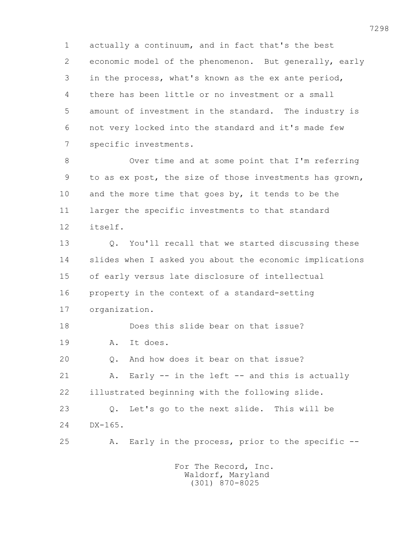1 actually a continuum, and in fact that's the best 2 economic model of the phenomenon. But generally, early 3 in the process, what's known as the ex ante period, 4 there has been little or no investment or a small 5 amount of investment in the standard. The industry is 6 not very locked into the standard and it's made few 7 specific investments.

 8 Over time and at some point that I'm referring 9 to as ex post, the size of those investments has grown, 10 and the more time that goes by, it tends to be the 11 larger the specific investments to that standard 12 itself.

 13 Q. You'll recall that we started discussing these 14 slides when I asked you about the economic implications 15 of early versus late disclosure of intellectual 16 property in the context of a standard-setting 17 organization. 18 Does this slide bear on that issue?

 19 A. It does. 20 Q. And how does it bear on that issue? 21 A. Early -- in the left -- and this is actually 22 illustrated beginning with the following slide.

 23 Q. Let's go to the next slide. This will be 24 DX-165.

25 A. Early in the process, prior to the specific --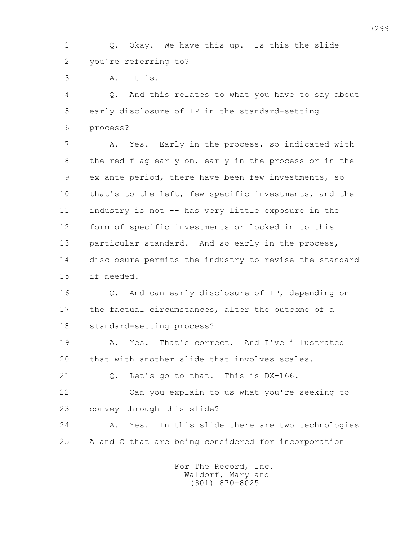1 Q. Okay. We have this up. Is this the slide 2 you're referring to?

3 A. It is.

 4 Q. And this relates to what you have to say about 5 early disclosure of IP in the standard-setting 6 process?

 7 A. Yes. Early in the process, so indicated with 8 the red flag early on, early in the process or in the 9 ex ante period, there have been few investments, so 10 that's to the left, few specific investments, and the 11 industry is not -- has very little exposure in the 12 form of specific investments or locked in to this 13 particular standard. And so early in the process, 14 disclosure permits the industry to revise the standard 15 if needed.

16 0. And can early disclosure of IP, depending on 17 the factual circumstances, alter the outcome of a 18 standard-setting process?

 19 A. Yes. That's correct. And I've illustrated 20 that with another slide that involves scales.

21 0. Let's go to that. This is DX-166.

 22 Can you explain to us what you're seeking to 23 convey through this slide?

 24 A. Yes. In this slide there are two technologies 25 A and C that are being considered for incorporation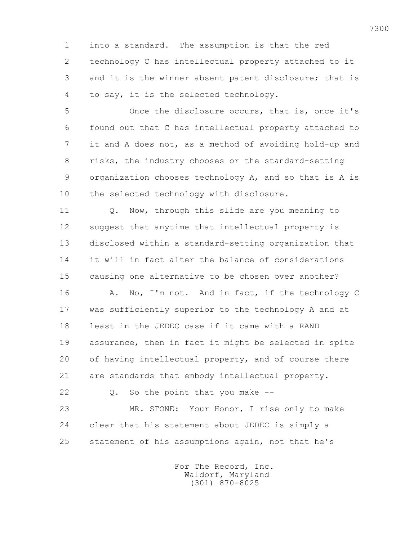1 into a standard. The assumption is that the red 2 technology C has intellectual property attached to it 3 and it is the winner absent patent disclosure; that is 4 to say, it is the selected technology.

 5 Once the disclosure occurs, that is, once it's 6 found out that C has intellectual property attached to 7 it and A does not, as a method of avoiding hold-up and 8 risks, the industry chooses or the standard-setting 9 organization chooses technology A, and so that is A is 10 the selected technology with disclosure.

 11 Q. Now, through this slide are you meaning to 12 suggest that anytime that intellectual property is 13 disclosed within a standard-setting organization that 14 it will in fact alter the balance of considerations 15 causing one alternative to be chosen over another?

16 A. No, I'm not. And in fact, if the technology C 17 was sufficiently superior to the technology A and at 18 least in the JEDEC case if it came with a RAND 19 assurance, then in fact it might be selected in spite 20 of having intellectual property, and of course there 21 are standards that embody intellectual property.

22 Q. So the point that you make --

 23 MR. STONE: Your Honor, I rise only to make 24 clear that his statement about JEDEC is simply a 25 statement of his assumptions again, not that he's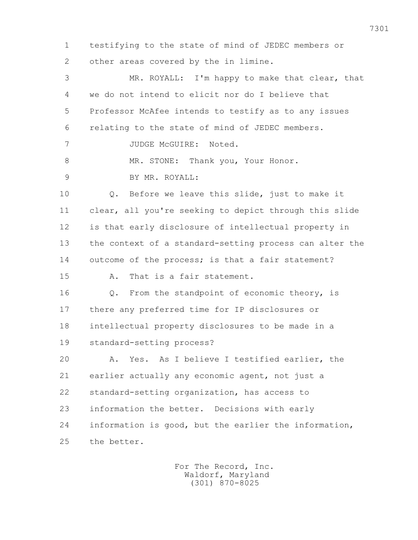1 testifying to the state of mind of JEDEC members or 2 other areas covered by the in limine. 3 MR. ROYALL: I'm happy to make that clear, that 4 we do not intend to elicit nor do I believe that 5 Professor McAfee intends to testify as to any issues 6 relating to the state of mind of JEDEC members. 7 JUDGE McGUIRE: Noted. 8 MR. STONE: Thank you, Your Honor. 9 BY MR. ROYALL: 10 Q. Before we leave this slide, just to make it 11 clear, all you're seeking to depict through this slide 12 is that early disclosure of intellectual property in 13 the context of a standard-setting process can alter the 14 outcome of the process; is that a fair statement? 15 A. That is a fair statement. 16 0. From the standpoint of economic theory, is 17 there any preferred time for IP disclosures or 18 intellectual property disclosures to be made in a 19 standard-setting process? 20 A. Yes. As I believe I testified earlier, the 21 earlier actually any economic agent, not just a 22 standard-setting organization, has access to 23 information the better. Decisions with early 24 information is good, but the earlier the information, 25 the better.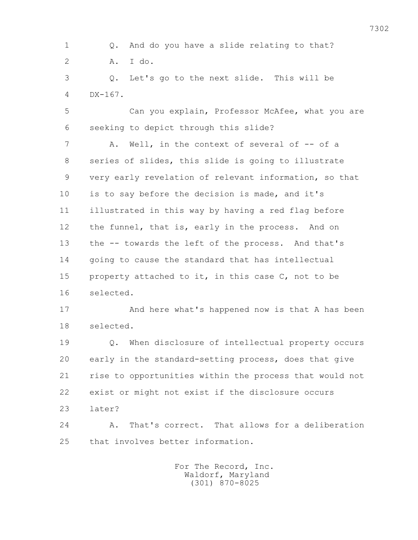1 Q. And do you have a slide relating to that? 2 A. I do.

 3 Q. Let's go to the next slide. This will be 4 DX-167.

 5 Can you explain, Professor McAfee, what you are 6 seeking to depict through this slide?

 7 A. Well, in the context of several of -- of a 8 series of slides, this slide is going to illustrate 9 very early revelation of relevant information, so that 10 is to say before the decision is made, and it's 11 illustrated in this way by having a red flag before 12 the funnel, that is, early in the process. And on 13 the -- towards the left of the process. And that's 14 going to cause the standard that has intellectual 15 property attached to it, in this case C, not to be 16 selected.

 17 And here what's happened now is that A has been 18 selected.

 19 Q. When disclosure of intellectual property occurs 20 early in the standard-setting process, does that give 21 rise to opportunities within the process that would not 22 exist or might not exist if the disclosure occurs 23 later?

 24 A. That's correct. That allows for a deliberation 25 that involves better information.

> For The Record, Inc. Waldorf, Maryland (301) 870-8025

7302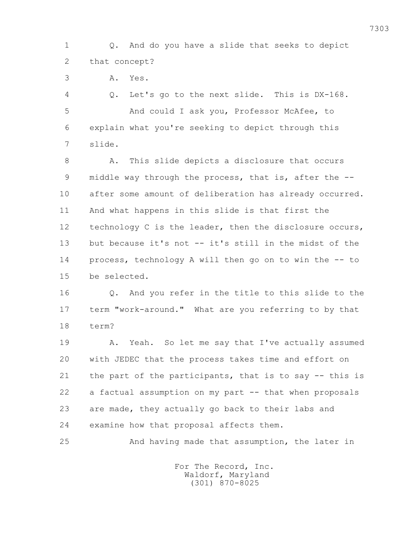1 Q. And do you have a slide that seeks to depict 2 that concept?

3 A. Yes.

 4 Q. Let's go to the next slide. This is DX-168. 5 And could I ask you, Professor McAfee, to 6 explain what you're seeking to depict through this 7 slide.

 8 A. This slide depicts a disclosure that occurs 9 middle way through the process, that is, after the -- 10 after some amount of deliberation has already occurred. 11 And what happens in this slide is that first the 12 technology C is the leader, then the disclosure occurs, 13 but because it's not -- it's still in the midst of the 14 process, technology A will then go on to win the -- to 15 be selected.

 16 Q. And you refer in the title to this slide to the 17 term "work-around." What are you referring to by that 18 term?

19 A. Yeah. So let me say that I've actually assumed 20 with JEDEC that the process takes time and effort on 21 the part of the participants, that is to say -- this is 22 a factual assumption on my part -- that when proposals 23 are made, they actually go back to their labs and 24 examine how that proposal affects them.

25 And having made that assumption, the later in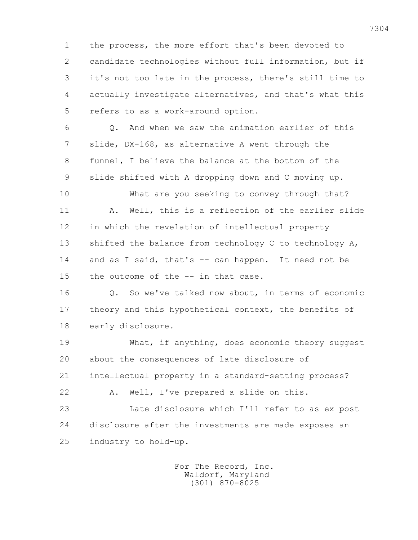1 the process, the more effort that's been devoted to 2 candidate technologies without full information, but if 3 it's not too late in the process, there's still time to 4 actually investigate alternatives, and that's what this 5 refers to as a work-around option.

 6 Q. And when we saw the animation earlier of this 7 slide, DX-168, as alternative A went through the 8 funnel, I believe the balance at the bottom of the 9 slide shifted with A dropping down and C moving up.

 10 What are you seeking to convey through that? 11 A. Well, this is a reflection of the earlier slide 12 in which the revelation of intellectual property 13 shifted the balance from technology C to technology A, 14 and as I said, that's -- can happen. It need not be 15 the outcome of the -- in that case.

 16 Q. So we've talked now about, in terms of economic 17 theory and this hypothetical context, the benefits of 18 early disclosure.

 19 What, if anything, does economic theory suggest 20 about the consequences of late disclosure of

21 intellectual property in a standard-setting process?

22 A. Well, I've prepared a slide on this.

 23 Late disclosure which I'll refer to as ex post 24 disclosure after the investments are made exposes an 25 industry to hold-up.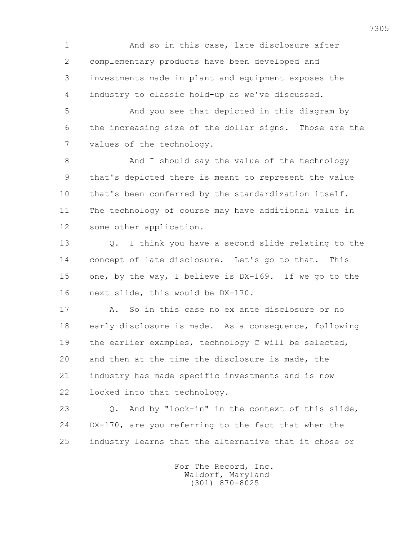1 And so in this case, late disclosure after 2 complementary products have been developed and 3 investments made in plant and equipment exposes the 4 industry to classic hold-up as we've discussed.

 5 And you see that depicted in this diagram by 6 the increasing size of the dollar signs. Those are the 7 values of the technology.

8 And I should say the value of the technology 9 that's depicted there is meant to represent the value 10 that's been conferred by the standardization itself. 11 The technology of course may have additional value in 12 some other application.

 13 Q. I think you have a second slide relating to the 14 concept of late disclosure. Let's go to that. This 15 one, by the way, I believe is DX-169. If we go to the 16 next slide, this would be DX-170.

 17 A. So in this case no ex ante disclosure or no 18 early disclosure is made. As a consequence, following 19 the earlier examples, technology C will be selected, 20 and then at the time the disclosure is made, the 21 industry has made specific investments and is now 22 locked into that technology.

 23 Q. And by "lock-in" in the context of this slide, 24 DX-170, are you referring to the fact that when the 25 industry learns that the alternative that it chose or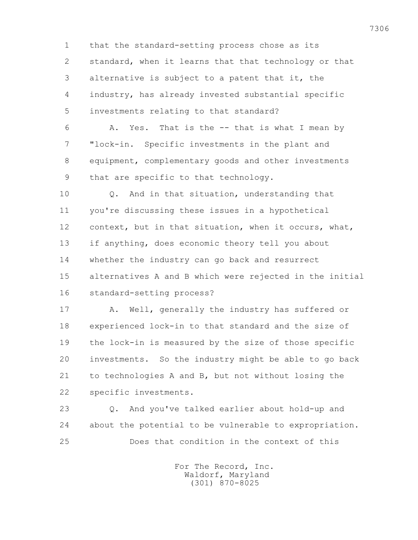1 that the standard-setting process chose as its 2 standard, when it learns that that technology or that 3 alternative is subject to a patent that it, the 4 industry, has already invested substantial specific 5 investments relating to that standard?

 6 A. Yes. That is the -- that is what I mean by 7 "lock-in. Specific investments in the plant and 8 equipment, complementary goods and other investments 9 that are specific to that technology.

 10 Q. And in that situation, understanding that 11 you're discussing these issues in a hypothetical 12 context, but in that situation, when it occurs, what, 13 if anything, does economic theory tell you about 14 whether the industry can go back and resurrect 15 alternatives A and B which were rejected in the initial 16 standard-setting process?

 17 A. Well, generally the industry has suffered or 18 experienced lock-in to that standard and the size of 19 the lock-in is measured by the size of those specific 20 investments. So the industry might be able to go back 21 to technologies A and B, but not without losing the 22 specific investments.

 23 Q. And you've talked earlier about hold-up and 24 about the potential to be vulnerable to expropriation. 25 Does that condition in the context of this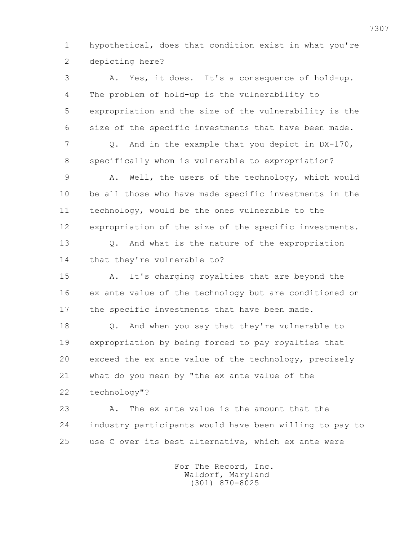1 hypothetical, does that condition exist in what you're 2 depicting here?

 3 A. Yes, it does. It's a consequence of hold-up. 4 The problem of hold-up is the vulnerability to 5 expropriation and the size of the vulnerability is the 6 size of the specific investments that have been made. 7 Q. And in the example that you depict in DX-170, 8 specifically whom is vulnerable to expropriation? 9 A. Well, the users of the technology, which would 10 be all those who have made specific investments in the 11 technology, would be the ones vulnerable to the 12 expropriation of the size of the specific investments. 13 Q. And what is the nature of the expropriation 14 that they're vulnerable to? 15 A. It's charging royalties that are beyond the 16 ex ante value of the technology but are conditioned on 17 the specific investments that have been made. 18 Q. And when you say that they're vulnerable to 19 expropriation by being forced to pay royalties that 20 exceed the ex ante value of the technology, precisely 21 what do you mean by "the ex ante value of the 22 technology"? 23 A. The ex ante value is the amount that the 24 industry participants would have been willing to pay to 25 use C over its best alternative, which ex ante were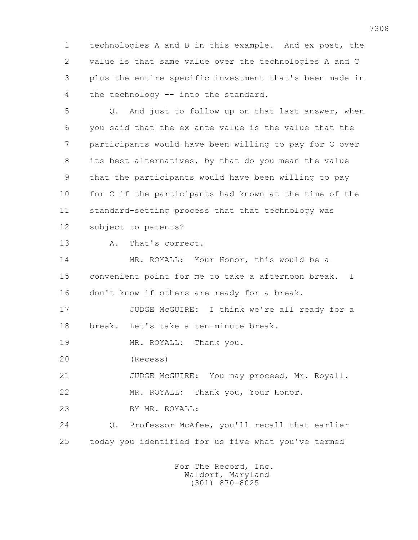1 technologies A and B in this example. And ex post, the 2 value is that same value over the technologies A and C 3 plus the entire specific investment that's been made in 4 the technology -- into the standard.

 5 Q. And just to follow up on that last answer, when 6 you said that the ex ante value is the value that the 7 participants would have been willing to pay for C over 8 its best alternatives, by that do you mean the value 9 that the participants would have been willing to pay 10 for C if the participants had known at the time of the 11 standard-setting process that that technology was 12 subject to patents?

13 A. That's correct.

 14 MR. ROYALL: Your Honor, this would be a 15 convenient point for me to take a afternoon break. I 16 don't know if others are ready for a break.

 17 JUDGE McGUIRE: I think we're all ready for a 18 break. Let's take a ten-minute break.

19 MR. ROYALL: Thank you.

20 (Recess)

21 JUDGE McGUIRE: You may proceed, Mr. Royall.

22 MR. ROYALL: Thank you, Your Honor.

23 BY MR. ROYALL:

 24 Q. Professor McAfee, you'll recall that earlier 25 today you identified for us five what you've termed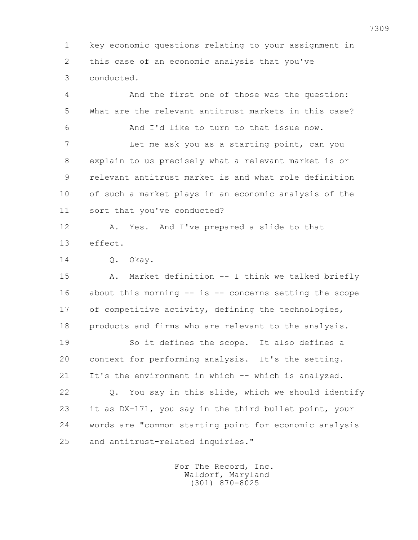1 key economic questions relating to your assignment in 2 this case of an economic analysis that you've 3 conducted.

 4 And the first one of those was the question: 5 What are the relevant antitrust markets in this case? 6 And I'd like to turn to that issue now. 7 Let me ask you as a starting point, can you 8 explain to us precisely what a relevant market is or 9 relevant antitrust market is and what role definition 10 of such a market plays in an economic analysis of the 11 sort that you've conducted? 12 A. Yes. And I've prepared a slide to that 13 effect. 14 Q. Okay. 15 A. Market definition -- I think we talked briefly 16 about this morning -- is -- concerns setting the scope 17 of competitive activity, defining the technologies, 18 products and firms who are relevant to the analysis. 19 So it defines the scope. It also defines a 20 context for performing analysis. It's the setting. 21 It's the environment in which -- which is analyzed. 22 Q. You say in this slide, which we should identify 23 it as DX-171, you say in the third bullet point, your 24 words are "common starting point for economic analysis 25 and antitrust-related inquiries."

> For The Record, Inc. Waldorf, Maryland (301) 870-8025

7309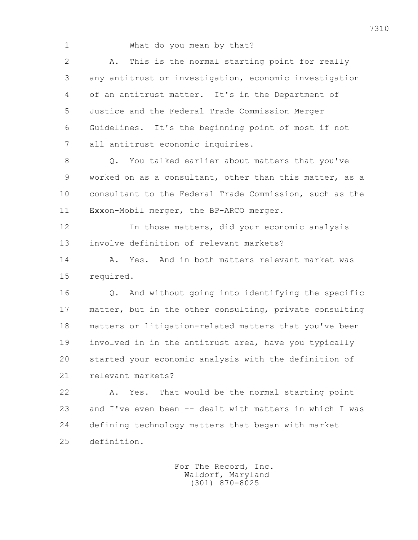1 What do you mean by that? 2 A. This is the normal starting point for really 3 any antitrust or investigation, economic investigation 4 of an antitrust matter. It's in the Department of 5 Justice and the Federal Trade Commission Merger 6 Guidelines. It's the beginning point of most if not 7 all antitrust economic inquiries. 8 Q. You talked earlier about matters that you've 9 worked on as a consultant, other than this matter, as a 10 consultant to the Federal Trade Commission, such as the 11 Exxon-Mobil merger, the BP-ARCO merger. 12 In those matters, did your economic analysis 13 involve definition of relevant markets? 14 A. Yes. And in both matters relevant market was 15 required. 16 Q. And without going into identifying the specific 17 matter, but in the other consulting, private consulting 18 matters or litigation-related matters that you've been 19 involved in in the antitrust area, have you typically 20 started your economic analysis with the definition of 21 relevant markets? 22 A. Yes. That would be the normal starting point 23 and I've even been -- dealt with matters in which I was 24 defining technology matters that began with market 25 definition.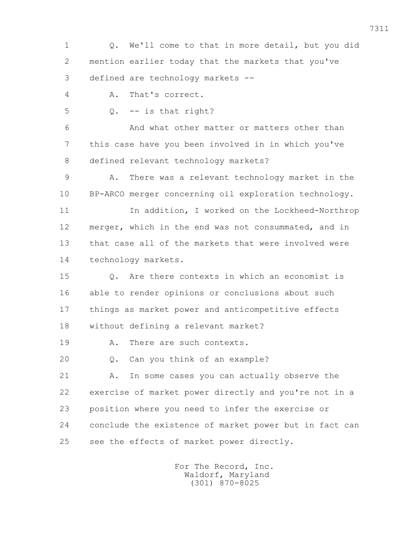1 Q. We'll come to that in more detail, but you did 2 mention earlier today that the markets that you've 3 defined are technology markets --

4 A. That's correct.

 $5 \qquad Q. \qquad -i s$  that right?

 6 And what other matter or matters other than 7 this case have you been involved in in which you've 8 defined relevant technology markets?

 9 A. There was a relevant technology market in the 10 BP-ARCO merger concerning oil exploration technology.

11 In addition, I worked on the Lockheed-Northrop 12 merger, which in the end was not consummated, and in 13 that case all of the markets that were involved were 14 technology markets.

 15 Q. Are there contexts in which an economist is 16 able to render opinions or conclusions about such 17 things as market power and anticompetitive effects 18 without defining a relevant market?

19 A. There are such contexts.

20 Q. Can you think of an example?

 21 A. In some cases you can actually observe the 22 exercise of market power directly and you're not in a 23 position where you need to infer the exercise or 24 conclude the existence of market power but in fact can 25 see the effects of market power directly.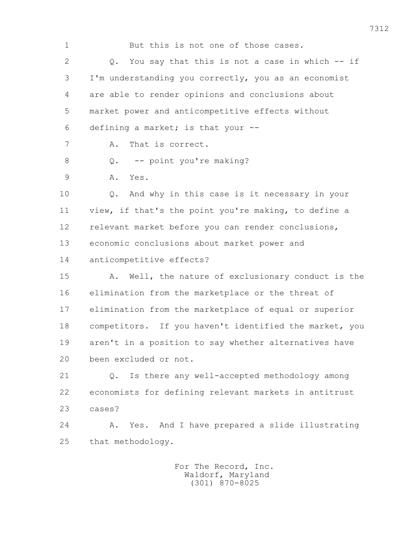1 But this is not one of those cases. 2 Q. You say that this is not a case in which -- if 3 I'm understanding you correctly, you as an economist 4 are able to render opinions and conclusions about 5 market power and anticompetitive effects without 6 defining a market; is that your -- 7 A. That is correct. 8 Q. -- point you're making? 9 A. Yes. 10 Q. And why in this case is it necessary in your 11 view, if that's the point you're making, to define a 12 relevant market before you can render conclusions, 13 economic conclusions about market power and 14 anticompetitive effects? 15 A. Well, the nature of exclusionary conduct is the 16 elimination from the marketplace or the threat of 17 elimination from the marketplace of equal or superior 18 competitors. If you haven't identified the market, you 19 aren't in a position to say whether alternatives have 20 been excluded or not. 21 Q. Is there any well-accepted methodology among 22 economists for defining relevant markets in antitrust 23 cases? 24 A. Yes. And I have prepared a slide illustrating 25 that methodology.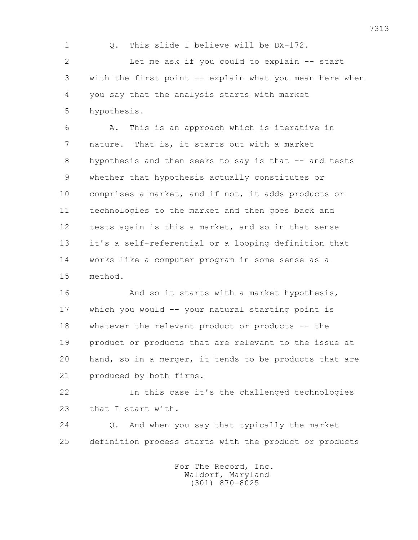1 0. This slide I believe will be DX-172. 2 Let me ask if you could to explain -- start 3 with the first point -- explain what you mean here when 4 you say that the analysis starts with market 5 hypothesis.

 6 A. This is an approach which is iterative in 7 nature. That is, it starts out with a market 8 hypothesis and then seeks to say is that -- and tests 9 whether that hypothesis actually constitutes or 10 comprises a market, and if not, it adds products or 11 technologies to the market and then goes back and 12 tests again is this a market, and so in that sense 13 it's a self-referential or a looping definition that 14 works like a computer program in some sense as a 15 method.

16 And so it starts with a market hypothesis, 17 which you would -- your natural starting point is 18 whatever the relevant product or products -- the 19 product or products that are relevant to the issue at 20 hand, so in a merger, it tends to be products that are 21 produced by both firms.

 22 In this case it's the challenged technologies 23 that I start with.

 24 Q. And when you say that typically the market 25 definition process starts with the product or products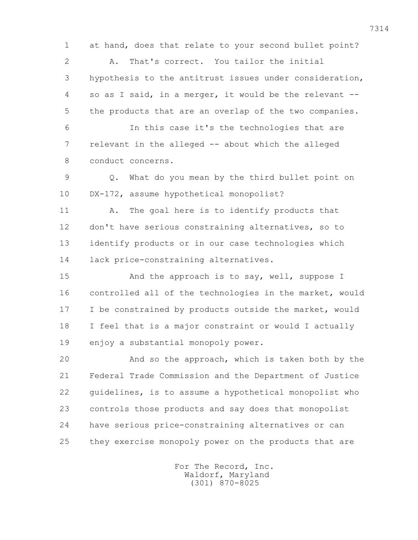1 at hand, does that relate to your second bullet point?

 2 A. That's correct. You tailor the initial 3 hypothesis to the antitrust issues under consideration, 4 so as I said, in a merger, it would be the relevant -- 5 the products that are an overlap of the two companies.

 6 In this case it's the technologies that are 7 relevant in the alleged -- about which the alleged 8 conduct concerns.

 9 Q. What do you mean by the third bullet point on 10 DX-172, assume hypothetical monopolist?

 11 A. The goal here is to identify products that 12 don't have serious constraining alternatives, so to 13 identify products or in our case technologies which 14 lack price-constraining alternatives.

15 And the approach is to say, well, suppose I 16 controlled all of the technologies in the market, would 17 I be constrained by products outside the market, would 18 I feel that is a major constraint or would I actually 19 enjoy a substantial monopoly power.

 20 And so the approach, which is taken both by the 21 Federal Trade Commission and the Department of Justice 22 guidelines, is to assume a hypothetical monopolist who 23 controls those products and say does that monopolist 24 have serious price-constraining alternatives or can 25 they exercise monopoly power on the products that are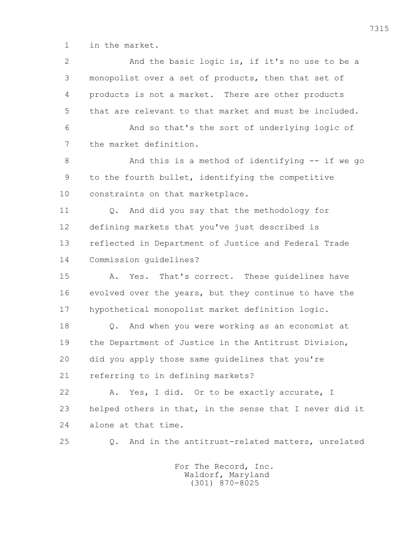1 in the market.

| $\overline{2}$ | And the basic logic is, if it's no use to be a                   |
|----------------|------------------------------------------------------------------|
| 3              | monopolist over a set of products, then that set of              |
| 4              | products is not a market. There are other products               |
| 5              | that are relevant to that market and must be included.           |
| 6              | And so that's the sort of underlying logic of                    |
| 7              | the market definition.                                           |
| 8              | And this is a method of identifying -- if we go                  |
| 9              | to the fourth bullet, identifying the competitive                |
| 10             | constraints on that marketplace.                                 |
| 11             | And did you say that the methodology for<br>Q.                   |
| 12             | defining markets that you've just described is                   |
| 13             | reflected in Department of Justice and Federal Trade             |
| 14             | Commission quidelines?                                           |
| 15             | Yes. That's correct. These guidelines have<br>Α.                 |
| 16             | evolved over the years, but they continue to have the            |
| 17             | hypothetical monopolist market definition logic.                 |
| 18             | And when you were working as an economist at<br>Q.               |
| 19             | the Department of Justice in the Antitrust Division,             |
| 20             | did you apply those same quidelines that you're                  |
| 21             | referring to in defining markets?                                |
| 22             | Yes, I did. Or to be exactly accurate, I<br>Α.                   |
| 23             | helped others in that, in the sense that I never did it          |
| 24             | alone at that time.                                              |
| 25             | And in the antitrust-related matters, unrelated<br>$Q_{\bullet}$ |
|                | For The Record, Inc.                                             |

Waldorf, Maryland (301) 870-8025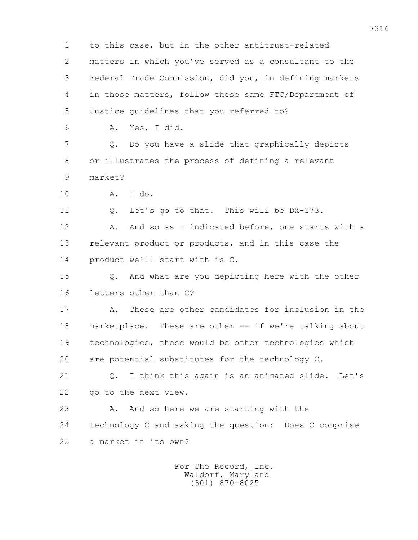1 to this case, but in the other antitrust-related 2 matters in which you've served as a consultant to the 3 Federal Trade Commission, did you, in defining markets 4 in those matters, follow these same FTC/Department of 5 Justice guidelines that you referred to? 6 A. Yes, I did. 7 Q. Do you have a slide that graphically depicts 8 or illustrates the process of defining a relevant 9 market? 10 A. I do. 11 Q. Let's go to that. This will be DX-173. 12 A. And so as I indicated before, one starts with a 13 relevant product or products, and in this case the 14 product we'll start with is C. 15 Q. And what are you depicting here with the other 16 letters other than C? 17 A. These are other candidates for inclusion in the 18 marketplace. These are other -- if we're talking about 19 technologies, these would be other technologies which 20 are potential substitutes for the technology C. 21 0. I think this again is an animated slide. Let's 22 go to the next view. 23 A. And so here we are starting with the 24 technology C and asking the question: Does C comprise 25 a market in its own? For The Record, Inc.

 Waldorf, Maryland (301) 870-8025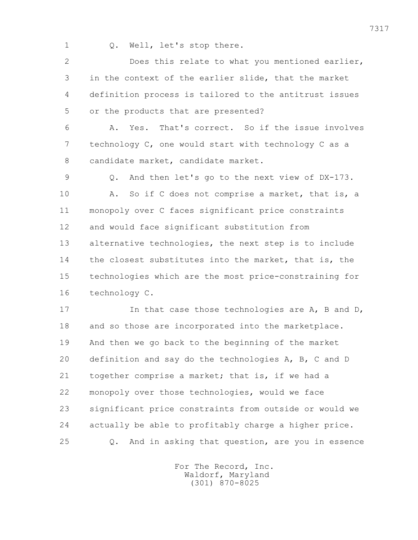1 Q. Well, let's stop there.

 2 Does this relate to what you mentioned earlier, 3 in the context of the earlier slide, that the market 4 definition process is tailored to the antitrust issues 5 or the products that are presented?

 6 A. Yes. That's correct. So if the issue involves 7 technology C, one would start with technology C as a 8 candidate market, candidate market.

 9 Q. And then let's go to the next view of DX-173. 10 A. So if C does not comprise a market, that is, a 11 monopoly over C faces significant price constraints 12 and would face significant substitution from 13 alternative technologies, the next step is to include 14 the closest substitutes into the market, that is, the 15 technologies which are the most price-constraining for 16 technology C.

17 In that case those technologies are A, B and D, 18 and so those are incorporated into the marketplace. 19 And then we go back to the beginning of the market 20 definition and say do the technologies A, B, C and D 21 together comprise a market; that is, if we had a 22 monopoly over those technologies, would we face 23 significant price constraints from outside or would we 24 actually be able to profitably charge a higher price. 25 Q. And in asking that question, are you in essence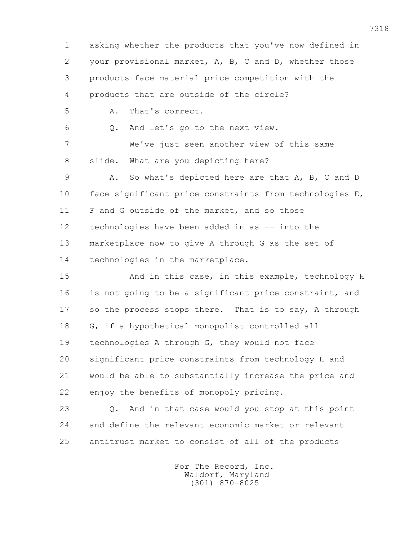1 asking whether the products that you've now defined in 2 your provisional market, A, B, C and D, whether those 3 products face material price competition with the 4 products that are outside of the circle? 5 A. That's correct. 6 Q. And let's go to the next view. 7 We've just seen another view of this same 8 slide. What are you depicting here? 9 A. So what's depicted here are that A, B, C and D 10 face significant price constraints from technologies E, 11 F and G outside of the market, and so those 12 technologies have been added in as -- into the 13 marketplace now to give A through G as the set of 14 technologies in the marketplace. 15 And in this case, in this example, technology H 16 is not going to be a significant price constraint, and 17 so the process stops there. That is to say, A through 18 G, if a hypothetical monopolist controlled all 19 technologies A through G, they would not face 20 significant price constraints from technology H and 21 would be able to substantially increase the price and 22 enjoy the benefits of monopoly pricing. 23 Q. And in that case would you stop at this point 24 and define the relevant economic market or relevant 25 antitrust market to consist of all of the products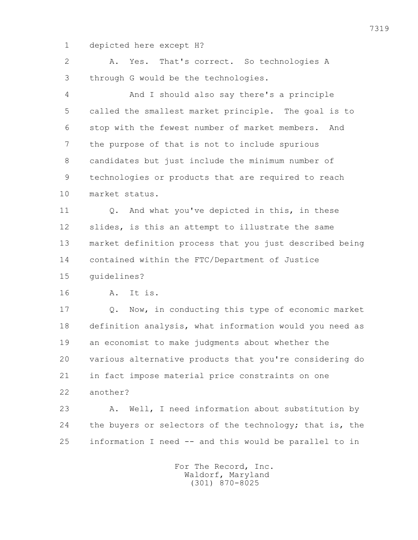1 depicted here except H?

 2 A. Yes. That's correct. So technologies A 3 through G would be the technologies. 4 And I should also say there's a principle 5 called the smallest market principle. The goal is to 6 stop with the fewest number of market members. And 7 the purpose of that is not to include spurious 8 candidates but just include the minimum number of 9 technologies or products that are required to reach 10 market status. 11 Q. And what you've depicted in this, in these 12 slides, is this an attempt to illustrate the same 13 market definition process that you just described being 14 contained within the FTC/Department of Justice 15 guidelines? 16 A. It is. 17 Q. Now, in conducting this type of economic market 18 definition analysis, what information would you need as 19 an economist to make judgments about whether the 20 various alternative products that you're considering do 21 in fact impose material price constraints on one 22 another? 23 A. Well, I need information about substitution by 24 the buyers or selectors of the technology; that is, the

> For The Record, Inc. Waldorf, Maryland (301) 870-8025

25 information I need -- and this would be parallel to in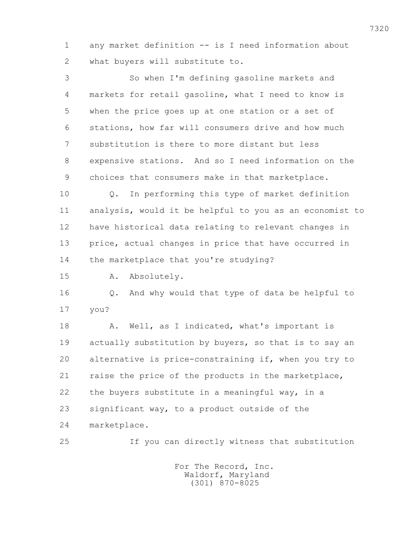1 any market definition -- is I need information about 2 what buyers will substitute to.

 3 So when I'm defining gasoline markets and 4 markets for retail gasoline, what I need to know is 5 when the price goes up at one station or a set of 6 stations, how far will consumers drive and how much 7 substitution is there to more distant but less 8 expensive stations. And so I need information on the 9 choices that consumers make in that marketplace.

 10 Q. In performing this type of market definition 11 analysis, would it be helpful to you as an economist to 12 have historical data relating to relevant changes in 13 price, actual changes in price that have occurred in 14 the marketplace that you're studying?

15 A. Absolutely.

 16 Q. And why would that type of data be helpful to 17 you?

18 A. Well, as I indicated, what's important is 19 actually substitution by buyers, so that is to say an 20 alternative is price-constraining if, when you try to 21 raise the price of the products in the marketplace, 22 the buyers substitute in a meaningful way, in a 23 significant way, to a product outside of the 24 marketplace.

25 If you can directly witness that substitution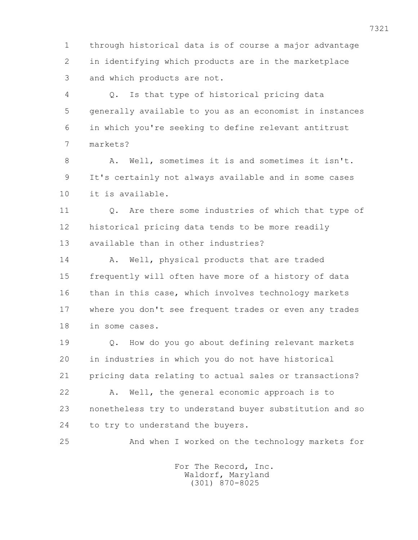1 through historical data is of course a major advantage 2 in identifying which products are in the marketplace 3 and which products are not.

 4 Q. Is that type of historical pricing data 5 generally available to you as an economist in instances 6 in which you're seeking to define relevant antitrust 7 markets?

 8 A. Well, sometimes it is and sometimes it isn't. 9 It's certainly not always available and in some cases 10 it is available.

 11 Q. Are there some industries of which that type of 12 historical pricing data tends to be more readily 13 available than in other industries?

14 A. Well, physical products that are traded 15 frequently will often have more of a history of data 16 than in this case, which involves technology markets 17 where you don't see frequent trades or even any trades 18 in some cases.

 19 Q. How do you go about defining relevant markets 20 in industries in which you do not have historical 21 pricing data relating to actual sales or transactions? 22 A. Well, the general economic approach is to 23 nonetheless try to understand buyer substitution and so 24 to try to understand the buyers.

25 And when I worked on the technology markets for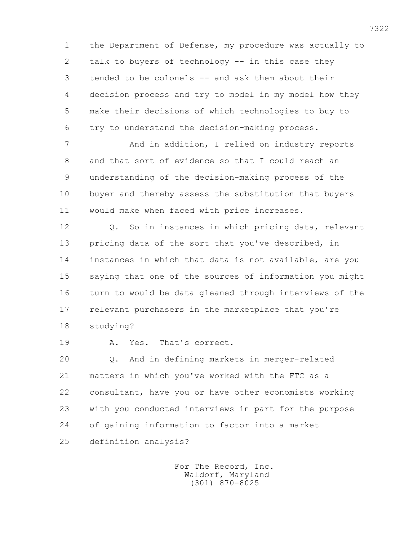1 the Department of Defense, my procedure was actually to 2 talk to buyers of technology -- in this case they 3 tended to be colonels -- and ask them about their 4 decision process and try to model in my model how they 5 make their decisions of which technologies to buy to 6 try to understand the decision-making process.

7 And in addition, I relied on industry reports 8 and that sort of evidence so that I could reach an 9 understanding of the decision-making process of the 10 buyer and thereby assess the substitution that buyers 11 would make when faced with price increases.

12 0. So in instances in which pricing data, relevant 13 pricing data of the sort that you've described, in 14 instances in which that data is not available, are you 15 saying that one of the sources of information you might 16 turn to would be data gleaned through interviews of the 17 relevant purchasers in the marketplace that you're 18 studying?

19 A. Yes. That's correct.

 20 Q. And in defining markets in merger-related 21 matters in which you've worked with the FTC as a 22 consultant, have you or have other economists working 23 with you conducted interviews in part for the purpose 24 of gaining information to factor into a market 25 definition analysis?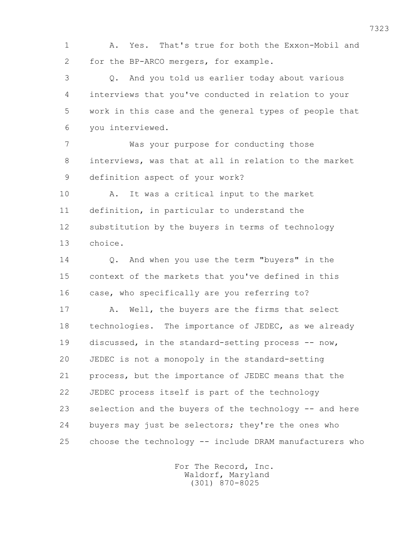1 A. Yes. That's true for both the Exxon-Mobil and 2 for the BP-ARCO mergers, for example.

 3 Q. And you told us earlier today about various 4 interviews that you've conducted in relation to your 5 work in this case and the general types of people that 6 you interviewed.

 7 Was your purpose for conducting those 8 interviews, was that at all in relation to the market 9 definition aspect of your work?

 10 A. It was a critical input to the market 11 definition, in particular to understand the 12 substitution by the buyers in terms of technology 13 choice.

 14 Q. And when you use the term "buyers" in the 15 context of the markets that you've defined in this 16 case, who specifically are you referring to?

17 A. Well, the buyers are the firms that select 18 technologies. The importance of JEDEC, as we already 19 discussed, in the standard-setting process -- now, 20 JEDEC is not a monopoly in the standard-setting 21 process, but the importance of JEDEC means that the 22 JEDEC process itself is part of the technology 23 selection and the buyers of the technology -- and here 24 buyers may just be selectors; they're the ones who 25 choose the technology -- include DRAM manufacturers who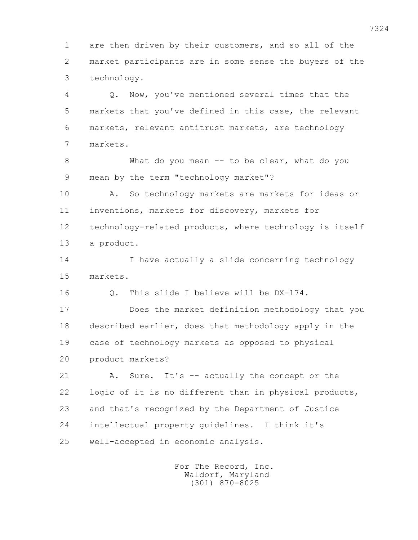1 are then driven by their customers, and so all of the 2 market participants are in some sense the buyers of the 3 technology.

 4 Q. Now, you've mentioned several times that the 5 markets that you've defined in this case, the relevant 6 markets, relevant antitrust markets, are technology 7 markets.

 8 What do you mean -- to be clear, what do you 9 mean by the term "technology market"?

 10 A. So technology markets are markets for ideas or 11 inventions, markets for discovery, markets for 12 technology-related products, where technology is itself 13 a product.

 14 I have actually a slide concerning technology 15 markets.

16 Q. This slide I believe will be DX-174.

 17 Does the market definition methodology that you 18 described earlier, does that methodology apply in the 19 case of technology markets as opposed to physical 20 product markets?

 21 A. Sure. It's -- actually the concept or the 22 logic of it is no different than in physical products, 23 and that's recognized by the Department of Justice 24 intellectual property guidelines. I think it's 25 well-accepted in economic analysis.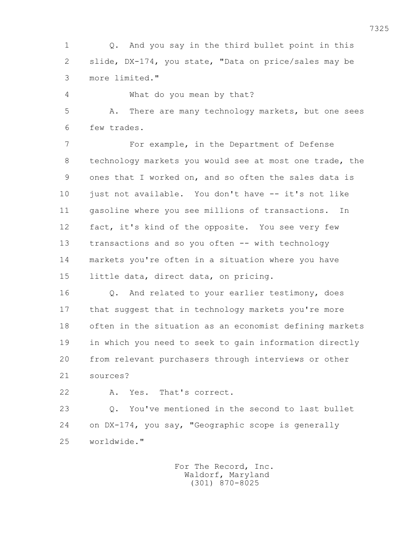1 Q. And you say in the third bullet point in this 2 slide, DX-174, you state, "Data on price/sales may be 3 more limited."

 4 What do you mean by that? 5 A. There are many technology markets, but one sees

6 few trades.

 7 For example, in the Department of Defense 8 technology markets you would see at most one trade, the 9 ones that I worked on, and so often the sales data is 10 just not available. You don't have -- it's not like 11 gasoline where you see millions of transactions. In 12 fact, it's kind of the opposite. You see very few 13 transactions and so you often -- with technology 14 markets you're often in a situation where you have 15 little data, direct data, on pricing.

 16 Q. And related to your earlier testimony, does 17 that suggest that in technology markets you're more 18 often in the situation as an economist defining markets 19 in which you need to seek to gain information directly 20 from relevant purchasers through interviews or other 21 sources?

22 A. Yes. That's correct.

 23 Q. You've mentioned in the second to last bullet 24 on DX-174, you say, "Geographic scope is generally 25 worldwide."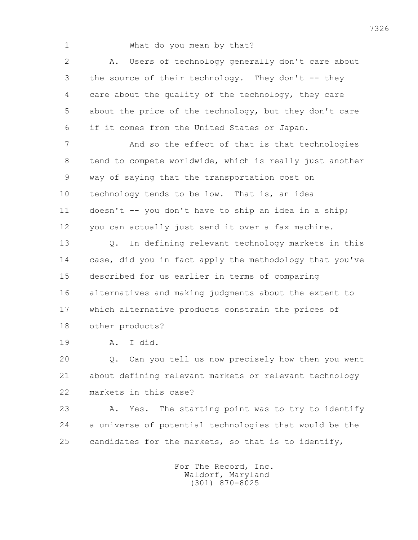1 What do you mean by that?

 2 A. Users of technology generally don't care about 3 the source of their technology. They don't -- they 4 care about the quality of the technology, they care 5 about the price of the technology, but they don't care 6 if it comes from the United States or Japan.

 7 And so the effect of that is that technologies 8 tend to compete worldwide, which is really just another 9 way of saying that the transportation cost on 10 technology tends to be low. That is, an idea 11 doesn't -- you don't have to ship an idea in a ship; 12 you can actually just send it over a fax machine.

 13 Q. In defining relevant technology markets in this 14 case, did you in fact apply the methodology that you've 15 described for us earlier in terms of comparing 16 alternatives and making judgments about the extent to 17 which alternative products constrain the prices of 18 other products?

19 A. I did.

 20 Q. Can you tell us now precisely how then you went 21 about defining relevant markets or relevant technology 22 markets in this case?

 23 A. Yes. The starting point was to try to identify 24 a universe of potential technologies that would be the 25 candidates for the markets, so that is to identify,

> For The Record, Inc. Waldorf, Maryland (301) 870-8025

7326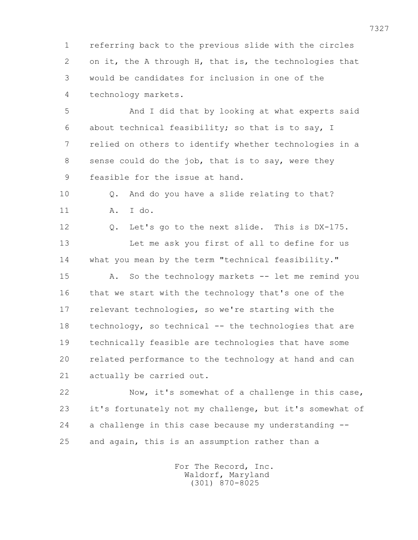1 referring back to the previous slide with the circles 2 on it, the A through H, that is, the technologies that 3 would be candidates for inclusion in one of the 4 technology markets.

 5 And I did that by looking at what experts said 6 about technical feasibility; so that is to say, I 7 relied on others to identify whether technologies in a 8 sense could do the job, that is to say, were they 9 feasible for the issue at hand.

 10 Q. And do you have a slide relating to that? 11 A. I do.

 12 Q. Let's go to the next slide. This is DX-175. 13 Let me ask you first of all to define for us 14 what you mean by the term "technical feasibility."

 15 A. So the technology markets -- let me remind you 16 that we start with the technology that's one of the 17 relevant technologies, so we're starting with the 18 technology, so technical -- the technologies that are 19 technically feasible are technologies that have some 20 related performance to the technology at hand and can 21 actually be carried out.

 22 Now, it's somewhat of a challenge in this case, 23 it's fortunately not my challenge, but it's somewhat of 24 a challenge in this case because my understanding -- 25 and again, this is an assumption rather than a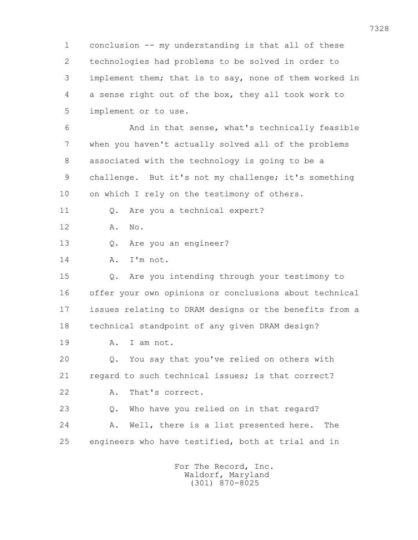1 conclusion -- my understanding is that all of these 2 technologies had problems to be solved in order to 3 implement them; that is to say, none of them worked in 4 a sense right out of the box, they all took work to 5 implement or to use.

 6 And in that sense, what's technically feasible 7 when you haven't actually solved all of the problems 8 associated with the technology is going to be a 9 challenge. But it's not my challenge; it's something 10 on which I rely on the testimony of others.

11 Q. Are you a technical expert?

12 A. No.

13 Q. Are you an engineer?

14 A. I'm not.

 15 Q. Are you intending through your testimony to 16 offer your own opinions or conclusions about technical 17 issues relating to DRAM designs or the benefits from a 18 technical standpoint of any given DRAM design?

19 A. I am not.

 20 Q. You say that you've relied on others with 21 regard to such technical issues; is that correct? 22 A. That's correct.

 23 Q. Who have you relied on in that regard? 24 A. Well, there is a list presented here. The 25 engineers who have testified, both at trial and in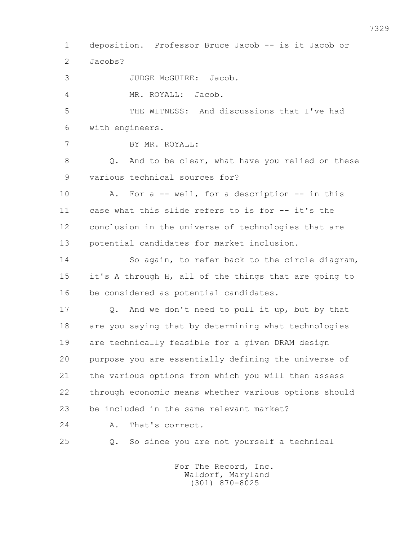1 deposition. Professor Bruce Jacob -- is it Jacob or 2 Jacobs? 3 JUDGE McGUIRE: Jacob. 4 MR. ROYALL: Jacob. 5 THE WITNESS: And discussions that I've had 6 with engineers. 7 BY MR. ROYALL: 8 Q. And to be clear, what have you relied on these 9 various technical sources for? 10 A. For a -- well, for a description -- in this 11 case what this slide refers to is for -- it's the 12 conclusion in the universe of technologies that are 13 potential candidates for market inclusion. 14 So again, to refer back to the circle diagram, 15 it's A through H, all of the things that are going to 16 be considered as potential candidates. 17 Q. And we don't need to pull it up, but by that 18 are you saying that by determining what technologies 19 are technically feasible for a given DRAM design 20 purpose you are essentially defining the universe of 21 the various options from which you will then assess 22 through economic means whether various options should 23 be included in the same relevant market? 24 A. That's correct. 25 Q. So since you are not yourself a technical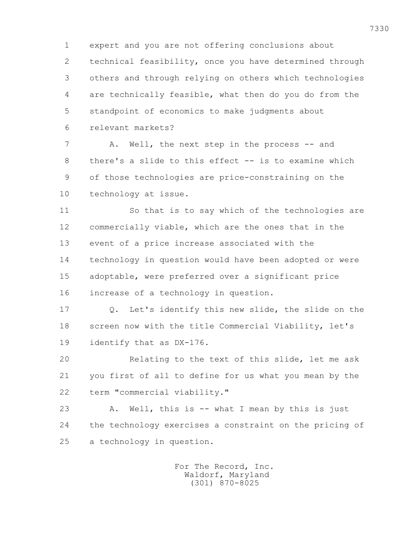1 expert and you are not offering conclusions about 2 technical feasibility, once you have determined through 3 others and through relying on others which technologies 4 are technically feasible, what then do you do from the 5 standpoint of economics to make judgments about 6 relevant markets?

7 A. Well, the next step in the process -- and 8 there's a slide to this effect -- is to examine which 9 of those technologies are price-constraining on the 10 technology at issue.

 11 So that is to say which of the technologies are 12 commercially viable, which are the ones that in the 13 event of a price increase associated with the 14 technology in question would have been adopted or were 15 adoptable, were preferred over a significant price 16 increase of a technology in question.

 17 Q. Let's identify this new slide, the slide on the 18 screen now with the title Commercial Viability, let's 19 identify that as DX-176.

 20 Relating to the text of this slide, let me ask 21 you first of all to define for us what you mean by the 22 term "commercial viability."

 23 A. Well, this is -- what I mean by this is just 24 the technology exercises a constraint on the pricing of 25 a technology in question.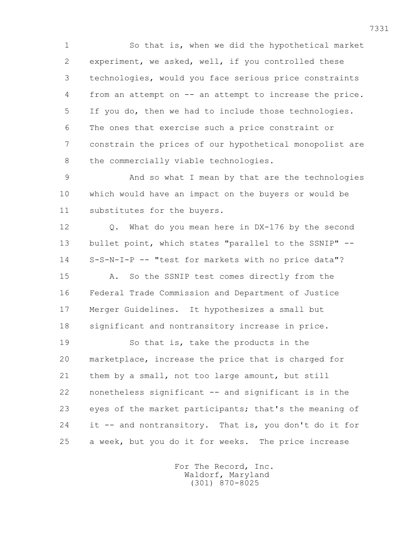1 So that is, when we did the hypothetical market 2 experiment, we asked, well, if you controlled these 3 technologies, would you face serious price constraints 4 from an attempt on -- an attempt to increase the price. 5 If you do, then we had to include those technologies. 6 The ones that exercise such a price constraint or 7 constrain the prices of our hypothetical monopolist are 8 the commercially viable technologies.

 9 And so what I mean by that are the technologies 10 which would have an impact on the buyers or would be 11 substitutes for the buyers.

12 0. What do you mean here in DX-176 by the second 13 bullet point, which states "parallel to the SSNIP" -- 14 S-S-N-I-P -- "test for markets with no price data"?

 15 A. So the SSNIP test comes directly from the 16 Federal Trade Commission and Department of Justice 17 Merger Guidelines. It hypothesizes a small but 18 significant and nontransitory increase in price.

 19 So that is, take the products in the 20 marketplace, increase the price that is charged for 21 them by a small, not too large amount, but still 22 nonetheless significant -- and significant is in the 23 eyes of the market participants; that's the meaning of 24 it -- and nontransitory. That is, you don't do it for 25 a week, but you do it for weeks. The price increase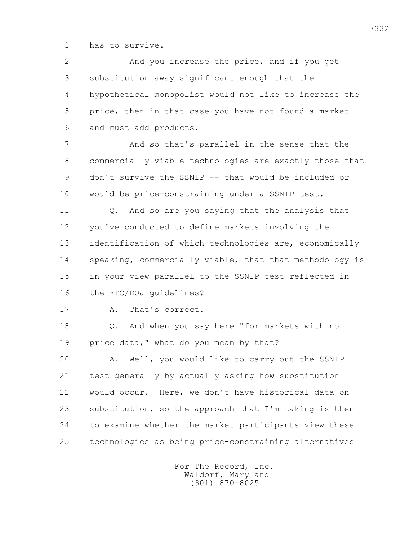1 has to survive.

 2 And you increase the price, and if you get 3 substitution away significant enough that the 4 hypothetical monopolist would not like to increase the 5 price, then in that case you have not found a market 6 and must add products.

 7 And so that's parallel in the sense that the 8 commercially viable technologies are exactly those that 9 don't survive the SSNIP -- that would be included or 10 would be price-constraining under a SSNIP test.

 11 Q. And so are you saying that the analysis that 12 you've conducted to define markets involving the 13 identification of which technologies are, economically 14 speaking, commercially viable, that that methodology is 15 in your view parallel to the SSNIP test reflected in 16 the FTC/DOJ guidelines?

17 A. That's correct.

 18 Q. And when you say here "for markets with no 19 price data," what do you mean by that?

 20 A. Well, you would like to carry out the SSNIP 21 test generally by actually asking how substitution 22 would occur. Here, we don't have historical data on 23 substitution, so the approach that I'm taking is then 24 to examine whether the market participants view these 25 technologies as being price-constraining alternatives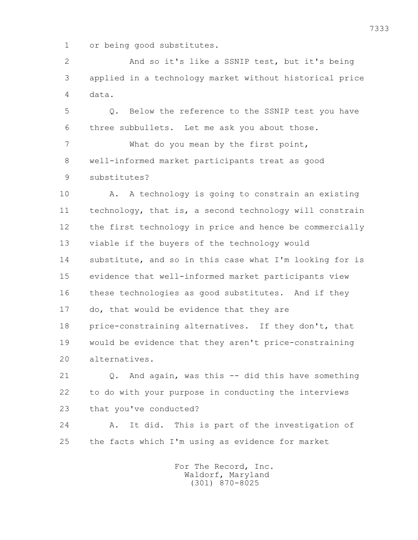1 or being good substitutes.

 2 And so it's like a SSNIP test, but it's being 3 applied in a technology market without historical price 4 data.

 5 Q. Below the reference to the SSNIP test you have 6 three subbullets. Let me ask you about those.

 7 What do you mean by the first point, 8 well-informed market participants treat as good 9 substitutes?

 10 A. A technology is going to constrain an existing 11 technology, that is, a second technology will constrain 12 the first technology in price and hence be commercially 13 viable if the buyers of the technology would 14 substitute, and so in this case what I'm looking for is 15 evidence that well-informed market participants view 16 these technologies as good substitutes. And if they 17 do, that would be evidence that they are 18 price-constraining alternatives. If they don't, that 19 would be evidence that they aren't price-constraining 20 alternatives.

 21 Q. And again, was this -- did this have something 22 to do with your purpose in conducting the interviews 23 that you've conducted?

 24 A. It did. This is part of the investigation of 25 the facts which I'm using as evidence for market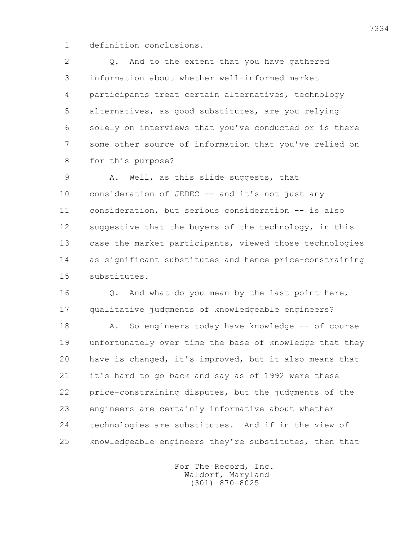1 definition conclusions.

 2 Q. And to the extent that you have gathered 3 information about whether well-informed market 4 participants treat certain alternatives, technology 5 alternatives, as good substitutes, are you relying 6 solely on interviews that you've conducted or is there 7 some other source of information that you've relied on 8 for this purpose?

 9 A. Well, as this slide suggests, that 10 consideration of JEDEC -- and it's not just any 11 consideration, but serious consideration -- is also 12 suggestive that the buyers of the technology, in this 13 case the market participants, viewed those technologies 14 as significant substitutes and hence price-constraining 15 substitutes.

16 0. And what do you mean by the last point here, 17 qualitative judgments of knowledgeable engineers?

18 A. So engineers today have knowledge -- of course 19 unfortunately over time the base of knowledge that they 20 have is changed, it's improved, but it also means that 21 it's hard to go back and say as of 1992 were these 22 price-constraining disputes, but the judgments of the 23 engineers are certainly informative about whether 24 technologies are substitutes. And if in the view of 25 knowledgeable engineers they're substitutes, then that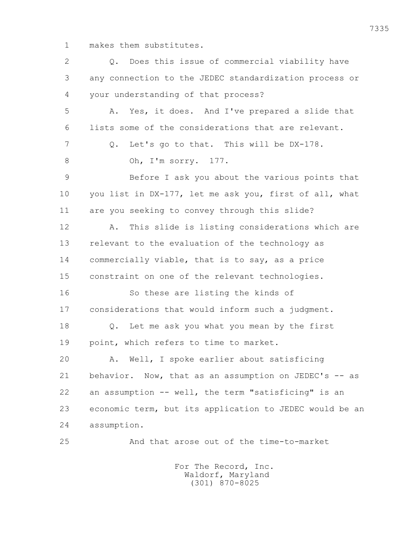1 makes them substitutes.

| 2  | Does this issue of commercial viability have<br>Q.      |
|----|---------------------------------------------------------|
| 3  | any connection to the JEDEC standardization process or  |
| 4  | your understanding of that process?                     |
| 5  | Yes, it does. And I've prepared a slide that<br>Α.      |
| 6  | lists some of the considerations that are relevant.     |
| 7  | Let's go to that. This will be DX-178.<br>Q.            |
| 8  | Oh, I'm sorry. 177.                                     |
| 9  | Before I ask you about the various points that          |
| 10 | you list in DX-177, let me ask you, first of all, what  |
| 11 | are you seeking to convey through this slide?           |
| 12 | This slide is listing considerations which are<br>Α.    |
| 13 | relevant to the evaluation of the technology as         |
| 14 | commercially viable, that is to say, as a price         |
| 15 | constraint on one of the relevant technologies.         |
| 16 | So these are listing the kinds of                       |
| 17 | considerations that would inform such a judgment.       |
| 18 | Let me ask you what you mean by the first<br>$Q$ .      |
| 19 | point, which refers to time to market.                  |
| 20 | Well, I spoke earlier about satisficing<br>Α.           |
| 21 | behavior. Now, that as an assumption on JEDEC's -- as   |
| 22 | an assumption -- well, the term "satisficing" is an     |
| 23 | economic term, but its application to JEDEC would be an |
| 24 | assumption.                                             |
| 25 | And that arose out of the time-to-market                |
|    |                                                         |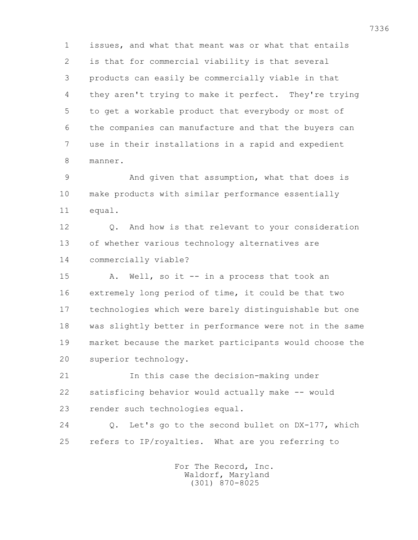1 issues, and what that meant was or what that entails 2 is that for commercial viability is that several 3 products can easily be commercially viable in that 4 they aren't trying to make it perfect. They're trying 5 to get a workable product that everybody or most of 6 the companies can manufacture and that the buyers can 7 use in their installations in a rapid and expedient 8 manner.

 9 And given that assumption, what that does is 10 make products with similar performance essentially 11 equal.

12 0. And how is that relevant to your consideration 13 of whether various technology alternatives are 14 commercially viable?

 15 A. Well, so it -- in a process that took an 16 extremely long period of time, it could be that two 17 technologies which were barely distinguishable but one 18 was slightly better in performance were not in the same 19 market because the market participants would choose the 20 superior technology.

 21 In this case the decision-making under 22 satisficing behavior would actually make -- would 23 render such technologies equal.

 24 Q. Let's go to the second bullet on DX-177, which 25 refers to IP/royalties. What are you referring to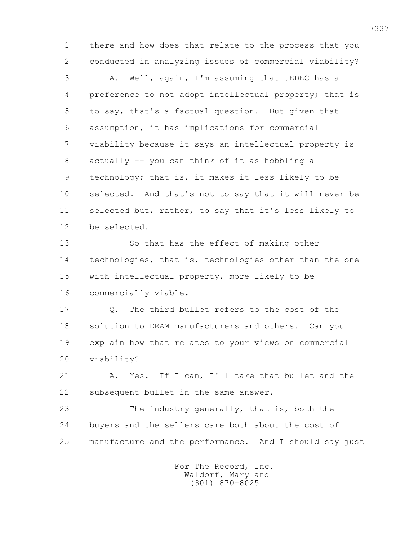1 there and how does that relate to the process that you 2 conducted in analyzing issues of commercial viability?

 3 A. Well, again, I'm assuming that JEDEC has a 4 preference to not adopt intellectual property; that is 5 to say, that's a factual question. But given that 6 assumption, it has implications for commercial 7 viability because it says an intellectual property is 8 actually -- you can think of it as hobbling a 9 technology; that is, it makes it less likely to be 10 selected. And that's not to say that it will never be 11 selected but, rather, to say that it's less likely to 12 be selected.

 13 So that has the effect of making other 14 technologies, that is, technologies other than the one 15 with intellectual property, more likely to be 16 commercially viable.

 17 Q. The third bullet refers to the cost of the 18 solution to DRAM manufacturers and others. Can you 19 explain how that relates to your views on commercial 20 viability?

 21 A. Yes. If I can, I'll take that bullet and the 22 subsequent bullet in the same answer.

 23 The industry generally, that is, both the 24 buyers and the sellers care both about the cost of 25 manufacture and the performance. And I should say just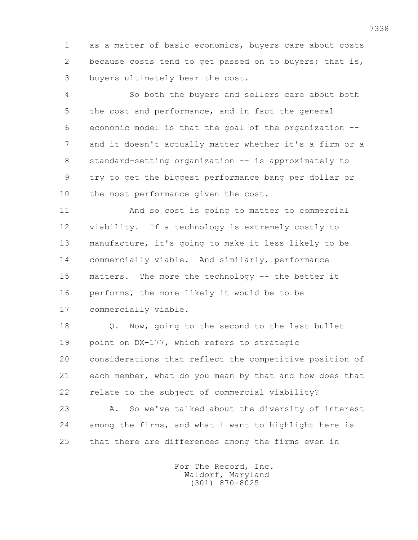1 as a matter of basic economics, buyers care about costs 2 because costs tend to get passed on to buyers; that is, 3 buyers ultimately bear the cost.

 4 So both the buyers and sellers care about both 5 the cost and performance, and in fact the general 6 economic model is that the goal of the organization -- 7 and it doesn't actually matter whether it's a firm or a 8 standard-setting organization -- is approximately to 9 try to get the biggest performance bang per dollar or 10 the most performance given the cost.

 11 And so cost is going to matter to commercial 12 viability. If a technology is extremely costly to 13 manufacture, it's going to make it less likely to be 14 commercially viable. And similarly, performance 15 matters. The more the technology -- the better it 16 performs, the more likely it would be to be 17 commercially viable.

 18 Q. Now, going to the second to the last bullet 19 point on DX-177, which refers to strategic 20 considerations that reflect the competitive position of 21 each member, what do you mean by that and how does that 22 relate to the subject of commercial viability?

 23 A. So we've talked about the diversity of interest 24 among the firms, and what I want to highlight here is 25 that there are differences among the firms even in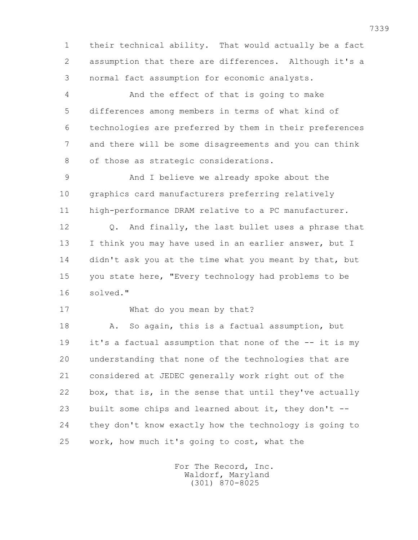1 their technical ability. That would actually be a fact 2 assumption that there are differences. Although it's a 3 normal fact assumption for economic analysts.

 4 And the effect of that is going to make 5 differences among members in terms of what kind of 6 technologies are preferred by them in their preferences 7 and there will be some disagreements and you can think 8 of those as strategic considerations.

 9 And I believe we already spoke about the 10 graphics card manufacturers preferring relatively 11 high-performance DRAM relative to a PC manufacturer.

12 0. And finally, the last bullet uses a phrase that 13 I think you may have used in an earlier answer, but I 14 didn't ask you at the time what you meant by that, but 15 you state here, "Every technology had problems to be 16 solved."

17 What do you mean by that?

18 A. So again, this is a factual assumption, but 19 it's a factual assumption that none of the -- it is my 20 understanding that none of the technologies that are 21 considered at JEDEC generally work right out of the 22 box, that is, in the sense that until they've actually 23 built some chips and learned about it, they don't -- 24 they don't know exactly how the technology is going to 25 work, how much it's going to cost, what the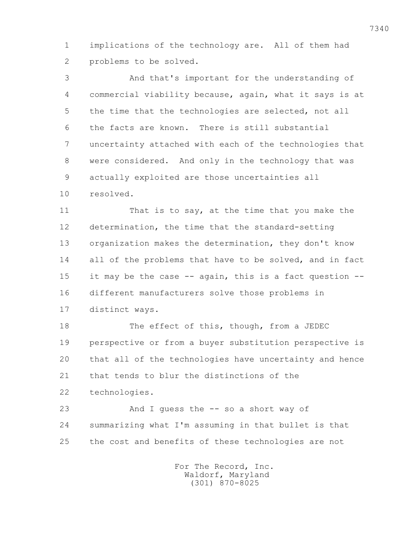1 implications of the technology are. All of them had 2 problems to be solved.

 3 And that's important for the understanding of 4 commercial viability because, again, what it says is at 5 the time that the technologies are selected, not all 6 the facts are known. There is still substantial 7 uncertainty attached with each of the technologies that 8 were considered. And only in the technology that was 9 actually exploited are those uncertainties all 10 resolved.

 11 That is to say, at the time that you make the 12 determination, the time that the standard-setting 13 organization makes the determination, they don't know 14 all of the problems that have to be solved, and in fact 15 it may be the case -- again, this is a fact question -- 16 different manufacturers solve those problems in 17 distinct ways.

18 The effect of this, though, from a JEDEC 19 perspective or from a buyer substitution perspective is 20 that all of the technologies have uncertainty and hence 21 that tends to blur the distinctions of the 22 technologies.

 23 And I guess the -- so a short way of 24 summarizing what I'm assuming in that bullet is that 25 the cost and benefits of these technologies are not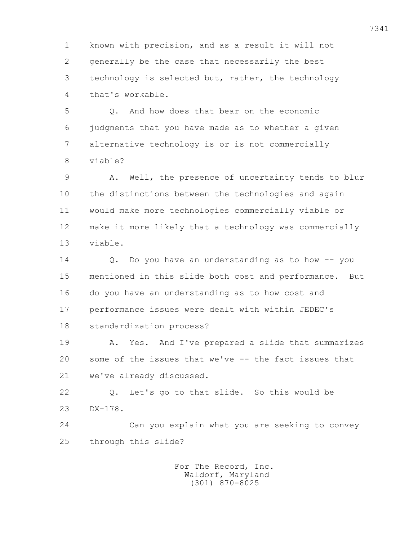1 known with precision, and as a result it will not 2 generally be the case that necessarily the best 3 technology is selected but, rather, the technology 4 that's workable.

 5 Q. And how does that bear on the economic 6 judgments that you have made as to whether a given 7 alternative technology is or is not commercially 8 viable?

 9 A. Well, the presence of uncertainty tends to blur 10 the distinctions between the technologies and again 11 would make more technologies commercially viable or 12 make it more likely that a technology was commercially 13 viable.

 14 Q. Do you have an understanding as to how -- you 15 mentioned in this slide both cost and performance. But 16 do you have an understanding as to how cost and 17 performance issues were dealt with within JEDEC's 18 standardization process?

 19 A. Yes. And I've prepared a slide that summarizes 20 some of the issues that we've -- the fact issues that 21 we've already discussed.

 22 Q. Let's go to that slide. So this would be 23 DX-178.

 24 Can you explain what you are seeking to convey 25 through this slide?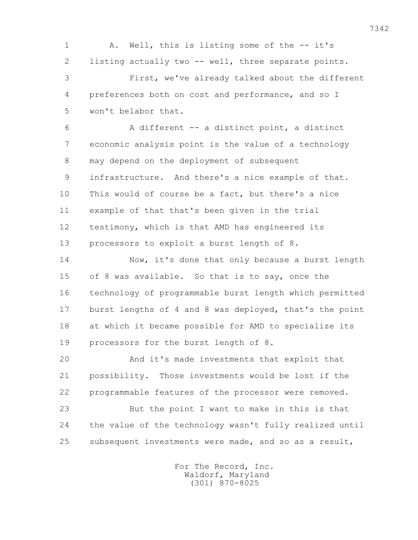1 A. Well, this is listing some of the -- it's 2 listing actually two -- well, three separate points. 3 First, we've already talked about the different 4 preferences both on cost and performance, and so I 5 won't belabor that.

 6 A different -- a distinct point, a distinct 7 economic analysis point is the value of a technology 8 may depend on the deployment of subsequent 9 infrastructure. And there's a nice example of that. 10 This would of course be a fact, but there's a nice 11 example of that that's been given in the trial 12 testimony, which is that AMD has engineered its 13 processors to exploit a burst length of 8.

 14 Now, it's done that only because a burst length 15 of 8 was available. So that is to say, once the 16 technology of programmable burst length which permitted 17 burst lengths of 4 and 8 was deployed, that's the point 18 at which it became possible for AMD to specialize its 19 processors for the burst length of 8.

 20 And it's made investments that exploit that 21 possibility. Those investments would be lost if the 22 programmable features of the processor were removed.

 23 But the point I want to make in this is that 24 the value of the technology wasn't fully realized until 25 subsequent investments were made, and so as a result,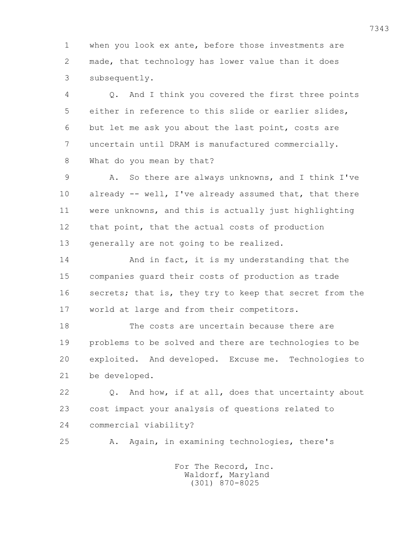1 when you look ex ante, before those investments are 2 made, that technology has lower value than it does 3 subsequently.

 4 Q. And I think you covered the first three points 5 either in reference to this slide or earlier slides, 6 but let me ask you about the last point, costs are 7 uncertain until DRAM is manufactured commercially. 8 What do you mean by that?

 9 A. So there are always unknowns, and I think I've 10 already -- well, I've already assumed that, that there 11 were unknowns, and this is actually just highlighting 12 that point, that the actual costs of production 13 generally are not going to be realized.

14 And in fact, it is my understanding that the 15 companies guard their costs of production as trade 16 secrets; that is, they try to keep that secret from the 17 world at large and from their competitors.

 18 The costs are uncertain because there are 19 problems to be solved and there are technologies to be 20 exploited. And developed. Excuse me. Technologies to 21 be developed.

 22 Q. And how, if at all, does that uncertainty about 23 cost impact your analysis of questions related to 24 commercial viability?

25 A. Again, in examining technologies, there's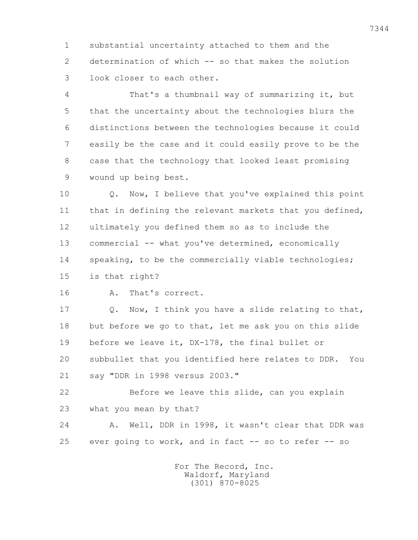1 substantial uncertainty attached to them and the 2 determination of which -- so that makes the solution 3 look closer to each other.

 4 That's a thumbnail way of summarizing it, but 5 that the uncertainty about the technologies blurs the 6 distinctions between the technologies because it could 7 easily be the case and it could easily prove to be the 8 case that the technology that looked least promising 9 wound up being best.

 10 Q. Now, I believe that you've explained this point 11 that in defining the relevant markets that you defined, 12 ultimately you defined them so as to include the 13 commercial -- what you've determined, economically 14 speaking, to be the commercially viable technologies; 15 is that right?

16 A. That's correct.

17 0. Now, I think you have a slide relating to that, 18 but before we go to that, let me ask you on this slide 19 before we leave it, DX-178, the final bullet or 20 subbullet that you identified here relates to DDR. You 21 say "DDR in 1998 versus 2003."

 22 Before we leave this slide, can you explain 23 what you mean by that?

 24 A. Well, DDR in 1998, it wasn't clear that DDR was 25 ever going to work, and in fact -- so to refer -- so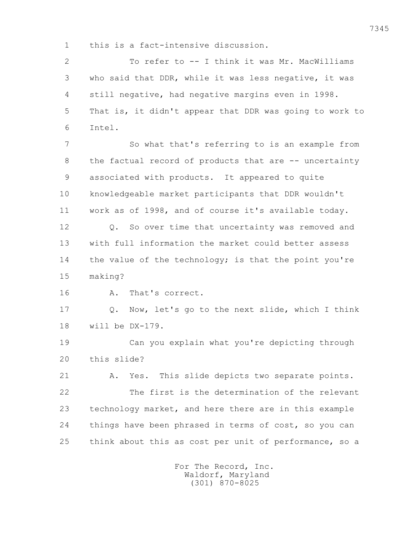1 this is a fact-intensive discussion.

 2 To refer to -- I think it was Mr. MacWilliams 3 who said that DDR, while it was less negative, it was 4 still negative, had negative margins even in 1998. 5 That is, it didn't appear that DDR was going to work to 6 Intel.

 7 So what that's referring to is an example from 8 the factual record of products that are -- uncertainty 9 associated with products. It appeared to quite 10 knowledgeable market participants that DDR wouldn't 11 work as of 1998, and of course it's available today. 12 0. So over time that uncertainty was removed and 13 with full information the market could better assess 14 the value of the technology; is that the point you're 15 making?

16 A. That's correct.

 17 Q. Now, let's go to the next slide, which I think 18 will be DX-179.

 19 Can you explain what you're depicting through 20 this slide?

 21 A. Yes. This slide depicts two separate points. 22 The first is the determination of the relevant 23 technology market, and here there are in this example 24 things have been phrased in terms of cost, so you can 25 think about this as cost per unit of performance, so a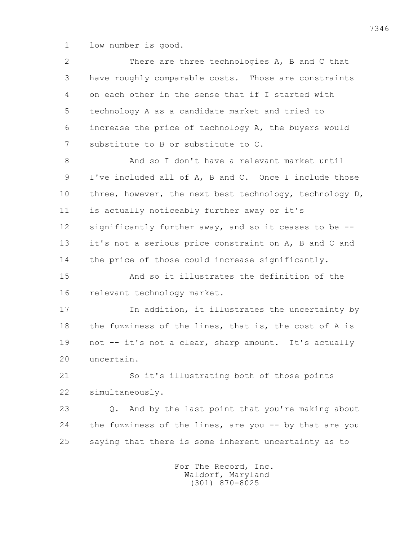1 low number is good.

| $\overline{2}$ | There are three technologies A, B and C that                    |
|----------------|-----------------------------------------------------------------|
| 3              | have roughly comparable costs. Those are constraints            |
| 4              | on each other in the sense that if I started with               |
| 5              | technology A as a candidate market and tried to                 |
| 6              | increase the price of technology A, the buyers would            |
| 7              | substitute to B or substitute to C.                             |
| 8              | And so I don't have a relevant market until                     |
| 9              | I've included all of A, B and C. Once I include those           |
| 10             | three, however, the next best technology, technology D,         |
| 11             | is actually noticeably further away or it's                     |
| 12             | significantly further away, and so it ceases to be --           |
| 13             | it's not a serious price constraint on A, B and C and           |
| 14             | the price of those could increase significantly.                |
| 15             | And so it illustrates the definition of the                     |
| 16             | relevant technology market.                                     |
| 17             | In addition, it illustrates the uncertainty by                  |
| 18             | the fuzziness of the lines, that is, the cost of A is           |
| 19             | not -- it's not a clear, sharp amount. It's actually            |
| 20             | uncertain.                                                      |
| 21             | So it's illustrating both of those points                       |
| 22             | simultaneously.                                                 |
| 23             | And by the last point that you're making about<br>$Q_{\bullet}$ |
| 24             | the fuzziness of the lines, are you $-$ by that are you         |
| 25             | saying that there is some inherent uncertainty as to            |
|                | For The Record, Inc.                                            |

Waldorf, Maryland (301) 870-8025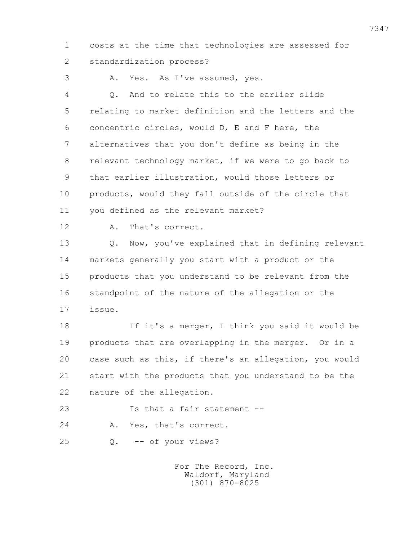1 costs at the time that technologies are assessed for 2 standardization process?

3 A. Yes. As I've assumed, yes.

 4 Q. And to relate this to the earlier slide 5 relating to market definition and the letters and the 6 concentric circles, would D, E and F here, the 7 alternatives that you don't define as being in the 8 relevant technology market, if we were to go back to 9 that earlier illustration, would those letters or 10 products, would they fall outside of the circle that 11 you defined as the relevant market?

12 A. That's correct.

 13 Q. Now, you've explained that in defining relevant 14 markets generally you start with a product or the 15 products that you understand to be relevant from the 16 standpoint of the nature of the allegation or the 17 issue.

 18 If it's a merger, I think you said it would be 19 products that are overlapping in the merger. Or in a 20 case such as this, if there's an allegation, you would 21 start with the products that you understand to be the 22 nature of the allegation.

23 Is that a fair statement --

24 A. Yes, that's correct.

25 Q. -- of your views?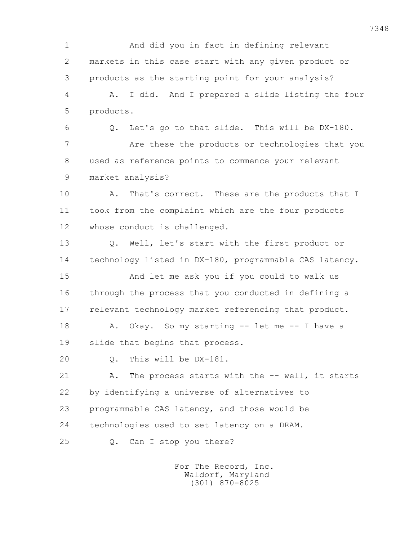1 And did you in fact in defining relevant 2 markets in this case start with any given product or 3 products as the starting point for your analysis? 4 A. I did. And I prepared a slide listing the four 5 products. 6 Q. Let's go to that slide. This will be DX-180. 7 Are these the products or technologies that you 8 used as reference points to commence your relevant 9 market analysis? 10 A. That's correct. These are the products that I 11 took from the complaint which are the four products 12 whose conduct is challenged. 13 Q. Well, let's start with the first product or 14 technology listed in DX-180, programmable CAS latency. 15 And let me ask you if you could to walk us 16 through the process that you conducted in defining a 17 relevant technology market referencing that product. 18 A. Okay. So my starting -- let me -- I have a 19 slide that begins that process. 20 Q. This will be DX-181. 21 A. The process starts with the -- well, it starts 22 by identifying a universe of alternatives to 23 programmable CAS latency, and those would be 24 technologies used to set latency on a DRAM. 25 Q. Can I stop you there?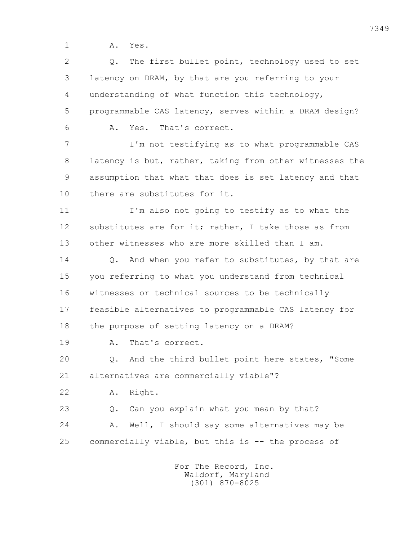1 A. Yes.

 2 Q. The first bullet point, technology used to set 3 latency on DRAM, by that are you referring to your 4 understanding of what function this technology, 5 programmable CAS latency, serves within a DRAM design? 6 A. Yes. That's correct. 7 I'm not testifying as to what programmable CAS 8 latency is but, rather, taking from other witnesses the 9 assumption that what that does is set latency and that 10 there are substitutes for it. 11 I'm also not going to testify as to what the 12 substitutes are for it; rather, I take those as from 13 other witnesses who are more skilled than I am. 14 0. And when you refer to substitutes, by that are 15 you referring to what you understand from technical 16 witnesses or technical sources to be technically 17 feasible alternatives to programmable CAS latency for 18 the purpose of setting latency on a DRAM? 19 A. That's correct. 20 Q. And the third bullet point here states, "Some 21 alternatives are commercially viable"? 22 A. Right. 23 Q. Can you explain what you mean by that? 24 A. Well, I should say some alternatives may be 25 commercially viable, but this is -- the process of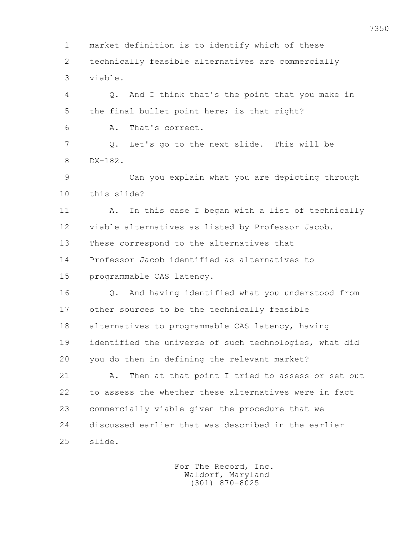1 market definition is to identify which of these 2 technically feasible alternatives are commercially 3 viable. 4 Q. And I think that's the point that you make in 5 the final bullet point here; is that right? 6 A. That's correct. 7 Q. Let's go to the next slide. This will be 8 DX-182. 9 Can you explain what you are depicting through 10 this slide? 11 A. In this case I began with a list of technically 12 viable alternatives as listed by Professor Jacob. 13 These correspond to the alternatives that 14 Professor Jacob identified as alternatives to 15 programmable CAS latency. 16 Q. And having identified what you understood from 17 other sources to be the technically feasible 18 alternatives to programmable CAS latency, having 19 identified the universe of such technologies, what did 20 you do then in defining the relevant market? 21 A. Then at that point I tried to assess or set out 22 to assess the whether these alternatives were in fact 23 commercially viable given the procedure that we 24 discussed earlier that was described in the earlier 25 slide.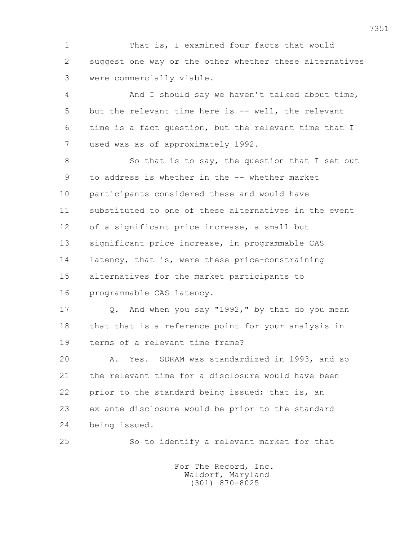1 That is, I examined four facts that would 2 suggest one way or the other whether these alternatives 3 were commercially viable.

 4 And I should say we haven't talked about time, 5 but the relevant time here is -- well, the relevant 6 time is a fact question, but the relevant time that I 7 used was as of approximately 1992.

8 So that is to say, the question that I set out 9 to address is whether in the -- whether market 10 participants considered these and would have 11 substituted to one of these alternatives in the event 12 of a significant price increase, a small but 13 significant price increase, in programmable CAS 14 latency, that is, were these price-constraining 15 alternatives for the market participants to 16 programmable CAS latency.

 17 Q. And when you say "1992," by that do you mean 18 that that is a reference point for your analysis in 19 terms of a relevant time frame?

 20 A. Yes. SDRAM was standardized in 1993, and so 21 the relevant time for a disclosure would have been 22 prior to the standard being issued; that is, an 23 ex ante disclosure would be prior to the standard 24 being issued.

25 So to identify a relevant market for that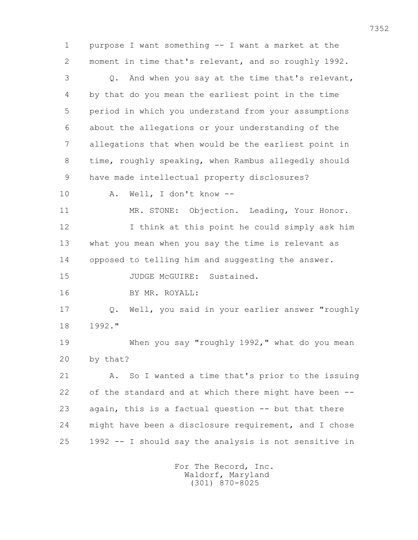1 purpose I want something -- I want a market at the 2 moment in time that's relevant, and so roughly 1992. 3 Q. And when you say at the time that's relevant, 4 by that do you mean the earliest point in the time 5 period in which you understand from your assumptions 6 about the allegations or your understanding of the 7 allegations that when would be the earliest point in 8 time, roughly speaking, when Rambus allegedly should 9 have made intellectual property disclosures? 10 A. Well, I don't know -- 11 MR. STONE: Objection. Leading, Your Honor. 12 I think at this point he could simply ask him 13 what you mean when you say the time is relevant as 14 opposed to telling him and suggesting the answer. 15 JUDGE McGUIRE: Sustained. 16 BY MR. ROYALL: 17 Q. Well, you said in your earlier answer "roughly 18 1992." 19 When you say "roughly 1992," what do you mean 20 by that? 21 A. So I wanted a time that's prior to the issuing 22 of the standard and at which there might have been -- 23 again, this is a factual question -- but that there 24 might have been a disclosure requirement, and I chose 25 1992 -- I should say the analysis is not sensitive in For The Record, Inc.

 Waldorf, Maryland (301) 870-8025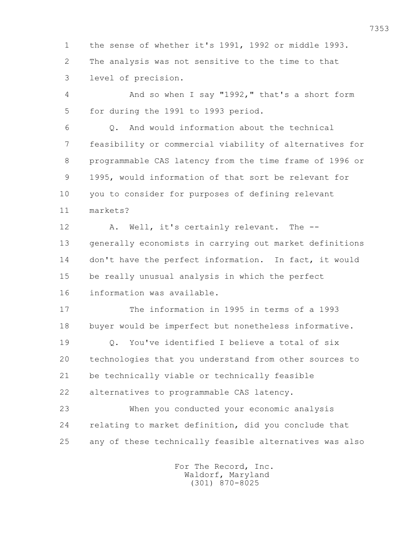1 the sense of whether it's 1991, 1992 or middle 1993. 2 The analysis was not sensitive to the time to that 3 level of precision. 4 And so when I say "1992," that's a short form 5 for during the 1991 to 1993 period. 6 Q. And would information about the technical 7 feasibility or commercial viability of alternatives for 8 programmable CAS latency from the time frame of 1996 or 9 1995, would information of that sort be relevant for 10 you to consider for purposes of defining relevant 11 markets? 12 A. Well, it's certainly relevant. The -- 13 generally economists in carrying out market definitions 14 don't have the perfect information. In fact, it would 15 be really unusual analysis in which the perfect 16 information was available. 17 The information in 1995 in terms of a 1993 18 buyer would be imperfect but nonetheless informative. 19 0. You've identified I believe a total of six 20 technologies that you understand from other sources to 21 be technically viable or technically feasible 22 alternatives to programmable CAS latency. 23 When you conducted your economic analysis 24 relating to market definition, did you conclude that 25 any of these technically feasible alternatives was also For The Record, Inc.

 Waldorf, Maryland (301) 870-8025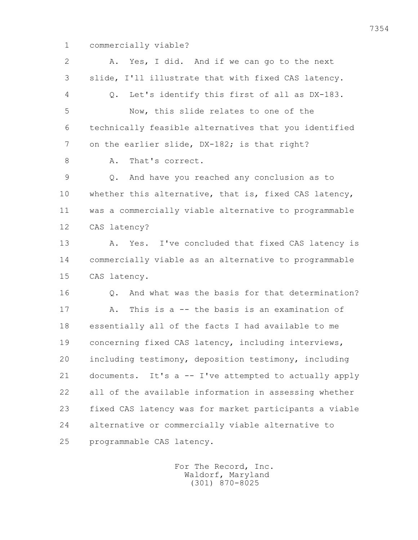1 commercially viable?

 2 A. Yes, I did. And if we can go to the next 3 slide, I'll illustrate that with fixed CAS latency. 4 Q. Let's identify this first of all as DX-183. 5 Now, this slide relates to one of the 6 technically feasible alternatives that you identified 7 on the earlier slide, DX-182; is that right? 8 A. That's correct. 9 Q. And have you reached any conclusion as to 10 whether this alternative, that is, fixed CAS latency, 11 was a commercially viable alternative to programmable 12 CAS latency? 13 A. Yes. I've concluded that fixed CAS latency is 14 commercially viable as an alternative to programmable 15 CAS latency. 16 Q. And what was the basis for that determination? 17 A. This is a -- the basis is an examination of 18 essentially all of the facts I had available to me 19 concerning fixed CAS latency, including interviews, 20 including testimony, deposition testimony, including 21 documents. It's a -- I've attempted to actually apply 22 all of the available information in assessing whether 23 fixed CAS latency was for market participants a viable 24 alternative or commercially viable alternative to 25 programmable CAS latency.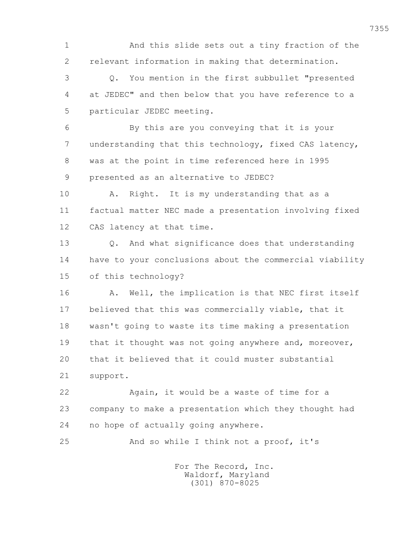1 And this slide sets out a tiny fraction of the 2 relevant information in making that determination. 3 Q. You mention in the first subbullet "presented 4 at JEDEC" and then below that you have reference to a 5 particular JEDEC meeting. 6 By this are you conveying that it is your 7 understanding that this technology, fixed CAS latency, 8 was at the point in time referenced here in 1995 9 presented as an alternative to JEDEC? 10 A. Right. It is my understanding that as a 11 factual matter NEC made a presentation involving fixed 12 CAS latency at that time. 13 Q. And what significance does that understanding 14 have to your conclusions about the commercial viability 15 of this technology? 16 A. Well, the implication is that NEC first itself 17 believed that this was commercially viable, that it 18 wasn't going to waste its time making a presentation 19 that it thought was not going anywhere and, moreover, 20 that it believed that it could muster substantial 21 support. 22 Again, it would be a waste of time for a 23 company to make a presentation which they thought had 24 no hope of actually going anywhere. 25 And so while I think not a proof, it's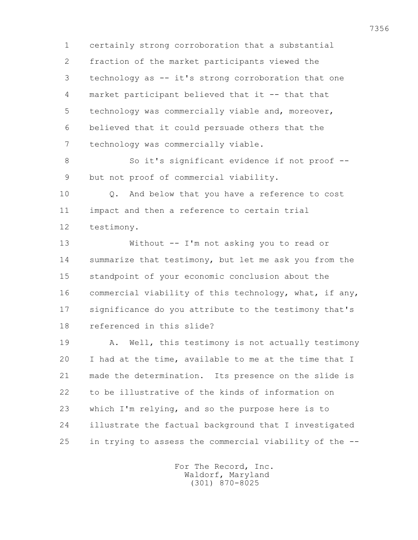1 certainly strong corroboration that a substantial 2 fraction of the market participants viewed the 3 technology as -- it's strong corroboration that one 4 market participant believed that it -- that that 5 technology was commercially viable and, moreover, 6 believed that it could persuade others that the 7 technology was commercially viable.

 8 So it's significant evidence if not proof -- 9 but not proof of commercial viability.

 10 Q. And below that you have a reference to cost 11 impact and then a reference to certain trial 12 testimony.

 13 Without -- I'm not asking you to read or 14 summarize that testimony, but let me ask you from the 15 standpoint of your economic conclusion about the 16 commercial viability of this technology, what, if any, 17 significance do you attribute to the testimony that's 18 referenced in this slide?

 19 A. Well, this testimony is not actually testimony 20 I had at the time, available to me at the time that I 21 made the determination. Its presence on the slide is 22 to be illustrative of the kinds of information on 23 which I'm relying, and so the purpose here is to 24 illustrate the factual background that I investigated 25 in trying to assess the commercial viability of the --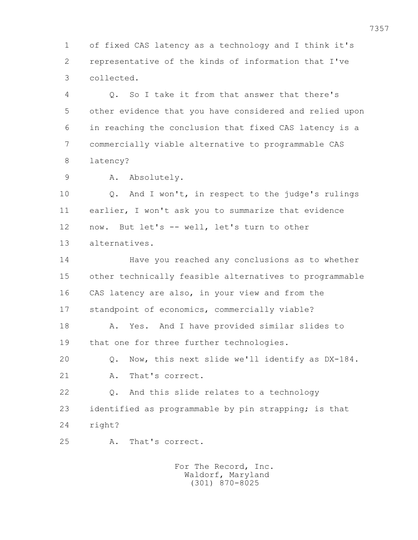1 of fixed CAS latency as a technology and I think it's 2 representative of the kinds of information that I've 3 collected.

 4 Q. So I take it from that answer that there's 5 other evidence that you have considered and relied upon 6 in reaching the conclusion that fixed CAS latency is a 7 commercially viable alternative to programmable CAS 8 latency?

9 A. Absolutely.

 10 Q. And I won't, in respect to the judge's rulings 11 earlier, I won't ask you to summarize that evidence 12 now. But let's -- well, let's turn to other 13 alternatives.

 14 Have you reached any conclusions as to whether 15 other technically feasible alternatives to programmable 16 CAS latency are also, in your view and from the 17 standpoint of economics, commercially viable?

 18 A. Yes. And I have provided similar slides to 19 that one for three further technologies.

 20 Q. Now, this next slide we'll identify as DX-184. 21 A. That's correct.

 22 Q. And this slide relates to a technology 23 identified as programmable by pin strapping; is that 24 right?

25 A. That's correct.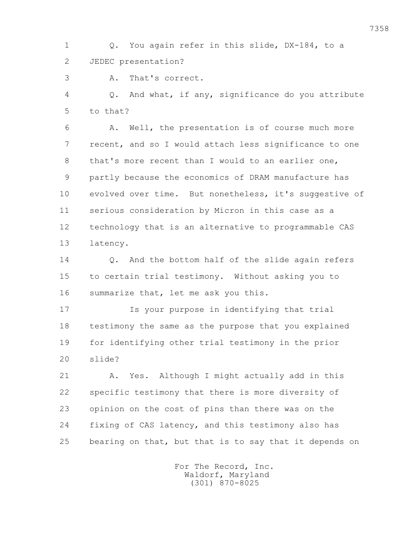1 Q. You again refer in this slide, DX-184, to a 2 JEDEC presentation?

3 A. That's correct.

 4 Q. And what, if any, significance do you attribute 5 to that?

 6 A. Well, the presentation is of course much more 7 recent, and so I would attach less significance to one 8 that's more recent than I would to an earlier one, 9 partly because the economics of DRAM manufacture has 10 evolved over time. But nonetheless, it's suggestive of 11 serious consideration by Micron in this case as a 12 technology that is an alternative to programmable CAS 13 latency.

 14 Q. And the bottom half of the slide again refers 15 to certain trial testimony. Without asking you to 16 summarize that, let me ask you this.

 17 Is your purpose in identifying that trial 18 testimony the same as the purpose that you explained 19 for identifying other trial testimony in the prior 20 slide?

 21 A. Yes. Although I might actually add in this 22 specific testimony that there is more diversity of 23 opinion on the cost of pins than there was on the 24 fixing of CAS latency, and this testimony also has 25 bearing on that, but that is to say that it depends on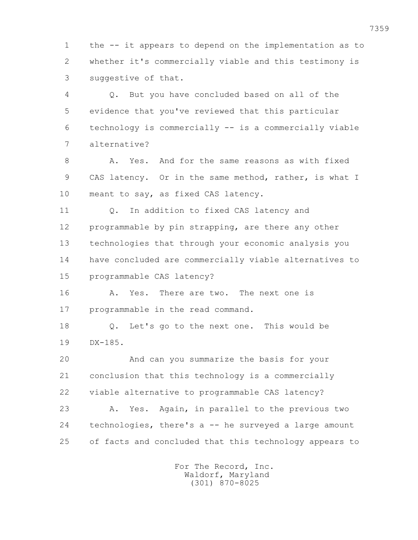1 the -- it appears to depend on the implementation as to 2 whether it's commercially viable and this testimony is 3 suggestive of that.

 4 Q. But you have concluded based on all of the 5 evidence that you've reviewed that this particular 6 technology is commercially -- is a commercially viable 7 alternative?

8 A. Yes. And for the same reasons as with fixed 9 CAS latency. Or in the same method, rather, is what I 10 meant to say, as fixed CAS latency.

 11 Q. In addition to fixed CAS latency and 12 programmable by pin strapping, are there any other 13 technologies that through your economic analysis you 14 have concluded are commercially viable alternatives to 15 programmable CAS latency?

 16 A. Yes. There are two. The next one is 17 programmable in the read command.

 18 Q. Let's go to the next one. This would be 19 DX-185.

 20 And can you summarize the basis for your 21 conclusion that this technology is a commercially 22 viable alternative to programmable CAS latency?

 23 A. Yes. Again, in parallel to the previous two 24 technologies, there's a -- he surveyed a large amount 25 of facts and concluded that this technology appears to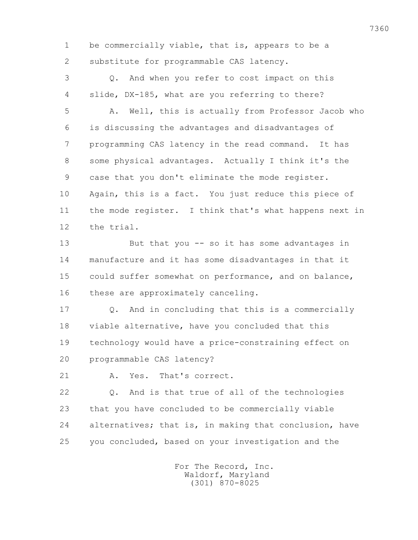1 be commercially viable, that is, appears to be a 2 substitute for programmable CAS latency.

 3 Q. And when you refer to cost impact on this 4 slide, DX-185, what are you referring to there?

 5 A. Well, this is actually from Professor Jacob who 6 is discussing the advantages and disadvantages of 7 programming CAS latency in the read command. It has 8 some physical advantages. Actually I think it's the 9 case that you don't eliminate the mode register. 10 Again, this is a fact. You just reduce this piece of 11 the mode register. I think that's what happens next in 12 the trial.

 13 But that you -- so it has some advantages in 14 manufacture and it has some disadvantages in that it 15 could suffer somewhat on performance, and on balance, 16 these are approximately canceling.

 17 Q. And in concluding that this is a commercially 18 viable alternative, have you concluded that this 19 technology would have a price-constraining effect on 20 programmable CAS latency?

21 A. Yes. That's correct.

 22 Q. And is that true of all of the technologies 23 that you have concluded to be commercially viable 24 alternatives; that is, in making that conclusion, have 25 you concluded, based on your investigation and the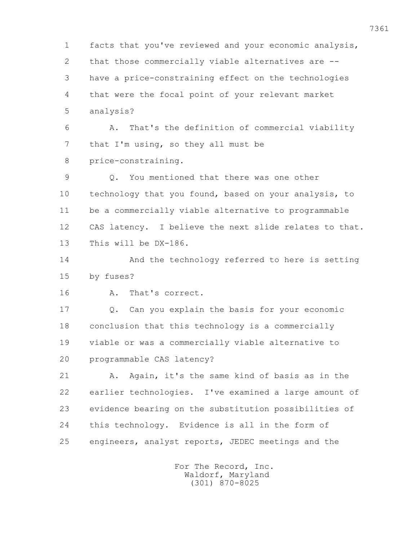1 facts that you've reviewed and your economic analysis, 2 that those commercially viable alternatives are -- 3 have a price-constraining effect on the technologies 4 that were the focal point of your relevant market 5 analysis? 6 A. That's the definition of commercial viability 7 that I'm using, so they all must be 8 price-constraining. 9 Q. You mentioned that there was one other 10 technology that you found, based on your analysis, to 11 be a commercially viable alternative to programmable 12 CAS latency. I believe the next slide relates to that. 13 This will be DX-186. 14 And the technology referred to here is setting 15 by fuses? 16 A. That's correct. 17 Q. Can you explain the basis for your economic 18 conclusion that this technology is a commercially 19 viable or was a commercially viable alternative to 20 programmable CAS latency? 21 A. Again, it's the same kind of basis as in the 22 earlier technologies. I've examined a large amount of 23 evidence bearing on the substitution possibilities of 24 this technology. Evidence is all in the form of 25 engineers, analyst reports, JEDEC meetings and the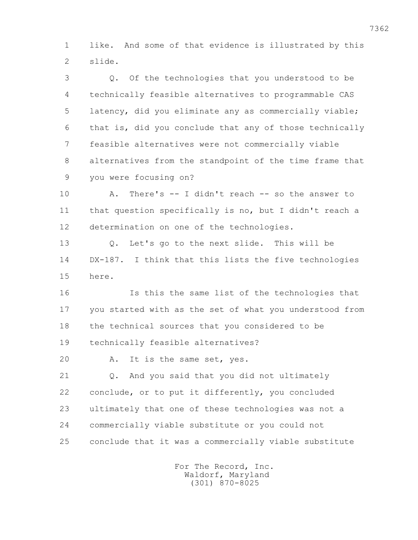1 like. And some of that evidence is illustrated by this 2 slide.

 3 Q. Of the technologies that you understood to be 4 technically feasible alternatives to programmable CAS 5 latency, did you eliminate any as commercially viable; 6 that is, did you conclude that any of those technically 7 feasible alternatives were not commercially viable 8 alternatives from the standpoint of the time frame that 9 you were focusing on?

 10 A. There's -- I didn't reach -- so the answer to 11 that question specifically is no, but I didn't reach a 12 determination on one of the technologies.

 13 Q. Let's go to the next slide. This will be 14 DX-187. I think that this lists the five technologies 15 here.

 16 Is this the same list of the technologies that 17 you started with as the set of what you understood from 18 the technical sources that you considered to be 19 technically feasible alternatives?

20 A. It is the same set, yes.

 21 Q. And you said that you did not ultimately 22 conclude, or to put it differently, you concluded 23 ultimately that one of these technologies was not a 24 commercially viable substitute or you could not 25 conclude that it was a commercially viable substitute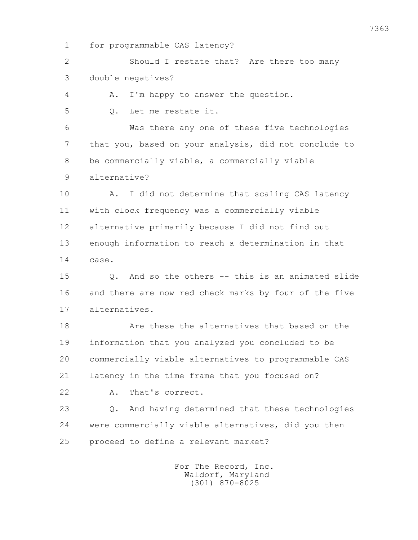1 for programmable CAS latency?

 2 Should I restate that? Are there too many 3 double negatives?

4 A. I'm happy to answer the question.

5 Q. Let me restate it.

 6 Was there any one of these five technologies 7 that you, based on your analysis, did not conclude to 8 be commercially viable, a commercially viable

9 alternative?

10 A. I did not determine that scaling CAS latency 11 with clock frequency was a commercially viable 12 alternative primarily because I did not find out 13 enough information to reach a determination in that 14 case.

 15 Q. And so the others -- this is an animated slide 16 and there are now red check marks by four of the five 17 alternatives.

 18 Are these the alternatives that based on the 19 information that you analyzed you concluded to be 20 commercially viable alternatives to programmable CAS 21 latency in the time frame that you focused on?

22 A. That's correct.

 23 Q. And having determined that these technologies 24 were commercially viable alternatives, did you then 25 proceed to define a relevant market?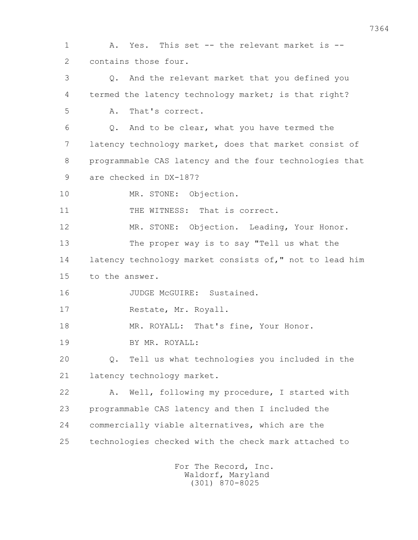1 A. Yes. This set -- the relevant market is -- 2 contains those four. 3 Q. And the relevant market that you defined you 4 termed the latency technology market; is that right? 5 A. That's correct. 6 Q. And to be clear, what you have termed the 7 latency technology market, does that market consist of 8 programmable CAS latency and the four technologies that 9 are checked in DX-187? 10 MR. STONE: Objection. 11 THE WITNESS: That is correct. 12 MR. STONE: Objection. Leading, Your Honor. 13 The proper way is to say "Tell us what the 14 latency technology market consists of," not to lead him 15 to the answer. 16 JUDGE McGUIRE: Sustained. 17 Restate, Mr. Royall. 18 MR. ROYALL: That's fine, Your Honor. 19 BY MR. ROYALL: 20 Q. Tell us what technologies you included in the 21 latency technology market. 22 A. Well, following my procedure, I started with 23 programmable CAS latency and then I included the 24 commercially viable alternatives, which are the 25 technologies checked with the check mark attached to For The Record, Inc.

 Waldorf, Maryland (301) 870-8025

7364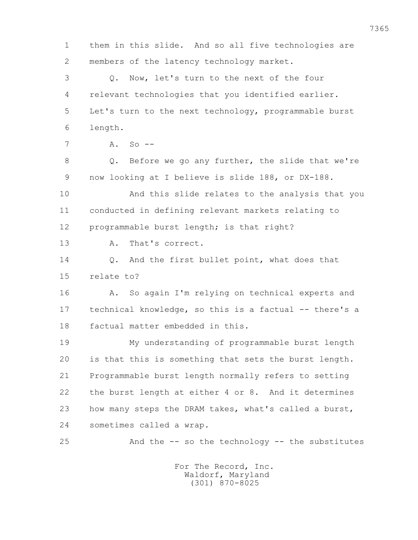1 them in this slide. And so all five technologies are 2 members of the latency technology market. 3 Q. Now, let's turn to the next of the four 4 relevant technologies that you identified earlier. 5 Let's turn to the next technology, programmable burst 6 length.  $7 \qquad A. \qquad S_0 \qquad -$  8 Q. Before we go any further, the slide that we're 9 now looking at I believe is slide 188, or DX-188. 10 And this slide relates to the analysis that you 11 conducted in defining relevant markets relating to 12 programmable burst length; is that right? 13 A. That's correct. 14 Q. And the first bullet point, what does that 15 relate to? 16 A. So again I'm relying on technical experts and 17 technical knowledge, so this is a factual -- there's a 18 factual matter embedded in this. 19 My understanding of programmable burst length 20 is that this is something that sets the burst length. 21 Programmable burst length normally refers to setting 22 the burst length at either 4 or 8. And it determines 23 how many steps the DRAM takes, what's called a burst, 24 sometimes called a wrap. 25 And the -- so the technology -- the substitutes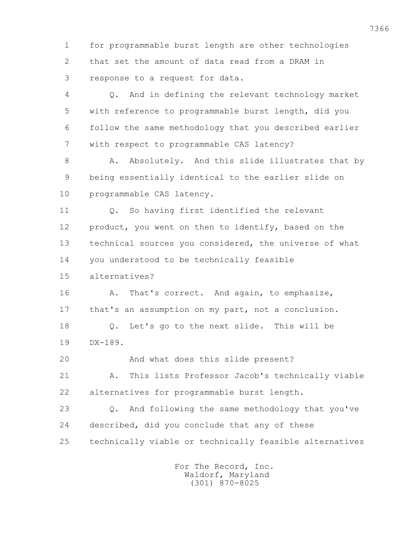1 for programmable burst length are other technologies 2 that set the amount of data read from a DRAM in 3 response to a request for data.

 4 Q. And in defining the relevant technology market 5 with reference to programmable burst length, did you 6 follow the same methodology that you described earlier 7 with respect to programmable CAS latency?

8 A. Absolutely. And this slide illustrates that by 9 being essentially identical to the earlier slide on 10 programmable CAS latency.

 11 Q. So having first identified the relevant 12 product, you went on then to identify, based on the 13 technical sources you considered, the universe of what 14 you understood to be technically feasible

15 alternatives?

16 A. That's correct. And again, to emphasize, 17 that's an assumption on my part, not a conclusion. 18 Q. Let's go to the next slide. This will be 19 DX-189.

20 And what does this slide present?

 21 A. This lists Professor Jacob's technically viable 22 alternatives for programmable burst length.

 23 Q. And following the same methodology that you've 24 described, did you conclude that any of these 25 technically viable or technically feasible alternatives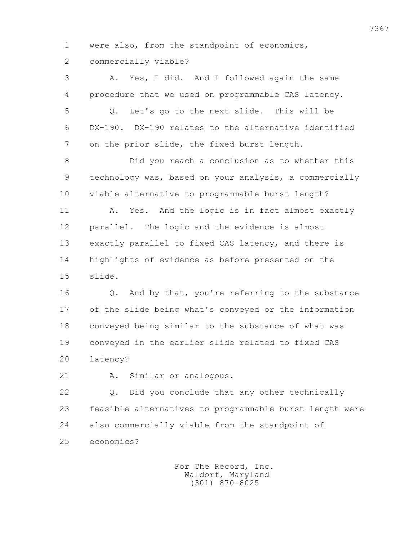1 were also, from the standpoint of economics, 2 commercially viable?

 3 A. Yes, I did. And I followed again the same 4 procedure that we used on programmable CAS latency. 5 Q. Let's go to the next slide. This will be 6 DX-190. DX-190 relates to the alternative identified 7 on the prior slide, the fixed burst length.

 8 Did you reach a conclusion as to whether this 9 technology was, based on your analysis, a commercially 10 viable alternative to programmable burst length?

11 A. Yes. And the logic is in fact almost exactly 12 parallel. The logic and the evidence is almost 13 exactly parallel to fixed CAS latency, and there is 14 highlights of evidence as before presented on the 15 slide.

 16 Q. And by that, you're referring to the substance 17 of the slide being what's conveyed or the information 18 conveyed being similar to the substance of what was 19 conveyed in the earlier slide related to fixed CAS 20 latency?

21 A. Similar or analogous.

 22 Q. Did you conclude that any other technically 23 feasible alternatives to programmable burst length were 24 also commercially viable from the standpoint of 25 economics?

> For The Record, Inc. Waldorf, Maryland (301) 870-8025

7367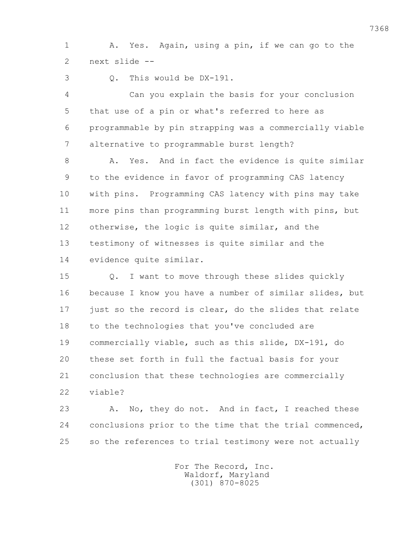1 A. Yes. Again, using a pin, if we can go to the 2 next slide --

3 Q. This would be DX-191.

 4 Can you explain the basis for your conclusion 5 that use of a pin or what's referred to here as 6 programmable by pin strapping was a commercially viable 7 alternative to programmable burst length?

8 A. Yes. And in fact the evidence is quite similar 9 to the evidence in favor of programming CAS latency 10 with pins. Programming CAS latency with pins may take 11 more pins than programming burst length with pins, but 12 otherwise, the logic is quite similar, and the 13 testimony of witnesses is quite similar and the 14 evidence quite similar.

 15 Q. I want to move through these slides quickly 16 because I know you have a number of similar slides, but 17 just so the record is clear, do the slides that relate 18 to the technologies that you've concluded are 19 commercially viable, such as this slide, DX-191, do 20 these set forth in full the factual basis for your 21 conclusion that these technologies are commercially 22 viable?

23 A. No, they do not. And in fact, I reached these 24 conclusions prior to the time that the trial commenced, 25 so the references to trial testimony were not actually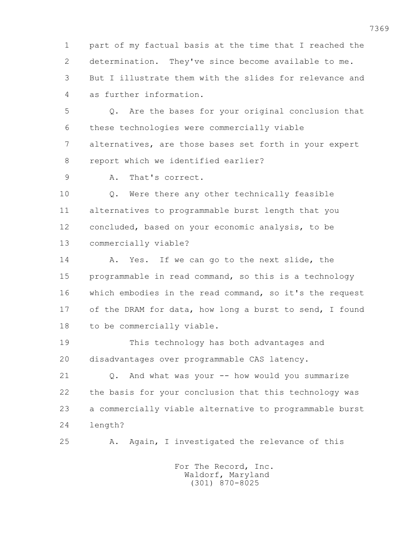1 part of my factual basis at the time that I reached the 2 determination. They've since become available to me. 3 But I illustrate them with the slides for relevance and 4 as further information.

 5 Q. Are the bases for your original conclusion that 6 these technologies were commercially viable 7 alternatives, are those bases set forth in your expert 8 report which we identified earlier?

9 A. That's correct.

 10 Q. Were there any other technically feasible 11 alternatives to programmable burst length that you 12 concluded, based on your economic analysis, to be 13 commercially viable?

 14 A. Yes. If we can go to the next slide, the 15 programmable in read command, so this is a technology 16 which embodies in the read command, so it's the request 17 of the DRAM for data, how long a burst to send, I found 18 to be commercially viable.

 19 This technology has both advantages and 20 disadvantages over programmable CAS latency.

 21 Q. And what was your -- how would you summarize 22 the basis for your conclusion that this technology was 23 a commercially viable alternative to programmable burst 24 length?

25 A. Again, I investigated the relevance of this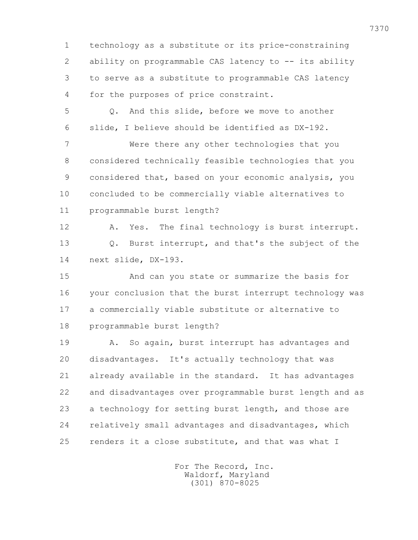1 technology as a substitute or its price-constraining 2 ability on programmable CAS latency to -- its ability 3 to serve as a substitute to programmable CAS latency 4 for the purposes of price constraint.

 5 Q. And this slide, before we move to another 6 slide, I believe should be identified as DX-192.

 7 Were there any other technologies that you 8 considered technically feasible technologies that you 9 considered that, based on your economic analysis, you 10 concluded to be commercially viable alternatives to 11 programmable burst length?

 12 A. Yes. The final technology is burst interrupt. 13 Q. Burst interrupt, and that's the subject of the 14 next slide, DX-193.

 15 And can you state or summarize the basis for 16 your conclusion that the burst interrupt technology was 17 a commercially viable substitute or alternative to 18 programmable burst length?

 19 A. So again, burst interrupt has advantages and 20 disadvantages. It's actually technology that was 21 already available in the standard. It has advantages 22 and disadvantages over programmable burst length and as 23 a technology for setting burst length, and those are 24 relatively small advantages and disadvantages, which 25 renders it a close substitute, and that was what I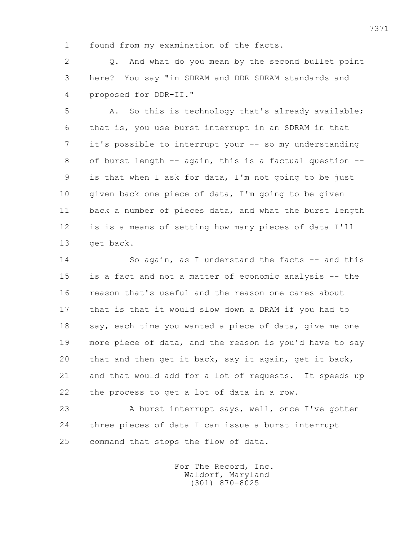1 found from my examination of the facts.

 2 Q. And what do you mean by the second bullet point 3 here? You say "in SDRAM and DDR SDRAM standards and 4 proposed for DDR-II."

5 A. So this is technology that's already available; 6 that is, you use burst interrupt in an SDRAM in that 7 it's possible to interrupt your -- so my understanding 8 of burst length -- again, this is a factual question -- 9 is that when I ask for data, I'm not going to be just 10 given back one piece of data, I'm going to be given 11 back a number of pieces data, and what the burst length 12 is is a means of setting how many pieces of data I'll 13 get back.

 14 So again, as I understand the facts -- and this 15 is a fact and not a matter of economic analysis -- the 16 reason that's useful and the reason one cares about 17 that is that it would slow down a DRAM if you had to 18 say, each time you wanted a piece of data, give me one 19 more piece of data, and the reason is you'd have to say 20 that and then get it back, say it again, get it back, 21 and that would add for a lot of requests. It speeds up 22 the process to get a lot of data in a row.

 23 A burst interrupt says, well, once I've gotten 24 three pieces of data I can issue a burst interrupt 25 command that stops the flow of data.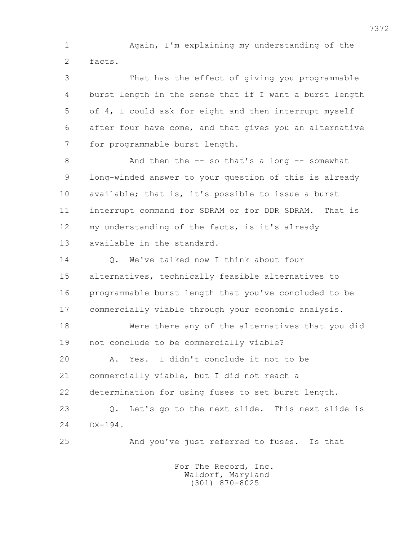1 Again, I'm explaining my understanding of the 2 facts.

 3 That has the effect of giving you programmable 4 burst length in the sense that if I want a burst length 5 of 4, I could ask for eight and then interrupt myself 6 after four have come, and that gives you an alternative 7 for programmable burst length.

 8 And then the -- so that's a long -- somewhat 9 long-winded answer to your question of this is already 10 available; that is, it's possible to issue a burst 11 interrupt command for SDRAM or for DDR SDRAM. That is 12 my understanding of the facts, is it's already 13 available in the standard.

14 O. We've talked now I think about four 15 alternatives, technically feasible alternatives to 16 programmable burst length that you've concluded to be 17 commercially viable through your economic analysis.

 18 Were there any of the alternatives that you did 19 not conclude to be commercially viable? 20 A. Yes. I didn't conclude it not to be

21 commercially viable, but I did not reach a

22 determination for using fuses to set burst length.

 23 Q. Let's go to the next slide. This next slide is 24 DX-194.

25 And you've just referred to fuses. Is that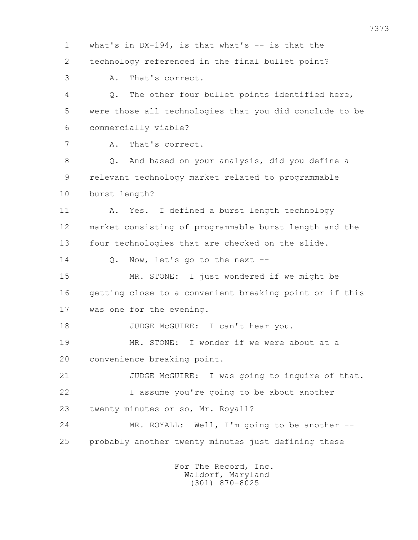1 what's in DX-194, is that what's -- is that the 2 technology referenced in the final bullet point? 3 A. That's correct. 4 Q. The other four bullet points identified here, 5 were those all technologies that you did conclude to be 6 commercially viable? 7 A. That's correct. 8 Q. And based on your analysis, did you define a 9 relevant technology market related to programmable 10 burst length? 11 A. Yes. I defined a burst length technology 12 market consisting of programmable burst length and the 13 four technologies that are checked on the slide. 14 Q. Now, let's go to the next -- 15 MR. STONE: I just wondered if we might be 16 getting close to a convenient breaking point or if this 17 was one for the evening. 18 JUDGE McGUIRE: I can't hear you. 19 MR. STONE: I wonder if we were about at a 20 convenience breaking point. 21 JUDGE McGUIRE: I was going to inquire of that. 22 I assume you're going to be about another 23 twenty minutes or so, Mr. Royall? 24 MR. ROYALL: Well, I'm going to be another -- 25 probably another twenty minutes just defining these For The Record, Inc.

 Waldorf, Maryland (301) 870-8025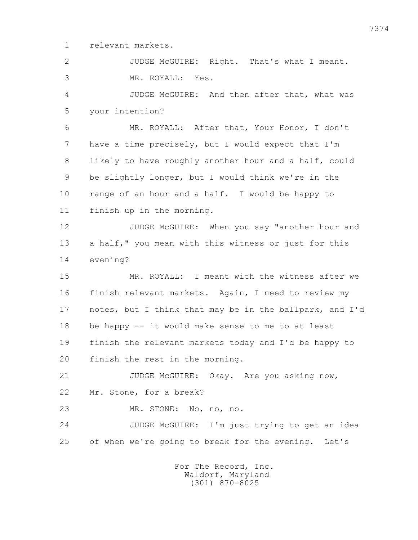1 relevant markets.

 2 JUDGE McGUIRE: Right. That's what I meant. 3 MR. ROYALL: Yes.

 4 JUDGE McGUIRE: And then after that, what was 5 your intention?

 6 MR. ROYALL: After that, Your Honor, I don't 7 have a time precisely, but I would expect that I'm 8 likely to have roughly another hour and a half, could 9 be slightly longer, but I would think we're in the 10 range of an hour and a half. I would be happy to 11 finish up in the morning.

12 JUDGE McGUIRE: When you say "another hour and 13 a half," you mean with this witness or just for this 14 evening?

 15 MR. ROYALL: I meant with the witness after we 16 finish relevant markets. Again, I need to review my 17 notes, but I think that may be in the ballpark, and I'd 18 be happy -- it would make sense to me to at least 19 finish the relevant markets today and I'd be happy to 20 finish the rest in the morning.

 21 JUDGE McGUIRE: Okay. Are you asking now, 22 Mr. Stone, for a break?

23 MR. STONE: No, no, no.

 24 JUDGE McGUIRE: I'm just trying to get an idea 25 of when we're going to break for the evening. Let's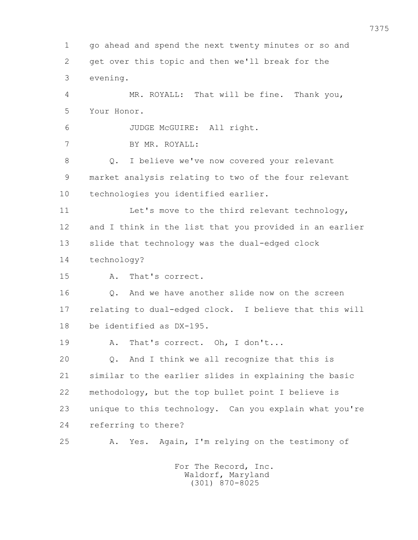1 go ahead and spend the next twenty minutes or so and 2 get over this topic and then we'll break for the 3 evening. 4 MR. ROYALL: That will be fine. Thank you, 5 Your Honor. 6 JUDGE McGUIRE: All right. 7 BY MR. ROYALL: 8 Q. I believe we've now covered your relevant 9 market analysis relating to two of the four relevant 10 technologies you identified earlier. 11 Let's move to the third relevant technology, 12 and I think in the list that you provided in an earlier 13 slide that technology was the dual-edged clock 14 technology? 15 A. That's correct. 16 Q. And we have another slide now on the screen 17 relating to dual-edged clock. I believe that this will 18 be identified as DX-195. 19 A. That's correct. Oh, I don't... 20 Q. And I think we all recognize that this is 21 similar to the earlier slides in explaining the basic 22 methodology, but the top bullet point I believe is 23 unique to this technology. Can you explain what you're 24 referring to there? 25 A. Yes. Again, I'm relying on the testimony of For The Record, Inc.

 Waldorf, Maryland (301) 870-8025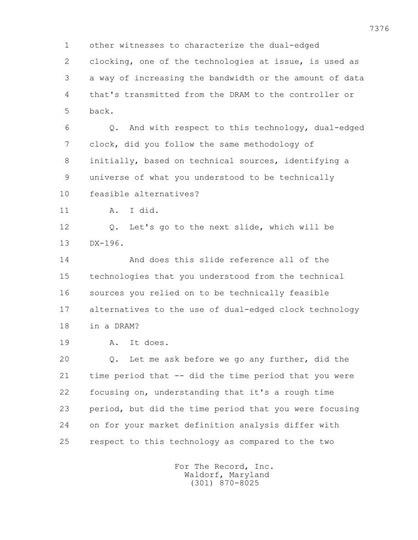1 other witnesses to characterize the dual-edged 2 clocking, one of the technologies at issue, is used as 3 a way of increasing the bandwidth or the amount of data 4 that's transmitted from the DRAM to the controller or 5 back. 6 Q. And with respect to this technology, dual-edged 7 clock, did you follow the same methodology of 8 initially, based on technical sources, identifying a 9 universe of what you understood to be technically 10 feasible alternatives? 11 A. I did. 12 Q. Let's go to the next slide, which will be 13 DX-196. 14 And does this slide reference all of the 15 technologies that you understood from the technical 16 sources you relied on to be technically feasible 17 alternatives to the use of dual-edged clock technology 18 in a DRAM? 19 A. It does. 20 Q. Let me ask before we go any further, did the 21 time period that -- did the time period that you were 22 focusing on, understanding that it's a rough time 23 period, but did the time period that you were focusing 24 on for your market definition analysis differ with 25 respect to this technology as compared to the two For The Record, Inc.

 Waldorf, Maryland (301) 870-8025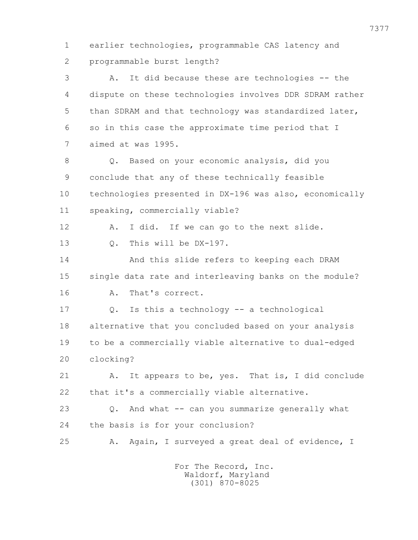1 earlier technologies, programmable CAS latency and 2 programmable burst length?

 3 A. It did because these are technologies -- the 4 dispute on these technologies involves DDR SDRAM rather 5 than SDRAM and that technology was standardized later, 6 so in this case the approximate time period that I 7 aimed at was 1995.

 8 Q. Based on your economic analysis, did you 9 conclude that any of these technically feasible 10 technologies presented in DX-196 was also, economically 11 speaking, commercially viable?

12 A. I did. If we can go to the next slide.

13 0. This will be DX-197.

 14 And this slide refers to keeping each DRAM 15 single data rate and interleaving banks on the module? 16 A. That's correct.

17 Q. Is this a technology -- a technological

 18 alternative that you concluded based on your analysis 19 to be a commercially viable alternative to dual-edged 20 clocking?

 21 A. It appears to be, yes. That is, I did conclude 22 that it's a commercially viable alternative.

 23 Q. And what -- can you summarize generally what 24 the basis is for your conclusion?

25 A. Again, I surveyed a great deal of evidence, I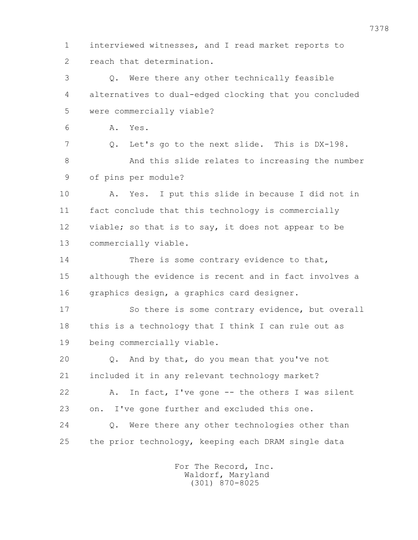7378 1 interviewed witnesses, and I read market reports to 2 reach that determination. 3 Q. Were there any other technically feasible 4 alternatives to dual-edged clocking that you concluded 5 were commercially viable? 6 A. Yes. 7 Q. Let's go to the next slide. This is DX-198. 8 And this slide relates to increasing the number 9 of pins per module? 10 A. Yes. I put this slide in because I did not in 11 fact conclude that this technology is commercially 12 viable; so that is to say, it does not appear to be 13 commercially viable. 14 There is some contrary evidence to that, 15 although the evidence is recent and in fact involves a 16 graphics design, a graphics card designer. 17 So there is some contrary evidence, but overall 18 this is a technology that I think I can rule out as 19 being commercially viable. 20 Q. And by that, do you mean that you've not 21 included it in any relevant technology market? 22 A. In fact, I've gone -- the others I was silent 23 on. I've gone further and excluded this one. 24 Q. Were there any other technologies other than

25 the prior technology, keeping each DRAM single data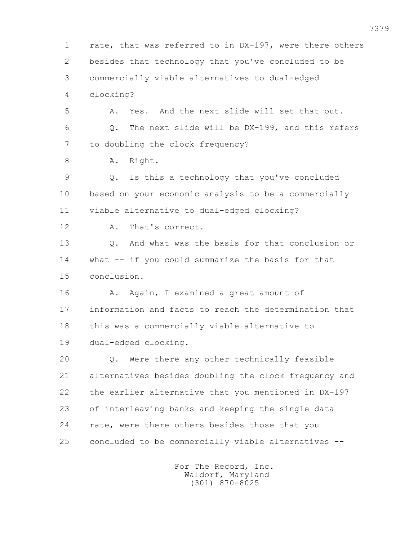1 rate, that was referred to in DX-197, were there others 2 besides that technology that you've concluded to be 3 commercially viable alternatives to dual-edged 4 clocking? 5 A. Yes. And the next slide will set that out. 6 Q. The next slide will be DX-199, and this refers 7 to doubling the clock frequency? 8 A. Right. 9 Q. Is this a technology that you've concluded 10 based on your economic analysis to be a commercially 11 viable alternative to dual-edged clocking? 12 A. That's correct. 13 Q. And what was the basis for that conclusion or 14 what -- if you could summarize the basis for that 15 conclusion. 16 A. Again, I examined a great amount of 17 information and facts to reach the determination that 18 this was a commercially viable alternative to 19 dual-edged clocking. 20 Q. Were there any other technically feasible 21 alternatives besides doubling the clock frequency and 22 the earlier alternative that you mentioned in DX-197 23 of interleaving banks and keeping the single data 24 rate, were there others besides those that you 25 concluded to be commercially viable alternatives --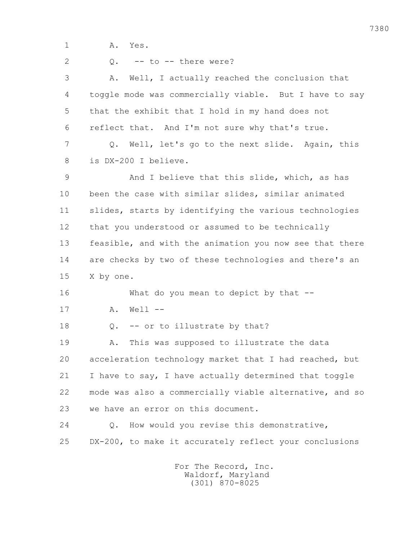1 A. Yes.

 $2 \t 0. \t -t$  to  $-t$  there were? 3 A. Well, I actually reached the conclusion that 4 toggle mode was commercially viable. But I have to say 5 that the exhibit that I hold in my hand does not 6 reflect that. And I'm not sure why that's true. 7 Q. Well, let's go to the next slide. Again, this 8 is DX-200 I believe. 9 And I believe that this slide, which, as has 10 been the case with similar slides, similar animated 11 slides, starts by identifying the various technologies 12 that you understood or assumed to be technically 13 feasible, and with the animation you now see that there 14 are checks by two of these technologies and there's an 15 X by one. 16 What do you mean to depict by that -- 17 A. Well -- 18 0. -- or to illustrate by that? 19 A. This was supposed to illustrate the data 20 acceleration technology market that I had reached, but 21 I have to say, I have actually determined that toggle 22 mode was also a commercially viable alternative, and so 23 we have an error on this document. 24 Q. How would you revise this demonstrative, 25 DX-200, to make it accurately reflect your conclusions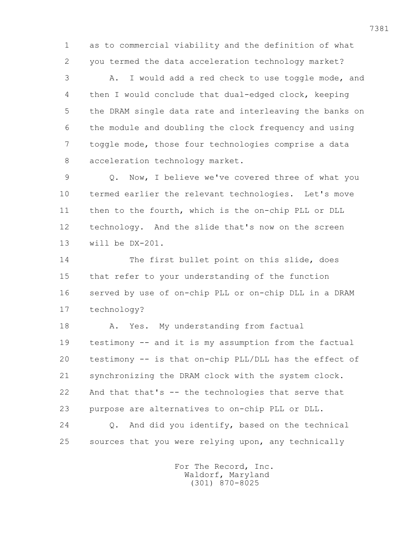1 as to commercial viability and the definition of what 2 you termed the data acceleration technology market?

 3 A. I would add a red check to use toggle mode, and 4 then I would conclude that dual-edged clock, keeping 5 the DRAM single data rate and interleaving the banks on 6 the module and doubling the clock frequency and using 7 toggle mode, those four technologies comprise a data 8 acceleration technology market.

 9 Q. Now, I believe we've covered three of what you 10 termed earlier the relevant technologies. Let's move 11 then to the fourth, which is the on-chip PLL or DLL 12 technology. And the slide that's now on the screen 13 will be DX-201.

 14 The first bullet point on this slide, does 15 that refer to your understanding of the function 16 served by use of on-chip PLL or on-chip DLL in a DRAM 17 technology?

18 A. Yes. My understanding from factual 19 testimony -- and it is my assumption from the factual 20 testimony -- is that on-chip PLL/DLL has the effect of 21 synchronizing the DRAM clock with the system clock. 22 And that that's -- the technologies that serve that 23 purpose are alternatives to on-chip PLL or DLL. 24 Q. And did you identify, based on the technical 25 sources that you were relying upon, any technically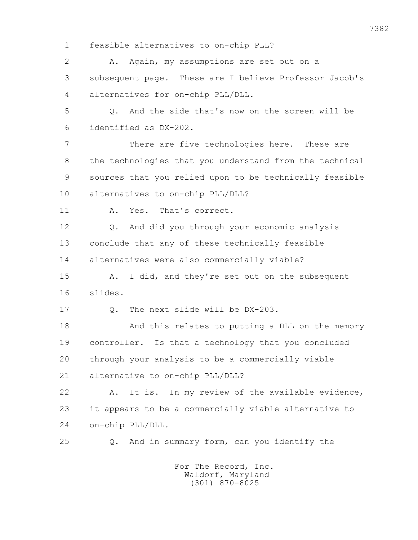1 feasible alternatives to on-chip PLL?

2 A. Again, my assumptions are set out on a 3 subsequent page. These are I believe Professor Jacob's 4 alternatives for on-chip PLL/DLL.

 5 Q. And the side that's now on the screen will be 6 identified as DX-202.

 7 There are five technologies here. These are 8 the technologies that you understand from the technical 9 sources that you relied upon to be technically feasible 10 alternatives to on-chip PLL/DLL?

11 A. Yes. That's correct.

12 0. And did you through your economic analysis 13 conclude that any of these technically feasible 14 alternatives were also commercially viable?

 15 A. I did, and they're set out on the subsequent 16 slides.

17 0. The next slide will be DX-203.

18 And this relates to putting a DLL on the memory 19 controller. Is that a technology that you concluded 20 through your analysis to be a commercially viable 21 alternative to on-chip PLL/DLL?

 22 A. It is. In my review of the available evidence, 23 it appears to be a commercially viable alternative to 24 on-chip PLL/DLL.

25 Q. And in summary form, can you identify the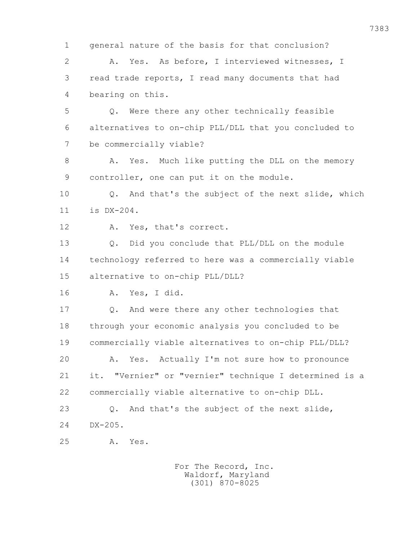1 general nature of the basis for that conclusion? 2 A. Yes. As before, I interviewed witnesses, I 3 read trade reports, I read many documents that had 4 bearing on this. 5 Q. Were there any other technically feasible 6 alternatives to on-chip PLL/DLL that you concluded to 7 be commercially viable? 8 A. Yes. Much like putting the DLL on the memory 9 controller, one can put it on the module. 10 Q. And that's the subject of the next slide, which 11 is DX-204. 12 A. Yes, that's correct. 13 Q. Did you conclude that PLL/DLL on the module 14 technology referred to here was a commercially viable 15 alternative to on-chip PLL/DLL? 16 A. Yes, I did. 17 Q. And were there any other technologies that 18 through your economic analysis you concluded to be 19 commercially viable alternatives to on-chip PLL/DLL? 20 A. Yes. Actually I'm not sure how to pronounce 21 it. "Vernier" or "vernier" technique I determined is a 22 commercially viable alternative to on-chip DLL. 23 Q. And that's the subject of the next slide, 24 DX-205. 25 A. Yes.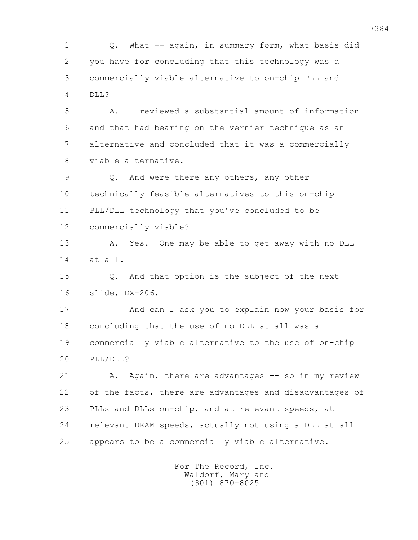1 Q. What -- again, in summary form, what basis did 2 you have for concluding that this technology was a 3 commercially viable alternative to on-chip PLL and 4 DLL?

 5 A. I reviewed a substantial amount of information 6 and that had bearing on the vernier technique as an 7 alternative and concluded that it was a commercially 8 viable alternative.

 9 Q. And were there any others, any other 10 technically feasible alternatives to this on-chip 11 PLL/DLL technology that you've concluded to be 12 commercially viable?

13 A. Yes. One may be able to get away with no DLL 14 at all.

 15 Q. And that option is the subject of the next 16 slide, DX-206.

 17 And can I ask you to explain now your basis for 18 concluding that the use of no DLL at all was a 19 commercially viable alternative to the use of on-chip 20 PLL/DLL?

21 A. Again, there are advantages -- so in my review 22 of the facts, there are advantages and disadvantages of 23 PLLs and DLLs on-chip, and at relevant speeds, at 24 relevant DRAM speeds, actually not using a DLL at all 25 appears to be a commercially viable alternative.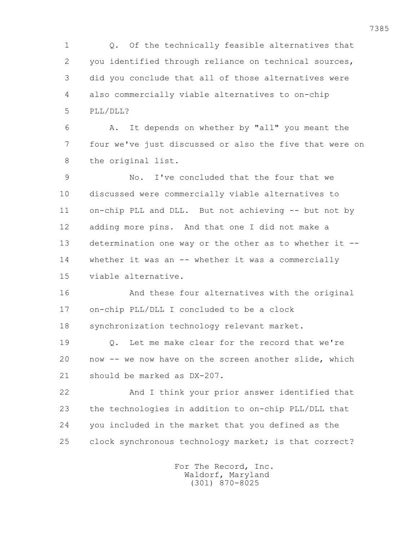1 Q. Of the technically feasible alternatives that 2 you identified through reliance on technical sources, 3 did you conclude that all of those alternatives were 4 also commercially viable alternatives to on-chip 5 PLL/DLL?

 6 A. It depends on whether by "all" you meant the 7 four we've just discussed or also the five that were on 8 the original list.

 9 No. I've concluded that the four that we 10 discussed were commercially viable alternatives to 11 on-chip PLL and DLL. But not achieving -- but not by 12 adding more pins. And that one I did not make a 13 determination one way or the other as to whether it -- 14 whether it was an -- whether it was a commercially 15 viable alternative.

 16 And these four alternatives with the original 17 on-chip PLL/DLL I concluded to be a clock 18 synchronization technology relevant market.

 19 Q. Let me make clear for the record that we're 20 now -- we now have on the screen another slide, which 21 should be marked as DX-207.

 22 And I think your prior answer identified that 23 the technologies in addition to on-chip PLL/DLL that 24 you included in the market that you defined as the 25 clock synchronous technology market; is that correct?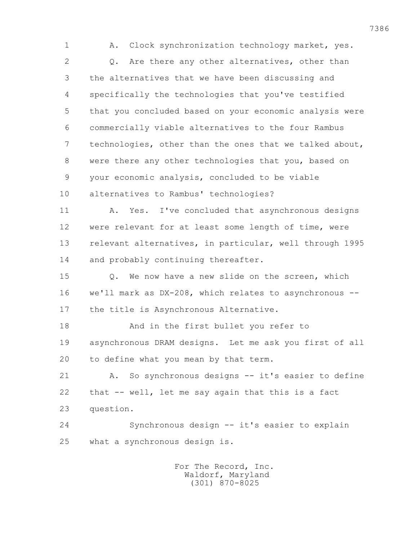1 A. Clock synchronization technology market, yes. 2 Q. Are there any other alternatives, other than 3 the alternatives that we have been discussing and 4 specifically the technologies that you've testified 5 that you concluded based on your economic analysis were 6 commercially viable alternatives to the four Rambus 7 technologies, other than the ones that we talked about, 8 were there any other technologies that you, based on 9 your economic analysis, concluded to be viable 10 alternatives to Rambus' technologies? 11 A. Yes. I've concluded that asynchronous designs 12 were relevant for at least some length of time, were 13 relevant alternatives, in particular, well through 1995 14 and probably continuing thereafter. 15 0. We now have a new slide on the screen, which 16 we'll mark as DX-208, which relates to asynchronous -- 17 the title is Asynchronous Alternative. 18 And in the first bullet you refer to 19 asynchronous DRAM designs. Let me ask you first of all 20 to define what you mean by that term. 21 A. So synchronous designs -- it's easier to define 22 that -- well, let me say again that this is a fact 23 question. 24 Synchronous design -- it's easier to explain 25 what a synchronous design is.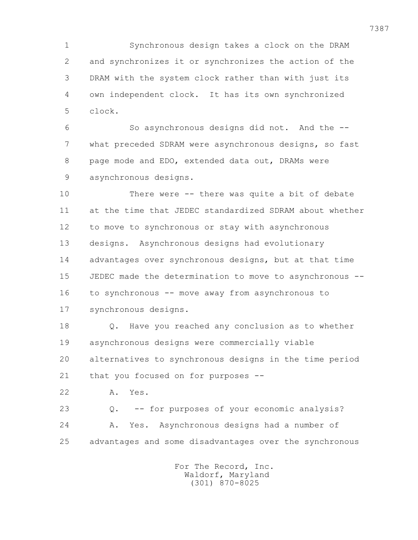1 Synchronous design takes a clock on the DRAM 2 and synchronizes it or synchronizes the action of the 3 DRAM with the system clock rather than with just its 4 own independent clock. It has its own synchronized 5 clock.

 6 So asynchronous designs did not. And the -- 7 what preceded SDRAM were asynchronous designs, so fast 8 page mode and EDO, extended data out, DRAMs were 9 asynchronous designs.

 10 There were -- there was quite a bit of debate 11 at the time that JEDEC standardized SDRAM about whether 12 to move to synchronous or stay with asynchronous 13 designs. Asynchronous designs had evolutionary 14 advantages over synchronous designs, but at that time 15 JEDEC made the determination to move to asynchronous -- 16 to synchronous -- move away from asynchronous to 17 synchronous designs.

 18 Q. Have you reached any conclusion as to whether 19 asynchronous designs were commercially viable 20 alternatives to synchronous designs in the time period 21 that you focused on for purposes --

22 A. Yes.

 23 Q. -- for purposes of your economic analysis? 24 A. Yes. Asynchronous designs had a number of 25 advantages and some disadvantages over the synchronous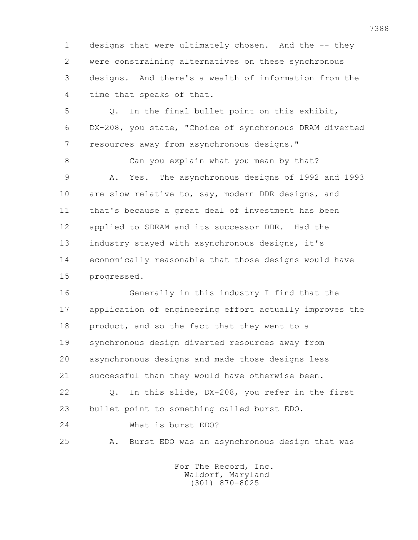1 designs that were ultimately chosen. And the -- they 2 were constraining alternatives on these synchronous 3 designs. And there's a wealth of information from the 4 time that speaks of that.

 5 Q. In the final bullet point on this exhibit, 6 DX-208, you state, "Choice of synchronous DRAM diverted 7 resources away from asynchronous designs."

 8 Can you explain what you mean by that? 9 A. Yes. The asynchronous designs of 1992 and 1993 10 are slow relative to, say, modern DDR designs, and 11 that's because a great deal of investment has been 12 applied to SDRAM and its successor DDR. Had the 13 industry stayed with asynchronous designs, it's 14 economically reasonable that those designs would have 15 progressed.

 16 Generally in this industry I find that the 17 application of engineering effort actually improves the 18 product, and so the fact that they went to a 19 synchronous design diverted resources away from 20 asynchronous designs and made those designs less 21 successful than they would have otherwise been.

 22 Q. In this slide, DX-208, you refer in the first 23 bullet point to something called burst EDO.

24 What is burst EDO?

25 A. Burst EDO was an asynchronous design that was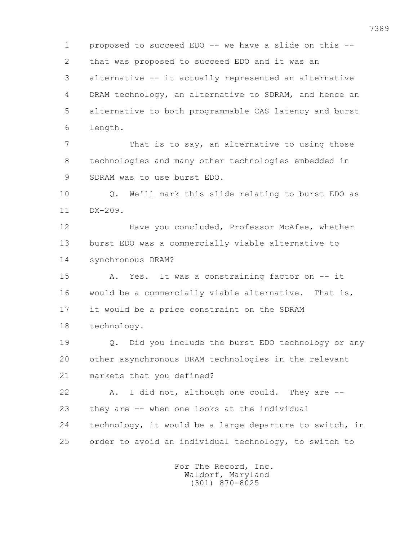1 proposed to succeed EDO -- we have a slide on this -- 2 that was proposed to succeed EDO and it was an 3 alternative -- it actually represented an alternative 4 DRAM technology, an alternative to SDRAM, and hence an 5 alternative to both programmable CAS latency and burst 6 length.

 7 That is to say, an alternative to using those 8 technologies and many other technologies embedded in 9 SDRAM was to use burst EDO.

 10 Q. We'll mark this slide relating to burst EDO as 11 DX-209.

 12 Have you concluded, Professor McAfee, whether 13 burst EDO was a commercially viable alternative to 14 synchronous DRAM?

 15 A. Yes. It was a constraining factor on -- it 16 would be a commercially viable alternative. That is, 17 it would be a price constraint on the SDRAM 18 technology.

 19 Q. Did you include the burst EDO technology or any 20 other asynchronous DRAM technologies in the relevant 21 markets that you defined?

 22 A. I did not, although one could. They are -- 23 they are -- when one looks at the individual 24 technology, it would be a large departure to switch, in 25 order to avoid an individual technology, to switch to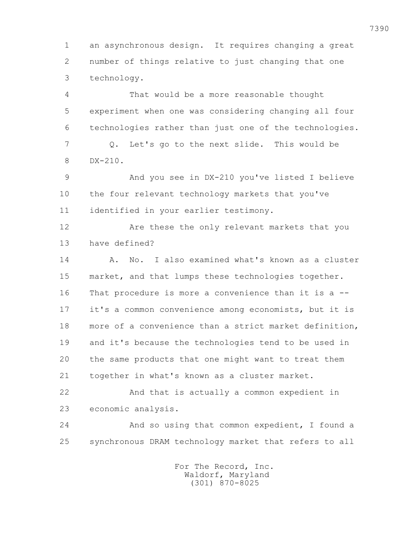1 an asynchronous design. It requires changing a great 2 number of things relative to just changing that one 3 technology.

 4 That would be a more reasonable thought 5 experiment when one was considering changing all four 6 technologies rather than just one of the technologies. 7 Q. Let's go to the next slide. This would be 8 DX-210. 9 And you see in DX-210 you've listed I believe

 10 the four relevant technology markets that you've 11 identified in your earlier testimony.

 12 Are these the only relevant markets that you 13 have defined?

 14 A. No. I also examined what's known as a cluster 15 market, and that lumps these technologies together. 16 That procedure is more a convenience than it is a -- 17 it's a common convenience among economists, but it is 18 more of a convenience than a strict market definition, 19 and it's because the technologies tend to be used in 20 the same products that one might want to treat them 21 together in what's known as a cluster market.

 22 And that is actually a common expedient in 23 economic analysis.

 24 And so using that common expedient, I found a 25 synchronous DRAM technology market that refers to all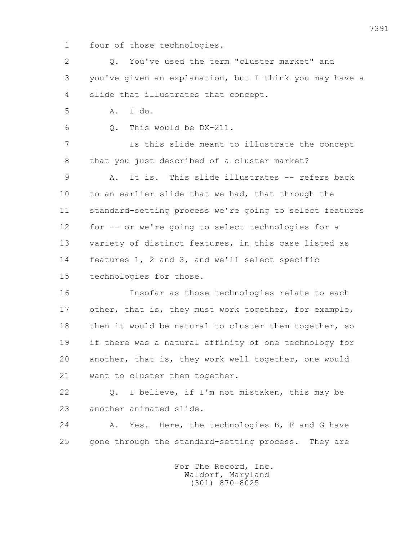1 four of those technologies.

 2 Q. You've used the term "cluster market" and 3 you've given an explanation, but I think you may have a 4 slide that illustrates that concept. 5 A. I do. 6 Q. This would be DX-211. 7 Is this slide meant to illustrate the concept 8 that you just described of a cluster market? 9 A. It is. This slide illustrates -- refers back 10 to an earlier slide that we had, that through the 11 standard-setting process we're going to select features 12 for -- or we're going to select technologies for a 13 variety of distinct features, in this case listed as 14 features 1, 2 and 3, and we'll select specific 15 technologies for those. 16 Insofar as those technologies relate to each 17 other, that is, they must work together, for example, 18 then it would be natural to cluster them together, so 19 if there was a natural affinity of one technology for 20 another, that is, they work well together, one would 21 want to cluster them together.

 22 Q. I believe, if I'm not mistaken, this may be 23 another animated slide.

24 A. Yes. Here, the technologies B, F and G have 25 gone through the standard-setting process. They are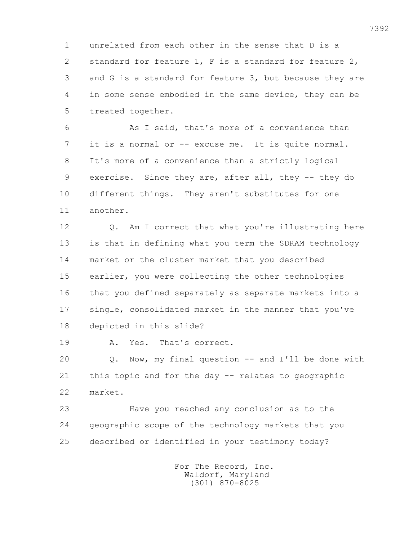1 unrelated from each other in the sense that D is a 2 standard for feature 1, F is a standard for feature 2, 3 and G is a standard for feature 3, but because they are 4 in some sense embodied in the same device, they can be 5 treated together.

 6 As I said, that's more of a convenience than 7 it is a normal or -- excuse me. It is quite normal. 8 It's more of a convenience than a strictly logical 9 exercise. Since they are, after all, they -- they do 10 different things. They aren't substitutes for one 11 another.

12 0. Am I correct that what you're illustrating here 13 is that in defining what you term the SDRAM technology 14 market or the cluster market that you described 15 earlier, you were collecting the other technologies 16 that you defined separately as separate markets into a 17 single, consolidated market in the manner that you've 18 depicted in this slide?

19 A. Yes. That's correct.

 20 Q. Now, my final question -- and I'll be done with 21 this topic and for the day -- relates to geographic 22 market.

 23 Have you reached any conclusion as to the 24 geographic scope of the technology markets that you 25 described or identified in your testimony today?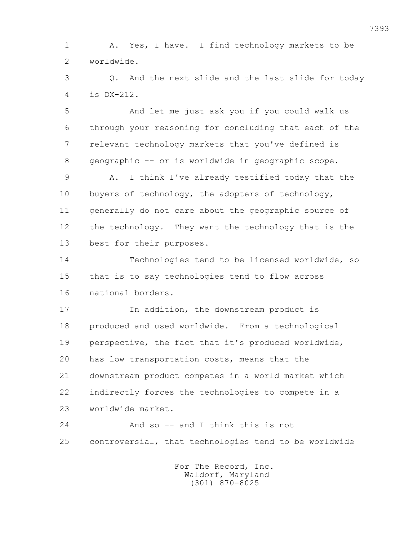1 A. Yes, I have. I find technology markets to be 2 worldwide.

 3 Q. And the next slide and the last slide for today 4 is DX-212.

 5 And let me just ask you if you could walk us 6 through your reasoning for concluding that each of the 7 relevant technology markets that you've defined is 8 geographic -- or is worldwide in geographic scope.

 9 A. I think I've already testified today that the 10 buyers of technology, the adopters of technology, 11 generally do not care about the geographic source of 12 the technology. They want the technology that is the 13 best for their purposes.

 14 Technologies tend to be licensed worldwide, so 15 that is to say technologies tend to flow across 16 national borders.

 17 In addition, the downstream product is 18 produced and used worldwide. From a technological 19 perspective, the fact that it's produced worldwide, 20 has low transportation costs, means that the 21 downstream product competes in a world market which 22 indirectly forces the technologies to compete in a 23 worldwide market.

24 And so -- and I think this is not 25 controversial, that technologies tend to be worldwide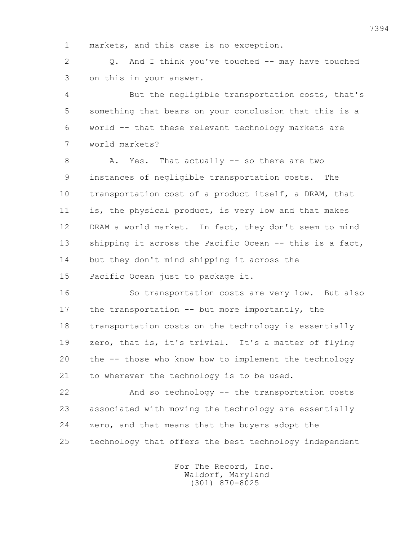1 markets, and this case is no exception.

 2 Q. And I think you've touched -- may have touched 3 on this in your answer.

 4 But the negligible transportation costs, that's 5 something that bears on your conclusion that this is a 6 world -- that these relevant technology markets are 7 world markets?

8 A. Yes. That actually -- so there are two 9 instances of negligible transportation costs. The 10 transportation cost of a product itself, a DRAM, that 11 is, the physical product, is very low and that makes 12 DRAM a world market. In fact, they don't seem to mind 13 shipping it across the Pacific Ocean -- this is a fact, 14 but they don't mind shipping it across the 15 Pacific Ocean just to package it.

 16 So transportation costs are very low. But also 17 the transportation -- but more importantly, the 18 transportation costs on the technology is essentially 19 zero, that is, it's trivial. It's a matter of flying 20 the -- those who know how to implement the technology 21 to wherever the technology is to be used.

 22 And so technology -- the transportation costs 23 associated with moving the technology are essentially 24 zero, and that means that the buyers adopt the 25 technology that offers the best technology independent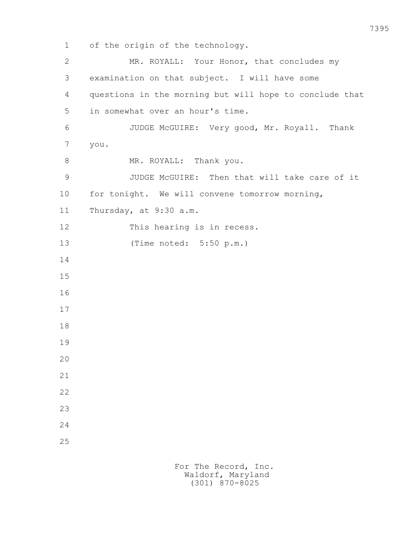1 of the origin of the technology. 2 MR. ROYALL: Your Honor, that concludes my 3 examination on that subject. I will have some 4 questions in the morning but will hope to conclude that 5 in somewhat over an hour's time. 6 JUDGE McGUIRE: Very good, Mr. Royall. Thank 7 you. 8 MR. ROYALL: Thank you. 9 JUDGE McGUIRE: Then that will take care of it 10 for tonight. We will convene tomorrow morning, 11 Thursday, at 9:30 a.m. 12 This hearing is in recess. 13 (Time noted: 5:50 p.m.) 14 15 16 17 18 19 20 21 22 23 24 25